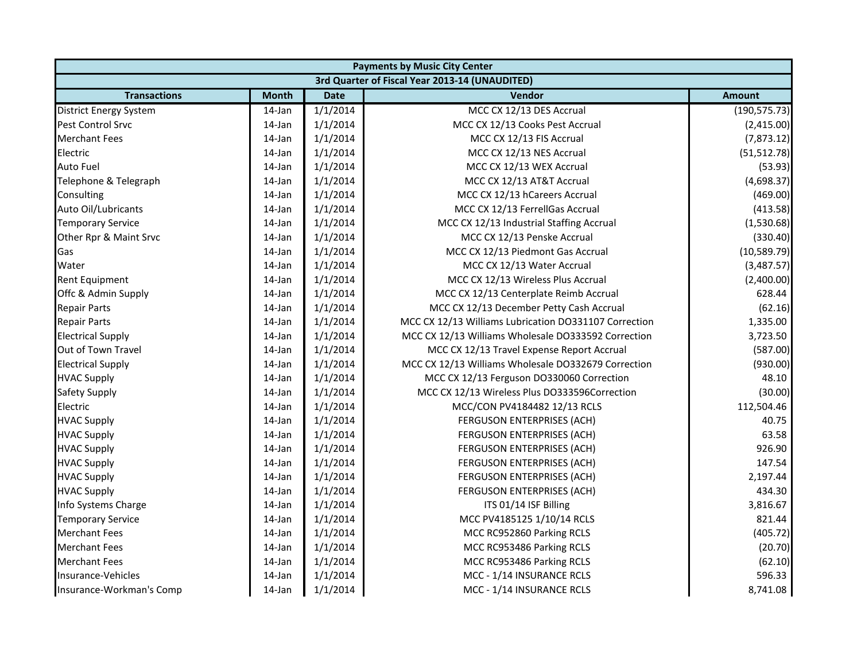|                               | <b>Payments by Music City Center</b> |             |                                                       |               |  |
|-------------------------------|--------------------------------------|-------------|-------------------------------------------------------|---------------|--|
|                               |                                      |             | 3rd Quarter of Fiscal Year 2013-14 (UNAUDITED)        |               |  |
| <b>Transactions</b>           | <b>Month</b>                         | <b>Date</b> | Vendor                                                | <b>Amount</b> |  |
| <b>District Energy System</b> | 14-Jan                               | 1/1/2014    | MCC CX 12/13 DES Accrual                              | (190, 575.73) |  |
| Pest Control Srvc             | 14-Jan                               | 1/1/2014    | MCC CX 12/13 Cooks Pest Accrual                       | (2,415.00)    |  |
| <b>Merchant Fees</b>          | 14-Jan                               | 1/1/2014    | MCC CX 12/13 FIS Accrual                              | (7,873.12)    |  |
| Electric                      | 14-Jan                               | 1/1/2014    | MCC CX 12/13 NES Accrual                              | (51, 512.78)  |  |
| <b>Auto Fuel</b>              | 14-Jan                               | 1/1/2014    | MCC CX 12/13 WEX Accrual                              | (53.93)       |  |
| Telephone & Telegraph         | 14-Jan                               | 1/1/2014    | MCC CX 12/13 AT&T Accrual                             | (4,698.37)    |  |
| Consulting                    | 14-Jan                               | 1/1/2014    | MCC CX 12/13 hCareers Accrual                         | (469.00)      |  |
| Auto Oil/Lubricants           | 14-Jan                               | 1/1/2014    | MCC CX 12/13 FerrellGas Accrual                       | (413.58)      |  |
| <b>Temporary Service</b>      | 14-Jan                               | 1/1/2014    | MCC CX 12/13 Industrial Staffing Accrual              | (1,530.68)    |  |
| Other Rpr & Maint Srvc        | 14-Jan                               | 1/1/2014    | MCC CX 12/13 Penske Accrual                           | (330.40)      |  |
| Gas                           | 14-Jan                               | 1/1/2014    | MCC CX 12/13 Piedmont Gas Accrual                     | (10, 589.79)  |  |
| Water                         | 14-Jan                               | 1/1/2014    | MCC CX 12/13 Water Accrual                            | (3,487.57)    |  |
| Rent Equipment                | 14-Jan                               | 1/1/2014    | MCC CX 12/13 Wireless Plus Accrual                    | (2,400.00)    |  |
| Offc & Admin Supply           | 14-Jan                               | 1/1/2014    | MCC CX 12/13 Centerplate Reimb Accrual                | 628.44        |  |
| <b>Repair Parts</b>           | 14-Jan                               | 1/1/2014    | MCC CX 12/13 December Petty Cash Accrual              | (62.16)       |  |
| <b>Repair Parts</b>           | 14-Jan                               | 1/1/2014    | MCC CX 12/13 Williams Lubrication DO331107 Correction | 1,335.00      |  |
| <b>Electrical Supply</b>      | 14-Jan                               | 1/1/2014    | MCC CX 12/13 Williams Wholesale DO333592 Correction   | 3,723.50      |  |
| Out of Town Travel            | 14-Jan                               | 1/1/2014    | MCC CX 12/13 Travel Expense Report Accrual            | (587.00)      |  |
| <b>Electrical Supply</b>      | 14-Jan                               | 1/1/2014    | MCC CX 12/13 Williams Wholesale DO332679 Correction   | (930.00)      |  |
| <b>HVAC Supply</b>            | 14-Jan                               | 1/1/2014    | MCC CX 12/13 Ferguson DO330060 Correction             | 48.10         |  |
| Safety Supply                 | 14-Jan                               | 1/1/2014    | MCC CX 12/13 Wireless Plus DO333596Correction         | (30.00)       |  |
| Electric                      | 14-Jan                               | 1/1/2014    | MCC/CON PV4184482 12/13 RCLS                          | 112,504.46    |  |
| <b>HVAC Supply</b>            | 14-Jan                               | 1/1/2014    | FERGUSON ENTERPRISES (ACH)                            | 40.75         |  |
| <b>HVAC Supply</b>            | 14-Jan                               | 1/1/2014    | FERGUSON ENTERPRISES (ACH)                            | 63.58         |  |
| <b>HVAC Supply</b>            | 14-Jan                               | 1/1/2014    | FERGUSON ENTERPRISES (ACH)                            | 926.90        |  |
| <b>HVAC Supply</b>            | 14-Jan                               | 1/1/2014    | FERGUSON ENTERPRISES (ACH)                            | 147.54        |  |
| <b>HVAC Supply</b>            | 14-Jan                               | 1/1/2014    | FERGUSON ENTERPRISES (ACH)                            | 2,197.44      |  |
| <b>HVAC Supply</b>            | 14-Jan                               | 1/1/2014    | FERGUSON ENTERPRISES (ACH)                            | 434.30        |  |
| Info Systems Charge           | 14-Jan                               | 1/1/2014    | ITS 01/14 ISF Billing                                 | 3,816.67      |  |
| <b>Temporary Service</b>      | 14-Jan                               | 1/1/2014    | MCC PV4185125 1/10/14 RCLS                            | 821.44        |  |
| <b>Merchant Fees</b>          | 14-Jan                               | 1/1/2014    | MCC RC952860 Parking RCLS                             | (405.72)      |  |
| <b>Merchant Fees</b>          | 14-Jan                               | 1/1/2014    | MCC RC953486 Parking RCLS                             | (20.70)       |  |
| <b>Merchant Fees</b>          | 14-Jan                               | 1/1/2014    | MCC RC953486 Parking RCLS                             | (62.10)       |  |
| Insurance-Vehicles            | 14-Jan                               | 1/1/2014    | MCC - 1/14 INSURANCE RCLS                             | 596.33        |  |
| Insurance-Workman's Comp      | 14-Jan                               | 1/1/2014    | MCC - 1/14 INSURANCE RCLS                             | 8,741.08      |  |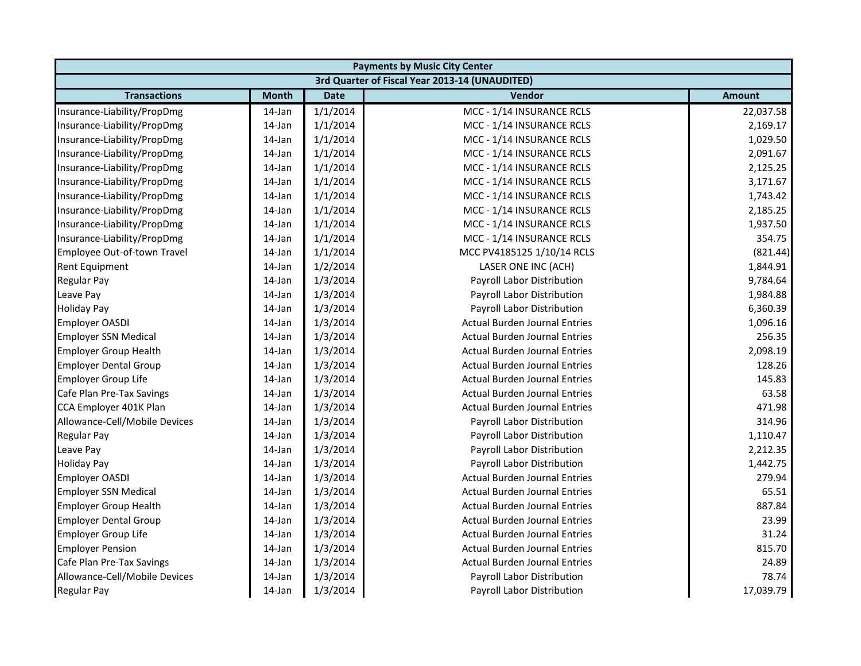|                               |              |             | <b>Payments by Music City Center</b>           |               |
|-------------------------------|--------------|-------------|------------------------------------------------|---------------|
|                               |              |             | 3rd Quarter of Fiscal Year 2013-14 (UNAUDITED) |               |
| <b>Transactions</b>           | <b>Month</b> | <b>Date</b> | <b>Vendor</b>                                  | <b>Amount</b> |
| Insurance-Liability/PropDmg   | 14-Jan       | 1/1/2014    | MCC - 1/14 INSURANCE RCLS                      | 22,037.58     |
| Insurance-Liability/PropDmg   | 14-Jan       | 1/1/2014    | MCC - 1/14 INSURANCE RCLS                      | 2,169.17      |
| Insurance-Liability/PropDmg   | 14-Jan       | 1/1/2014    | MCC - 1/14 INSURANCE RCLS                      | 1,029.50      |
| Insurance-Liability/PropDmg   | 14-Jan       | 1/1/2014    | MCC - 1/14 INSURANCE RCLS                      | 2,091.67      |
| Insurance-Liability/PropDmg   | 14-Jan       | 1/1/2014    | MCC - 1/14 INSURANCE RCLS                      | 2,125.25      |
| Insurance-Liability/PropDmg   | 14-Jan       | 1/1/2014    | MCC - 1/14 INSURANCE RCLS                      | 3,171.67      |
| Insurance-Liability/PropDmg   | 14-Jan       | 1/1/2014    | MCC - 1/14 INSURANCE RCLS                      | 1,743.42      |
| Insurance-Liability/PropDmg   | 14-Jan       | 1/1/2014    | MCC - 1/14 INSURANCE RCLS                      | 2,185.25      |
| Insurance-Liability/PropDmg   | 14-Jan       | 1/1/2014    | MCC - 1/14 INSURANCE RCLS                      | 1,937.50      |
| Insurance-Liability/PropDmg   | 14-Jan       | 1/1/2014    | MCC - 1/14 INSURANCE RCLS                      | 354.75        |
| Employee Out-of-town Travel   | 14-Jan       | 1/1/2014    | MCC PV4185125 1/10/14 RCLS                     | (821.44)      |
| Rent Equipment                | 14-Jan       | 1/2/2014    | LASER ONE INC (ACH)                            | 1,844.91      |
| Regular Pay                   | 14-Jan       | 1/3/2014    | Payroll Labor Distribution                     | 9,784.64      |
| Leave Pay                     | 14-Jan       | 1/3/2014    | Payroll Labor Distribution                     | 1,984.88      |
| <b>Holiday Pay</b>            | 14-Jan       | 1/3/2014    | Payroll Labor Distribution                     | 6,360.39      |
| <b>Employer OASDI</b>         | 14-Jan       | 1/3/2014    | <b>Actual Burden Journal Entries</b>           | 1,096.16      |
| <b>Employer SSN Medical</b>   | 14-Jan       | 1/3/2014    | <b>Actual Burden Journal Entries</b>           | 256.35        |
| <b>Employer Group Health</b>  | 14-Jan       | 1/3/2014    | <b>Actual Burden Journal Entries</b>           | 2,098.19      |
| <b>Employer Dental Group</b>  | 14-Jan       | 1/3/2014    | <b>Actual Burden Journal Entries</b>           | 128.26        |
| Employer Group Life           | 14-Jan       | 1/3/2014    | <b>Actual Burden Journal Entries</b>           | 145.83        |
| Cafe Plan Pre-Tax Savings     | 14-Jan       | 1/3/2014    | <b>Actual Burden Journal Entries</b>           | 63.58         |
| CCA Employer 401K Plan        | 14-Jan       | 1/3/2014    | <b>Actual Burden Journal Entries</b>           | 471.98        |
| Allowance-Cell/Mobile Devices | 14-Jan       | 1/3/2014    | Payroll Labor Distribution                     | 314.96        |
| <b>Regular Pay</b>            | 14-Jan       | 1/3/2014    | Payroll Labor Distribution                     | 1,110.47      |
| Leave Pay                     | 14-Jan       | 1/3/2014    | Payroll Labor Distribution                     | 2,212.35      |
| <b>Holiday Pay</b>            | 14-Jan       | 1/3/2014    | Payroll Labor Distribution                     | 1,442.75      |
| <b>Employer OASDI</b>         | 14-Jan       | 1/3/2014    | <b>Actual Burden Journal Entries</b>           | 279.94        |
| <b>Employer SSN Medical</b>   | 14-Jan       | 1/3/2014    | <b>Actual Burden Journal Entries</b>           | 65.51         |
| <b>Employer Group Health</b>  | 14-Jan       | 1/3/2014    | <b>Actual Burden Journal Entries</b>           | 887.84        |
| <b>Employer Dental Group</b>  | 14-Jan       | 1/3/2014    | <b>Actual Burden Journal Entries</b>           | 23.99         |
| <b>Employer Group Life</b>    | 14-Jan       | 1/3/2014    | <b>Actual Burden Journal Entries</b>           | 31.24         |
| <b>Employer Pension</b>       | 14-Jan       | 1/3/2014    | <b>Actual Burden Journal Entries</b>           | 815.70        |
| Cafe Plan Pre-Tax Savings     | 14-Jan       | 1/3/2014    | <b>Actual Burden Journal Entries</b>           | 24.89         |
| Allowance-Cell/Mobile Devices | 14-Jan       | 1/3/2014    | Payroll Labor Distribution                     | 78.74         |
| <b>Regular Pay</b>            | 14-Jan       | 1/3/2014    | Payroll Labor Distribution                     | 17,039.79     |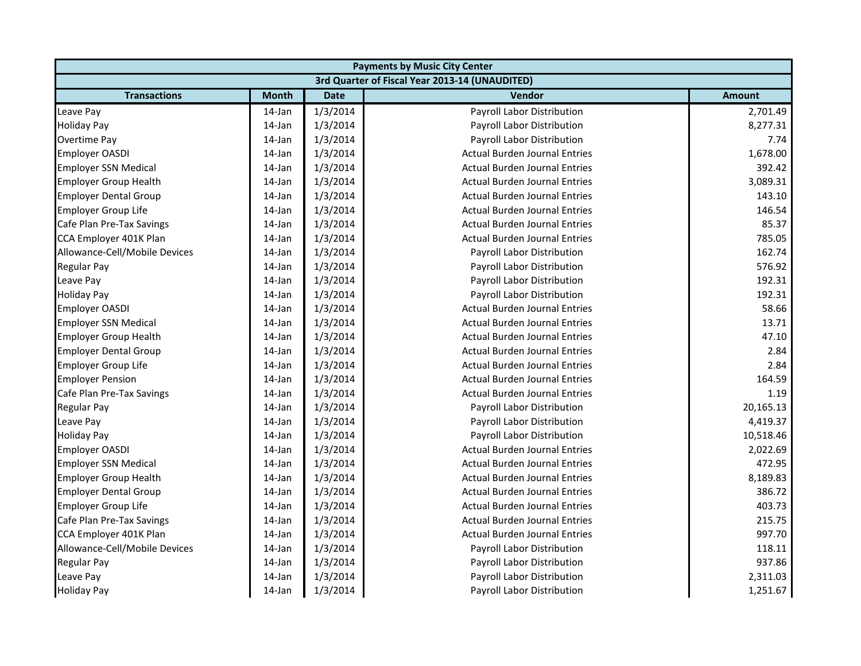|                               | <b>Payments by Music City Center</b> |             |                                                |               |  |
|-------------------------------|--------------------------------------|-------------|------------------------------------------------|---------------|--|
|                               |                                      |             | 3rd Quarter of Fiscal Year 2013-14 (UNAUDITED) |               |  |
| <b>Transactions</b>           | <b>Month</b>                         | <b>Date</b> | Vendor                                         | <b>Amount</b> |  |
| Leave Pay                     | 14-Jan                               | 1/3/2014    | Payroll Labor Distribution                     | 2,701.49      |  |
| <b>Holiday Pay</b>            | 14-Jan                               | 1/3/2014    | Payroll Labor Distribution                     | 8,277.31      |  |
| Overtime Pay                  | 14-Jan                               | 1/3/2014    | Payroll Labor Distribution                     | 7.74          |  |
| <b>Employer OASDI</b>         | 14-Jan                               | 1/3/2014    | <b>Actual Burden Journal Entries</b>           | 1,678.00      |  |
| <b>Employer SSN Medical</b>   | 14-Jan                               | 1/3/2014    | <b>Actual Burden Journal Entries</b>           | 392.42        |  |
| <b>Employer Group Health</b>  | 14-Jan                               | 1/3/2014    | <b>Actual Burden Journal Entries</b>           | 3,089.31      |  |
| <b>Employer Dental Group</b>  | 14-Jan                               | 1/3/2014    | <b>Actual Burden Journal Entries</b>           | 143.10        |  |
| <b>Employer Group Life</b>    | 14-Jan                               | 1/3/2014    | <b>Actual Burden Journal Entries</b>           | 146.54        |  |
| Cafe Plan Pre-Tax Savings     | 14-Jan                               | 1/3/2014    | <b>Actual Burden Journal Entries</b>           | 85.37         |  |
| CCA Employer 401K Plan        | 14-Jan                               | 1/3/2014    | <b>Actual Burden Journal Entries</b>           | 785.05        |  |
| Allowance-Cell/Mobile Devices | 14-Jan                               | 1/3/2014    | Payroll Labor Distribution                     | 162.74        |  |
| Regular Pay                   | 14-Jan                               | 1/3/2014    | Payroll Labor Distribution                     | 576.92        |  |
| Leave Pay                     | 14-Jan                               | 1/3/2014    | Payroll Labor Distribution                     | 192.31        |  |
| <b>Holiday Pay</b>            | 14-Jan                               | 1/3/2014    | Payroll Labor Distribution                     | 192.31        |  |
| <b>Employer OASDI</b>         | 14-Jan                               | 1/3/2014    | <b>Actual Burden Journal Entries</b>           | 58.66         |  |
| <b>Employer SSN Medical</b>   | 14-Jan                               | 1/3/2014    | <b>Actual Burden Journal Entries</b>           | 13.71         |  |
| <b>Employer Group Health</b>  | 14-Jan                               | 1/3/2014    | <b>Actual Burden Journal Entries</b>           | 47.10         |  |
| <b>Employer Dental Group</b>  | 14-Jan                               | 1/3/2014    | <b>Actual Burden Journal Entries</b>           | 2.84          |  |
| <b>Employer Group Life</b>    | 14-Jan                               | 1/3/2014    | <b>Actual Burden Journal Entries</b>           | 2.84          |  |
| <b>Employer Pension</b>       | 14-Jan                               | 1/3/2014    | <b>Actual Burden Journal Entries</b>           | 164.59        |  |
| Cafe Plan Pre-Tax Savings     | 14-Jan                               | 1/3/2014    | <b>Actual Burden Journal Entries</b>           | 1.19          |  |
| <b>Regular Pay</b>            | 14-Jan                               | 1/3/2014    | Payroll Labor Distribution                     | 20,165.13     |  |
| Leave Pay                     | 14-Jan                               | 1/3/2014    | Payroll Labor Distribution                     | 4,419.37      |  |
| <b>Holiday Pay</b>            | 14-Jan                               | 1/3/2014    | Payroll Labor Distribution                     | 10,518.46     |  |
| Employer OASDI                | 14-Jan                               | 1/3/2014    | <b>Actual Burden Journal Entries</b>           | 2,022.69      |  |
| <b>Employer SSN Medical</b>   | 14-Jan                               | 1/3/2014    | <b>Actual Burden Journal Entries</b>           | 472.95        |  |
| <b>Employer Group Health</b>  | 14-Jan                               | 1/3/2014    | <b>Actual Burden Journal Entries</b>           | 8,189.83      |  |
| <b>Employer Dental Group</b>  | 14-Jan                               | 1/3/2014    | <b>Actual Burden Journal Entries</b>           | 386.72        |  |
| <b>Employer Group Life</b>    | 14-Jan                               | 1/3/2014    | <b>Actual Burden Journal Entries</b>           | 403.73        |  |
| Cafe Plan Pre-Tax Savings     | 14-Jan                               | 1/3/2014    | <b>Actual Burden Journal Entries</b>           | 215.75        |  |
| CCA Employer 401K Plan        | 14-Jan                               | 1/3/2014    | <b>Actual Burden Journal Entries</b>           | 997.70        |  |
| Allowance-Cell/Mobile Devices | 14-Jan                               | 1/3/2014    | Payroll Labor Distribution                     | 118.11        |  |
| <b>Regular Pay</b>            | 14-Jan                               | 1/3/2014    | Payroll Labor Distribution                     | 937.86        |  |
| Leave Pay                     | 14-Jan                               | 1/3/2014    | Payroll Labor Distribution                     | 2,311.03      |  |
| <b>Holiday Pay</b>            | 14-Jan                               | 1/3/2014    | Payroll Labor Distribution                     | 1,251.67      |  |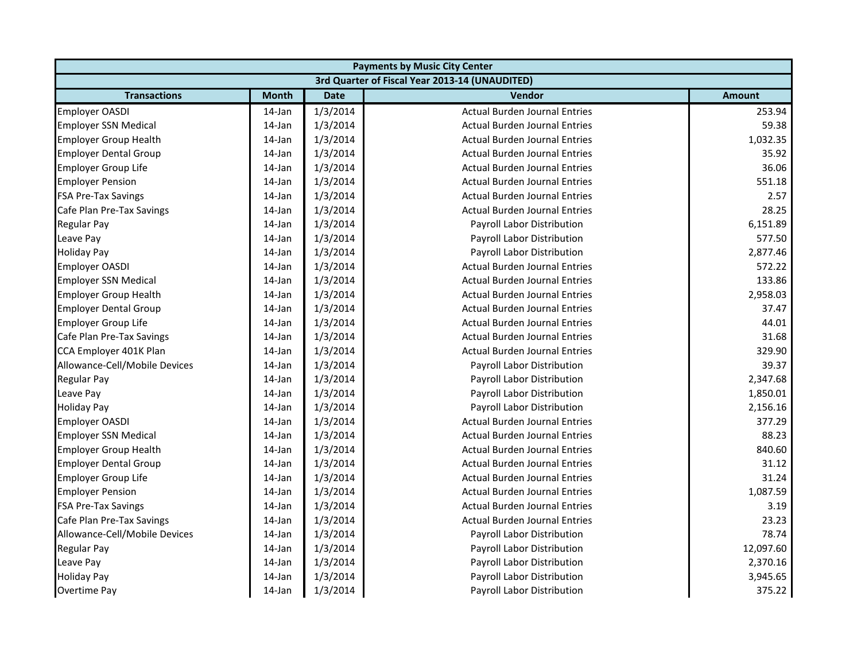| <b>Payments by Music City Center</b> |              |             |                                                |               |
|--------------------------------------|--------------|-------------|------------------------------------------------|---------------|
|                                      |              |             | 3rd Quarter of Fiscal Year 2013-14 (UNAUDITED) |               |
| <b>Transactions</b>                  | <b>Month</b> | <b>Date</b> | Vendor                                         | <b>Amount</b> |
| <b>Employer OASDI</b>                | 14-Jan       | 1/3/2014    | <b>Actual Burden Journal Entries</b>           | 253.94        |
| <b>Employer SSN Medical</b>          | 14-Jan       | 1/3/2014    | <b>Actual Burden Journal Entries</b>           | 59.38         |
| <b>Employer Group Health</b>         | 14-Jan       | 1/3/2014    | <b>Actual Burden Journal Entries</b>           | 1,032.35      |
| <b>Employer Dental Group</b>         | $14$ -Jan    | 1/3/2014    | <b>Actual Burden Journal Entries</b>           | 35.92         |
| <b>Employer Group Life</b>           | 14-Jan       | 1/3/2014    | <b>Actual Burden Journal Entries</b>           | 36.06         |
| <b>Employer Pension</b>              | 14-Jan       | 1/3/2014    | <b>Actual Burden Journal Entries</b>           | 551.18        |
| <b>FSA Pre-Tax Savings</b>           | 14-Jan       | 1/3/2014    | <b>Actual Burden Journal Entries</b>           | 2.57          |
| Cafe Plan Pre-Tax Savings            | $14$ -Jan    | 1/3/2014    | <b>Actual Burden Journal Entries</b>           | 28.25         |
| <b>Regular Pay</b>                   | 14-Jan       | 1/3/2014    | Payroll Labor Distribution                     | 6,151.89      |
| Leave Pay                            | 14-Jan       | 1/3/2014    | Payroll Labor Distribution                     | 577.50        |
| <b>Holiday Pay</b>                   | 14-Jan       | 1/3/2014    | Payroll Labor Distribution                     | 2,877.46      |
| <b>Employer OASDI</b>                | 14-Jan       | 1/3/2014    | <b>Actual Burden Journal Entries</b>           | 572.22        |
| <b>Employer SSN Medical</b>          | 14-Jan       | 1/3/2014    | <b>Actual Burden Journal Entries</b>           | 133.86        |
| <b>Employer Group Health</b>         | 14-Jan       | 1/3/2014    | <b>Actual Burden Journal Entries</b>           | 2,958.03      |
| <b>Employer Dental Group</b>         | 14-Jan       | 1/3/2014    | <b>Actual Burden Journal Entries</b>           | 37.47         |
| <b>Employer Group Life</b>           | 14-Jan       | 1/3/2014    | <b>Actual Burden Journal Entries</b>           | 44.01         |
| Cafe Plan Pre-Tax Savings            | 14-Jan       | 1/3/2014    | <b>Actual Burden Journal Entries</b>           | 31.68         |
| CCA Employer 401K Plan               | 14-Jan       | 1/3/2014    | <b>Actual Burden Journal Entries</b>           | 329.90        |
| Allowance-Cell/Mobile Devices        | 14-Jan       | 1/3/2014    | Payroll Labor Distribution                     | 39.37         |
| <b>Regular Pay</b>                   | $14$ -Jan    | 1/3/2014    | Payroll Labor Distribution                     | 2,347.68      |
| Leave Pay                            | 14-Jan       | 1/3/2014    | Payroll Labor Distribution                     | 1,850.01      |
| <b>Holiday Pay</b>                   | 14-Jan       | 1/3/2014    | Payroll Labor Distribution                     | 2,156.16      |
| <b>Employer OASDI</b>                | 14-Jan       | 1/3/2014    | <b>Actual Burden Journal Entries</b>           | 377.29        |
| <b>Employer SSN Medical</b>          | $14$ -Jan    | 1/3/2014    | <b>Actual Burden Journal Entries</b>           | 88.23         |
| <b>Employer Group Health</b>         | 14-Jan       | 1/3/2014    | <b>Actual Burden Journal Entries</b>           | 840.60        |
| <b>Employer Dental Group</b>         | 14-Jan       | 1/3/2014    | <b>Actual Burden Journal Entries</b>           | 31.12         |
| <b>Employer Group Life</b>           | 14-Jan       | 1/3/2014    | <b>Actual Burden Journal Entries</b>           | 31.24         |
| <b>Employer Pension</b>              | 14-Jan       | 1/3/2014    | <b>Actual Burden Journal Entries</b>           | 1,087.59      |
| <b>FSA Pre-Tax Savings</b>           | 14-Jan       | 1/3/2014    | <b>Actual Burden Journal Entries</b>           | 3.19          |
| Cafe Plan Pre-Tax Savings            | 14-Jan       | 1/3/2014    | <b>Actual Burden Journal Entries</b>           | 23.23         |
| Allowance-Cell/Mobile Devices        | 14-Jan       | 1/3/2014    | Payroll Labor Distribution                     | 78.74         |
| <b>Regular Pay</b>                   | 14-Jan       | 1/3/2014    | Payroll Labor Distribution                     | 12,097.60     |
| Leave Pay                            | $14$ -Jan    | 1/3/2014    | Payroll Labor Distribution                     | 2,370.16      |
| <b>Holiday Pay</b>                   | 14-Jan       | 1/3/2014    | Payroll Labor Distribution                     | 3,945.65      |
| Overtime Pay                         | 14-Jan       | 1/3/2014    | Payroll Labor Distribution                     | 375.22        |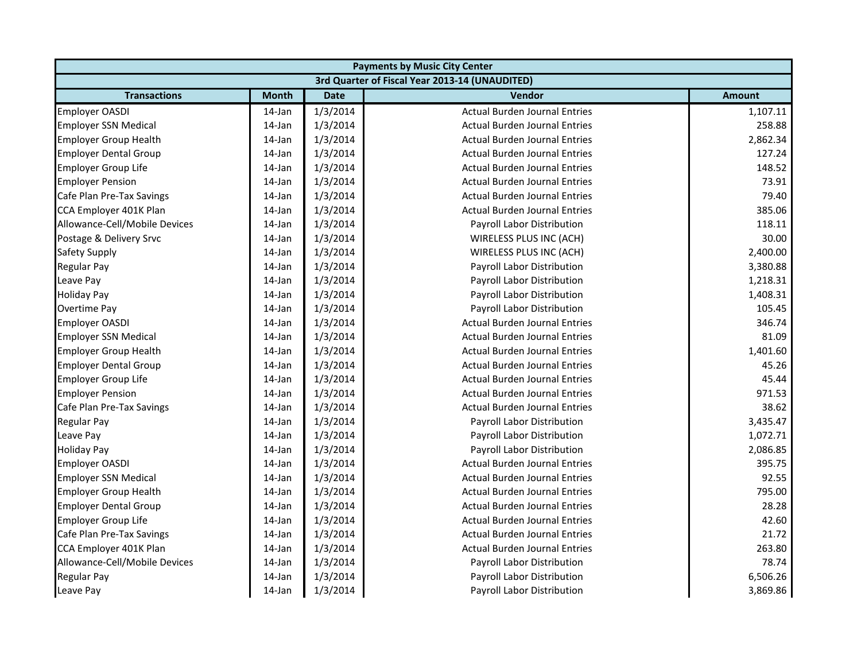| <b>Payments by Music City Center</b> |              |             |                                                |               |
|--------------------------------------|--------------|-------------|------------------------------------------------|---------------|
|                                      |              |             | 3rd Quarter of Fiscal Year 2013-14 (UNAUDITED) |               |
| <b>Transactions</b>                  | <b>Month</b> | <b>Date</b> | Vendor                                         | <b>Amount</b> |
| <b>Employer OASDI</b>                | 14-Jan       | 1/3/2014    | <b>Actual Burden Journal Entries</b>           | 1,107.11      |
| <b>Employer SSN Medical</b>          | 14-Jan       | 1/3/2014    | <b>Actual Burden Journal Entries</b>           | 258.88        |
| <b>Employer Group Health</b>         | 14-Jan       | 1/3/2014    | <b>Actual Burden Journal Entries</b>           | 2,862.34      |
| <b>Employer Dental Group</b>         | $14$ -Jan    | 1/3/2014    | <b>Actual Burden Journal Entries</b>           | 127.24        |
| <b>Employer Group Life</b>           | 14-Jan       | 1/3/2014    | <b>Actual Burden Journal Entries</b>           | 148.52        |
| <b>Employer Pension</b>              | 14-Jan       | 1/3/2014    | <b>Actual Burden Journal Entries</b>           | 73.91         |
| Cafe Plan Pre-Tax Savings            | 14-Jan       | 1/3/2014    | <b>Actual Burden Journal Entries</b>           | 79.40         |
| CCA Employer 401K Plan               | 14-Jan       | 1/3/2014    | <b>Actual Burden Journal Entries</b>           | 385.06        |
| Allowance-Cell/Mobile Devices        | 14-Jan       | 1/3/2014    | Payroll Labor Distribution                     | 118.11        |
| Postage & Delivery Srvc              | 14-Jan       | 1/3/2014    | WIRELESS PLUS INC (ACH)                        | 30.00         |
| Safety Supply                        | 14-Jan       | 1/3/2014    | WIRELESS PLUS INC (ACH)                        | 2,400.00      |
| Regular Pay                          | 14-Jan       | 1/3/2014    | Payroll Labor Distribution                     | 3,380.88      |
| Leave Pay                            | 14-Jan       | 1/3/2014    | Payroll Labor Distribution                     | 1,218.31      |
| <b>Holiday Pay</b>                   | 14-Jan       | 1/3/2014    | Payroll Labor Distribution                     | 1,408.31      |
| Overtime Pay                         | 14-Jan       | 1/3/2014    | Payroll Labor Distribution                     | 105.45        |
| <b>Employer OASDI</b>                | 14-Jan       | 1/3/2014    | <b>Actual Burden Journal Entries</b>           | 346.74        |
| <b>Employer SSN Medical</b>          | 14-Jan       | 1/3/2014    | <b>Actual Burden Journal Entries</b>           | 81.09         |
| <b>Employer Group Health</b>         | 14-Jan       | 1/3/2014    | <b>Actual Burden Journal Entries</b>           | 1,401.60      |
| <b>Employer Dental Group</b>         | 14-Jan       | 1/3/2014    | <b>Actual Burden Journal Entries</b>           | 45.26         |
| <b>Employer Group Life</b>           | $14$ -Jan    | 1/3/2014    | <b>Actual Burden Journal Entries</b>           | 45.44         |
| <b>Employer Pension</b>              | 14-Jan       | 1/3/2014    | <b>Actual Burden Journal Entries</b>           | 971.53        |
| Cafe Plan Pre-Tax Savings            | 14-Jan       | 1/3/2014    | <b>Actual Burden Journal Entries</b>           | 38.62         |
| <b>Regular Pay</b>                   | 14-Jan       | 1/3/2014    | Payroll Labor Distribution                     | 3,435.47      |
| Leave Pay                            | $14$ -Jan    | 1/3/2014    | Payroll Labor Distribution                     | 1,072.71      |
| <b>Holiday Pay</b>                   | 14-Jan       | 1/3/2014    | Payroll Labor Distribution                     | 2,086.85      |
| <b>Employer OASDI</b>                | 14-Jan       | 1/3/2014    | <b>Actual Burden Journal Entries</b>           | 395.75        |
| <b>Employer SSN Medical</b>          | 14-Jan       | 1/3/2014    | <b>Actual Burden Journal Entries</b>           | 92.55         |
| <b>Employer Group Health</b>         | 14-Jan       | 1/3/2014    | <b>Actual Burden Journal Entries</b>           | 795.00        |
| <b>Employer Dental Group</b>         | 14-Jan       | 1/3/2014    | <b>Actual Burden Journal Entries</b>           | 28.28         |
| Employer Group Life                  | 14-Jan       | 1/3/2014    | <b>Actual Burden Journal Entries</b>           | 42.60         |
| Cafe Plan Pre-Tax Savings            | 14-Jan       | 1/3/2014    | <b>Actual Burden Journal Entries</b>           | 21.72         |
| CCA Employer 401K Plan               | 14-Jan       | 1/3/2014    | <b>Actual Burden Journal Entries</b>           | 263.80        |
| Allowance-Cell/Mobile Devices        | 14-Jan       | 1/3/2014    | Payroll Labor Distribution                     | 78.74         |
| <b>Regular Pay</b>                   | 14-Jan       | 1/3/2014    | Payroll Labor Distribution                     | 6,506.26      |
| Leave Pay                            | 14-Jan       | 1/3/2014    | Payroll Labor Distribution                     | 3,869.86      |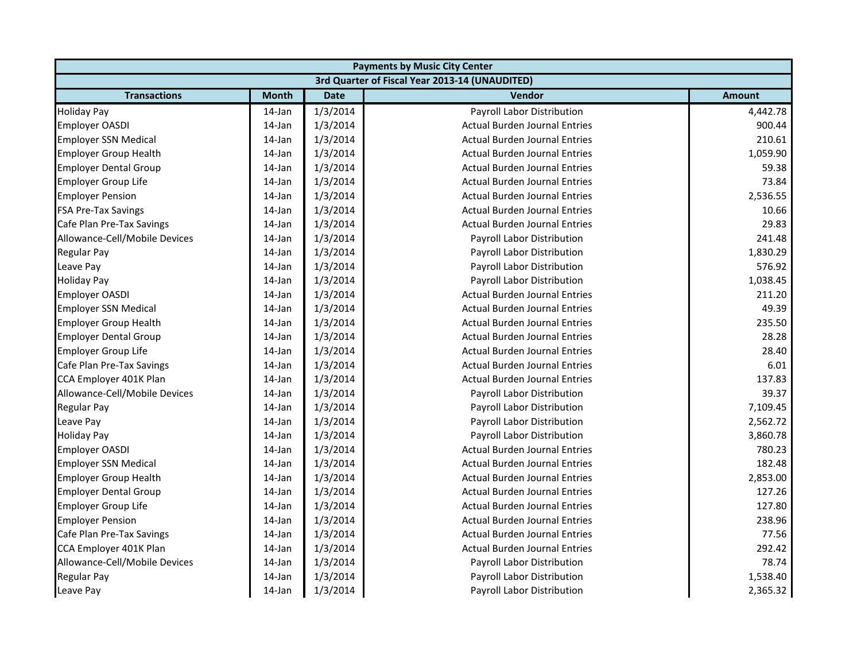| <b>Payments by Music City Center</b> |              |             |                                                |               |
|--------------------------------------|--------------|-------------|------------------------------------------------|---------------|
|                                      |              |             | 3rd Quarter of Fiscal Year 2013-14 (UNAUDITED) |               |
| <b>Transactions</b>                  | <b>Month</b> | <b>Date</b> | Vendor                                         | <b>Amount</b> |
| <b>Holiday Pay</b>                   | 14-Jan       | 1/3/2014    | Payroll Labor Distribution                     | 4,442.78      |
| <b>Employer OASDI</b>                | 14-Jan       | 1/3/2014    | <b>Actual Burden Journal Entries</b>           | 900.44        |
| <b>Employer SSN Medical</b>          | 14-Jan       | 1/3/2014    | <b>Actual Burden Journal Entries</b>           | 210.61        |
| <b>Employer Group Health</b>         | 14-Jan       | 1/3/2014    | <b>Actual Burden Journal Entries</b>           | 1,059.90      |
| <b>Employer Dental Group</b>         | 14-Jan       | 1/3/2014    | <b>Actual Burden Journal Entries</b>           | 59.38         |
| <b>Employer Group Life</b>           | 14-Jan       | 1/3/2014    | <b>Actual Burden Journal Entries</b>           | 73.84         |
| <b>Employer Pension</b>              | 14-Jan       | 1/3/2014    | <b>Actual Burden Journal Entries</b>           | 2,536.55      |
| <b>FSA Pre-Tax Savings</b>           | 14-Jan       | 1/3/2014    | <b>Actual Burden Journal Entries</b>           | 10.66         |
| Cafe Plan Pre-Tax Savings            | 14-Jan       | 1/3/2014    | <b>Actual Burden Journal Entries</b>           | 29.83         |
| Allowance-Cell/Mobile Devices        | 14-Jan       | 1/3/2014    | Payroll Labor Distribution                     | 241.48        |
| <b>Regular Pay</b>                   | 14-Jan       | 1/3/2014    | Payroll Labor Distribution                     | 1,830.29      |
| Leave Pay                            | 14-Jan       | 1/3/2014    | Payroll Labor Distribution                     | 576.92        |
| <b>Holiday Pay</b>                   | 14-Jan       | 1/3/2014    | Payroll Labor Distribution                     | 1,038.45      |
| <b>Employer OASDI</b>                | 14-Jan       | 1/3/2014    | <b>Actual Burden Journal Entries</b>           | 211.20        |
| <b>Employer SSN Medical</b>          | 14-Jan       | 1/3/2014    | <b>Actual Burden Journal Entries</b>           | 49.39         |
| <b>Employer Group Health</b>         | 14-Jan       | 1/3/2014    | <b>Actual Burden Journal Entries</b>           | 235.50        |
| <b>Employer Dental Group</b>         | 14-Jan       | 1/3/2014    | <b>Actual Burden Journal Entries</b>           | 28.28         |
| Employer Group Life                  | 14-Jan       | 1/3/2014    | <b>Actual Burden Journal Entries</b>           | 28.40         |
| Cafe Plan Pre-Tax Savings            | 14-Jan       | 1/3/2014    | <b>Actual Burden Journal Entries</b>           | 6.01          |
| CCA Employer 401K Plan               | $14$ -Jan    | 1/3/2014    | <b>Actual Burden Journal Entries</b>           | 137.83        |
| Allowance-Cell/Mobile Devices        | 14-Jan       | 1/3/2014    | Payroll Labor Distribution                     | 39.37         |
| <b>Regular Pay</b>                   | 14-Jan       | 1/3/2014    | Payroll Labor Distribution                     | 7,109.45      |
| Leave Pay                            | 14-Jan       | 1/3/2014    | Payroll Labor Distribution                     | 2,562.72      |
| <b>Holiday Pay</b>                   | $14$ -Jan    | 1/3/2014    | Payroll Labor Distribution                     | 3,860.78      |
| <b>Employer OASDI</b>                | 14-Jan       | 1/3/2014    | <b>Actual Burden Journal Entries</b>           | 780.23        |
| <b>Employer SSN Medical</b>          | 14-Jan       | 1/3/2014    | <b>Actual Burden Journal Entries</b>           | 182.48        |
| <b>Employer Group Health</b>         | 14-Jan       | 1/3/2014    | <b>Actual Burden Journal Entries</b>           | 2,853.00      |
| <b>Employer Dental Group</b>         | 14-Jan       | 1/3/2014    | <b>Actual Burden Journal Entries</b>           | 127.26        |
| Employer Group Life                  | 14-Jan       | 1/3/2014    | <b>Actual Burden Journal Entries</b>           | 127.80        |
| <b>Employer Pension</b>              | 14-Jan       | 1/3/2014    | <b>Actual Burden Journal Entries</b>           | 238.96        |
| Cafe Plan Pre-Tax Savings            | 14-Jan       | 1/3/2014    | <b>Actual Burden Journal Entries</b>           | 77.56         |
| CCA Employer 401K Plan               | 14-Jan       | 1/3/2014    | <b>Actual Burden Journal Entries</b>           | 292.42        |
| Allowance-Cell/Mobile Devices        | 14-Jan       | 1/3/2014    | Payroll Labor Distribution                     | 78.74         |
| <b>Regular Pay</b>                   | 14-Jan       | 1/3/2014    | Payroll Labor Distribution                     | 1,538.40      |
| Leave Pay                            | 14-Jan       | 1/3/2014    | Payroll Labor Distribution                     | 2,365.32      |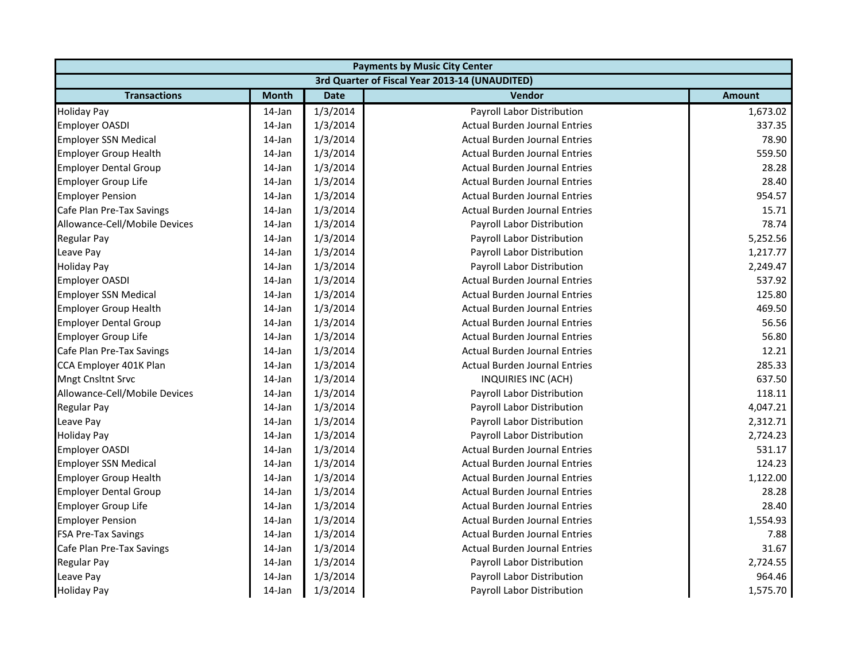| <b>Payments by Music City Center</b> |              |             |                                                |               |
|--------------------------------------|--------------|-------------|------------------------------------------------|---------------|
|                                      |              |             | 3rd Quarter of Fiscal Year 2013-14 (UNAUDITED) |               |
| <b>Transactions</b>                  | <b>Month</b> | <b>Date</b> | Vendor                                         | <b>Amount</b> |
| <b>Holiday Pay</b>                   | 14-Jan       | 1/3/2014    | Payroll Labor Distribution                     | 1,673.02      |
| <b>Employer OASDI</b>                | 14-Jan       | 1/3/2014    | <b>Actual Burden Journal Entries</b>           | 337.35        |
| <b>Employer SSN Medical</b>          | 14-Jan       | 1/3/2014    | <b>Actual Burden Journal Entries</b>           | 78.90         |
| <b>Employer Group Health</b>         | 14-Jan       | 1/3/2014    | <b>Actual Burden Journal Entries</b>           | 559.50        |
| <b>Employer Dental Group</b>         | 14-Jan       | 1/3/2014    | <b>Actual Burden Journal Entries</b>           | 28.28         |
| <b>Employer Group Life</b>           | 14-Jan       | 1/3/2014    | <b>Actual Burden Journal Entries</b>           | 28.40         |
| <b>Employer Pension</b>              | 14-Jan       | 1/3/2014    | <b>Actual Burden Journal Entries</b>           | 954.57        |
| Cafe Plan Pre-Tax Savings            | 14-Jan       | 1/3/2014    | <b>Actual Burden Journal Entries</b>           | 15.71         |
| Allowance-Cell/Mobile Devices        | 14-Jan       | 1/3/2014    | Payroll Labor Distribution                     | 78.74         |
| <b>Regular Pay</b>                   | 14-Jan       | 1/3/2014    | Payroll Labor Distribution                     | 5,252.56      |
| Leave Pay                            | 14-Jan       | 1/3/2014    | Payroll Labor Distribution                     | 1,217.77      |
| <b>Holiday Pay</b>                   | 14-Jan       | 1/3/2014    | Payroll Labor Distribution                     | 2,249.47      |
| <b>Employer OASDI</b>                | 14-Jan       | 1/3/2014    | <b>Actual Burden Journal Entries</b>           | 537.92        |
| <b>Employer SSN Medical</b>          | 14-Jan       | 1/3/2014    | <b>Actual Burden Journal Entries</b>           | 125.80        |
| <b>Employer Group Health</b>         | 14-Jan       | 1/3/2014    | <b>Actual Burden Journal Entries</b>           | 469.50        |
| <b>Employer Dental Group</b>         | 14-Jan       | 1/3/2014    | <b>Actual Burden Journal Entries</b>           | 56.56         |
| Employer Group Life                  | 14-Jan       | 1/3/2014    | <b>Actual Burden Journal Entries</b>           | 56.80         |
| Cafe Plan Pre-Tax Savings            | 14-Jan       | 1/3/2014    | <b>Actual Burden Journal Entries</b>           | 12.21         |
| CCA Employer 401K Plan               | 14-Jan       | 1/3/2014    | <b>Actual Burden Journal Entries</b>           | 285.33        |
| <b>Mngt Cnsltnt Srvc</b>             | 14-Jan       | 1/3/2014    | INQUIRIES INC (ACH)                            | 637.50        |
| Allowance-Cell/Mobile Devices        | 14-Jan       | 1/3/2014    | Payroll Labor Distribution                     | 118.11        |
| <b>Regular Pay</b>                   | 14-Jan       | 1/3/2014    | Payroll Labor Distribution                     | 4,047.21      |
| Leave Pay                            | 14-Jan       | 1/3/2014    | Payroll Labor Distribution                     | 2,312.71      |
| <b>Holiday Pay</b>                   | 14-Jan       | 1/3/2014    | Payroll Labor Distribution                     | 2,724.23      |
| Employer OASDI                       | 14-Jan       | 1/3/2014    | <b>Actual Burden Journal Entries</b>           | 531.17        |
| <b>Employer SSN Medical</b>          | 14-Jan       | 1/3/2014    | <b>Actual Burden Journal Entries</b>           | 124.23        |
| <b>Employer Group Health</b>         | 14-Jan       | 1/3/2014    | <b>Actual Burden Journal Entries</b>           | 1,122.00      |
| <b>Employer Dental Group</b>         | 14-Jan       | 1/3/2014    | <b>Actual Burden Journal Entries</b>           | 28.28         |
| Employer Group Life                  | 14-Jan       | 1/3/2014    | <b>Actual Burden Journal Entries</b>           | 28.40         |
| <b>Employer Pension</b>              | 14-Jan       | 1/3/2014    | <b>Actual Burden Journal Entries</b>           | 1,554.93      |
| <b>FSA Pre-Tax Savings</b>           | 14-Jan       | 1/3/2014    | <b>Actual Burden Journal Entries</b>           | 7.88          |
| Cafe Plan Pre-Tax Savings            | 14-Jan       | 1/3/2014    | <b>Actual Burden Journal Entries</b>           | 31.67         |
| Regular Pay                          | 14-Jan       | 1/3/2014    | Payroll Labor Distribution                     | 2,724.55      |
| Leave Pay                            | 14-Jan       | 1/3/2014    | Payroll Labor Distribution                     | 964.46        |
| <b>Holiday Pay</b>                   | 14-Jan       | 1/3/2014    | Payroll Labor Distribution                     | 1,575.70      |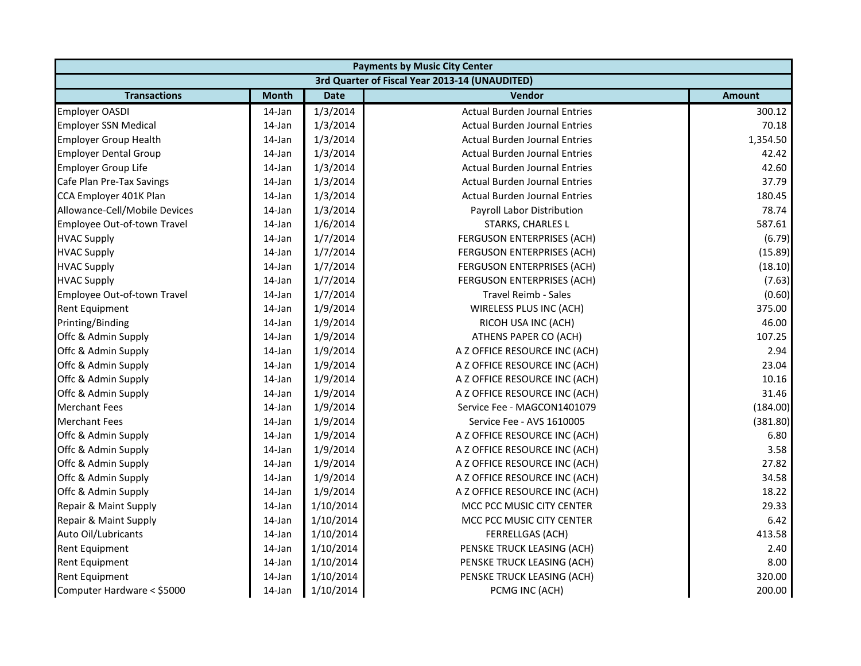| <b>Payments by Music City Center</b> |              |             |                                                |               |
|--------------------------------------|--------------|-------------|------------------------------------------------|---------------|
|                                      |              |             | 3rd Quarter of Fiscal Year 2013-14 (UNAUDITED) |               |
| <b>Transactions</b>                  | <b>Month</b> | <b>Date</b> | Vendor                                         | <b>Amount</b> |
| <b>Employer OASDI</b>                | 14-Jan       | 1/3/2014    | <b>Actual Burden Journal Entries</b>           | 300.12        |
| <b>Employer SSN Medical</b>          | 14-Jan       | 1/3/2014    | <b>Actual Burden Journal Entries</b>           | 70.18         |
| <b>Employer Group Health</b>         | 14-Jan       | 1/3/2014    | <b>Actual Burden Journal Entries</b>           | 1,354.50      |
| <b>Employer Dental Group</b>         | 14-Jan       | 1/3/2014    | <b>Actual Burden Journal Entries</b>           | 42.42         |
| <b>Employer Group Life</b>           | 14-Jan       | 1/3/2014    | <b>Actual Burden Journal Entries</b>           | 42.60         |
| Cafe Plan Pre-Tax Savings            | 14-Jan       | 1/3/2014    | <b>Actual Burden Journal Entries</b>           | 37.79         |
| CCA Employer 401K Plan               | 14-Jan       | 1/3/2014    | <b>Actual Burden Journal Entries</b>           | 180.45        |
| Allowance-Cell/Mobile Devices        | 14-Jan       | 1/3/2014    | Payroll Labor Distribution                     | 78.74         |
| Employee Out-of-town Travel          | 14-Jan       | 1/6/2014    | STARKS, CHARLES L                              | 587.61        |
| <b>HVAC Supply</b>                   | 14-Jan       | 1/7/2014    | FERGUSON ENTERPRISES (ACH)                     | (6.79)        |
| <b>HVAC Supply</b>                   | 14-Jan       | 1/7/2014    | FERGUSON ENTERPRISES (ACH)                     | (15.89)       |
| <b>HVAC Supply</b>                   | 14-Jan       | 1/7/2014    | FERGUSON ENTERPRISES (ACH)                     | (18.10)       |
| <b>HVAC Supply</b>                   | 14-Jan       | 1/7/2014    | FERGUSON ENTERPRISES (ACH)                     | (7.63)        |
| Employee Out-of-town Travel          | 14-Jan       | 1/7/2014    | <b>Travel Reimb - Sales</b>                    | (0.60)        |
| <b>Rent Equipment</b>                | 14-Jan       | 1/9/2014    | WIRELESS PLUS INC (ACH)                        | 375.00        |
| Printing/Binding                     | 14-Jan       | 1/9/2014    | RICOH USA INC (ACH)                            | 46.00         |
| Offc & Admin Supply                  | 14-Jan       | 1/9/2014    | ATHENS PAPER CO (ACH)                          | 107.25        |
| Offc & Admin Supply                  | 14-Jan       | 1/9/2014    | A Z OFFICE RESOURCE INC (ACH)                  | 2.94          |
| Offc & Admin Supply                  | 14-Jan       | 1/9/2014    | A Z OFFICE RESOURCE INC (ACH)                  | 23.04         |
| Offc & Admin Supply                  | 14-Jan       | 1/9/2014    | A Z OFFICE RESOURCE INC (ACH)                  | 10.16         |
| Offc & Admin Supply                  | 14-Jan       | 1/9/2014    | A Z OFFICE RESOURCE INC (ACH)                  | 31.46         |
| <b>Merchant Fees</b>                 | 14-Jan       | 1/9/2014    | Service Fee - MAGCON1401079                    | (184.00)      |
| <b>Merchant Fees</b>                 | 14-Jan       | 1/9/2014    | Service Fee - AVS 1610005                      | (381.80)      |
| Offc & Admin Supply                  | 14-Jan       | 1/9/2014    | A Z OFFICE RESOURCE INC (ACH)                  | 6.80          |
| Offc & Admin Supply                  | 14-Jan       | 1/9/2014    | A Z OFFICE RESOURCE INC (ACH)                  | 3.58          |
| Offc & Admin Supply                  | 14-Jan       | 1/9/2014    | A Z OFFICE RESOURCE INC (ACH)                  | 27.82         |
| Offc & Admin Supply                  | 14-Jan       | 1/9/2014    | A Z OFFICE RESOURCE INC (ACH)                  | 34.58         |
| Offc & Admin Supply                  | 14-Jan       | 1/9/2014    | A Z OFFICE RESOURCE INC (ACH)                  | 18.22         |
| Repair & Maint Supply                | 14-Jan       | 1/10/2014   | MCC PCC MUSIC CITY CENTER                      | 29.33         |
| Repair & Maint Supply                | 14-Jan       | 1/10/2014   | MCC PCC MUSIC CITY CENTER                      | 6.42          |
| Auto Oil/Lubricants                  | 14-Jan       | 1/10/2014   | FERRELLGAS (ACH)                               | 413.58        |
| Rent Equipment                       | 14-Jan       | 1/10/2014   | PENSKE TRUCK LEASING (ACH)                     | 2.40          |
| <b>Rent Equipment</b>                | 14-Jan       | 1/10/2014   | PENSKE TRUCK LEASING (ACH)                     | 8.00          |
| <b>Rent Equipment</b>                | 14-Jan       | 1/10/2014   | PENSKE TRUCK LEASING (ACH)                     | 320.00        |
| Computer Hardware < \$5000           | 14-Jan       | 1/10/2014   | PCMG INC (ACH)                                 | 200.00        |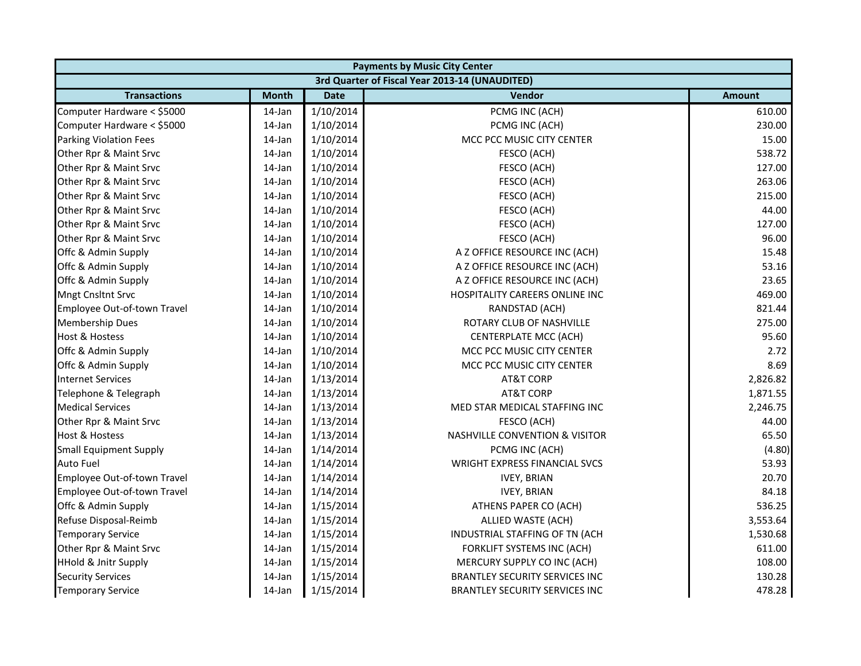|                                 | <b>Payments by Music City Center</b> |             |                                                |               |  |
|---------------------------------|--------------------------------------|-------------|------------------------------------------------|---------------|--|
|                                 |                                      |             | 3rd Quarter of Fiscal Year 2013-14 (UNAUDITED) |               |  |
| <b>Transactions</b>             | <b>Month</b>                         | <b>Date</b> | <b>Vendor</b>                                  | <b>Amount</b> |  |
| Computer Hardware < \$5000      | 14-Jan                               | 1/10/2014   | PCMG INC (ACH)                                 | 610.00        |  |
| Computer Hardware < \$5000      | 14-Jan                               | 1/10/2014   | PCMG INC (ACH)                                 | 230.00        |  |
| Parking Violation Fees          | 14-Jan                               | 1/10/2014   | MCC PCC MUSIC CITY CENTER                      | 15.00         |  |
| Other Rpr & Maint Srvc          | 14-Jan                               | 1/10/2014   | FESCO (ACH)                                    | 538.72        |  |
| Other Rpr & Maint Srvc          | 14-Jan                               | 1/10/2014   | FESCO (ACH)                                    | 127.00        |  |
| Other Rpr & Maint Srvc          | 14-Jan                               | 1/10/2014   | FESCO (ACH)                                    | 263.06        |  |
| Other Rpr & Maint Srvc          | 14-Jan                               | 1/10/2014   | FESCO (ACH)                                    | 215.00        |  |
| Other Rpr & Maint Srvc          | 14-Jan                               | 1/10/2014   | FESCO (ACH)                                    | 44.00         |  |
| Other Rpr & Maint Srvc          | 14-Jan                               | 1/10/2014   | FESCO (ACH)                                    | 127.00        |  |
| Other Rpr & Maint Srvc          | 14-Jan                               | 1/10/2014   | FESCO (ACH)                                    | 96.00         |  |
| Offc & Admin Supply             | 14-Jan                               | 1/10/2014   | A Z OFFICE RESOURCE INC (ACH)                  | 15.48         |  |
| Offc & Admin Supply             | 14-Jan                               | 1/10/2014   | A Z OFFICE RESOURCE INC (ACH)                  | 53.16         |  |
| Offc & Admin Supply             | 14-Jan                               | 1/10/2014   | A Z OFFICE RESOURCE INC (ACH)                  | 23.65         |  |
| <b>Mngt Cnsltnt Srvc</b>        | 14-Jan                               | 1/10/2014   | HOSPITALITY CAREERS ONLINE INC                 | 469.00        |  |
| Employee Out-of-town Travel     | 14-Jan                               | 1/10/2014   | RANDSTAD (ACH)                                 | 821.44        |  |
| <b>Membership Dues</b>          | 14-Jan                               | 1/10/2014   | ROTARY CLUB OF NASHVILLE                       | 275.00        |  |
| <b>Host &amp; Hostess</b>       | 14-Jan                               | 1/10/2014   | <b>CENTERPLATE MCC (ACH)</b>                   | 95.60         |  |
| Offc & Admin Supply             | 14-Jan                               | 1/10/2014   | MCC PCC MUSIC CITY CENTER                      | 2.72          |  |
| Offc & Admin Supply             | 14-Jan                               | 1/10/2014   | MCC PCC MUSIC CITY CENTER                      | 8.69          |  |
| <b>Internet Services</b>        | 14-Jan                               | 1/13/2014   | <b>AT&amp;T CORP</b>                           | 2,826.82      |  |
| Telephone & Telegraph           | 14-Jan                               | 1/13/2014   | <b>AT&amp;T CORP</b>                           | 1,871.55      |  |
| <b>Medical Services</b>         | 14-Jan                               | 1/13/2014   | MED STAR MEDICAL STAFFING INC                  | 2,246.75      |  |
| Other Rpr & Maint Srvc          | 14-Jan                               | 1/13/2014   | FESCO (ACH)                                    | 44.00         |  |
| Host & Hostess                  | 14-Jan                               | 1/13/2014   | <b>NASHVILLE CONVENTION &amp; VISITOR</b>      | 65.50         |  |
| <b>Small Equipment Supply</b>   | 14-Jan                               | 1/14/2014   | PCMG INC (ACH)                                 | (4.80)        |  |
| <b>Auto Fuel</b>                | 14-Jan                               | 1/14/2014   | WRIGHT EXPRESS FINANCIAL SVCS                  | 53.93         |  |
| Employee Out-of-town Travel     | 14-Jan                               | 1/14/2014   | <b>IVEY, BRIAN</b>                             | 20.70         |  |
| Employee Out-of-town Travel     | 14-Jan                               | 1/14/2014   | <b>IVEY, BRIAN</b>                             | 84.18         |  |
| Offc & Admin Supply             | 14-Jan                               | 1/15/2014   | ATHENS PAPER CO (ACH)                          | 536.25        |  |
| Refuse Disposal-Reimb           | 14-Jan                               | 1/15/2014   | ALLIED WASTE (ACH)                             | 3,553.64      |  |
| <b>Temporary Service</b>        | 14-Jan                               | 1/15/2014   | INDUSTRIAL STAFFING OF TN (ACH                 | 1,530.68      |  |
| Other Rpr & Maint Srvc          | 14-Jan                               | 1/15/2014   | FORKLIFT SYSTEMS INC (ACH)                     | 611.00        |  |
| <b>HHold &amp; Jnitr Supply</b> | 14-Jan                               | 1/15/2014   | MERCURY SUPPLY CO INC (ACH)                    | 108.00        |  |
| <b>Security Services</b>        | 14-Jan                               | 1/15/2014   | BRANTLEY SECURITY SERVICES INC                 | 130.28        |  |
| <b>Temporary Service</b>        | 14-Jan                               | 1/15/2014   | <b>BRANTLEY SECURITY SERVICES INC</b>          | 478.28        |  |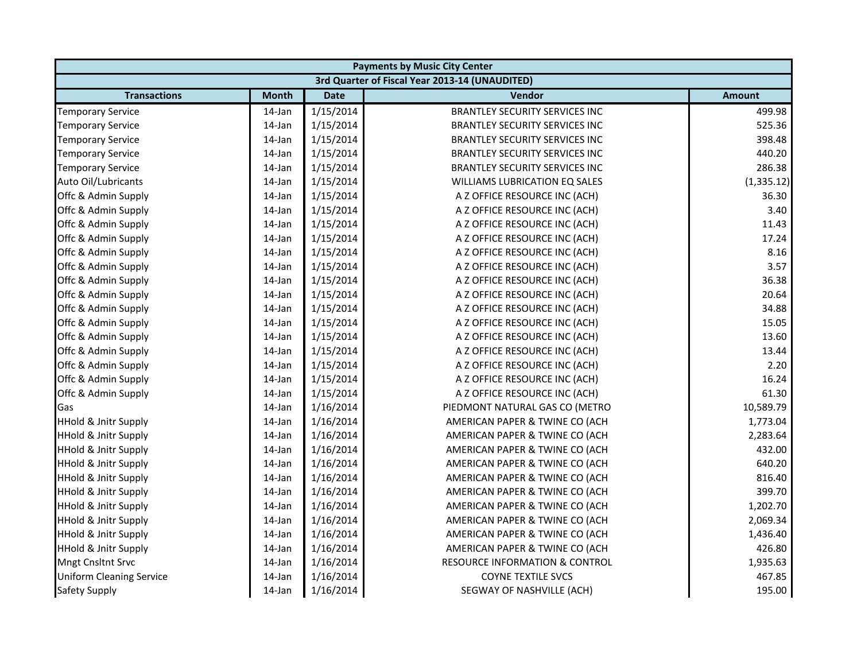|                                 | <b>Payments by Music City Center</b> |             |                                                |               |  |  |
|---------------------------------|--------------------------------------|-------------|------------------------------------------------|---------------|--|--|
|                                 |                                      |             | 3rd Quarter of Fiscal Year 2013-14 (UNAUDITED) |               |  |  |
| <b>Transactions</b>             | <b>Month</b>                         | <b>Date</b> | Vendor                                         | <b>Amount</b> |  |  |
| <b>Temporary Service</b>        | 14-Jan                               | 1/15/2014   | <b>BRANTLEY SECURITY SERVICES INC</b>          | 499.98        |  |  |
| <b>Temporary Service</b>        | 14-Jan                               | 1/15/2014   | <b>BRANTLEY SECURITY SERVICES INC</b>          | 525.36        |  |  |
| <b>Temporary Service</b>        | 14-Jan                               | 1/15/2014   | <b>BRANTLEY SECURITY SERVICES INC</b>          | 398.48        |  |  |
| <b>Temporary Service</b>        | 14-Jan                               | 1/15/2014   | <b>BRANTLEY SECURITY SERVICES INC</b>          | 440.20        |  |  |
| <b>Temporary Service</b>        | 14-Jan                               | 1/15/2014   | <b>BRANTLEY SECURITY SERVICES INC</b>          | 286.38        |  |  |
| Auto Oil/Lubricants             | 14-Jan                               | 1/15/2014   | <b>WILLIAMS LUBRICATION EQ SALES</b>           | (1, 335.12)   |  |  |
| Offc & Admin Supply             | 14-Jan                               | 1/15/2014   | A Z OFFICE RESOURCE INC (ACH)                  | 36.30         |  |  |
| Offc & Admin Supply             | 14-Jan                               | 1/15/2014   | A Z OFFICE RESOURCE INC (ACH)                  | 3.40          |  |  |
| Offc & Admin Supply             | 14-Jan                               | 1/15/2014   | A Z OFFICE RESOURCE INC (ACH)                  | 11.43         |  |  |
| Offc & Admin Supply             | 14-Jan                               | 1/15/2014   | A Z OFFICE RESOURCE INC (ACH)                  | 17.24         |  |  |
| Offc & Admin Supply             | 14-Jan                               | 1/15/2014   | A Z OFFICE RESOURCE INC (ACH)                  | 8.16          |  |  |
| Offc & Admin Supply             | 14-Jan                               | 1/15/2014   | A Z OFFICE RESOURCE INC (ACH)                  | 3.57          |  |  |
| Offc & Admin Supply             | 14-Jan                               | 1/15/2014   | A Z OFFICE RESOURCE INC (ACH)                  | 36.38         |  |  |
| Offc & Admin Supply             | 14-Jan                               | 1/15/2014   | A Z OFFICE RESOURCE INC (ACH)                  | 20.64         |  |  |
| Offc & Admin Supply             | 14-Jan                               | 1/15/2014   | A Z OFFICE RESOURCE INC (ACH)                  | 34.88         |  |  |
| Offc & Admin Supply             | 14-Jan                               | 1/15/2014   | A Z OFFICE RESOURCE INC (ACH)                  | 15.05         |  |  |
| Offc & Admin Supply             | 14-Jan                               | 1/15/2014   | A Z OFFICE RESOURCE INC (ACH)                  | 13.60         |  |  |
| Offc & Admin Supply             | 14-Jan                               | 1/15/2014   | A Z OFFICE RESOURCE INC (ACH)                  | 13.44         |  |  |
| Offc & Admin Supply             | 14-Jan                               | 1/15/2014   | A Z OFFICE RESOURCE INC (ACH)                  | 2.20          |  |  |
| Offc & Admin Supply             | 14-Jan                               | 1/15/2014   | A Z OFFICE RESOURCE INC (ACH)                  | 16.24         |  |  |
| Offc & Admin Supply             | 14-Jan                               | 1/15/2014   | A Z OFFICE RESOURCE INC (ACH)                  | 61.30         |  |  |
| Gas                             | 14-Jan                               | 1/16/2014   | PIEDMONT NATURAL GAS CO (METRO                 | 10,589.79     |  |  |
| <b>HHold &amp; Jnitr Supply</b> | 14-Jan                               | 1/16/2014   | AMERICAN PAPER & TWINE CO (ACH                 | 1,773.04      |  |  |
| <b>HHold &amp; Jnitr Supply</b> | 14-Jan                               | 1/16/2014   | AMERICAN PAPER & TWINE CO (ACH                 | 2,283.64      |  |  |
| <b>HHold &amp; Jnitr Supply</b> | 14-Jan                               | 1/16/2014   | AMERICAN PAPER & TWINE CO (ACH                 | 432.00        |  |  |
| <b>HHold &amp; Jnitr Supply</b> | 14-Jan                               | 1/16/2014   | AMERICAN PAPER & TWINE CO (ACH                 | 640.20        |  |  |
| <b>HHold &amp; Jnitr Supply</b> | 14-Jan                               | 1/16/2014   | AMERICAN PAPER & TWINE CO (ACH                 | 816.40        |  |  |
| <b>HHold &amp; Jnitr Supply</b> | 14-Jan                               | 1/16/2014   | AMERICAN PAPER & TWINE CO (ACH                 | 399.70        |  |  |
| <b>HHold &amp; Jnitr Supply</b> | 14-Jan                               | 1/16/2014   | AMERICAN PAPER & TWINE CO (ACH                 | 1,202.70      |  |  |
| <b>HHold &amp; Jnitr Supply</b> | 14-Jan                               | 1/16/2014   | AMERICAN PAPER & TWINE CO (ACH                 | 2,069.34      |  |  |
| <b>HHold &amp; Jnitr Supply</b> | 14-Jan                               | 1/16/2014   | AMERICAN PAPER & TWINE CO (ACH                 | 1,436.40      |  |  |
| <b>HHold &amp; Jnitr Supply</b> | 14-Jan                               | 1/16/2014   | AMERICAN PAPER & TWINE CO (ACH                 | 426.80        |  |  |
| <b>Mngt Cnsltnt Srvc</b>        | 14-Jan                               | 1/16/2014   | <b>RESOURCE INFORMATION &amp; CONTROL</b>      | 1,935.63      |  |  |
| <b>Uniform Cleaning Service</b> | 14-Jan                               | 1/16/2014   | <b>COYNE TEXTILE SVCS</b>                      | 467.85        |  |  |
| <b>Safety Supply</b>            | 14-Jan                               | 1/16/2014   | SEGWAY OF NASHVILLE (ACH)                      | 195.00        |  |  |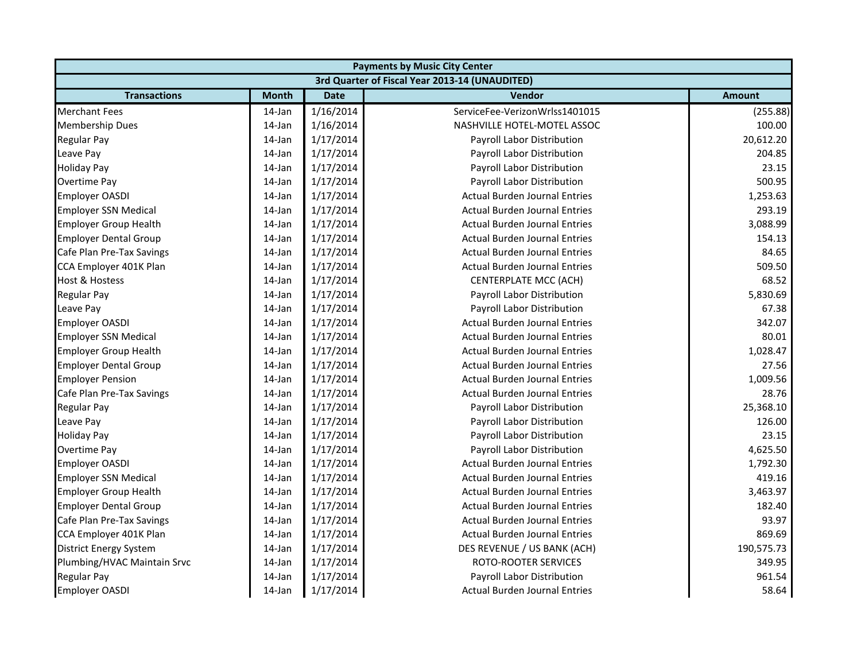|                               | <b>Payments by Music City Center</b> |             |                                                |               |  |
|-------------------------------|--------------------------------------|-------------|------------------------------------------------|---------------|--|
|                               |                                      |             | 3rd Quarter of Fiscal Year 2013-14 (UNAUDITED) |               |  |
| <b>Transactions</b>           | <b>Month</b>                         | <b>Date</b> | <b>Vendor</b>                                  | <b>Amount</b> |  |
| <b>Merchant Fees</b>          | 14-Jan                               | 1/16/2014   | ServiceFee-VerizonWrlss1401015                 | (255.88)      |  |
| <b>Membership Dues</b>        | 14-Jan                               | 1/16/2014   | NASHVILLE HOTEL-MOTEL ASSOC                    | 100.00        |  |
| <b>Regular Pay</b>            | 14-Jan                               | 1/17/2014   | Payroll Labor Distribution                     | 20,612.20     |  |
| Leave Pay                     | 14-Jan                               | 1/17/2014   | Payroll Labor Distribution                     | 204.85        |  |
| <b>Holiday Pay</b>            | 14-Jan                               | 1/17/2014   | Payroll Labor Distribution                     | 23.15         |  |
| Overtime Pay                  | 14-Jan                               | 1/17/2014   | Payroll Labor Distribution                     | 500.95        |  |
| <b>Employer OASDI</b>         | 14-Jan                               | 1/17/2014   | <b>Actual Burden Journal Entries</b>           | 1,253.63      |  |
| <b>Employer SSN Medical</b>   | 14-Jan                               | 1/17/2014   | <b>Actual Burden Journal Entries</b>           | 293.19        |  |
| <b>Employer Group Health</b>  | 14-Jan                               | 1/17/2014   | <b>Actual Burden Journal Entries</b>           | 3,088.99      |  |
| <b>Employer Dental Group</b>  | 14-Jan                               | 1/17/2014   | <b>Actual Burden Journal Entries</b>           | 154.13        |  |
| Cafe Plan Pre-Tax Savings     | 14-Jan                               | 1/17/2014   | <b>Actual Burden Journal Entries</b>           | 84.65         |  |
| CCA Employer 401K Plan        | 14-Jan                               | 1/17/2014   | <b>Actual Burden Journal Entries</b>           | 509.50        |  |
| <b>Host &amp; Hostess</b>     | 14-Jan                               | 1/17/2014   | <b>CENTERPLATE MCC (ACH)</b>                   | 68.52         |  |
| <b>Regular Pay</b>            | 14-Jan                               | 1/17/2014   | Payroll Labor Distribution                     | 5,830.69      |  |
| Leave Pay                     | 14-Jan                               | 1/17/2014   | Payroll Labor Distribution                     | 67.38         |  |
| <b>Employer OASDI</b>         | 14-Jan                               | 1/17/2014   | <b>Actual Burden Journal Entries</b>           | 342.07        |  |
| <b>Employer SSN Medical</b>   | 14-Jan                               | 1/17/2014   | <b>Actual Burden Journal Entries</b>           | 80.01         |  |
| <b>Employer Group Health</b>  | 14-Jan                               | 1/17/2014   | <b>Actual Burden Journal Entries</b>           | 1,028.47      |  |
| <b>Employer Dental Group</b>  | 14-Jan                               | 1/17/2014   | <b>Actual Burden Journal Entries</b>           | 27.56         |  |
| <b>Employer Pension</b>       | 14-Jan                               | 1/17/2014   | <b>Actual Burden Journal Entries</b>           | 1,009.56      |  |
| Cafe Plan Pre-Tax Savings     | 14-Jan                               | 1/17/2014   | <b>Actual Burden Journal Entries</b>           | 28.76         |  |
| <b>Regular Pay</b>            | 14-Jan                               | 1/17/2014   | Payroll Labor Distribution                     | 25,368.10     |  |
| Leave Pay                     | 14-Jan                               | 1/17/2014   | Payroll Labor Distribution                     | 126.00        |  |
| <b>Holiday Pay</b>            | 14-Jan                               | 1/17/2014   | Payroll Labor Distribution                     | 23.15         |  |
| Overtime Pay                  | 14-Jan                               | 1/17/2014   | Payroll Labor Distribution                     | 4,625.50      |  |
| <b>Employer OASDI</b>         | 14-Jan                               | 1/17/2014   | <b>Actual Burden Journal Entries</b>           | 1,792.30      |  |
| <b>Employer SSN Medical</b>   | 14-Jan                               | 1/17/2014   | <b>Actual Burden Journal Entries</b>           | 419.16        |  |
| <b>Employer Group Health</b>  | 14-Jan                               | 1/17/2014   | <b>Actual Burden Journal Entries</b>           | 3,463.97      |  |
| <b>Employer Dental Group</b>  | 14-Jan                               | 1/17/2014   | <b>Actual Burden Journal Entries</b>           | 182.40        |  |
| Cafe Plan Pre-Tax Savings     | 14-Jan                               | 1/17/2014   | <b>Actual Burden Journal Entries</b>           | 93.97         |  |
| CCA Employer 401K Plan        | 14-Jan                               | 1/17/2014   | <b>Actual Burden Journal Entries</b>           | 869.69        |  |
| <b>District Energy System</b> | 14-Jan                               | 1/17/2014   | DES REVENUE / US BANK (ACH)                    | 190,575.73    |  |
| Plumbing/HVAC Maintain Srvc   | 14-Jan                               | 1/17/2014   | <b>ROTO-ROOTER SERVICES</b>                    | 349.95        |  |
| <b>Regular Pay</b>            | 14-Jan                               | 1/17/2014   | Payroll Labor Distribution                     | 961.54        |  |
| <b>Employer OASDI</b>         | 14-Jan                               | 1/17/2014   | <b>Actual Burden Journal Entries</b>           | 58.64         |  |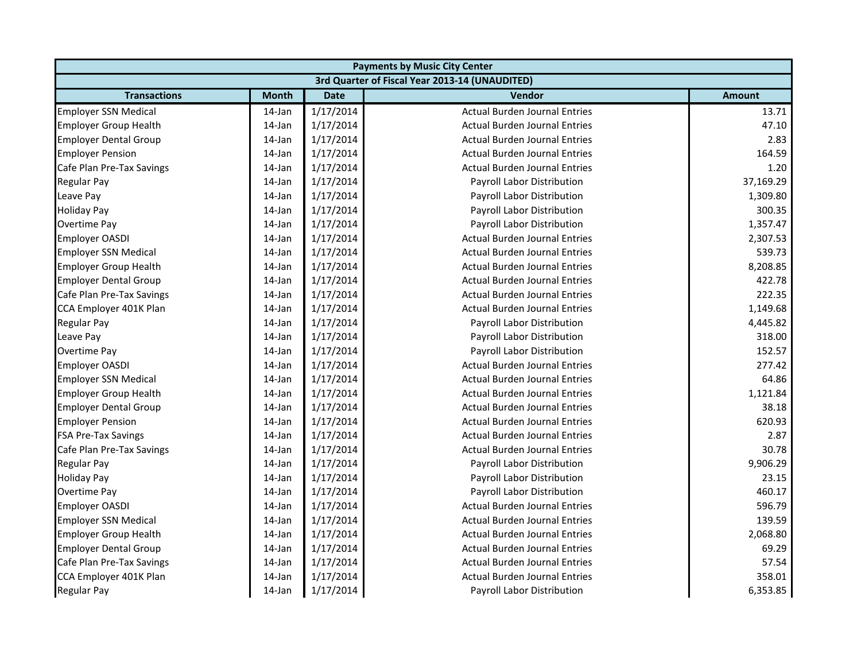|                              | <b>Payments by Music City Center</b> |             |                                                |               |  |  |
|------------------------------|--------------------------------------|-------------|------------------------------------------------|---------------|--|--|
|                              |                                      |             | 3rd Quarter of Fiscal Year 2013-14 (UNAUDITED) |               |  |  |
| <b>Transactions</b>          | <b>Month</b>                         | <b>Date</b> | Vendor                                         | <b>Amount</b> |  |  |
| <b>Employer SSN Medical</b>  | 14-Jan                               | 1/17/2014   | <b>Actual Burden Journal Entries</b>           | 13.71         |  |  |
| <b>Employer Group Health</b> | 14-Jan                               | 1/17/2014   | <b>Actual Burden Journal Entries</b>           | 47.10         |  |  |
| <b>Employer Dental Group</b> | 14-Jan                               | 1/17/2014   | <b>Actual Burden Journal Entries</b>           | 2.83          |  |  |
| <b>Employer Pension</b>      | 14-Jan                               | 1/17/2014   | <b>Actual Burden Journal Entries</b>           | 164.59        |  |  |
| Cafe Plan Pre-Tax Savings    | 14-Jan                               | 1/17/2014   | <b>Actual Burden Journal Entries</b>           | 1.20          |  |  |
| <b>Regular Pay</b>           | 14-Jan                               | 1/17/2014   | Payroll Labor Distribution                     | 37,169.29     |  |  |
| Leave Pay                    | 14-Jan                               | 1/17/2014   | Payroll Labor Distribution                     | 1,309.80      |  |  |
| <b>Holiday Pay</b>           | 14-Jan                               | 1/17/2014   | Payroll Labor Distribution                     | 300.35        |  |  |
| <b>Overtime Pay</b>          | 14-Jan                               | 1/17/2014   | Payroll Labor Distribution                     | 1,357.47      |  |  |
| <b>Employer OASDI</b>        | 14-Jan                               | 1/17/2014   | <b>Actual Burden Journal Entries</b>           | 2,307.53      |  |  |
| <b>Employer SSN Medical</b>  | 14-Jan                               | 1/17/2014   | <b>Actual Burden Journal Entries</b>           | 539.73        |  |  |
| <b>Employer Group Health</b> | 14-Jan                               | 1/17/2014   | <b>Actual Burden Journal Entries</b>           | 8,208.85      |  |  |
| <b>Employer Dental Group</b> | 14-Jan                               | 1/17/2014   | <b>Actual Burden Journal Entries</b>           | 422.78        |  |  |
| Cafe Plan Pre-Tax Savings    | 14-Jan                               | 1/17/2014   | <b>Actual Burden Journal Entries</b>           | 222.35        |  |  |
| CCA Employer 401K Plan       | 14-Jan                               | 1/17/2014   | <b>Actual Burden Journal Entries</b>           | 1,149.68      |  |  |
| <b>Regular Pay</b>           | 14-Jan                               | 1/17/2014   | Payroll Labor Distribution                     | 4,445.82      |  |  |
| Leave Pay                    | 14-Jan                               | 1/17/2014   | Payroll Labor Distribution                     | 318.00        |  |  |
| <b>Overtime Pay</b>          | 14-Jan                               | 1/17/2014   | Payroll Labor Distribution                     | 152.57        |  |  |
| <b>Employer OASDI</b>        | 14-Jan                               | 1/17/2014   | <b>Actual Burden Journal Entries</b>           | 277.42        |  |  |
| <b>Employer SSN Medical</b>  | 14-Jan                               | 1/17/2014   | <b>Actual Burden Journal Entries</b>           | 64.86         |  |  |
| <b>Employer Group Health</b> | 14-Jan                               | 1/17/2014   | <b>Actual Burden Journal Entries</b>           | 1,121.84      |  |  |
| <b>Employer Dental Group</b> | 14-Jan                               | 1/17/2014   | <b>Actual Burden Journal Entries</b>           | 38.18         |  |  |
| <b>Employer Pension</b>      | 14-Jan                               | 1/17/2014   | <b>Actual Burden Journal Entries</b>           | 620.93        |  |  |
| <b>FSA Pre-Tax Savings</b>   | 14-Jan                               | 1/17/2014   | <b>Actual Burden Journal Entries</b>           | 2.87          |  |  |
| Cafe Plan Pre-Tax Savings    | 14-Jan                               | 1/17/2014   | <b>Actual Burden Journal Entries</b>           | 30.78         |  |  |
| <b>Regular Pay</b>           | 14-Jan                               | 1/17/2014   | Payroll Labor Distribution                     | 9,906.29      |  |  |
| <b>Holiday Pay</b>           | 14-Jan                               | 1/17/2014   | Payroll Labor Distribution                     | 23.15         |  |  |
| Overtime Pay                 | 14-Jan                               | 1/17/2014   | Payroll Labor Distribution                     | 460.17        |  |  |
| <b>Employer OASDI</b>        | 14-Jan                               | 1/17/2014   | <b>Actual Burden Journal Entries</b>           | 596.79        |  |  |
| <b>Employer SSN Medical</b>  | 14-Jan                               | 1/17/2014   | <b>Actual Burden Journal Entries</b>           | 139.59        |  |  |
| <b>Employer Group Health</b> | 14-Jan                               | 1/17/2014   | <b>Actual Burden Journal Entries</b>           | 2,068.80      |  |  |
| <b>Employer Dental Group</b> | 14-Jan                               | 1/17/2014   | <b>Actual Burden Journal Entries</b>           | 69.29         |  |  |
| Cafe Plan Pre-Tax Savings    | $14$ -Jan                            | 1/17/2014   | <b>Actual Burden Journal Entries</b>           | 57.54         |  |  |
| CCA Employer 401K Plan       | 14-Jan                               | 1/17/2014   | <b>Actual Burden Journal Entries</b>           | 358.01        |  |  |
| <b>Regular Pay</b>           | 14-Jan                               | 1/17/2014   | Payroll Labor Distribution                     | 6,353.85      |  |  |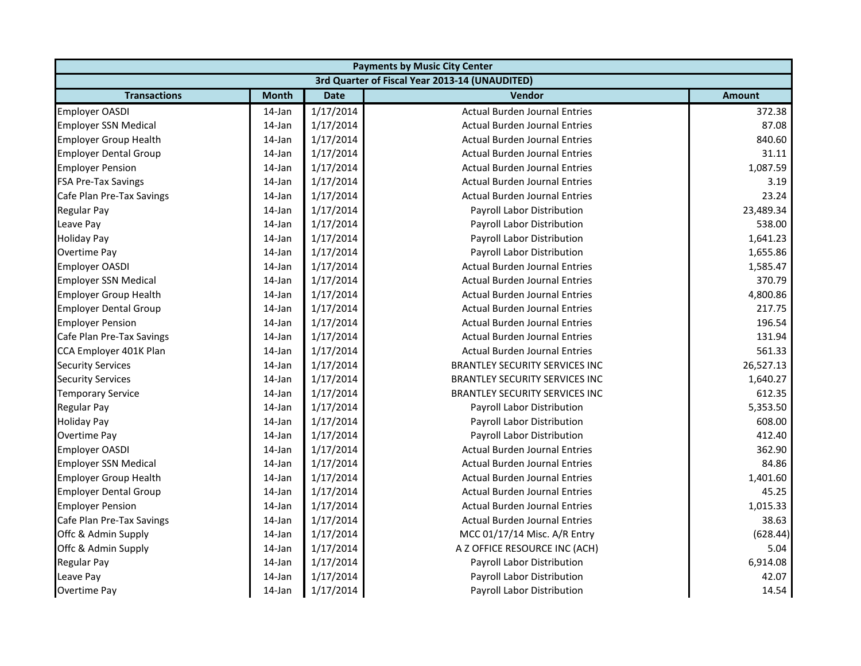| <b>Payments by Music City Center</b> |              |             |                                                |               |  |
|--------------------------------------|--------------|-------------|------------------------------------------------|---------------|--|
|                                      |              |             | 3rd Quarter of Fiscal Year 2013-14 (UNAUDITED) |               |  |
| <b>Transactions</b>                  | <b>Month</b> | <b>Date</b> | Vendor                                         | <b>Amount</b> |  |
| <b>Employer OASDI</b>                | 14-Jan       | 1/17/2014   | <b>Actual Burden Journal Entries</b>           | 372.38        |  |
| <b>Employer SSN Medical</b>          | 14-Jan       | 1/17/2014   | <b>Actual Burden Journal Entries</b>           | 87.08         |  |
| <b>Employer Group Health</b>         | 14-Jan       | 1/17/2014   | <b>Actual Burden Journal Entries</b>           | 840.60        |  |
| <b>Employer Dental Group</b>         | 14-Jan       | 1/17/2014   | <b>Actual Burden Journal Entries</b>           | 31.11         |  |
| <b>Employer Pension</b>              | 14-Jan       | 1/17/2014   | <b>Actual Burden Journal Entries</b>           | 1,087.59      |  |
| <b>FSA Pre-Tax Savings</b>           | 14-Jan       | 1/17/2014   | <b>Actual Burden Journal Entries</b>           | 3.19          |  |
| Cafe Plan Pre-Tax Savings            | 14-Jan       | 1/17/2014   | <b>Actual Burden Journal Entries</b>           | 23.24         |  |
| <b>Regular Pay</b>                   | 14-Jan       | 1/17/2014   | <b>Payroll Labor Distribution</b>              | 23,489.34     |  |
| Leave Pay                            | 14-Jan       | 1/17/2014   | Payroll Labor Distribution                     | 538.00        |  |
| <b>Holiday Pay</b>                   | 14-Jan       | 1/17/2014   | Payroll Labor Distribution                     | 1,641.23      |  |
| <b>Overtime Pay</b>                  | 14-Jan       | 1/17/2014   | Payroll Labor Distribution                     | 1,655.86      |  |
| <b>Employer OASDI</b>                | 14-Jan       | 1/17/2014   | <b>Actual Burden Journal Entries</b>           | 1,585.47      |  |
| <b>Employer SSN Medical</b>          | 14-Jan       | 1/17/2014   | <b>Actual Burden Journal Entries</b>           | 370.79        |  |
| <b>Employer Group Health</b>         | 14-Jan       | 1/17/2014   | <b>Actual Burden Journal Entries</b>           | 4,800.86      |  |
| <b>Employer Dental Group</b>         | 14-Jan       | 1/17/2014   | <b>Actual Burden Journal Entries</b>           | 217.75        |  |
| <b>Employer Pension</b>              | 14-Jan       | 1/17/2014   | <b>Actual Burden Journal Entries</b>           | 196.54        |  |
| Cafe Plan Pre-Tax Savings            | 14-Jan       | 1/17/2014   | <b>Actual Burden Journal Entries</b>           | 131.94        |  |
| CCA Employer 401K Plan               | 14-Jan       | 1/17/2014   | <b>Actual Burden Journal Entries</b>           | 561.33        |  |
| <b>Security Services</b>             | 14-Jan       | 1/17/2014   | <b>BRANTLEY SECURITY SERVICES INC</b>          | 26,527.13     |  |
| <b>Security Services</b>             | 14-Jan       | 1/17/2014   | <b>BRANTLEY SECURITY SERVICES INC</b>          | 1,640.27      |  |
| <b>Temporary Service</b>             | 14-Jan       | 1/17/2014   | <b>BRANTLEY SECURITY SERVICES INC</b>          | 612.35        |  |
| <b>Regular Pay</b>                   | 14-Jan       | 1/17/2014   | Payroll Labor Distribution                     | 5,353.50      |  |
| <b>Holiday Pay</b>                   | 14-Jan       | 1/17/2014   | Payroll Labor Distribution                     | 608.00        |  |
| Overtime Pay                         | 14-Jan       | 1/17/2014   | Payroll Labor Distribution                     | 412.40        |  |
| <b>Employer OASDI</b>                | 14-Jan       | 1/17/2014   | <b>Actual Burden Journal Entries</b>           | 362.90        |  |
| <b>Employer SSN Medical</b>          | 14-Jan       | 1/17/2014   | <b>Actual Burden Journal Entries</b>           | 84.86         |  |
| <b>Employer Group Health</b>         | 14-Jan       | 1/17/2014   | <b>Actual Burden Journal Entries</b>           | 1,401.60      |  |
| <b>Employer Dental Group</b>         | 14-Jan       | 1/17/2014   | <b>Actual Burden Journal Entries</b>           | 45.25         |  |
| <b>Employer Pension</b>              | 14-Jan       | 1/17/2014   | <b>Actual Burden Journal Entries</b>           | 1,015.33      |  |
| Cafe Plan Pre-Tax Savings            | 14-Jan       | 1/17/2014   | <b>Actual Burden Journal Entries</b>           | 38.63         |  |
| Offc & Admin Supply                  | 14-Jan       | 1/17/2014   | MCC 01/17/14 Misc. A/R Entry                   | (628.44)      |  |
| Offc & Admin Supply                  | 14-Jan       | 1/17/2014   | A Z OFFICE RESOURCE INC (ACH)                  | 5.04          |  |
| Regular Pay                          | 14-Jan       | 1/17/2014   | Payroll Labor Distribution                     | 6,914.08      |  |
| Leave Pay                            | 14-Jan       | 1/17/2014   | Payroll Labor Distribution                     | 42.07         |  |
| Overtime Pay                         | 14-Jan       | 1/17/2014   | Payroll Labor Distribution                     | 14.54         |  |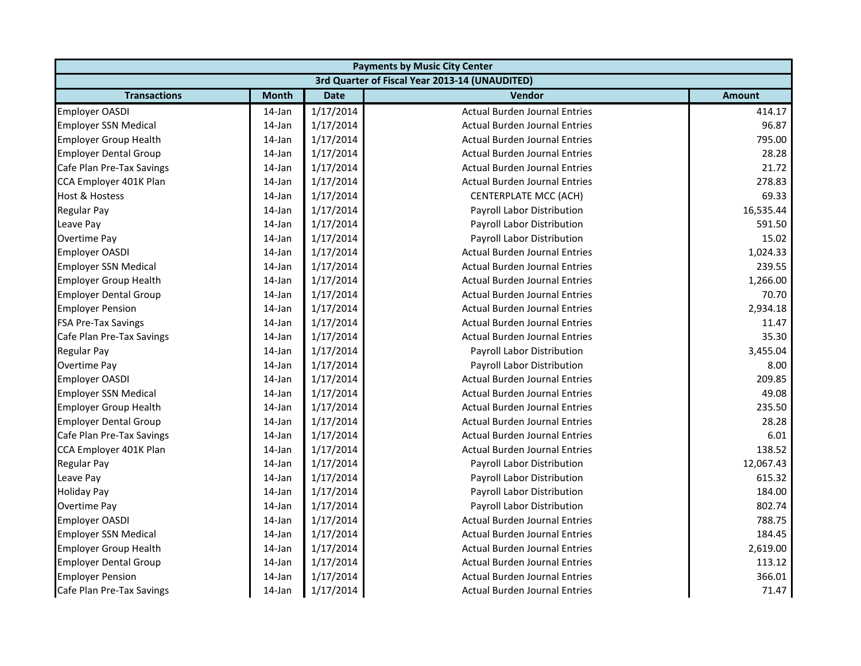| <b>Payments by Music City Center</b> |              |             |                                                |               |  |
|--------------------------------------|--------------|-------------|------------------------------------------------|---------------|--|
|                                      |              |             | 3rd Quarter of Fiscal Year 2013-14 (UNAUDITED) |               |  |
| <b>Transactions</b>                  | <b>Month</b> | <b>Date</b> | Vendor                                         | <b>Amount</b> |  |
| <b>Employer OASDI</b>                | 14-Jan       | 1/17/2014   | <b>Actual Burden Journal Entries</b>           | 414.17        |  |
| <b>Employer SSN Medical</b>          | 14-Jan       | 1/17/2014   | <b>Actual Burden Journal Entries</b>           | 96.87         |  |
| <b>Employer Group Health</b>         | 14-Jan       | 1/17/2014   | <b>Actual Burden Journal Entries</b>           | 795.00        |  |
| <b>Employer Dental Group</b>         | 14-Jan       | 1/17/2014   | <b>Actual Burden Journal Entries</b>           | 28.28         |  |
| Cafe Plan Pre-Tax Savings            | 14-Jan       | 1/17/2014   | <b>Actual Burden Journal Entries</b>           | 21.72         |  |
| CCA Employer 401K Plan               | 14-Jan       | 1/17/2014   | <b>Actual Burden Journal Entries</b>           | 278.83        |  |
| Host & Hostess                       | 14-Jan       | 1/17/2014   | <b>CENTERPLATE MCC (ACH)</b>                   | 69.33         |  |
| <b>Regular Pay</b>                   | 14-Jan       | 1/17/2014   | Payroll Labor Distribution                     | 16,535.44     |  |
| Leave Pay                            | 14-Jan       | 1/17/2014   | Payroll Labor Distribution                     | 591.50        |  |
| <b>Overtime Pay</b>                  | 14-Jan       | 1/17/2014   | Payroll Labor Distribution                     | 15.02         |  |
| <b>Employer OASDI</b>                | 14-Jan       | 1/17/2014   | <b>Actual Burden Journal Entries</b>           | 1,024.33      |  |
| <b>Employer SSN Medical</b>          | 14-Jan       | 1/17/2014   | <b>Actual Burden Journal Entries</b>           | 239.55        |  |
| <b>Employer Group Health</b>         | 14-Jan       | 1/17/2014   | <b>Actual Burden Journal Entries</b>           | 1,266.00      |  |
| <b>Employer Dental Group</b>         | 14-Jan       | 1/17/2014   | <b>Actual Burden Journal Entries</b>           | 70.70         |  |
| <b>Employer Pension</b>              | 14-Jan       | 1/17/2014   | <b>Actual Burden Journal Entries</b>           | 2,934.18      |  |
| <b>FSA Pre-Tax Savings</b>           | 14-Jan       | 1/17/2014   | <b>Actual Burden Journal Entries</b>           | 11.47         |  |
| Cafe Plan Pre-Tax Savings            | 14-Jan       | 1/17/2014   | <b>Actual Burden Journal Entries</b>           | 35.30         |  |
| Regular Pay                          | 14-Jan       | 1/17/2014   | Payroll Labor Distribution                     | 3,455.04      |  |
| <b>Overtime Pay</b>                  | 14-Jan       | 1/17/2014   | Payroll Labor Distribution                     | 8.00          |  |
| <b>Employer OASDI</b>                | 14-Jan       | 1/17/2014   | <b>Actual Burden Journal Entries</b>           | 209.85        |  |
| <b>Employer SSN Medical</b>          | 14-Jan       | 1/17/2014   | <b>Actual Burden Journal Entries</b>           | 49.08         |  |
| <b>Employer Group Health</b>         | 14-Jan       | 1/17/2014   | <b>Actual Burden Journal Entries</b>           | 235.50        |  |
| <b>Employer Dental Group</b>         | 14-Jan       | 1/17/2014   | <b>Actual Burden Journal Entries</b>           | 28.28         |  |
| Cafe Plan Pre-Tax Savings            | 14-Jan       | 1/17/2014   | <b>Actual Burden Journal Entries</b>           | 6.01          |  |
| CCA Employer 401K Plan               | 14-Jan       | 1/17/2014   | <b>Actual Burden Journal Entries</b>           | 138.52        |  |
| <b>Regular Pay</b>                   | 14-Jan       | 1/17/2014   | Payroll Labor Distribution                     | 12,067.43     |  |
| Leave Pay                            | 14-Jan       | 1/17/2014   | Payroll Labor Distribution                     | 615.32        |  |
| <b>Holiday Pay</b>                   | 14-Jan       | 1/17/2014   | Payroll Labor Distribution                     | 184.00        |  |
| <b>Overtime Pay</b>                  | 14-Jan       | 1/17/2014   | Payroll Labor Distribution                     | 802.74        |  |
| <b>Employer OASDI</b>                | 14-Jan       | 1/17/2014   | <b>Actual Burden Journal Entries</b>           | 788.75        |  |
| <b>Employer SSN Medical</b>          | 14-Jan       | 1/17/2014   | <b>Actual Burden Journal Entries</b>           | 184.45        |  |
| <b>Employer Group Health</b>         | 14-Jan       | 1/17/2014   | <b>Actual Burden Journal Entries</b>           | 2,619.00      |  |
| <b>Employer Dental Group</b>         | 14-Jan       | 1/17/2014   | <b>Actual Burden Journal Entries</b>           | 113.12        |  |
| <b>Employer Pension</b>              | 14-Jan       | 1/17/2014   | <b>Actual Burden Journal Entries</b>           | 366.01        |  |
| Cafe Plan Pre-Tax Savings            | 14-Jan       | 1/17/2014   | <b>Actual Burden Journal Entries</b>           | 71.47         |  |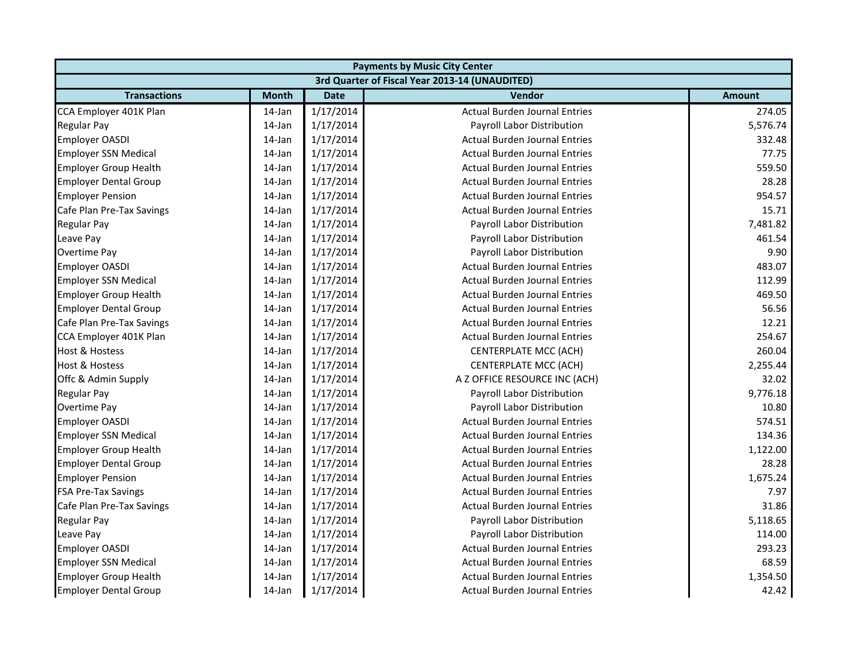| <b>Payments by Music City Center</b> |              |             |                                                |               |  |
|--------------------------------------|--------------|-------------|------------------------------------------------|---------------|--|
|                                      |              |             | 3rd Quarter of Fiscal Year 2013-14 (UNAUDITED) |               |  |
| <b>Transactions</b>                  | <b>Month</b> | <b>Date</b> | <b>Vendor</b>                                  | <b>Amount</b> |  |
| CCA Employer 401K Plan               | 14-Jan       | 1/17/2014   | <b>Actual Burden Journal Entries</b>           | 274.05        |  |
| <b>Regular Pay</b>                   | 14-Jan       | 1/17/2014   | Payroll Labor Distribution                     | 5,576.74      |  |
| <b>Employer OASDI</b>                | 14-Jan       | 1/17/2014   | <b>Actual Burden Journal Entries</b>           | 332.48        |  |
| <b>Employer SSN Medical</b>          | 14-Jan       | 1/17/2014   | <b>Actual Burden Journal Entries</b>           | 77.75         |  |
| <b>Employer Group Health</b>         | 14-Jan       | 1/17/2014   | <b>Actual Burden Journal Entries</b>           | 559.50        |  |
| <b>Employer Dental Group</b>         | 14-Jan       | 1/17/2014   | <b>Actual Burden Journal Entries</b>           | 28.28         |  |
| <b>Employer Pension</b>              | 14-Jan       | 1/17/2014   | <b>Actual Burden Journal Entries</b>           | 954.57        |  |
| Cafe Plan Pre-Tax Savings            | 14-Jan       | 1/17/2014   | <b>Actual Burden Journal Entries</b>           | 15.71         |  |
| <b>Regular Pay</b>                   | 14-Jan       | 1/17/2014   | Payroll Labor Distribution                     | 7,481.82      |  |
| Leave Pay                            | 14-Jan       | 1/17/2014   | Payroll Labor Distribution                     | 461.54        |  |
| Overtime Pay                         | 14-Jan       | 1/17/2014   | Payroll Labor Distribution                     | 9.90          |  |
| <b>Employer OASDI</b>                | 14-Jan       | 1/17/2014   | <b>Actual Burden Journal Entries</b>           | 483.07        |  |
| <b>Employer SSN Medical</b>          | 14-Jan       | 1/17/2014   | <b>Actual Burden Journal Entries</b>           | 112.99        |  |
| <b>Employer Group Health</b>         | 14-Jan       | 1/17/2014   | <b>Actual Burden Journal Entries</b>           | 469.50        |  |
| <b>Employer Dental Group</b>         | 14-Jan       | 1/17/2014   | <b>Actual Burden Journal Entries</b>           | 56.56         |  |
| Cafe Plan Pre-Tax Savings            | 14-Jan       | 1/17/2014   | <b>Actual Burden Journal Entries</b>           | 12.21         |  |
| CCA Employer 401K Plan               | 14-Jan       | 1/17/2014   | <b>Actual Burden Journal Entries</b>           | 254.67        |  |
| <b>Host &amp; Hostess</b>            | 14-Jan       | 1/17/2014   | <b>CENTERPLATE MCC (ACH)</b>                   | 260.04        |  |
| <b>Host &amp; Hostess</b>            | 14-Jan       | 1/17/2014   | <b>CENTERPLATE MCC (ACH)</b>                   | 2,255.44      |  |
| Offc & Admin Supply                  | 14-Jan       | 1/17/2014   | A Z OFFICE RESOURCE INC (ACH)                  | 32.02         |  |
| <b>Regular Pay</b>                   | 14-Jan       | 1/17/2014   | Payroll Labor Distribution                     | 9,776.18      |  |
| Overtime Pay                         | 14-Jan       | 1/17/2014   | Payroll Labor Distribution                     | 10.80         |  |
| <b>Employer OASDI</b>                | 14-Jan       | 1/17/2014   | <b>Actual Burden Journal Entries</b>           | 574.51        |  |
| <b>Employer SSN Medical</b>          | 14-Jan       | 1/17/2014   | <b>Actual Burden Journal Entries</b>           | 134.36        |  |
| <b>Employer Group Health</b>         | 14-Jan       | 1/17/2014   | <b>Actual Burden Journal Entries</b>           | 1,122.00      |  |
| <b>Employer Dental Group</b>         | 14-Jan       | 1/17/2014   | <b>Actual Burden Journal Entries</b>           | 28.28         |  |
| <b>Employer Pension</b>              | 14-Jan       | 1/17/2014   | <b>Actual Burden Journal Entries</b>           | 1,675.24      |  |
| <b>FSA Pre-Tax Savings</b>           | 14-Jan       | 1/17/2014   | <b>Actual Burden Journal Entries</b>           | 7.97          |  |
| Cafe Plan Pre-Tax Savings            | 14-Jan       | 1/17/2014   | <b>Actual Burden Journal Entries</b>           | 31.86         |  |
| <b>Regular Pay</b>                   | 14-Jan       | 1/17/2014   | Payroll Labor Distribution                     | 5,118.65      |  |
| Leave Pay                            | 14-Jan       | 1/17/2014   | Payroll Labor Distribution                     | 114.00        |  |
| <b>Employer OASDI</b>                | 14-Jan       | 1/17/2014   | <b>Actual Burden Journal Entries</b>           | 293.23        |  |
| <b>Employer SSN Medical</b>          | 14-Jan       | 1/17/2014   | <b>Actual Burden Journal Entries</b>           | 68.59         |  |
| <b>Employer Group Health</b>         | 14-Jan       | 1/17/2014   | <b>Actual Burden Journal Entries</b>           | 1,354.50      |  |
| <b>Employer Dental Group</b>         | 14-Jan       | 1/17/2014   | <b>Actual Burden Journal Entries</b>           | 42.42         |  |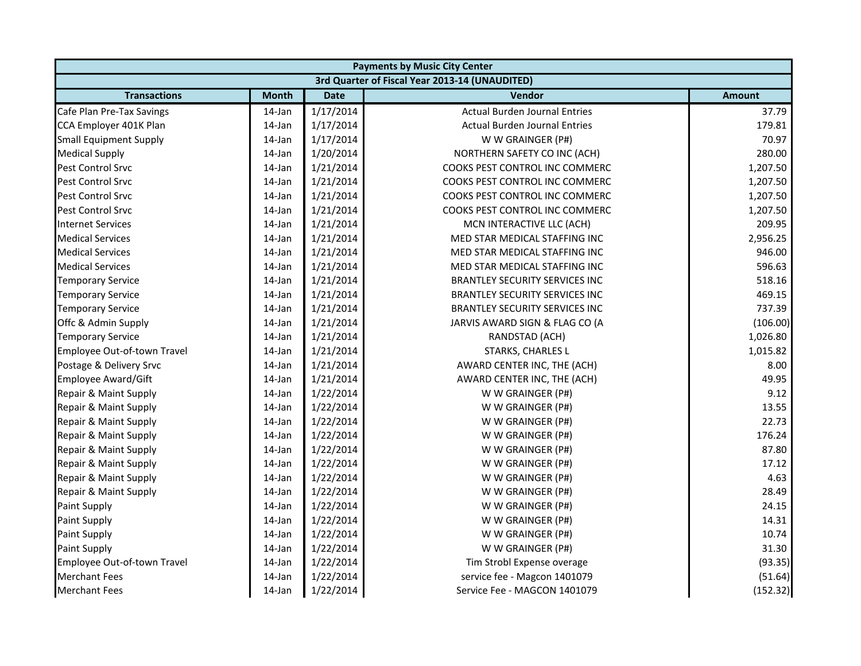|                               | <b>Payments by Music City Center</b> |             |                                                |               |  |  |  |
|-------------------------------|--------------------------------------|-------------|------------------------------------------------|---------------|--|--|--|
|                               |                                      |             | 3rd Quarter of Fiscal Year 2013-14 (UNAUDITED) |               |  |  |  |
| <b>Transactions</b>           | <b>Month</b>                         | <b>Date</b> | Vendor                                         | <b>Amount</b> |  |  |  |
| Cafe Plan Pre-Tax Savings     | 14-Jan                               | 1/17/2014   | <b>Actual Burden Journal Entries</b>           | 37.79         |  |  |  |
| CCA Employer 401K Plan        | 14-Jan                               | 1/17/2014   | <b>Actual Burden Journal Entries</b>           | 179.81        |  |  |  |
| <b>Small Equipment Supply</b> | 14-Jan                               | 1/17/2014   | W W GRAINGER (P#)                              | 70.97         |  |  |  |
| <b>Medical Supply</b>         | 14-Jan                               | 1/20/2014   | NORTHERN SAFETY CO INC (ACH)                   | 280.00        |  |  |  |
| Pest Control Srvc             | 14-Jan                               | 1/21/2014   | COOKS PEST CONTROL INC COMMERC                 | 1,207.50      |  |  |  |
| Pest Control Srvc             | 14-Jan                               | 1/21/2014   | COOKS PEST CONTROL INC COMMERC                 | 1,207.50      |  |  |  |
| Pest Control Srvc             | 14-Jan                               | 1/21/2014   | COOKS PEST CONTROL INC COMMERC                 | 1,207.50      |  |  |  |
| <b>Pest Control Srvc</b>      | 14-Jan                               | 1/21/2014   | COOKS PEST CONTROL INC COMMERC                 | 1,207.50      |  |  |  |
| <b>Internet Services</b>      | 14-Jan                               | 1/21/2014   | MCN INTERACTIVE LLC (ACH)                      | 209.95        |  |  |  |
| <b>Medical Services</b>       | 14-Jan                               | 1/21/2014   | MED STAR MEDICAL STAFFING INC                  | 2,956.25      |  |  |  |
| <b>Medical Services</b>       | 14-Jan                               | 1/21/2014   | MED STAR MEDICAL STAFFING INC                  | 946.00        |  |  |  |
| <b>Medical Services</b>       | 14-Jan                               | 1/21/2014   | MED STAR MEDICAL STAFFING INC                  | 596.63        |  |  |  |
| <b>Temporary Service</b>      | 14-Jan                               | 1/21/2014   | <b>BRANTLEY SECURITY SERVICES INC</b>          | 518.16        |  |  |  |
| <b>Temporary Service</b>      | 14-Jan                               | 1/21/2014   | <b>BRANTLEY SECURITY SERVICES INC</b>          | 469.15        |  |  |  |
| <b>Temporary Service</b>      | 14-Jan                               | 1/21/2014   | <b>BRANTLEY SECURITY SERVICES INC</b>          | 737.39        |  |  |  |
| Offc & Admin Supply           | 14-Jan                               | 1/21/2014   | JARVIS AWARD SIGN & FLAG CO (A                 | (106.00)      |  |  |  |
| <b>Temporary Service</b>      | 14-Jan                               | 1/21/2014   | RANDSTAD (ACH)                                 | 1,026.80      |  |  |  |
| Employee Out-of-town Travel   | 14-Jan                               | 1/21/2014   | STARKS, CHARLES L                              | 1,015.82      |  |  |  |
| Postage & Delivery Srvc       | 14-Jan                               | 1/21/2014   | AWARD CENTER INC, THE (ACH)                    | 8.00          |  |  |  |
| Employee Award/Gift           | 14-Jan                               | 1/21/2014   | AWARD CENTER INC, THE (ACH)                    | 49.95         |  |  |  |
| Repair & Maint Supply         | 14-Jan                               | 1/22/2014   | W W GRAINGER (P#)                              | 9.12          |  |  |  |
| Repair & Maint Supply         | 14-Jan                               | 1/22/2014   | W W GRAINGER (P#)                              | 13.55         |  |  |  |
| Repair & Maint Supply         | 14-Jan                               | 1/22/2014   | W W GRAINGER (P#)                              | 22.73         |  |  |  |
| Repair & Maint Supply         | $14$ -Jan                            | 1/22/2014   | W W GRAINGER (P#)                              | 176.24        |  |  |  |
| Repair & Maint Supply         | 14-Jan                               | 1/22/2014   | W W GRAINGER (P#)                              | 87.80         |  |  |  |
| Repair & Maint Supply         | 14-Jan                               | 1/22/2014   | W W GRAINGER (P#)                              | 17.12         |  |  |  |
| Repair & Maint Supply         | 14-Jan                               | 1/22/2014   | W W GRAINGER (P#)                              | 4.63          |  |  |  |
| Repair & Maint Supply         | 14-Jan                               | 1/22/2014   | W W GRAINGER (P#)                              | 28.49         |  |  |  |
| Paint Supply                  | 14-Jan                               | 1/22/2014   | W W GRAINGER (P#)                              | 24.15         |  |  |  |
| Paint Supply                  | 14-Jan                               | 1/22/2014   | W W GRAINGER (P#)                              | 14.31         |  |  |  |
| Paint Supply                  | 14-Jan                               | 1/22/2014   | W W GRAINGER (P#)                              | 10.74         |  |  |  |
| Paint Supply                  | 14-Jan                               | 1/22/2014   | W W GRAINGER (P#)                              | 31.30         |  |  |  |
| Employee Out-of-town Travel   | 14-Jan                               | 1/22/2014   | Tim Strobl Expense overage                     | (93.35)       |  |  |  |
| <b>Merchant Fees</b>          | 14-Jan                               | 1/22/2014   | service fee - Magcon 1401079                   | (51.64)       |  |  |  |
| <b>Merchant Fees</b>          | 14-Jan                               | 1/22/2014   | Service Fee - MAGCON 1401079                   | (152.32)      |  |  |  |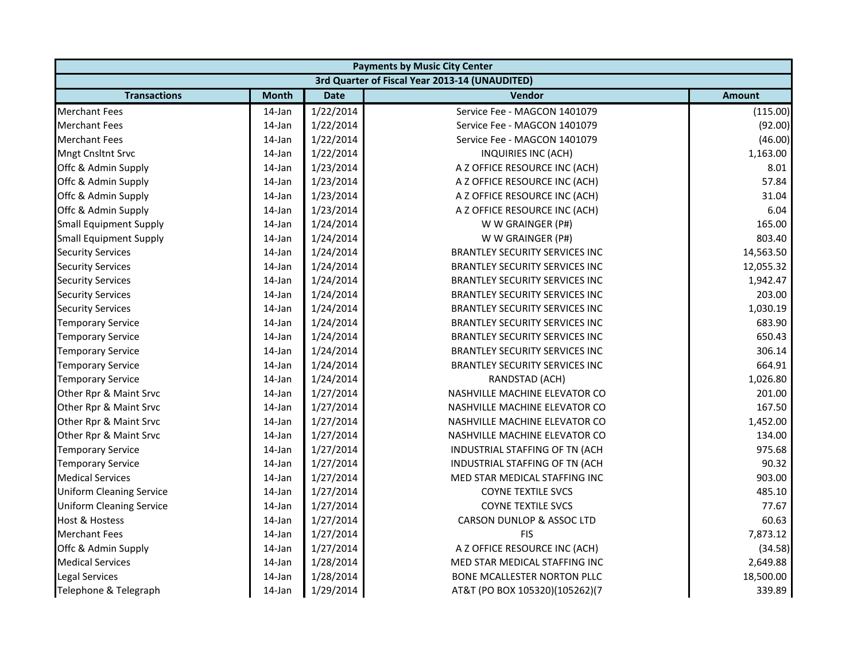| <b>Payments by Music City Center</b> |              |             |                                                |               |  |  |
|--------------------------------------|--------------|-------------|------------------------------------------------|---------------|--|--|
|                                      |              |             | 3rd Quarter of Fiscal Year 2013-14 (UNAUDITED) |               |  |  |
| <b>Transactions</b>                  | <b>Month</b> | <b>Date</b> | <b>Vendor</b>                                  | <b>Amount</b> |  |  |
| <b>Merchant Fees</b>                 | 14-Jan       | 1/22/2014   | Service Fee - MAGCON 1401079                   | (115.00)      |  |  |
| <b>Merchant Fees</b>                 | 14-Jan       | 1/22/2014   | Service Fee - MAGCON 1401079                   | (92.00)       |  |  |
| <b>Merchant Fees</b>                 | 14-Jan       | 1/22/2014   | Service Fee - MAGCON 1401079                   | (46.00)       |  |  |
| <b>Mngt Cnsltnt Srvc</b>             | 14-Jan       | 1/22/2014   | INQUIRIES INC (ACH)                            | 1,163.00      |  |  |
| Offc & Admin Supply                  | 14-Jan       | 1/23/2014   | A Z OFFICE RESOURCE INC (ACH)                  | 8.01          |  |  |
| Offc & Admin Supply                  | 14-Jan       | 1/23/2014   | A Z OFFICE RESOURCE INC (ACH)                  | 57.84         |  |  |
| Offc & Admin Supply                  | 14-Jan       | 1/23/2014   | A Z OFFICE RESOURCE INC (ACH)                  | 31.04         |  |  |
| Offc & Admin Supply                  | 14-Jan       | 1/23/2014   | A Z OFFICE RESOURCE INC (ACH)                  | 6.04          |  |  |
| <b>Small Equipment Supply</b>        | 14-Jan       | 1/24/2014   | W W GRAINGER (P#)                              | 165.00        |  |  |
| <b>Small Equipment Supply</b>        | 14-Jan       | 1/24/2014   | W W GRAINGER (P#)                              | 803.40        |  |  |
| <b>Security Services</b>             | 14-Jan       | 1/24/2014   | <b>BRANTLEY SECURITY SERVICES INC</b>          | 14,563.50     |  |  |
| <b>Security Services</b>             | 14-Jan       | 1/24/2014   | BRANTLEY SECURITY SERVICES INC                 | 12,055.32     |  |  |
| <b>Security Services</b>             | 14-Jan       | 1/24/2014   | <b>BRANTLEY SECURITY SERVICES INC</b>          | 1,942.47      |  |  |
| <b>Security Services</b>             | 14-Jan       | 1/24/2014   | <b>BRANTLEY SECURITY SERVICES INC</b>          | 203.00        |  |  |
| <b>Security Services</b>             | 14-Jan       | 1/24/2014   | <b>BRANTLEY SECURITY SERVICES INC</b>          | 1,030.19      |  |  |
| <b>Temporary Service</b>             | 14-Jan       | 1/24/2014   | <b>BRANTLEY SECURITY SERVICES INC</b>          | 683.90        |  |  |
| <b>Temporary Service</b>             | 14-Jan       | 1/24/2014   | <b>BRANTLEY SECURITY SERVICES INC</b>          | 650.43        |  |  |
| <b>Temporary Service</b>             | 14-Jan       | 1/24/2014   | BRANTLEY SECURITY SERVICES INC                 | 306.14        |  |  |
| <b>Temporary Service</b>             | 14-Jan       | 1/24/2014   | <b>BRANTLEY SECURITY SERVICES INC</b>          | 664.91        |  |  |
| <b>Temporary Service</b>             | 14-Jan       | 1/24/2014   | RANDSTAD (ACH)                                 | 1,026.80      |  |  |
| Other Rpr & Maint Srvc               | 14-Jan       | 1/27/2014   | NASHVILLE MACHINE ELEVATOR CO                  | 201.00        |  |  |
| Other Rpr & Maint Srvc               | 14-Jan       | 1/27/2014   | NASHVILLE MACHINE ELEVATOR CO                  | 167.50        |  |  |
| Other Rpr & Maint Srvc               | 14-Jan       | 1/27/2014   | NASHVILLE MACHINE ELEVATOR CO                  | 1,452.00      |  |  |
| Other Rpr & Maint Srvc               | 14-Jan       | 1/27/2014   | NASHVILLE MACHINE ELEVATOR CO                  | 134.00        |  |  |
| <b>Temporary Service</b>             | 14-Jan       | 1/27/2014   | INDUSTRIAL STAFFING OF TN (ACH                 | 975.68        |  |  |
| <b>Temporary Service</b>             | 14-Jan       | 1/27/2014   | INDUSTRIAL STAFFING OF TN (ACH                 | 90.32         |  |  |
| <b>Medical Services</b>              | 14-Jan       | 1/27/2014   | MED STAR MEDICAL STAFFING INC                  | 903.00        |  |  |
| <b>Uniform Cleaning Service</b>      | 14-Jan       | 1/27/2014   | <b>COYNE TEXTILE SVCS</b>                      | 485.10        |  |  |
| <b>Uniform Cleaning Service</b>      | 14-Jan       | 1/27/2014   | <b>COYNE TEXTILE SVCS</b>                      | 77.67         |  |  |
| <b>Host &amp; Hostess</b>            | 14-Jan       | 1/27/2014   | CARSON DUNLOP & ASSOC LTD                      | 60.63         |  |  |
| <b>Merchant Fees</b>                 | 14-Jan       | 1/27/2014   | <b>FIS</b>                                     | 7,873.12      |  |  |
| Offc & Admin Supply                  | 14-Jan       | 1/27/2014   | A Z OFFICE RESOURCE INC (ACH)                  | (34.58)       |  |  |
| <b>Medical Services</b>              | 14-Jan       | 1/28/2014   | MED STAR MEDICAL STAFFING INC                  | 2,649.88      |  |  |
| Legal Services                       | 14-Jan       | 1/28/2014   | <b>BONE MCALLESTER NORTON PLLC</b>             | 18,500.00     |  |  |
| Telephone & Telegraph                | 14-Jan       | 1/29/2014   | AT&T (PO BOX 105320)(105262)(7                 | 339.89        |  |  |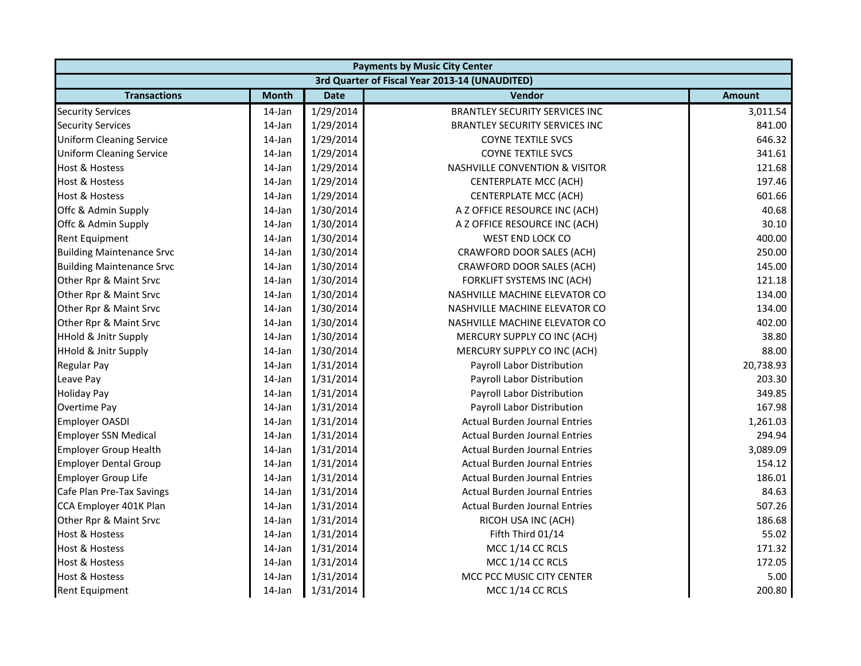|                                  |              |             | <b>Payments by Music City Center</b>           |               |
|----------------------------------|--------------|-------------|------------------------------------------------|---------------|
|                                  |              |             | 3rd Quarter of Fiscal Year 2013-14 (UNAUDITED) |               |
| <b>Transactions</b>              | <b>Month</b> | <b>Date</b> | <b>Vendor</b>                                  | <b>Amount</b> |
| <b>Security Services</b>         | 14-Jan       | 1/29/2014   | <b>BRANTLEY SECURITY SERVICES INC</b>          | 3,011.54      |
| <b>Security Services</b>         | 14-Jan       | 1/29/2014   | BRANTLEY SECURITY SERVICES INC                 | 841.00        |
| <b>Uniform Cleaning Service</b>  | 14-Jan       | 1/29/2014   | <b>COYNE TEXTILE SVCS</b>                      | 646.32        |
| <b>Uniform Cleaning Service</b>  | 14-Jan       | 1/29/2014   | <b>COYNE TEXTILE SVCS</b>                      | 341.61        |
| <b>Host &amp; Hostess</b>        | 14-Jan       | 1/29/2014   | <b>NASHVILLE CONVENTION &amp; VISITOR</b>      | 121.68        |
| <b>Host &amp; Hostess</b>        | 14-Jan       | 1/29/2014   | <b>CENTERPLATE MCC (ACH)</b>                   | 197.46        |
| <b>Host &amp; Hostess</b>        | 14-Jan       | 1/29/2014   | <b>CENTERPLATE MCC (ACH)</b>                   | 601.66        |
| Offc & Admin Supply              | 14-Jan       | 1/30/2014   | A Z OFFICE RESOURCE INC (ACH)                  | 40.68         |
| Offc & Admin Supply              | 14-Jan       | 1/30/2014   | A Z OFFICE RESOURCE INC (ACH)                  | 30.10         |
| <b>Rent Equipment</b>            | 14-Jan       | 1/30/2014   | WEST END LOCK CO                               | 400.00        |
| <b>Building Maintenance Srvc</b> | 14-Jan       | 1/30/2014   | CRAWFORD DOOR SALES (ACH)                      | 250.00        |
| <b>Building Maintenance Srvc</b> | 14-Jan       | 1/30/2014   | CRAWFORD DOOR SALES (ACH)                      | 145.00        |
| Other Rpr & Maint Srvc           | 14-Jan       | 1/30/2014   | FORKLIFT SYSTEMS INC (ACH)                     | 121.18        |
| Other Rpr & Maint Srvc           | 14-Jan       | 1/30/2014   | NASHVILLE MACHINE ELEVATOR CO                  | 134.00        |
| Other Rpr & Maint Srvc           | 14-Jan       | 1/30/2014   | NASHVILLE MACHINE ELEVATOR CO                  | 134.00        |
| Other Rpr & Maint Srvc           | 14-Jan       | 1/30/2014   | NASHVILLE MACHINE ELEVATOR CO                  | 402.00        |
| <b>HHold &amp; Jnitr Supply</b>  | 14-Jan       | 1/30/2014   | MERCURY SUPPLY CO INC (ACH)                    | 38.80         |
| <b>HHold &amp; Jnitr Supply</b>  | 14-Jan       | 1/30/2014   | MERCURY SUPPLY CO INC (ACH)                    | 88.00         |
| <b>Regular Pay</b>               | 14-Jan       | 1/31/2014   | Payroll Labor Distribution                     | 20,738.93     |
| Leave Pay                        | 14-Jan       | 1/31/2014   | Payroll Labor Distribution                     | 203.30        |
| <b>Holiday Pay</b>               | 14-Jan       | 1/31/2014   | Payroll Labor Distribution                     | 349.85        |
| Overtime Pay                     | 14-Jan       | 1/31/2014   | Payroll Labor Distribution                     | 167.98        |
| <b>Employer OASDI</b>            | 14-Jan       | 1/31/2014   | <b>Actual Burden Journal Entries</b>           | 1,261.03      |
| <b>Employer SSN Medical</b>      | 14-Jan       | 1/31/2014   | <b>Actual Burden Journal Entries</b>           | 294.94        |
| <b>Employer Group Health</b>     | 14-Jan       | 1/31/2014   | <b>Actual Burden Journal Entries</b>           | 3,089.09      |
| <b>Employer Dental Group</b>     | 14-Jan       | 1/31/2014   | <b>Actual Burden Journal Entries</b>           | 154.12        |
| <b>Employer Group Life</b>       | 14-Jan       | 1/31/2014   | <b>Actual Burden Journal Entries</b>           | 186.01        |
| Cafe Plan Pre-Tax Savings        | 14-Jan       | 1/31/2014   | <b>Actual Burden Journal Entries</b>           | 84.63         |
| CCA Employer 401K Plan           | 14-Jan       | 1/31/2014   | <b>Actual Burden Journal Entries</b>           | 507.26        |
| Other Rpr & Maint Srvc           | 14-Jan       | 1/31/2014   | RICOH USA INC (ACH)                            | 186.68        |
| <b>Host &amp; Hostess</b>        | 14-Jan       | 1/31/2014   | Fifth Third 01/14                              | 55.02         |
| <b>Host &amp; Hostess</b>        | 14-Jan       | 1/31/2014   | MCC 1/14 CC RCLS                               | 171.32        |
| <b>Host &amp; Hostess</b>        | 14-Jan       | 1/31/2014   | MCC 1/14 CC RCLS                               | 172.05        |
| <b>Host &amp; Hostess</b>        | 14-Jan       | 1/31/2014   | MCC PCC MUSIC CITY CENTER                      | 5.00          |
| <b>Rent Equipment</b>            | 14-Jan       | 1/31/2014   | MCC 1/14 CC RCLS                               | 200.80        |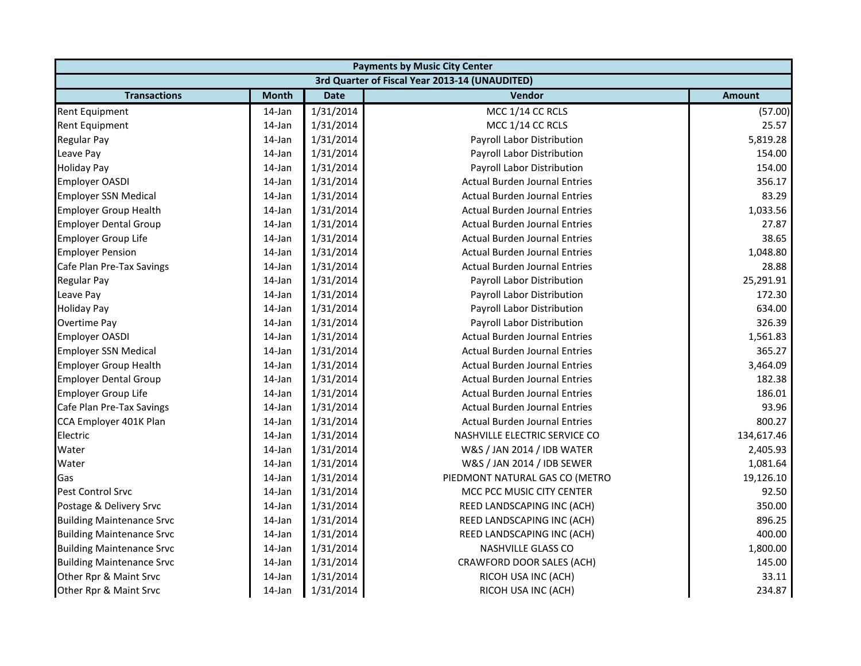| <b>Payments by Music City Center</b> |              |             |                                                |               |  |
|--------------------------------------|--------------|-------------|------------------------------------------------|---------------|--|
|                                      |              |             | 3rd Quarter of Fiscal Year 2013-14 (UNAUDITED) |               |  |
| <b>Transactions</b>                  | <b>Month</b> | <b>Date</b> | Vendor                                         | <b>Amount</b> |  |
| <b>Rent Equipment</b>                | 14-Jan       | 1/31/2014   | MCC 1/14 CC RCLS                               | (57.00)       |  |
| Rent Equipment                       | 14-Jan       | 1/31/2014   | MCC 1/14 CC RCLS                               | 25.57         |  |
| <b>Regular Pay</b>                   | 14-Jan       | 1/31/2014   | Payroll Labor Distribution                     | 5,819.28      |  |
| Leave Pay                            | 14-Jan       | 1/31/2014   | Payroll Labor Distribution                     | 154.00        |  |
| <b>Holiday Pay</b>                   | 14-Jan       | 1/31/2014   | Payroll Labor Distribution                     | 154.00        |  |
| <b>Employer OASDI</b>                | 14-Jan       | 1/31/2014   | <b>Actual Burden Journal Entries</b>           | 356.17        |  |
| <b>Employer SSN Medical</b>          | 14-Jan       | 1/31/2014   | <b>Actual Burden Journal Entries</b>           | 83.29         |  |
| <b>Employer Group Health</b>         | 14-Jan       | 1/31/2014   | <b>Actual Burden Journal Entries</b>           | 1,033.56      |  |
| <b>Employer Dental Group</b>         | 14-Jan       | 1/31/2014   | <b>Actual Burden Journal Entries</b>           | 27.87         |  |
| Employer Group Life                  | 14-Jan       | 1/31/2014   | <b>Actual Burden Journal Entries</b>           | 38.65         |  |
| <b>Employer Pension</b>              | 14-Jan       | 1/31/2014   | <b>Actual Burden Journal Entries</b>           | 1,048.80      |  |
| Cafe Plan Pre-Tax Savings            | 14-Jan       | 1/31/2014   | <b>Actual Burden Journal Entries</b>           | 28.88         |  |
| <b>Regular Pay</b>                   | 14-Jan       | 1/31/2014   | Payroll Labor Distribution                     | 25,291.91     |  |
| Leave Pay                            | 14-Jan       | 1/31/2014   | Payroll Labor Distribution                     | 172.30        |  |
| <b>Holiday Pay</b>                   | 14-Jan       | 1/31/2014   | Payroll Labor Distribution                     | 634.00        |  |
| Overtime Pay                         | 14-Jan       | 1/31/2014   | Payroll Labor Distribution                     | 326.39        |  |
| <b>Employer OASDI</b>                | 14-Jan       | 1/31/2014   | <b>Actual Burden Journal Entries</b>           | 1,561.83      |  |
| <b>Employer SSN Medical</b>          | 14-Jan       | 1/31/2014   | <b>Actual Burden Journal Entries</b>           | 365.27        |  |
| <b>Employer Group Health</b>         | 14-Jan       | 1/31/2014   | <b>Actual Burden Journal Entries</b>           | 3,464.09      |  |
| <b>Employer Dental Group</b>         | $14$ -Jan    | 1/31/2014   | <b>Actual Burden Journal Entries</b>           | 182.38        |  |
| Employer Group Life                  | 14-Jan       | 1/31/2014   | <b>Actual Burden Journal Entries</b>           | 186.01        |  |
| Cafe Plan Pre-Tax Savings            | 14-Jan       | 1/31/2014   | <b>Actual Burden Journal Entries</b>           | 93.96         |  |
| CCA Employer 401K Plan               | 14-Jan       | 1/31/2014   | <b>Actual Burden Journal Entries</b>           | 800.27        |  |
| Electric                             | $14$ -Jan    | 1/31/2014   | NASHVILLE ELECTRIC SERVICE CO                  | 134,617.46    |  |
| Water                                | 14-Jan       | 1/31/2014   | W&S / JAN 2014 / IDB WATER                     | 2,405.93      |  |
| Water                                | 14-Jan       | 1/31/2014   | W&S / JAN 2014 / IDB SEWER                     | 1,081.64      |  |
| Gas                                  | 14-Jan       | 1/31/2014   | PIEDMONT NATURAL GAS CO (METRO                 | 19,126.10     |  |
| <b>Pest Control Srvc</b>             | 14-Jan       | 1/31/2014   | MCC PCC MUSIC CITY CENTER                      | 92.50         |  |
| Postage & Delivery Srvc              | 14-Jan       | 1/31/2014   | REED LANDSCAPING INC (ACH)                     | 350.00        |  |
| <b>Building Maintenance Srvc</b>     | 14-Jan       | 1/31/2014   | REED LANDSCAPING INC (ACH)                     | 896.25        |  |
| <b>Building Maintenance Srvc</b>     | 14-Jan       | 1/31/2014   | REED LANDSCAPING INC (ACH)                     | 400.00        |  |
| <b>Building Maintenance Srvc</b>     | 14-Jan       | 1/31/2014   | <b>NASHVILLE GLASS CO</b>                      | 1,800.00      |  |
| <b>Building Maintenance Srvc</b>     | 14-Jan       | 1/31/2014   | CRAWFORD DOOR SALES (ACH)                      | 145.00        |  |
| Other Rpr & Maint Srvc               | 14-Jan       | 1/31/2014   | RICOH USA INC (ACH)                            | 33.11         |  |
| Other Rpr & Maint Srvc               | 14-Jan       | 1/31/2014   | RICOH USA INC (ACH)                            | 234.87        |  |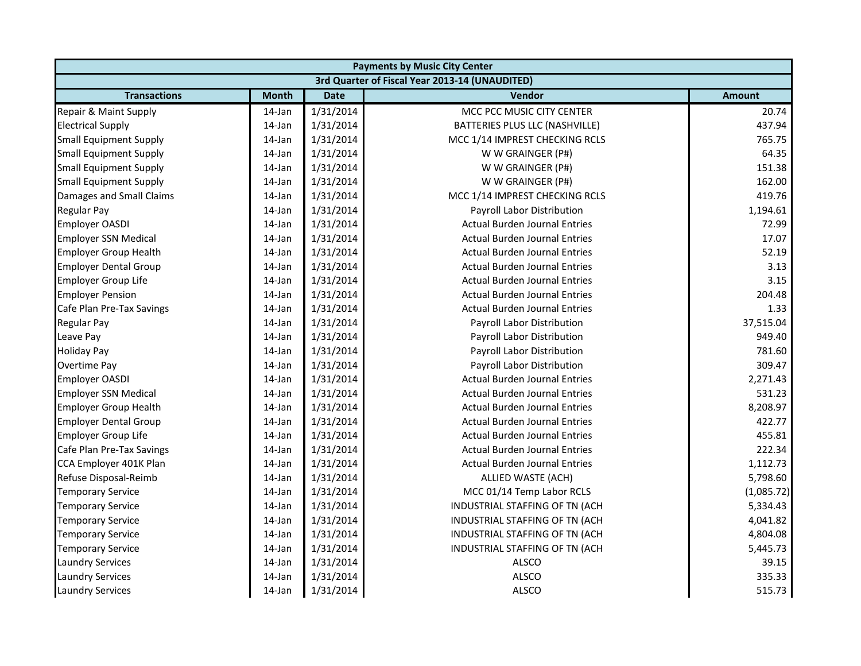|                               |              |             | <b>Payments by Music City Center</b>           |               |
|-------------------------------|--------------|-------------|------------------------------------------------|---------------|
|                               |              |             | 3rd Quarter of Fiscal Year 2013-14 (UNAUDITED) |               |
| <b>Transactions</b>           | <b>Month</b> | <b>Date</b> | Vendor                                         | <b>Amount</b> |
| Repair & Maint Supply         | 14-Jan       | 1/31/2014   | MCC PCC MUSIC CITY CENTER                      | 20.74         |
| <b>Electrical Supply</b>      | 14-Jan       | 1/31/2014   | BATTERIES PLUS LLC (NASHVILLE)                 | 437.94        |
| Small Equipment Supply        | 14-Jan       | 1/31/2014   | MCC 1/14 IMPREST CHECKING RCLS                 | 765.75        |
| <b>Small Equipment Supply</b> | 14-Jan       | 1/31/2014   | W W GRAINGER (P#)                              | 64.35         |
| <b>Small Equipment Supply</b> | 14-Jan       | 1/31/2014   | W W GRAINGER (P#)                              | 151.38        |
| <b>Small Equipment Supply</b> | 14-Jan       | 1/31/2014   | W W GRAINGER (P#)                              | 162.00        |
| Damages and Small Claims      | 14-Jan       | 1/31/2014   | MCC 1/14 IMPREST CHECKING RCLS                 | 419.76        |
| <b>Regular Pay</b>            | 14-Jan       | 1/31/2014   | Payroll Labor Distribution                     | 1,194.61      |
| <b>Employer OASDI</b>         | 14-Jan       | 1/31/2014   | <b>Actual Burden Journal Entries</b>           | 72.99         |
| <b>Employer SSN Medical</b>   | 14-Jan       | 1/31/2014   | <b>Actual Burden Journal Entries</b>           | 17.07         |
| <b>Employer Group Health</b>  | 14-Jan       | 1/31/2014   | <b>Actual Burden Journal Entries</b>           | 52.19         |
| <b>Employer Dental Group</b>  | 14-Jan       | 1/31/2014   | <b>Actual Burden Journal Entries</b>           | 3.13          |
| <b>Employer Group Life</b>    | 14-Jan       | 1/31/2014   | <b>Actual Burden Journal Entries</b>           | 3.15          |
| <b>Employer Pension</b>       | 14-Jan       | 1/31/2014   | <b>Actual Burden Journal Entries</b>           | 204.48        |
| Cafe Plan Pre-Tax Savings     | 14-Jan       | 1/31/2014   | <b>Actual Burden Journal Entries</b>           | 1.33          |
| <b>Regular Pay</b>            | 14-Jan       | 1/31/2014   | Payroll Labor Distribution                     | 37,515.04     |
| Leave Pay                     | 14-Jan       | 1/31/2014   | Payroll Labor Distribution                     | 949.40        |
| <b>Holiday Pay</b>            | 14-Jan       | 1/31/2014   | Payroll Labor Distribution                     | 781.60        |
| Overtime Pay                  | 14-Jan       | 1/31/2014   | Payroll Labor Distribution                     | 309.47        |
| <b>Employer OASDI</b>         | 14-Jan       | 1/31/2014   | <b>Actual Burden Journal Entries</b>           | 2,271.43      |
| <b>Employer SSN Medical</b>   | $14$ -Jan    | 1/31/2014   | <b>Actual Burden Journal Entries</b>           | 531.23        |
| <b>Employer Group Health</b>  | $14$ -Jan    | 1/31/2014   | <b>Actual Burden Journal Entries</b>           | 8,208.97      |
| <b>Employer Dental Group</b>  | 14-Jan       | 1/31/2014   | <b>Actual Burden Journal Entries</b>           | 422.77        |
| Employer Group Life           | 14-Jan       | 1/31/2014   | <b>Actual Burden Journal Entries</b>           | 455.81        |
| Cafe Plan Pre-Tax Savings     | 14-Jan       | 1/31/2014   | <b>Actual Burden Journal Entries</b>           | 222.34        |
| CCA Employer 401K Plan        | 14-Jan       | 1/31/2014   | <b>Actual Burden Journal Entries</b>           | 1,112.73      |
| Refuse Disposal-Reimb         | 14-Jan       | 1/31/2014   | ALLIED WASTE (ACH)                             | 5,798.60      |
| <b>Temporary Service</b>      | 14-Jan       | 1/31/2014   | MCC 01/14 Temp Labor RCLS                      | (1,085.72)    |
| <b>Temporary Service</b>      | 14-Jan       | 1/31/2014   | INDUSTRIAL STAFFING OF TN (ACH                 | 5,334.43      |
| <b>Temporary Service</b>      | 14-Jan       | 1/31/2014   | INDUSTRIAL STAFFING OF TN (ACH                 | 4,041.82      |
| <b>Temporary Service</b>      | 14-Jan       | 1/31/2014   | INDUSTRIAL STAFFING OF TN (ACH                 | 4,804.08      |
| <b>Temporary Service</b>      | 14-Jan       | 1/31/2014   | INDUSTRIAL STAFFING OF TN (ACH                 | 5,445.73      |
| <b>Laundry Services</b>       | 14-Jan       | 1/31/2014   | <b>ALSCO</b>                                   | 39.15         |
| <b>Laundry Services</b>       | 14-Jan       | 1/31/2014   | <b>ALSCO</b>                                   | 335.33        |
| <b>Laundry Services</b>       | 14-Jan       | 1/31/2014   | ALSCO                                          | 515.73        |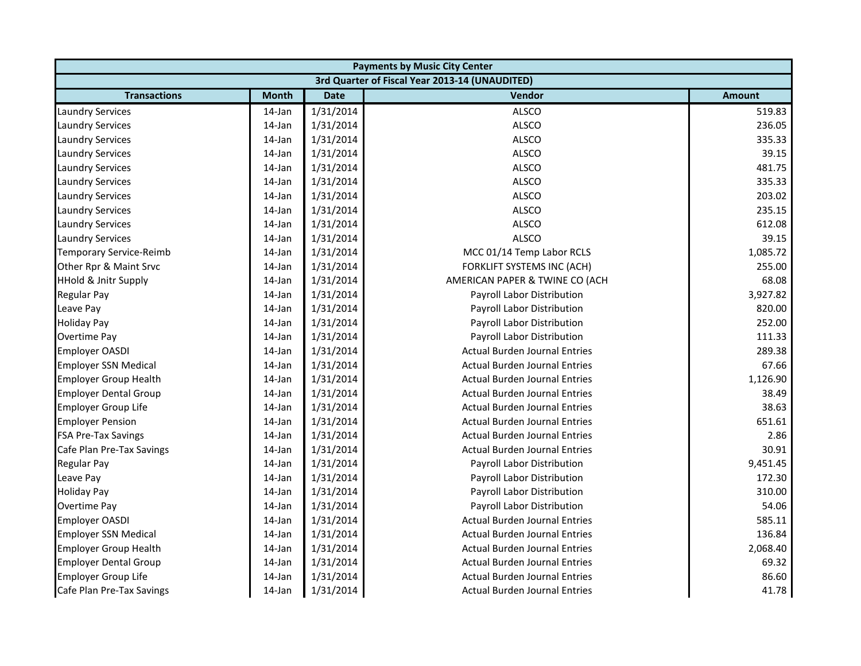|                                 | <b>Payments by Music City Center</b> |             |                                                |               |  |  |  |
|---------------------------------|--------------------------------------|-------------|------------------------------------------------|---------------|--|--|--|
|                                 |                                      |             | 3rd Quarter of Fiscal Year 2013-14 (UNAUDITED) |               |  |  |  |
| <b>Transactions</b>             | <b>Month</b>                         | <b>Date</b> | Vendor                                         | <b>Amount</b> |  |  |  |
| <b>Laundry Services</b>         | 14-Jan                               | 1/31/2014   | <b>ALSCO</b>                                   | 519.83        |  |  |  |
| <b>Laundry Services</b>         | 14-Jan                               | 1/31/2014   | <b>ALSCO</b>                                   | 236.05        |  |  |  |
| <b>Laundry Services</b>         | 14-Jan                               | 1/31/2014   | <b>ALSCO</b>                                   | 335.33        |  |  |  |
| <b>Laundry Services</b>         | 14-Jan                               | 1/31/2014   | <b>ALSCO</b>                                   | 39.15         |  |  |  |
| <b>Laundry Services</b>         | 14-Jan                               | 1/31/2014   | <b>ALSCO</b>                                   | 481.75        |  |  |  |
| <b>Laundry Services</b>         | 14-Jan                               | 1/31/2014   | <b>ALSCO</b>                                   | 335.33        |  |  |  |
| <b>Laundry Services</b>         | 14-Jan                               | 1/31/2014   | <b>ALSCO</b>                                   | 203.02        |  |  |  |
| <b>Laundry Services</b>         | 14-Jan                               | 1/31/2014   | <b>ALSCO</b>                                   | 235.15        |  |  |  |
| <b>Laundry Services</b>         | 14-Jan                               | 1/31/2014   | <b>ALSCO</b>                                   | 612.08        |  |  |  |
| <b>Laundry Services</b>         | 14-Jan                               | 1/31/2014   | <b>ALSCO</b>                                   | 39.15         |  |  |  |
| <b>Temporary Service-Reimb</b>  | 14-Jan                               | 1/31/2014   | MCC 01/14 Temp Labor RCLS                      | 1,085.72      |  |  |  |
| Other Rpr & Maint Srvc          | 14-Jan                               | 1/31/2014   | FORKLIFT SYSTEMS INC (ACH)                     | 255.00        |  |  |  |
| <b>HHold &amp; Jnitr Supply</b> | 14-Jan                               | 1/31/2014   | AMERICAN PAPER & TWINE CO (ACH                 | 68.08         |  |  |  |
| Regular Pay                     | 14-Jan                               | 1/31/2014   | Payroll Labor Distribution                     | 3,927.82      |  |  |  |
| Leave Pay                       | 14-Jan                               | 1/31/2014   | Payroll Labor Distribution                     | 820.00        |  |  |  |
| <b>Holiday Pay</b>              | 14-Jan                               | 1/31/2014   | Payroll Labor Distribution                     | 252.00        |  |  |  |
| Overtime Pay                    | 14-Jan                               | 1/31/2014   | Payroll Labor Distribution                     | 111.33        |  |  |  |
| <b>Employer OASDI</b>           | 14-Jan                               | 1/31/2014   | <b>Actual Burden Journal Entries</b>           | 289.38        |  |  |  |
| <b>Employer SSN Medical</b>     | 14-Jan                               | 1/31/2014   | <b>Actual Burden Journal Entries</b>           | 67.66         |  |  |  |
| <b>Employer Group Health</b>    | 14-Jan                               | 1/31/2014   | <b>Actual Burden Journal Entries</b>           | 1,126.90      |  |  |  |
| <b>Employer Dental Group</b>    | 14-Jan                               | 1/31/2014   | <b>Actual Burden Journal Entries</b>           | 38.49         |  |  |  |
| <b>Employer Group Life</b>      | 14-Jan                               | 1/31/2014   | <b>Actual Burden Journal Entries</b>           | 38.63         |  |  |  |
| <b>Employer Pension</b>         | 14-Jan                               | 1/31/2014   | <b>Actual Burden Journal Entries</b>           | 651.61        |  |  |  |
| <b>FSA Pre-Tax Savings</b>      | 14-Jan                               | 1/31/2014   | <b>Actual Burden Journal Entries</b>           | 2.86          |  |  |  |
| Cafe Plan Pre-Tax Savings       | 14-Jan                               | 1/31/2014   | <b>Actual Burden Journal Entries</b>           | 30.91         |  |  |  |
| <b>Regular Pay</b>              | 14-Jan                               | 1/31/2014   | Payroll Labor Distribution                     | 9,451.45      |  |  |  |
| Leave Pay                       | 14-Jan                               | 1/31/2014   | Payroll Labor Distribution                     | 172.30        |  |  |  |
| <b>Holiday Pay</b>              | 14-Jan                               | 1/31/2014   | Payroll Labor Distribution                     | 310.00        |  |  |  |
| Overtime Pay                    | 14-Jan                               | 1/31/2014   | Payroll Labor Distribution                     | 54.06         |  |  |  |
| <b>Employer OASDI</b>           | 14-Jan                               | 1/31/2014   | <b>Actual Burden Journal Entries</b>           | 585.11        |  |  |  |
| <b>Employer SSN Medical</b>     | 14-Jan                               | 1/31/2014   | <b>Actual Burden Journal Entries</b>           | 136.84        |  |  |  |
| <b>Employer Group Health</b>    | 14-Jan                               | 1/31/2014   | <b>Actual Burden Journal Entries</b>           | 2,068.40      |  |  |  |
| <b>Employer Dental Group</b>    | 14-Jan                               | 1/31/2014   | <b>Actual Burden Journal Entries</b>           | 69.32         |  |  |  |
| Employer Group Life             | 14-Jan                               | 1/31/2014   | <b>Actual Burden Journal Entries</b>           | 86.60         |  |  |  |
| Cafe Plan Pre-Tax Savings       | 14-Jan                               | 1/31/2014   | Actual Burden Journal Entries                  | 41.78         |  |  |  |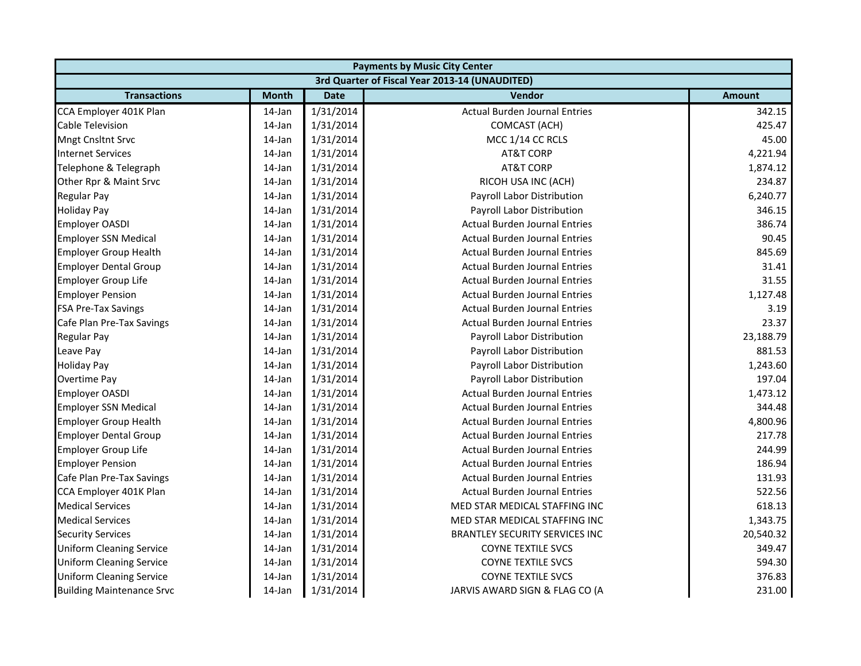| <b>Payments by Music City Center</b> |              |             |                                                |               |  |  |
|--------------------------------------|--------------|-------------|------------------------------------------------|---------------|--|--|
|                                      |              |             | 3rd Quarter of Fiscal Year 2013-14 (UNAUDITED) |               |  |  |
| <b>Transactions</b>                  | <b>Month</b> | <b>Date</b> | <b>Vendor</b>                                  | <b>Amount</b> |  |  |
| CCA Employer 401K Plan               | 14-Jan       | 1/31/2014   | <b>Actual Burden Journal Entries</b>           | 342.15        |  |  |
| <b>Cable Television</b>              | 14-Jan       | 1/31/2014   | COMCAST (ACH)                                  | 425.47        |  |  |
| <b>Mngt Cnsltnt Srvc</b>             | $14$ -Jan    | 1/31/2014   | MCC 1/14 CC RCLS                               | 45.00         |  |  |
| <b>Internet Services</b>             | 14-Jan       | 1/31/2014   | <b>AT&amp;T CORP</b>                           | 4,221.94      |  |  |
| Telephone & Telegraph                | 14-Jan       | 1/31/2014   | <b>AT&amp;T CORP</b>                           | 1,874.12      |  |  |
| Other Rpr & Maint Srvc               | 14-Jan       | 1/31/2014   | RICOH USA INC (ACH)                            | 234.87        |  |  |
| <b>Regular Pay</b>                   | 14-Jan       | 1/31/2014   | Payroll Labor Distribution                     | 6,240.77      |  |  |
| <b>Holiday Pay</b>                   | 14-Jan       | 1/31/2014   | Payroll Labor Distribution                     | 346.15        |  |  |
| Employer OASDI                       | 14-Jan       | 1/31/2014   | <b>Actual Burden Journal Entries</b>           | 386.74        |  |  |
| <b>Employer SSN Medical</b>          | 14-Jan       | 1/31/2014   | <b>Actual Burden Journal Entries</b>           | 90.45         |  |  |
| Employer Group Health                | 14-Jan       | 1/31/2014   | <b>Actual Burden Journal Entries</b>           | 845.69        |  |  |
| <b>Employer Dental Group</b>         | 14-Jan       | 1/31/2014   | <b>Actual Burden Journal Entries</b>           | 31.41         |  |  |
| <b>Employer Group Life</b>           | 14-Jan       | 1/31/2014   | <b>Actual Burden Journal Entries</b>           | 31.55         |  |  |
| <b>Employer Pension</b>              | 14-Jan       | 1/31/2014   | <b>Actual Burden Journal Entries</b>           | 1,127.48      |  |  |
| <b>FSA Pre-Tax Savings</b>           | 14-Jan       | 1/31/2014   | <b>Actual Burden Journal Entries</b>           | 3.19          |  |  |
| Cafe Plan Pre-Tax Savings            | 14-Jan       | 1/31/2014   | <b>Actual Burden Journal Entries</b>           | 23.37         |  |  |
| <b>Regular Pay</b>                   | 14-Jan       | 1/31/2014   | Payroll Labor Distribution                     | 23,188.79     |  |  |
| Leave Pay                            | 14-Jan       | 1/31/2014   | Payroll Labor Distribution                     | 881.53        |  |  |
| <b>Holiday Pay</b>                   | 14-Jan       | 1/31/2014   | Payroll Labor Distribution                     | 1,243.60      |  |  |
| Overtime Pay                         | 14-Jan       | 1/31/2014   | Payroll Labor Distribution                     | 197.04        |  |  |
| <b>Employer OASDI</b>                | 14-Jan       | 1/31/2014   | <b>Actual Burden Journal Entries</b>           | 1,473.12      |  |  |
| <b>Employer SSN Medical</b>          | 14-Jan       | 1/31/2014   | <b>Actual Burden Journal Entries</b>           | 344.48        |  |  |
| <b>Employer Group Health</b>         | 14-Jan       | 1/31/2014   | <b>Actual Burden Journal Entries</b>           | 4,800.96      |  |  |
| <b>Employer Dental Group</b>         | 14-Jan       | 1/31/2014   | <b>Actual Burden Journal Entries</b>           | 217.78        |  |  |
| <b>Employer Group Life</b>           | 14-Jan       | 1/31/2014   | <b>Actual Burden Journal Entries</b>           | 244.99        |  |  |
| <b>Employer Pension</b>              | 14-Jan       | 1/31/2014   | <b>Actual Burden Journal Entries</b>           | 186.94        |  |  |
| Cafe Plan Pre-Tax Savings            | 14-Jan       | 1/31/2014   | <b>Actual Burden Journal Entries</b>           | 131.93        |  |  |
| CCA Employer 401K Plan               | 14-Jan       | 1/31/2014   | <b>Actual Burden Journal Entries</b>           | 522.56        |  |  |
| <b>Medical Services</b>              | 14-Jan       | 1/31/2014   | MED STAR MEDICAL STAFFING INC                  | 618.13        |  |  |
| <b>Medical Services</b>              | 14-Jan       | 1/31/2014   | MED STAR MEDICAL STAFFING INC                  | 1,343.75      |  |  |
| <b>Security Services</b>             | $14$ -Jan    | 1/31/2014   | <b>BRANTLEY SECURITY SERVICES INC</b>          | 20,540.32     |  |  |
| <b>Uniform Cleaning Service</b>      | 14-Jan       | 1/31/2014   | <b>COYNE TEXTILE SVCS</b>                      | 349.47        |  |  |
| <b>Uniform Cleaning Service</b>      | 14-Jan       | 1/31/2014   | <b>COYNE TEXTILE SVCS</b>                      | 594.30        |  |  |
| <b>Uniform Cleaning Service</b>      | 14-Jan       | 1/31/2014   | <b>COYNE TEXTILE SVCS</b>                      | 376.83        |  |  |
| <b>Building Maintenance Srvc</b>     | 14-Jan       | 1/31/2014   | JARVIS AWARD SIGN & FLAG CO (A                 | 231.00        |  |  |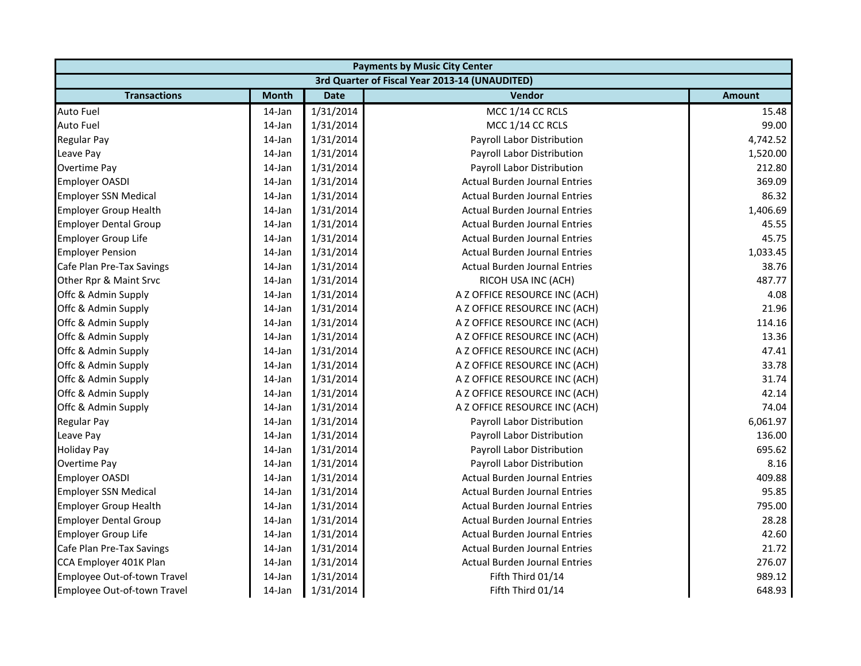|                              | <b>Payments by Music City Center</b> |             |                                                |               |  |  |  |
|------------------------------|--------------------------------------|-------------|------------------------------------------------|---------------|--|--|--|
|                              |                                      |             | 3rd Quarter of Fiscal Year 2013-14 (UNAUDITED) |               |  |  |  |
| <b>Transactions</b>          | <b>Month</b>                         | <b>Date</b> | Vendor                                         | <b>Amount</b> |  |  |  |
| <b>Auto Fuel</b>             | 14-Jan                               | 1/31/2014   | MCC 1/14 CC RCLS                               | 15.48         |  |  |  |
| <b>Auto Fuel</b>             | 14-Jan                               | 1/31/2014   | MCC 1/14 CC RCLS                               | 99.00         |  |  |  |
| <b>Regular Pay</b>           | 14-Jan                               | 1/31/2014   | Payroll Labor Distribution                     | 4,742.52      |  |  |  |
| Leave Pay                    | 14-Jan                               | 1/31/2014   | Payroll Labor Distribution                     | 1,520.00      |  |  |  |
| Overtime Pay                 | 14-Jan                               | 1/31/2014   | Payroll Labor Distribution                     | 212.80        |  |  |  |
| <b>Employer OASDI</b>        | 14-Jan                               | 1/31/2014   | <b>Actual Burden Journal Entries</b>           | 369.09        |  |  |  |
| <b>Employer SSN Medical</b>  | 14-Jan                               | 1/31/2014   | <b>Actual Burden Journal Entries</b>           | 86.32         |  |  |  |
| <b>Employer Group Health</b> | 14-Jan                               | 1/31/2014   | <b>Actual Burden Journal Entries</b>           | 1,406.69      |  |  |  |
| <b>Employer Dental Group</b> | 14-Jan                               | 1/31/2014   | <b>Actual Burden Journal Entries</b>           | 45.55         |  |  |  |
| Employer Group Life          | 14-Jan                               | 1/31/2014   | <b>Actual Burden Journal Entries</b>           | 45.75         |  |  |  |
| <b>Employer Pension</b>      | 14-Jan                               | 1/31/2014   | <b>Actual Burden Journal Entries</b>           | 1,033.45      |  |  |  |
| Cafe Plan Pre-Tax Savings    | 14-Jan                               | 1/31/2014   | <b>Actual Burden Journal Entries</b>           | 38.76         |  |  |  |
| Other Rpr & Maint Srvc       | 14-Jan                               | 1/31/2014   | RICOH USA INC (ACH)                            | 487.77        |  |  |  |
| Offc & Admin Supply          | 14-Jan                               | 1/31/2014   | A Z OFFICE RESOURCE INC (ACH)                  | 4.08          |  |  |  |
| Offc & Admin Supply          | 14-Jan                               | 1/31/2014   | A Z OFFICE RESOURCE INC (ACH)                  | 21.96         |  |  |  |
| Offc & Admin Supply          | 14-Jan                               | 1/31/2014   | A Z OFFICE RESOURCE INC (ACH)                  | 114.16        |  |  |  |
| Offc & Admin Supply          | 14-Jan                               | 1/31/2014   | A Z OFFICE RESOURCE INC (ACH)                  | 13.36         |  |  |  |
| Offc & Admin Supply          | 14-Jan                               | 1/31/2014   | A Z OFFICE RESOURCE INC (ACH)                  | 47.41         |  |  |  |
| Offc & Admin Supply          | 14-Jan                               | 1/31/2014   | A Z OFFICE RESOURCE INC (ACH)                  | 33.78         |  |  |  |
| Offc & Admin Supply          | 14-Jan                               | 1/31/2014   | A Z OFFICE RESOURCE INC (ACH)                  | 31.74         |  |  |  |
| Offc & Admin Supply          | 14-Jan                               | 1/31/2014   | A Z OFFICE RESOURCE INC (ACH)                  | 42.14         |  |  |  |
| Offc & Admin Supply          | 14-Jan                               | 1/31/2014   | A Z OFFICE RESOURCE INC (ACH)                  | 74.04         |  |  |  |
| <b>Regular Pay</b>           | 14-Jan                               | 1/31/2014   | Payroll Labor Distribution                     | 6,061.97      |  |  |  |
| Leave Pay                    | 14-Jan                               | 1/31/2014   | Payroll Labor Distribution                     | 136.00        |  |  |  |
| <b>Holiday Pay</b>           | 14-Jan                               | 1/31/2014   | Payroll Labor Distribution                     | 695.62        |  |  |  |
| Overtime Pay                 | 14-Jan                               | 1/31/2014   | Payroll Labor Distribution                     | 8.16          |  |  |  |
| <b>Employer OASDI</b>        | 14-Jan                               | 1/31/2014   | <b>Actual Burden Journal Entries</b>           | 409.88        |  |  |  |
| <b>Employer SSN Medical</b>  | 14-Jan                               | 1/31/2014   | <b>Actual Burden Journal Entries</b>           | 95.85         |  |  |  |
| <b>Employer Group Health</b> | 14-Jan                               | 1/31/2014   | <b>Actual Burden Journal Entries</b>           | 795.00        |  |  |  |
| <b>Employer Dental Group</b> | 14-Jan                               | 1/31/2014   | <b>Actual Burden Journal Entries</b>           | 28.28         |  |  |  |
| Employer Group Life          | 14-Jan                               | 1/31/2014   | <b>Actual Burden Journal Entries</b>           | 42.60         |  |  |  |
| Cafe Plan Pre-Tax Savings    | 14-Jan                               | 1/31/2014   | <b>Actual Burden Journal Entries</b>           | 21.72         |  |  |  |
| CCA Employer 401K Plan       | $14$ -Jan                            | 1/31/2014   | <b>Actual Burden Journal Entries</b>           | 276.07        |  |  |  |
| Employee Out-of-town Travel  | 14-Jan                               | 1/31/2014   | Fifth Third 01/14                              | 989.12        |  |  |  |
| Employee Out-of-town Travel  | 14-Jan                               | 1/31/2014   | Fifth Third 01/14                              | 648.93        |  |  |  |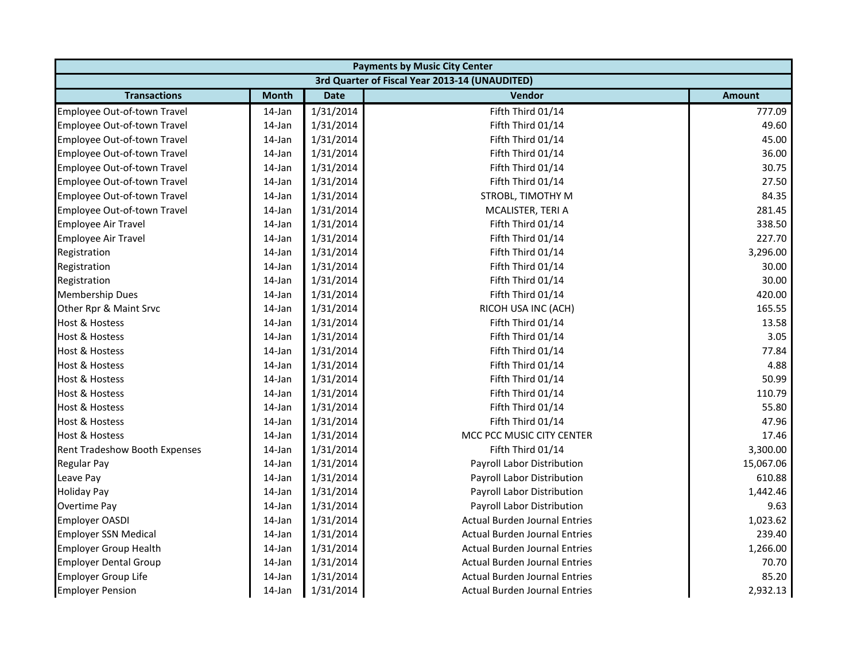| <b>Payments by Music City Center</b> |              |             |                                                |               |  |  |
|--------------------------------------|--------------|-------------|------------------------------------------------|---------------|--|--|
|                                      |              |             | 3rd Quarter of Fiscal Year 2013-14 (UNAUDITED) |               |  |  |
| <b>Transactions</b>                  | <b>Month</b> | <b>Date</b> | <b>Vendor</b>                                  | <b>Amount</b> |  |  |
| Employee Out-of-town Travel          | 14-Jan       | 1/31/2014   | Fifth Third 01/14                              | 777.09        |  |  |
| Employee Out-of-town Travel          | 14-Jan       | 1/31/2014   | Fifth Third 01/14                              | 49.60         |  |  |
| Employee Out-of-town Travel          | 14-Jan       | 1/31/2014   | Fifth Third 01/14                              | 45.00         |  |  |
| Employee Out-of-town Travel          | 14-Jan       | 1/31/2014   | Fifth Third 01/14                              | 36.00         |  |  |
| Employee Out-of-town Travel          | 14-Jan       | 1/31/2014   | Fifth Third 01/14                              | 30.75         |  |  |
| Employee Out-of-town Travel          | 14-Jan       | 1/31/2014   | Fifth Third 01/14                              | 27.50         |  |  |
| Employee Out-of-town Travel          | 14-Jan       | 1/31/2014   | STROBL, TIMOTHY M                              | 84.35         |  |  |
| Employee Out-of-town Travel          | 14-Jan       | 1/31/2014   | MCALISTER, TERI A                              | 281.45        |  |  |
| <b>Employee Air Travel</b>           | 14-Jan       | 1/31/2014   | Fifth Third 01/14                              | 338.50        |  |  |
| <b>Employee Air Travel</b>           | 14-Jan       | 1/31/2014   | Fifth Third 01/14                              | 227.70        |  |  |
| Registration                         | 14-Jan       | 1/31/2014   | Fifth Third 01/14                              | 3,296.00      |  |  |
| Registration                         | 14-Jan       | 1/31/2014   | Fifth Third 01/14                              | 30.00         |  |  |
| Registration                         | 14-Jan       | 1/31/2014   | Fifth Third 01/14                              | 30.00         |  |  |
| <b>Membership Dues</b>               | 14-Jan       | 1/31/2014   | Fifth Third 01/14                              | 420.00        |  |  |
| Other Rpr & Maint Srvc               | 14-Jan       | 1/31/2014   | RICOH USA INC (ACH)                            | 165.55        |  |  |
| <b>Host &amp; Hostess</b>            | 14-Jan       | 1/31/2014   | Fifth Third 01/14                              | 13.58         |  |  |
| <b>Host &amp; Hostess</b>            | 14-Jan       | 1/31/2014   | Fifth Third 01/14                              | 3.05          |  |  |
| <b>Host &amp; Hostess</b>            | 14-Jan       | 1/31/2014   | Fifth Third 01/14                              | 77.84         |  |  |
| <b>Host &amp; Hostess</b>            | 14-Jan       | 1/31/2014   | Fifth Third 01/14                              | 4.88          |  |  |
| <b>Host &amp; Hostess</b>            | 14-Jan       | 1/31/2014   | Fifth Third 01/14                              | 50.99         |  |  |
| <b>Host &amp; Hostess</b>            | 14-Jan       | 1/31/2014   | Fifth Third 01/14                              | 110.79        |  |  |
| <b>Host &amp; Hostess</b>            | 14-Jan       | 1/31/2014   | Fifth Third 01/14                              | 55.80         |  |  |
| <b>Host &amp; Hostess</b>            | 14-Jan       | 1/31/2014   | Fifth Third 01/14                              | 47.96         |  |  |
| <b>Host &amp; Hostess</b>            | 14-Jan       | 1/31/2014   | MCC PCC MUSIC CITY CENTER                      | 17.46         |  |  |
| Rent Tradeshow Booth Expenses        | 14-Jan       | 1/31/2014   | Fifth Third 01/14                              | 3,300.00      |  |  |
| Regular Pay                          | 14-Jan       | 1/31/2014   | Payroll Labor Distribution                     | 15,067.06     |  |  |
| Leave Pay                            | 14-Jan       | 1/31/2014   | Payroll Labor Distribution                     | 610.88        |  |  |
| <b>Holiday Pay</b>                   | 14-Jan       | 1/31/2014   | Payroll Labor Distribution                     | 1,442.46      |  |  |
| <b>Overtime Pay</b>                  | 14-Jan       | 1/31/2014   | Payroll Labor Distribution                     | 9.63          |  |  |
| <b>Employer OASDI</b>                | 14-Jan       | 1/31/2014   | <b>Actual Burden Journal Entries</b>           | 1,023.62      |  |  |
| <b>Employer SSN Medical</b>          | 14-Jan       | 1/31/2014   | <b>Actual Burden Journal Entries</b>           | 239.40        |  |  |
| <b>Employer Group Health</b>         | 14-Jan       | 1/31/2014   | <b>Actual Burden Journal Entries</b>           | 1,266.00      |  |  |
| <b>Employer Dental Group</b>         | 14-Jan       | 1/31/2014   | <b>Actual Burden Journal Entries</b>           | 70.70         |  |  |
| <b>Employer Group Life</b>           | 14-Jan       | 1/31/2014   | <b>Actual Burden Journal Entries</b>           | 85.20         |  |  |
| <b>Employer Pension</b>              | 14-Jan       | 1/31/2014   | Actual Burden Journal Entries                  | 2,932.13      |  |  |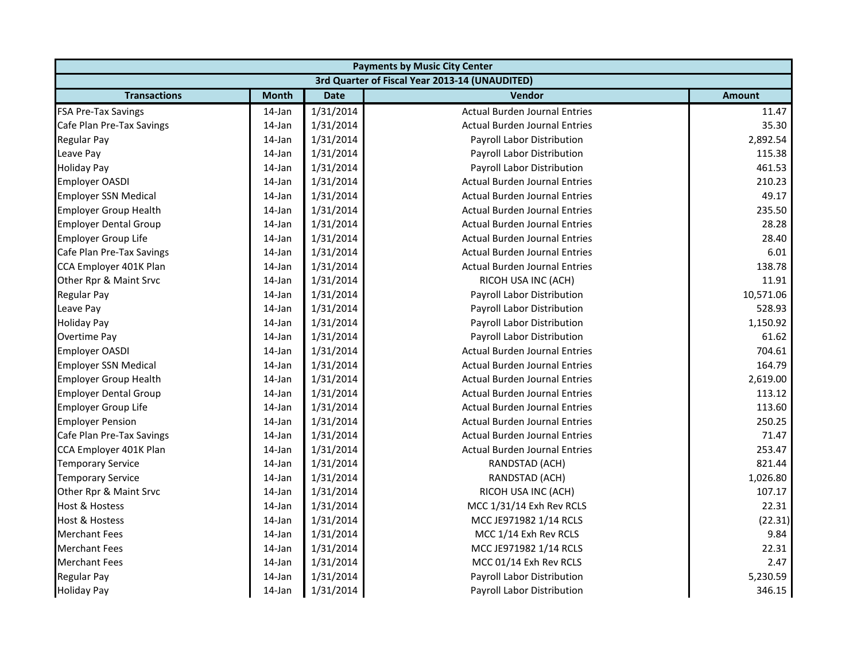| <b>Payments by Music City Center</b> |              |             |                                                |               |
|--------------------------------------|--------------|-------------|------------------------------------------------|---------------|
|                                      |              |             | 3rd Quarter of Fiscal Year 2013-14 (UNAUDITED) |               |
| <b>Transactions</b>                  | <b>Month</b> | <b>Date</b> | Vendor                                         | <b>Amount</b> |
| <b>FSA Pre-Tax Savings</b>           | 14-Jan       | 1/31/2014   | <b>Actual Burden Journal Entries</b>           | 11.47         |
| Cafe Plan Pre-Tax Savings            | 14-Jan       | 1/31/2014   | <b>Actual Burden Journal Entries</b>           | 35.30         |
| <b>Regular Pay</b>                   | 14-Jan       | 1/31/2014   | Payroll Labor Distribution                     | 2,892.54      |
| Leave Pay                            | 14-Jan       | 1/31/2014   | Payroll Labor Distribution                     | 115.38        |
| <b>Holiday Pay</b>                   | 14-Jan       | 1/31/2014   | Payroll Labor Distribution                     | 461.53        |
| <b>Employer OASDI</b>                | 14-Jan       | 1/31/2014   | <b>Actual Burden Journal Entries</b>           | 210.23        |
| <b>Employer SSN Medical</b>          | 14-Jan       | 1/31/2014   | <b>Actual Burden Journal Entries</b>           | 49.17         |
| <b>Employer Group Health</b>         | 14-Jan       | 1/31/2014   | <b>Actual Burden Journal Entries</b>           | 235.50        |
| <b>Employer Dental Group</b>         | 14-Jan       | 1/31/2014   | <b>Actual Burden Journal Entries</b>           | 28.28         |
| <b>Employer Group Life</b>           | 14-Jan       | 1/31/2014   | <b>Actual Burden Journal Entries</b>           | 28.40         |
| Cafe Plan Pre-Tax Savings            | 14-Jan       | 1/31/2014   | <b>Actual Burden Journal Entries</b>           | 6.01          |
| CCA Employer 401K Plan               | 14-Jan       | 1/31/2014   | <b>Actual Burden Journal Entries</b>           | 138.78        |
| Other Rpr & Maint Srvc               | 14-Jan       | 1/31/2014   | RICOH USA INC (ACH)                            | 11.91         |
| Regular Pay                          | 14-Jan       | 1/31/2014   | Payroll Labor Distribution                     | 10,571.06     |
| Leave Pay                            | 14-Jan       | 1/31/2014   | Payroll Labor Distribution                     | 528.93        |
| <b>Holiday Pay</b>                   | 14-Jan       | 1/31/2014   | Payroll Labor Distribution                     | 1,150.92      |
| <b>Overtime Pay</b>                  | 14-Jan       | 1/31/2014   | Payroll Labor Distribution                     | 61.62         |
| <b>Employer OASDI</b>                | 14-Jan       | 1/31/2014   | <b>Actual Burden Journal Entries</b>           | 704.61        |
| <b>Employer SSN Medical</b>          | 14-Jan       | 1/31/2014   | <b>Actual Burden Journal Entries</b>           | 164.79        |
| <b>Employer Group Health</b>         | 14-Jan       | 1/31/2014   | <b>Actual Burden Journal Entries</b>           | 2,619.00      |
| <b>Employer Dental Group</b>         | 14-Jan       | 1/31/2014   | <b>Actual Burden Journal Entries</b>           | 113.12        |
| <b>Employer Group Life</b>           | 14-Jan       | 1/31/2014   | <b>Actual Burden Journal Entries</b>           | 113.60        |
| <b>Employer Pension</b>              | 14-Jan       | 1/31/2014   | <b>Actual Burden Journal Entries</b>           | 250.25        |
| Cafe Plan Pre-Tax Savings            | 14-Jan       | 1/31/2014   | <b>Actual Burden Journal Entries</b>           | 71.47         |
| CCA Employer 401K Plan               | 14-Jan       | 1/31/2014   | <b>Actual Burden Journal Entries</b>           | 253.47        |
| <b>Temporary Service</b>             | 14-Jan       | 1/31/2014   | RANDSTAD (ACH)                                 | 821.44        |
| <b>Temporary Service</b>             | 14-Jan       | 1/31/2014   | RANDSTAD (ACH)                                 | 1,026.80      |
| Other Rpr & Maint Srvc               | 14-Jan       | 1/31/2014   | RICOH USA INC (ACH)                            | 107.17        |
| <b>Host &amp; Hostess</b>            | 14-Jan       | 1/31/2014   | MCC 1/31/14 Exh Rev RCLS                       | 22.31         |
| <b>Host &amp; Hostess</b>            | 14-Jan       | 1/31/2014   | MCC JE971982 1/14 RCLS                         | (22.31)       |
| <b>Merchant Fees</b>                 | 14-Jan       | 1/31/2014   | MCC 1/14 Exh Rev RCLS                          | 9.84          |
| <b>Merchant Fees</b>                 | 14-Jan       | 1/31/2014   | MCC JE971982 1/14 RCLS                         | 22.31         |
| <b>Merchant Fees</b>                 | $14$ -Jan    | 1/31/2014   | MCC 01/14 Exh Rev RCLS                         | 2.47          |
| <b>Regular Pay</b>                   | 14-Jan       | 1/31/2014   | Payroll Labor Distribution                     | 5,230.59      |
| <b>Holiday Pay</b>                   | 14-Jan       | 1/31/2014   | Payroll Labor Distribution                     | 346.15        |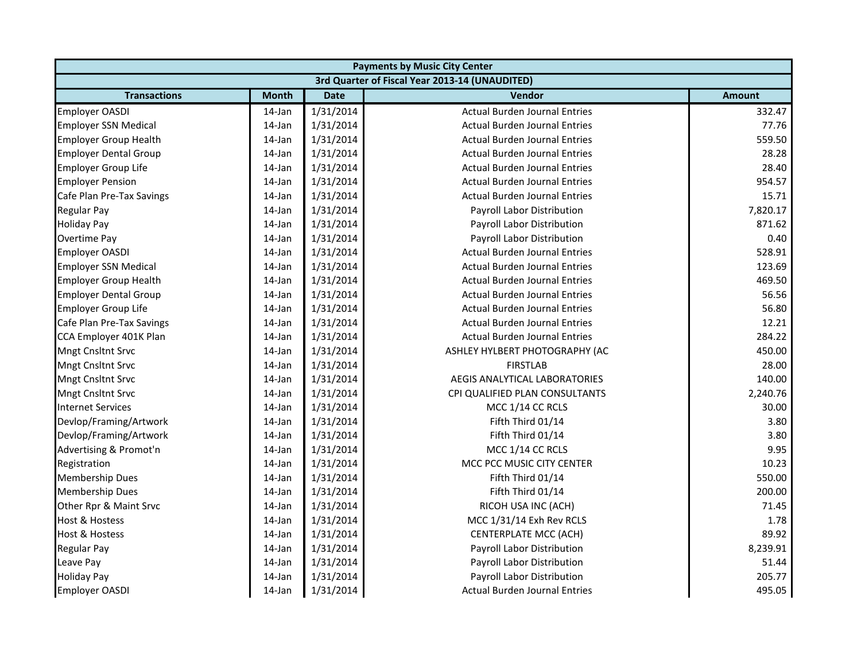| <b>Payments by Music City Center</b> |              |             |                                                |               |  |
|--------------------------------------|--------------|-------------|------------------------------------------------|---------------|--|
|                                      |              |             | 3rd Quarter of Fiscal Year 2013-14 (UNAUDITED) |               |  |
| <b>Transactions</b>                  | <b>Month</b> | <b>Date</b> | Vendor                                         | <b>Amount</b> |  |
| <b>Employer OASDI</b>                | 14-Jan       | 1/31/2014   | <b>Actual Burden Journal Entries</b>           | 332.47        |  |
| <b>Employer SSN Medical</b>          | 14-Jan       | 1/31/2014   | <b>Actual Burden Journal Entries</b>           | 77.76         |  |
| <b>Employer Group Health</b>         | 14-Jan       | 1/31/2014   | <b>Actual Burden Journal Entries</b>           | 559.50        |  |
| <b>Employer Dental Group</b>         | 14-Jan       | 1/31/2014   | <b>Actual Burden Journal Entries</b>           | 28.28         |  |
| <b>Employer Group Life</b>           | 14-Jan       | 1/31/2014   | <b>Actual Burden Journal Entries</b>           | 28.40         |  |
| <b>Employer Pension</b>              | 14-Jan       | 1/31/2014   | <b>Actual Burden Journal Entries</b>           | 954.57        |  |
| Cafe Plan Pre-Tax Savings            | 14-Jan       | 1/31/2014   | <b>Actual Burden Journal Entries</b>           | 15.71         |  |
| <b>Regular Pay</b>                   | 14-Jan       | 1/31/2014   | <b>Payroll Labor Distribution</b>              | 7,820.17      |  |
| <b>Holiday Pay</b>                   | 14-Jan       | 1/31/2014   | Payroll Labor Distribution                     | 871.62        |  |
| <b>Overtime Pay</b>                  | 14-Jan       | 1/31/2014   | Payroll Labor Distribution                     | 0.40          |  |
| <b>Employer OASDI</b>                | 14-Jan       | 1/31/2014   | <b>Actual Burden Journal Entries</b>           | 528.91        |  |
| <b>Employer SSN Medical</b>          | 14-Jan       | 1/31/2014   | <b>Actual Burden Journal Entries</b>           | 123.69        |  |
| <b>Employer Group Health</b>         | 14-Jan       | 1/31/2014   | <b>Actual Burden Journal Entries</b>           | 469.50        |  |
| <b>Employer Dental Group</b>         | 14-Jan       | 1/31/2014   | <b>Actual Burden Journal Entries</b>           | 56.56         |  |
| <b>Employer Group Life</b>           | 14-Jan       | 1/31/2014   | <b>Actual Burden Journal Entries</b>           | 56.80         |  |
| Cafe Plan Pre-Tax Savings            | 14-Jan       | 1/31/2014   | <b>Actual Burden Journal Entries</b>           | 12.21         |  |
| CCA Employer 401K Plan               | 14-Jan       | 1/31/2014   | <b>Actual Burden Journal Entries</b>           | 284.22        |  |
| Mngt Cnsltnt Srvc                    | 14-Jan       | 1/31/2014   | ASHLEY HYLBERT PHOTOGRAPHY (AC                 | 450.00        |  |
| <b>Mngt Cnsltnt Srvc</b>             | 14-Jan       | 1/31/2014   | <b>FIRSTLAB</b>                                | 28.00         |  |
| Mngt Cnsltnt Srvc                    | $14$ -Jan    | 1/31/2014   | AEGIS ANALYTICAL LABORATORIES                  | 140.00        |  |
| <b>Mngt Cnsltnt Srvc</b>             | 14-Jan       | 1/31/2014   | CPI QUALIFIED PLAN CONSULTANTS                 | 2,240.76      |  |
| <b>Internet Services</b>             | 14-Jan       | 1/31/2014   | MCC 1/14 CC RCLS                               | 30.00         |  |
| Devlop/Framing/Artwork               | 14-Jan       | 1/31/2014   | Fifth Third 01/14                              | 3.80          |  |
| Devlop/Framing/Artwork               | $14$ -Jan    | 1/31/2014   | Fifth Third 01/14                              | 3.80          |  |
| Advertising & Promot'n               | 14-Jan       | 1/31/2014   | MCC 1/14 CC RCLS                               | 9.95          |  |
| Registration                         | 14-Jan       | 1/31/2014   | MCC PCC MUSIC CITY CENTER                      | 10.23         |  |
| <b>Membership Dues</b>               | 14-Jan       | 1/31/2014   | Fifth Third 01/14                              | 550.00        |  |
| <b>Membership Dues</b>               | 14-Jan       | 1/31/2014   | Fifth Third 01/14                              | 200.00        |  |
| Other Rpr & Maint Srvc               | 14-Jan       | 1/31/2014   | RICOH USA INC (ACH)                            | 71.45         |  |
| <b>Host &amp; Hostess</b>            | 14-Jan       | 1/31/2014   | MCC 1/31/14 Exh Rev RCLS                       | 1.78          |  |
| <b>Host &amp; Hostess</b>            | 14-Jan       | 1/31/2014   | <b>CENTERPLATE MCC (ACH)</b>                   | 89.92         |  |
| <b>Regular Pay</b>                   | 14-Jan       | 1/31/2014   | Payroll Labor Distribution                     | 8,239.91      |  |
| Leave Pay                            | $14$ -Jan    | 1/31/2014   | Payroll Labor Distribution                     | 51.44         |  |
| <b>Holiday Pay</b>                   | 14-Jan       | 1/31/2014   | Payroll Labor Distribution                     | 205.77        |  |
| <b>Employer OASDI</b>                | 14-Jan       | 1/31/2014   | <b>Actual Burden Journal Entries</b>           | 495.05        |  |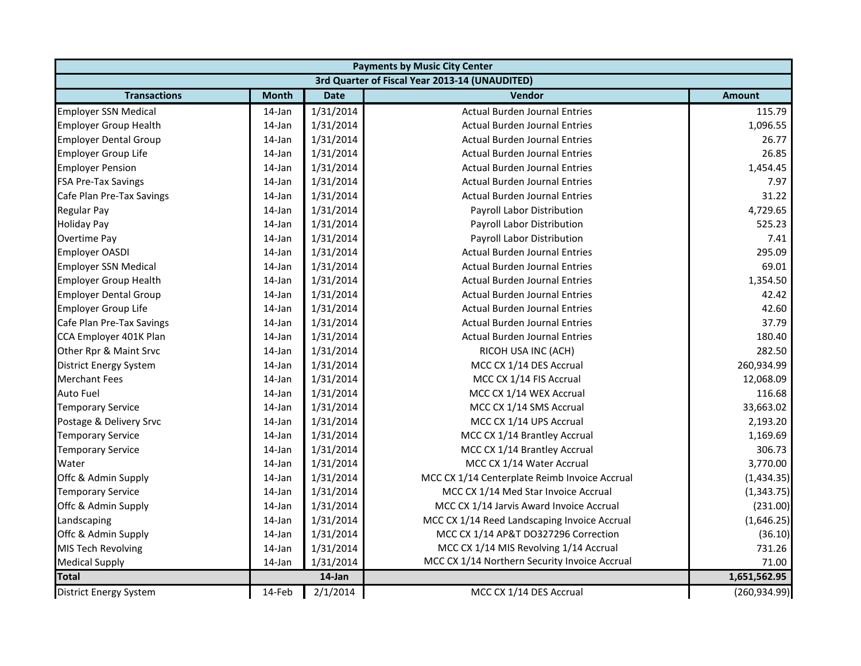|                               | <b>Payments by Music City Center</b> |             |                                                |               |  |  |
|-------------------------------|--------------------------------------|-------------|------------------------------------------------|---------------|--|--|
|                               |                                      |             | 3rd Quarter of Fiscal Year 2013-14 (UNAUDITED) |               |  |  |
| <b>Transactions</b>           | <b>Month</b>                         | <b>Date</b> | Vendor                                         | <b>Amount</b> |  |  |
| <b>Employer SSN Medical</b>   | 14-Jan                               | 1/31/2014   | <b>Actual Burden Journal Entries</b>           | 115.79        |  |  |
| <b>Employer Group Health</b>  | 14-Jan                               | 1/31/2014   | <b>Actual Burden Journal Entries</b>           | 1,096.55      |  |  |
| <b>Employer Dental Group</b>  | 14-Jan                               | 1/31/2014   | <b>Actual Burden Journal Entries</b>           | 26.77         |  |  |
| <b>Employer Group Life</b>    | 14-Jan                               | 1/31/2014   | <b>Actual Burden Journal Entries</b>           | 26.85         |  |  |
| <b>Employer Pension</b>       | $14$ -Jan                            | 1/31/2014   | <b>Actual Burden Journal Entries</b>           | 1,454.45      |  |  |
| <b>FSA Pre-Tax Savings</b>    | $14$ -Jan                            | 1/31/2014   | <b>Actual Burden Journal Entries</b>           | 7.97          |  |  |
| Cafe Plan Pre-Tax Savings     | 14-Jan                               | 1/31/2014   | <b>Actual Burden Journal Entries</b>           | 31.22         |  |  |
| <b>Regular Pay</b>            | 14-Jan                               | 1/31/2014   | Payroll Labor Distribution                     | 4,729.65      |  |  |
| <b>Holiday Pay</b>            | $14$ -Jan                            | 1/31/2014   | Payroll Labor Distribution                     | 525.23        |  |  |
| Overtime Pay                  | 14-Jan                               | 1/31/2014   | Payroll Labor Distribution                     | 7.41          |  |  |
| <b>Employer OASDI</b>         | 14-Jan                               | 1/31/2014   | Actual Burden Journal Entries                  | 295.09        |  |  |
| <b>Employer SSN Medical</b>   | 14-Jan                               | 1/31/2014   | <b>Actual Burden Journal Entries</b>           | 69.01         |  |  |
| <b>Employer Group Health</b>  | $14$ -Jan                            | 1/31/2014   | <b>Actual Burden Journal Entries</b>           | 1,354.50      |  |  |
| <b>Employer Dental Group</b>  | 14-Jan                               | 1/31/2014   | <b>Actual Burden Journal Entries</b>           | 42.42         |  |  |
| Employer Group Life           | 14-Jan                               | 1/31/2014   | <b>Actual Burden Journal Entries</b>           | 42.60         |  |  |
| Cafe Plan Pre-Tax Savings     | 14-Jan                               | 1/31/2014   | <b>Actual Burden Journal Entries</b>           | 37.79         |  |  |
| CCA Employer 401K Plan        | 14-Jan                               | 1/31/2014   | <b>Actual Burden Journal Entries</b>           | 180.40        |  |  |
| Other Rpr & Maint Srvc        | 14-Jan                               | 1/31/2014   | RICOH USA INC (ACH)                            | 282.50        |  |  |
| <b>District Energy System</b> | 14-Jan                               | 1/31/2014   | MCC CX 1/14 DES Accrual                        | 260,934.99    |  |  |
| <b>Merchant Fees</b>          | 14-Jan                               | 1/31/2014   | MCC CX 1/14 FIS Accrual                        | 12,068.09     |  |  |
| Auto Fuel                     | 14-Jan                               | 1/31/2014   | MCC CX 1/14 WEX Accrual                        | 116.68        |  |  |
| <b>Temporary Service</b>      | 14-Jan                               | 1/31/2014   | MCC CX 1/14 SMS Accrual                        | 33,663.02     |  |  |
| Postage & Delivery Srvc       | 14-Jan                               | 1/31/2014   | MCC CX 1/14 UPS Accrual                        | 2,193.20      |  |  |
| <b>Temporary Service</b>      | 14-Jan                               | 1/31/2014   | MCC CX 1/14 Brantley Accrual                   | 1,169.69      |  |  |
| <b>Temporary Service</b>      | 14-Jan                               | 1/31/2014   | MCC CX 1/14 Brantley Accrual                   | 306.73        |  |  |
| Water                         | $14$ -Jan                            | 1/31/2014   | MCC CX 1/14 Water Accrual                      | 3,770.00      |  |  |
| Offc & Admin Supply           | 14-Jan                               | 1/31/2014   | MCC CX 1/14 Centerplate Reimb Invoice Accrual  | (1,434.35)    |  |  |
| <b>Temporary Service</b>      | 14-Jan                               | 1/31/2014   | MCC CX 1/14 Med Star Invoice Accrual           | (1, 343.75)   |  |  |
| Offc & Admin Supply           | 14-Jan                               | 1/31/2014   | MCC CX 1/14 Jarvis Award Invoice Accrual       | (231.00)      |  |  |
| Landscaping                   | 14-Jan                               | 1/31/2014   | MCC CX 1/14 Reed Landscaping Invoice Accrual   | (1,646.25)    |  |  |
| Offc & Admin Supply           | 14-Jan                               | 1/31/2014   | MCC CX 1/14 AP&T DO327296 Correction           | (36.10)       |  |  |
| MIS Tech Revolving            | 14-Jan                               | 1/31/2014   | MCC CX 1/14 MIS Revolving 1/14 Accrual         | 731.26        |  |  |
| <b>Medical Supply</b>         | 14-Jan                               | 1/31/2014   | MCC CX 1/14 Northern Security Invoice Accrual  | 71.00         |  |  |
| <b>Total</b>                  |                                      | 14-Jan      |                                                | 1,651,562.95  |  |  |
| <b>District Energy System</b> | 14-Feb                               | 2/1/2014    | MCC CX 1/14 DES Accrual                        | (260, 934.99) |  |  |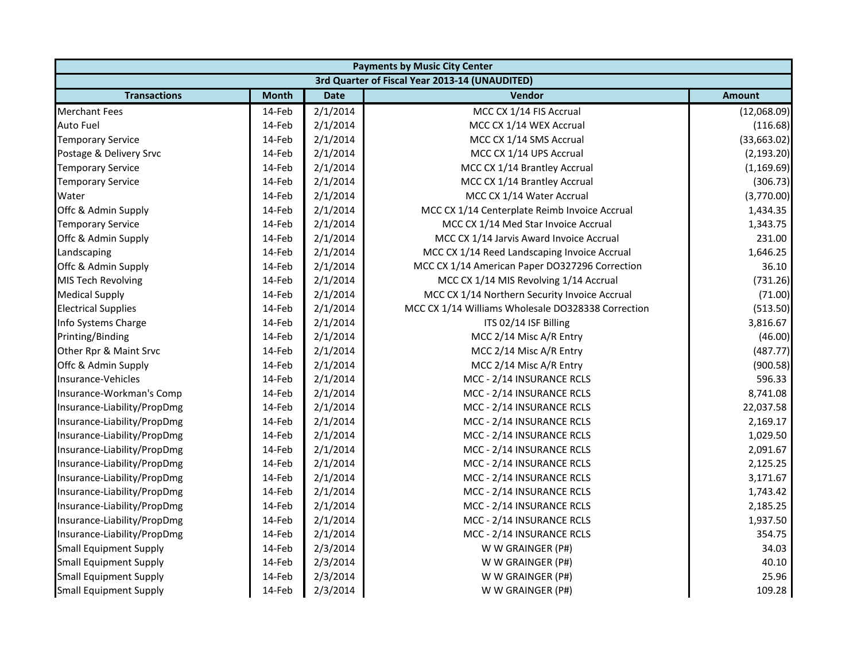|                               | <b>Payments by Music City Center</b> |             |                                                    |               |  |  |
|-------------------------------|--------------------------------------|-------------|----------------------------------------------------|---------------|--|--|
|                               |                                      |             | 3rd Quarter of Fiscal Year 2013-14 (UNAUDITED)     |               |  |  |
| <b>Transactions</b>           | <b>Month</b>                         | <b>Date</b> | <b>Vendor</b>                                      | <b>Amount</b> |  |  |
| <b>Merchant Fees</b>          | 14-Feb                               | 2/1/2014    | MCC CX 1/14 FIS Accrual                            | (12,068.09)   |  |  |
| <b>Auto Fuel</b>              | 14-Feb                               | 2/1/2014    | MCC CX 1/14 WEX Accrual                            | (116.68)      |  |  |
| <b>Temporary Service</b>      | 14-Feb                               | 2/1/2014    | MCC CX 1/14 SMS Accrual                            | (33,663.02)   |  |  |
| Postage & Delivery Srvc       | 14-Feb                               | 2/1/2014    | MCC CX 1/14 UPS Accrual                            | (2, 193.20)   |  |  |
| <b>Temporary Service</b>      | 14-Feb                               | 2/1/2014    | MCC CX 1/14 Brantley Accrual                       | (1, 169.69)   |  |  |
| <b>Temporary Service</b>      | 14-Feb                               | 2/1/2014    | MCC CX 1/14 Brantley Accrual                       | (306.73)      |  |  |
| Water                         | 14-Feb                               | 2/1/2014    | MCC CX 1/14 Water Accrual                          | (3,770.00)    |  |  |
| Offc & Admin Supply           | 14-Feb                               | 2/1/2014    | MCC CX 1/14 Centerplate Reimb Invoice Accrual      | 1,434.35      |  |  |
| <b>Temporary Service</b>      | 14-Feb                               | 2/1/2014    | MCC CX 1/14 Med Star Invoice Accrual               | 1,343.75      |  |  |
| Offc & Admin Supply           | 14-Feb                               | 2/1/2014    | MCC CX 1/14 Jarvis Award Invoice Accrual           | 231.00        |  |  |
| Landscaping                   | 14-Feb                               | 2/1/2014    | MCC CX 1/14 Reed Landscaping Invoice Accrual       | 1,646.25      |  |  |
| Offc & Admin Supply           | 14-Feb                               | 2/1/2014    | MCC CX 1/14 American Paper DO327296 Correction     | 36.10         |  |  |
| MIS Tech Revolving            | 14-Feb                               | 2/1/2014    | MCC CX 1/14 MIS Revolving 1/14 Accrual             | (731.26)      |  |  |
| <b>Medical Supply</b>         | 14-Feb                               | 2/1/2014    | MCC CX 1/14 Northern Security Invoice Accrual      | (71.00)       |  |  |
| <b>Electrical Supplies</b>    | 14-Feb                               | 2/1/2014    | MCC CX 1/14 Williams Wholesale DO328338 Correction | (513.50)      |  |  |
| Info Systems Charge           | 14-Feb                               | 2/1/2014    | ITS 02/14 ISF Billing                              | 3,816.67      |  |  |
| Printing/Binding              | 14-Feb                               | 2/1/2014    | MCC 2/14 Misc A/R Entry                            | (46.00)       |  |  |
| Other Rpr & Maint Srvc        | 14-Feb                               | 2/1/2014    | MCC 2/14 Misc A/R Entry                            | (487.77)      |  |  |
| Offc & Admin Supply           | 14-Feb                               | 2/1/2014    | MCC 2/14 Misc A/R Entry                            | (900.58)      |  |  |
| Insurance-Vehicles            | 14-Feb                               | 2/1/2014    | MCC - 2/14 INSURANCE RCLS                          | 596.33        |  |  |
| Insurance-Workman's Comp      | 14-Feb                               | 2/1/2014    | MCC - 2/14 INSURANCE RCLS                          | 8,741.08      |  |  |
| Insurance-Liability/PropDmg   | 14-Feb                               | 2/1/2014    | MCC - 2/14 INSURANCE RCLS                          | 22,037.58     |  |  |
| Insurance-Liability/PropDmg   | 14-Feb                               | 2/1/2014    | MCC - 2/14 INSURANCE RCLS                          | 2,169.17      |  |  |
| Insurance-Liability/PropDmg   | 14-Feb                               | 2/1/2014    | MCC - 2/14 INSURANCE RCLS                          | 1,029.50      |  |  |
| Insurance-Liability/PropDmg   | 14-Feb                               | 2/1/2014    | MCC - 2/14 INSURANCE RCLS                          | 2,091.67      |  |  |
| Insurance-Liability/PropDmg   | 14-Feb                               | 2/1/2014    | MCC - 2/14 INSURANCE RCLS                          | 2,125.25      |  |  |
| Insurance-Liability/PropDmg   | 14-Feb                               | 2/1/2014    | MCC - 2/14 INSURANCE RCLS                          | 3,171.67      |  |  |
| Insurance-Liability/PropDmg   | 14-Feb                               | 2/1/2014    | MCC - 2/14 INSURANCE RCLS                          | 1,743.42      |  |  |
| Insurance-Liability/PropDmg   | 14-Feb                               | 2/1/2014    | MCC - 2/14 INSURANCE RCLS                          | 2,185.25      |  |  |
| Insurance-Liability/PropDmg   | 14-Feb                               | 2/1/2014    | MCC - 2/14 INSURANCE RCLS                          | 1,937.50      |  |  |
| Insurance-Liability/PropDmg   | 14-Feb                               | 2/1/2014    | MCC - 2/14 INSURANCE RCLS                          | 354.75        |  |  |
| <b>Small Equipment Supply</b> | 14-Feb                               | 2/3/2014    | W W GRAINGER (P#)                                  | 34.03         |  |  |
| <b>Small Equipment Supply</b> | 14-Feb                               | 2/3/2014    | W W GRAINGER (P#)                                  | 40.10         |  |  |
| <b>Small Equipment Supply</b> | 14-Feb                               | 2/3/2014    | W W GRAINGER (P#)                                  | 25.96         |  |  |
| <b>Small Equipment Supply</b> | 14-Feb                               | 2/3/2014    | W W GRAINGER (P#)                                  | 109.28        |  |  |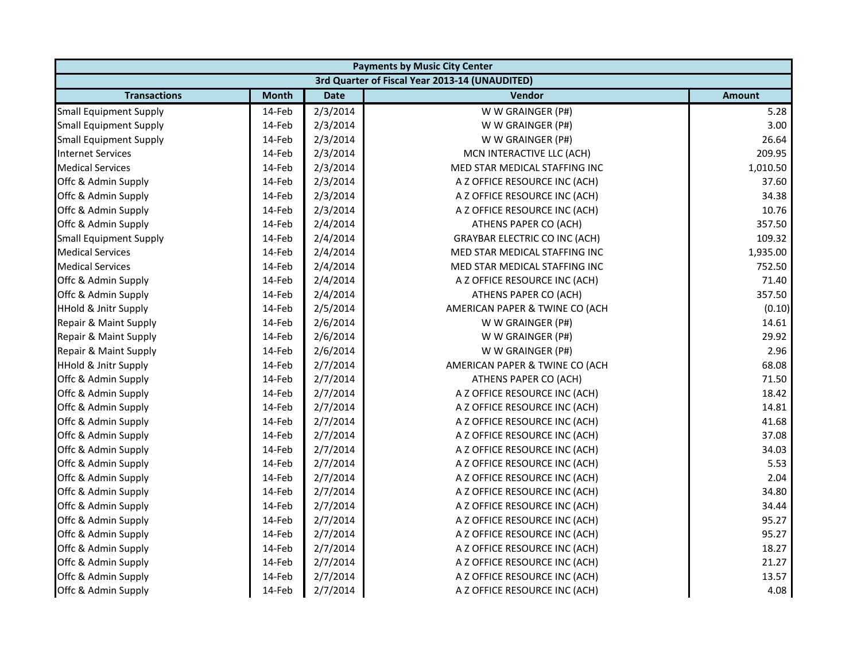|                                 | <b>Payments by Music City Center</b> |             |                                                |               |  |  |
|---------------------------------|--------------------------------------|-------------|------------------------------------------------|---------------|--|--|
|                                 |                                      |             | 3rd Quarter of Fiscal Year 2013-14 (UNAUDITED) |               |  |  |
| <b>Transactions</b>             | <b>Month</b>                         | <b>Date</b> | Vendor                                         | <b>Amount</b> |  |  |
| <b>Small Equipment Supply</b>   | 14-Feb                               | 2/3/2014    | W W GRAINGER (P#)                              | 5.28          |  |  |
| <b>Small Equipment Supply</b>   | 14-Feb                               | 2/3/2014    | W W GRAINGER (P#)                              | 3.00          |  |  |
| <b>Small Equipment Supply</b>   | 14-Feb                               | 2/3/2014    | W W GRAINGER (P#)                              | 26.64         |  |  |
| <b>Internet Services</b>        | 14-Feb                               | 2/3/2014    | MCN INTERACTIVE LLC (ACH)                      | 209.95        |  |  |
| <b>Medical Services</b>         | 14-Feb                               | 2/3/2014    | MED STAR MEDICAL STAFFING INC                  | 1,010.50      |  |  |
| Offc & Admin Supply             | 14-Feb                               | 2/3/2014    | A Z OFFICE RESOURCE INC (ACH)                  | 37.60         |  |  |
| Offc & Admin Supply             | 14-Feb                               | 2/3/2014    | A Z OFFICE RESOURCE INC (ACH)                  | 34.38         |  |  |
| Offc & Admin Supply             | 14-Feb                               | 2/3/2014    | A Z OFFICE RESOURCE INC (ACH)                  | 10.76         |  |  |
| Offc & Admin Supply             | 14-Feb                               | 2/4/2014    | ATHENS PAPER CO (ACH)                          | 357.50        |  |  |
| <b>Small Equipment Supply</b>   | 14-Feb                               | 2/4/2014    | <b>GRAYBAR ELECTRIC CO INC (ACH)</b>           | 109.32        |  |  |
| <b>Medical Services</b>         | 14-Feb                               | 2/4/2014    | MED STAR MEDICAL STAFFING INC                  | 1,935.00      |  |  |
| <b>Medical Services</b>         | 14-Feb                               | 2/4/2014    | MED STAR MEDICAL STAFFING INC                  | 752.50        |  |  |
| Offc & Admin Supply             | 14-Feb                               | 2/4/2014    | A Z OFFICE RESOURCE INC (ACH)                  | 71.40         |  |  |
| Offc & Admin Supply             | 14-Feb                               | 2/4/2014    | ATHENS PAPER CO (ACH)                          | 357.50        |  |  |
| <b>HHold &amp; Jnitr Supply</b> | 14-Feb                               | 2/5/2014    | AMERICAN PAPER & TWINE CO (ACH                 | (0.10)        |  |  |
| Repair & Maint Supply           | 14-Feb                               | 2/6/2014    | W W GRAINGER (P#)                              | 14.61         |  |  |
| Repair & Maint Supply           | 14-Feb                               | 2/6/2014    | W W GRAINGER (P#)                              | 29.92         |  |  |
| Repair & Maint Supply           | 14-Feb                               | 2/6/2014    | W W GRAINGER (P#)                              | 2.96          |  |  |
| <b>HHold &amp; Jnitr Supply</b> | 14-Feb                               | 2/7/2014    | AMERICAN PAPER & TWINE CO (ACH                 | 68.08         |  |  |
| Offc & Admin Supply             | 14-Feb                               | 2/7/2014    | ATHENS PAPER CO (ACH)                          | 71.50         |  |  |
| Offc & Admin Supply             | 14-Feb                               | 2/7/2014    | A Z OFFICE RESOURCE INC (ACH)                  | 18.42         |  |  |
| Offc & Admin Supply             | 14-Feb                               | 2/7/2014    | A Z OFFICE RESOURCE INC (ACH)                  | 14.81         |  |  |
| Offc & Admin Supply             | 14-Feb                               | 2/7/2014    | A Z OFFICE RESOURCE INC (ACH)                  | 41.68         |  |  |
| Offc & Admin Supply             | 14-Feb                               | 2/7/2014    | A Z OFFICE RESOURCE INC (ACH)                  | 37.08         |  |  |
| Offc & Admin Supply             | 14-Feb                               | 2/7/2014    | A Z OFFICE RESOURCE INC (ACH)                  | 34.03         |  |  |
| Offc & Admin Supply             | 14-Feb                               | 2/7/2014    | A Z OFFICE RESOURCE INC (ACH)                  | 5.53          |  |  |
| Offc & Admin Supply             | 14-Feb                               | 2/7/2014    | A Z OFFICE RESOURCE INC (ACH)                  | 2.04          |  |  |
| Offc & Admin Supply             | 14-Feb                               | 2/7/2014    | A Z OFFICE RESOURCE INC (ACH)                  | 34.80         |  |  |
| Offc & Admin Supply             | 14-Feb                               | 2/7/2014    | A Z OFFICE RESOURCE INC (ACH)                  | 34.44         |  |  |
| Offc & Admin Supply             | 14-Feb                               | 2/7/2014    | A Z OFFICE RESOURCE INC (ACH)                  | 95.27         |  |  |
| Offc & Admin Supply             | 14-Feb                               | 2/7/2014    | A Z OFFICE RESOURCE INC (ACH)                  | 95.27         |  |  |
| Offc & Admin Supply             | 14-Feb                               | 2/7/2014    | A Z OFFICE RESOURCE INC (ACH)                  | 18.27         |  |  |
| Offc & Admin Supply             | 14-Feb                               | 2/7/2014    | A Z OFFICE RESOURCE INC (ACH)                  | 21.27         |  |  |
| Offc & Admin Supply             | 14-Feb                               | 2/7/2014    | A Z OFFICE RESOURCE INC (ACH)                  | 13.57         |  |  |
| Offc & Admin Supply             | 14-Feb                               | 2/7/2014    | A Z OFFICE RESOURCE INC (ACH)                  | 4.08          |  |  |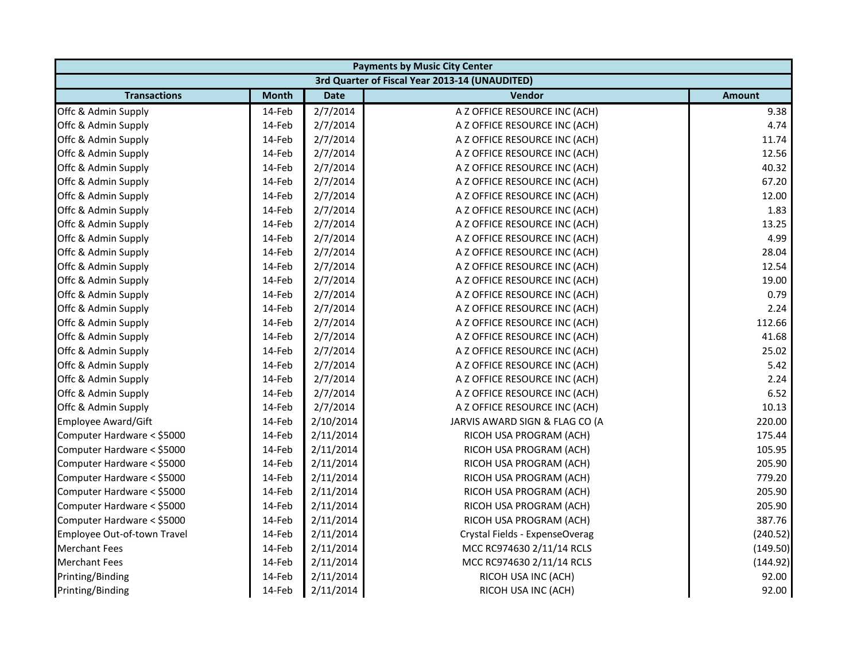|                             | <b>Payments by Music City Center</b> |             |                                                |               |  |  |
|-----------------------------|--------------------------------------|-------------|------------------------------------------------|---------------|--|--|
|                             |                                      |             | 3rd Quarter of Fiscal Year 2013-14 (UNAUDITED) |               |  |  |
| <b>Transactions</b>         | <b>Month</b>                         | <b>Date</b> | <b>Vendor</b>                                  | <b>Amount</b> |  |  |
| Offc & Admin Supply         | 14-Feb                               | 2/7/2014    | A Z OFFICE RESOURCE INC (ACH)                  | 9.38          |  |  |
| Offc & Admin Supply         | 14-Feb                               | 2/7/2014    | A Z OFFICE RESOURCE INC (ACH)                  | 4.74          |  |  |
| Offc & Admin Supply         | 14-Feb                               | 2/7/2014    | A Z OFFICE RESOURCE INC (ACH)                  | 11.74         |  |  |
| Offc & Admin Supply         | 14-Feb                               | 2/7/2014    | A Z OFFICE RESOURCE INC (ACH)                  | 12.56         |  |  |
| Offc & Admin Supply         | 14-Feb                               | 2/7/2014    | A Z OFFICE RESOURCE INC (ACH)                  | 40.32         |  |  |
| Offc & Admin Supply         | 14-Feb                               | 2/7/2014    | A Z OFFICE RESOURCE INC (ACH)                  | 67.20         |  |  |
| Offc & Admin Supply         | 14-Feb                               | 2/7/2014    | A Z OFFICE RESOURCE INC (ACH)                  | 12.00         |  |  |
| Offc & Admin Supply         | 14-Feb                               | 2/7/2014    | A Z OFFICE RESOURCE INC (ACH)                  | 1.83          |  |  |
| Offc & Admin Supply         | 14-Feb                               | 2/7/2014    | A Z OFFICE RESOURCE INC (ACH)                  | 13.25         |  |  |
| Offc & Admin Supply         | 14-Feb                               | 2/7/2014    | A Z OFFICE RESOURCE INC (ACH)                  | 4.99          |  |  |
| Offc & Admin Supply         | 14-Feb                               | 2/7/2014    | A Z OFFICE RESOURCE INC (ACH)                  | 28.04         |  |  |
| Offc & Admin Supply         | 14-Feb                               | 2/7/2014    | A Z OFFICE RESOURCE INC (ACH)                  | 12.54         |  |  |
| Offc & Admin Supply         | 14-Feb                               | 2/7/2014    | A Z OFFICE RESOURCE INC (ACH)                  | 19.00         |  |  |
| Offc & Admin Supply         | 14-Feb                               | 2/7/2014    | A Z OFFICE RESOURCE INC (ACH)                  | 0.79          |  |  |
| Offc & Admin Supply         | 14-Feb                               | 2/7/2014    | A Z OFFICE RESOURCE INC (ACH)                  | 2.24          |  |  |
| Offc & Admin Supply         | 14-Feb                               | 2/7/2014    | A Z OFFICE RESOURCE INC (ACH)                  | 112.66        |  |  |
| Offc & Admin Supply         | 14-Feb                               | 2/7/2014    | A Z OFFICE RESOURCE INC (ACH)                  | 41.68         |  |  |
| Offc & Admin Supply         | 14-Feb                               | 2/7/2014    | A Z OFFICE RESOURCE INC (ACH)                  | 25.02         |  |  |
| Offc & Admin Supply         | 14-Feb                               | 2/7/2014    | A Z OFFICE RESOURCE INC (ACH)                  | 5.42          |  |  |
| Offc & Admin Supply         | 14-Feb                               | 2/7/2014    | A Z OFFICE RESOURCE INC (ACH)                  | 2.24          |  |  |
| Offc & Admin Supply         | 14-Feb                               | 2/7/2014    | A Z OFFICE RESOURCE INC (ACH)                  | 6.52          |  |  |
| Offc & Admin Supply         | 14-Feb                               | 2/7/2014    | A Z OFFICE RESOURCE INC (ACH)                  | 10.13         |  |  |
| <b>Employee Award/Gift</b>  | 14-Feb                               | 2/10/2014   | JARVIS AWARD SIGN & FLAG CO (A                 | 220.00        |  |  |
| Computer Hardware < \$5000  | 14-Feb                               | 2/11/2014   | RICOH USA PROGRAM (ACH)                        | 175.44        |  |  |
| Computer Hardware < \$5000  | 14-Feb                               | 2/11/2014   | RICOH USA PROGRAM (ACH)                        | 105.95        |  |  |
| Computer Hardware < \$5000  | 14-Feb                               | 2/11/2014   | RICOH USA PROGRAM (ACH)                        | 205.90        |  |  |
| Computer Hardware < \$5000  | 14-Feb                               | 2/11/2014   | RICOH USA PROGRAM (ACH)                        | 779.20        |  |  |
| Computer Hardware < \$5000  | 14-Feb                               | 2/11/2014   | RICOH USA PROGRAM (ACH)                        | 205.90        |  |  |
| Computer Hardware < \$5000  | 14-Feb                               | 2/11/2014   | RICOH USA PROGRAM (ACH)                        | 205.90        |  |  |
| Computer Hardware < \$5000  | 14-Feb                               | 2/11/2014   | RICOH USA PROGRAM (ACH)                        | 387.76        |  |  |
| Employee Out-of-town Travel | 14-Feb                               | 2/11/2014   | Crystal Fields - ExpenseOverag                 | (240.52)      |  |  |
| <b>Merchant Fees</b>        | 14-Feb                               | 2/11/2014   | MCC RC974630 2/11/14 RCLS                      | (149.50)      |  |  |
| <b>Merchant Fees</b>        | 14-Feb                               | 2/11/2014   | MCC RC974630 2/11/14 RCLS                      | (144.92)      |  |  |
| Printing/Binding            | 14-Feb                               | 2/11/2014   | RICOH USA INC (ACH)                            | 92.00         |  |  |
| Printing/Binding            | 14-Feb                               | 2/11/2014   | RICOH USA INC (ACH)                            | 92.00         |  |  |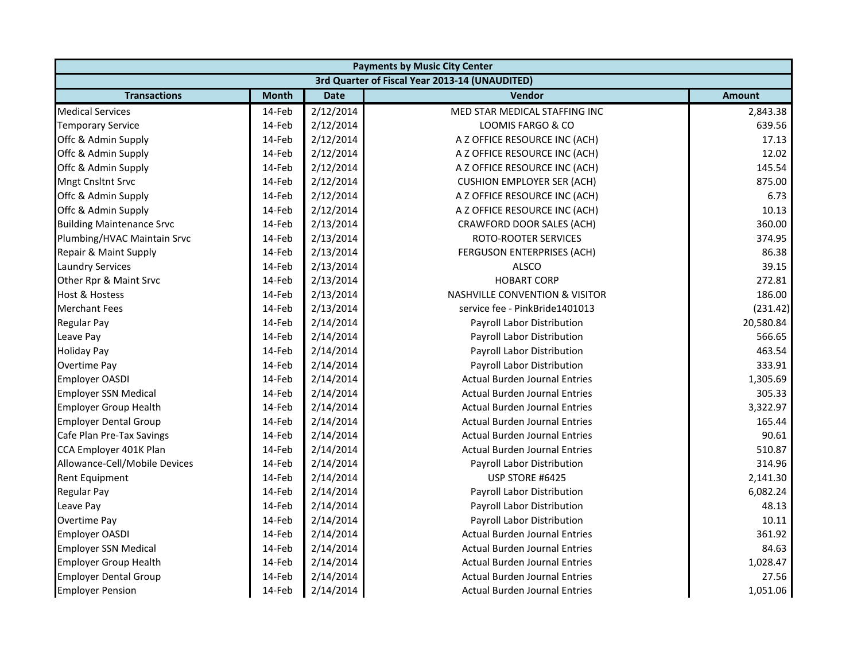|                                  | <b>Payments by Music City Center</b> |             |                                                |               |  |  |
|----------------------------------|--------------------------------------|-------------|------------------------------------------------|---------------|--|--|
|                                  |                                      |             | 3rd Quarter of Fiscal Year 2013-14 (UNAUDITED) |               |  |  |
| <b>Transactions</b>              | <b>Month</b>                         | <b>Date</b> | Vendor                                         | <b>Amount</b> |  |  |
| <b>Medical Services</b>          | 14-Feb                               | 2/12/2014   | MED STAR MEDICAL STAFFING INC                  | 2,843.38      |  |  |
| <b>Temporary Service</b>         | 14-Feb                               | 2/12/2014   | LOOMIS FARGO & CO                              | 639.56        |  |  |
| Offc & Admin Supply              | 14-Feb                               | 2/12/2014   | A Z OFFICE RESOURCE INC (ACH)                  | 17.13         |  |  |
| Offc & Admin Supply              | 14-Feb                               | 2/12/2014   | A Z OFFICE RESOURCE INC (ACH)                  | 12.02         |  |  |
| Offc & Admin Supply              | 14-Feb                               | 2/12/2014   | A Z OFFICE RESOURCE INC (ACH)                  | 145.54        |  |  |
| Mngt Cnsltnt Srvc                | 14-Feb                               | 2/12/2014   | <b>CUSHION EMPLOYER SER (ACH)</b>              | 875.00        |  |  |
| Offc & Admin Supply              | 14-Feb                               | 2/12/2014   | A Z OFFICE RESOURCE INC (ACH)                  | 6.73          |  |  |
| Offc & Admin Supply              | 14-Feb                               | 2/12/2014   | A Z OFFICE RESOURCE INC (ACH)                  | 10.13         |  |  |
| <b>Building Maintenance Srvc</b> | 14-Feb                               | 2/13/2014   | CRAWFORD DOOR SALES (ACH)                      | 360.00        |  |  |
| Plumbing/HVAC Maintain Srvc      | 14-Feb                               | 2/13/2014   | ROTO-ROOTER SERVICES                           | 374.95        |  |  |
| Repair & Maint Supply            | 14-Feb                               | 2/13/2014   | FERGUSON ENTERPRISES (ACH)                     | 86.38         |  |  |
| <b>Laundry Services</b>          | 14-Feb                               | 2/13/2014   | <b>ALSCO</b>                                   | 39.15         |  |  |
| Other Rpr & Maint Srvc           | 14-Feb                               | 2/13/2014   | <b>HOBART CORP</b>                             | 272.81        |  |  |
| <b>Host &amp; Hostess</b>        | 14-Feb                               | 2/13/2014   | <b>NASHVILLE CONVENTION &amp; VISITOR</b>      | 186.00        |  |  |
| <b>Merchant Fees</b>             | 14-Feb                               | 2/13/2014   | service fee - PinkBride1401013                 | (231.42)      |  |  |
| Regular Pay                      | 14-Feb                               | 2/14/2014   | Payroll Labor Distribution                     | 20,580.84     |  |  |
| Leave Pay                        | 14-Feb                               | 2/14/2014   | Payroll Labor Distribution                     | 566.65        |  |  |
| <b>Holiday Pay</b>               | 14-Feb                               | 2/14/2014   | Payroll Labor Distribution                     | 463.54        |  |  |
| Overtime Pay                     | 14-Feb                               | 2/14/2014   | Payroll Labor Distribution                     | 333.91        |  |  |
| <b>Employer OASDI</b>            | 14-Feb                               | 2/14/2014   | <b>Actual Burden Journal Entries</b>           | 1,305.69      |  |  |
| <b>Employer SSN Medical</b>      | 14-Feb                               | 2/14/2014   | <b>Actual Burden Journal Entries</b>           | 305.33        |  |  |
| <b>Employer Group Health</b>     | 14-Feb                               | 2/14/2014   | <b>Actual Burden Journal Entries</b>           | 3,322.97      |  |  |
| <b>Employer Dental Group</b>     | 14-Feb                               | 2/14/2014   | <b>Actual Burden Journal Entries</b>           | 165.44        |  |  |
| Cafe Plan Pre-Tax Savings        | 14-Feb                               | 2/14/2014   | <b>Actual Burden Journal Entries</b>           | 90.61         |  |  |
| CCA Employer 401K Plan           | 14-Feb                               | 2/14/2014   | <b>Actual Burden Journal Entries</b>           | 510.87        |  |  |
| Allowance-Cell/Mobile Devices    | 14-Feb                               | 2/14/2014   | Payroll Labor Distribution                     | 314.96        |  |  |
| <b>Rent Equipment</b>            | 14-Feb                               | 2/14/2014   | USP STORE #6425                                | 2,141.30      |  |  |
| <b>Regular Pay</b>               | 14-Feb                               | 2/14/2014   | Payroll Labor Distribution                     | 6,082.24      |  |  |
| Leave Pay                        | 14-Feb                               | 2/14/2014   | Payroll Labor Distribution                     | 48.13         |  |  |
| Overtime Pay                     | 14-Feb                               | 2/14/2014   | Payroll Labor Distribution                     | 10.11         |  |  |
| <b>Employer OASDI</b>            | 14-Feb                               | 2/14/2014   | <b>Actual Burden Journal Entries</b>           | 361.92        |  |  |
| <b>Employer SSN Medical</b>      | 14-Feb                               | 2/14/2014   | <b>Actual Burden Journal Entries</b>           | 84.63         |  |  |
| <b>Employer Group Health</b>     | 14-Feb                               | 2/14/2014   | <b>Actual Burden Journal Entries</b>           | 1,028.47      |  |  |
| <b>Employer Dental Group</b>     | 14-Feb                               | 2/14/2014   | <b>Actual Burden Journal Entries</b>           | 27.56         |  |  |
| <b>Employer Pension</b>          | 14-Feb                               | 2/14/2014   | <b>Actual Burden Journal Entries</b>           | 1,051.06      |  |  |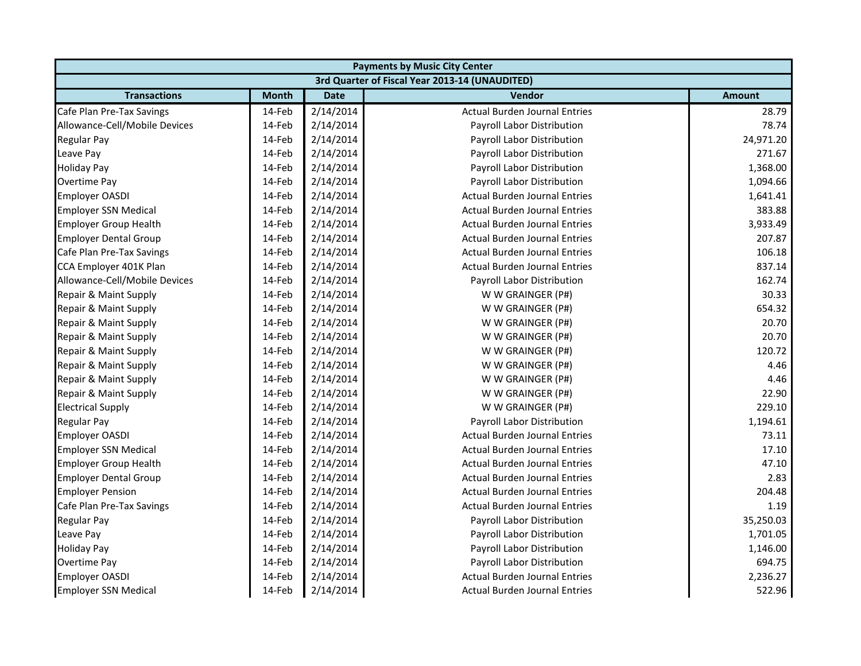|                               | <b>Payments by Music City Center</b> |             |                                                |               |  |
|-------------------------------|--------------------------------------|-------------|------------------------------------------------|---------------|--|
|                               |                                      |             | 3rd Quarter of Fiscal Year 2013-14 (UNAUDITED) |               |  |
| <b>Transactions</b>           | <b>Month</b>                         | <b>Date</b> | <b>Vendor</b>                                  | <b>Amount</b> |  |
| Cafe Plan Pre-Tax Savings     | 14-Feb                               | 2/14/2014   | <b>Actual Burden Journal Entries</b>           | 28.79         |  |
| Allowance-Cell/Mobile Devices | 14-Feb                               | 2/14/2014   | Payroll Labor Distribution                     | 78.74         |  |
| <b>Regular Pay</b>            | 14-Feb                               | 2/14/2014   | Payroll Labor Distribution                     | 24,971.20     |  |
| Leave Pay                     | 14-Feb                               | 2/14/2014   | Payroll Labor Distribution                     | 271.67        |  |
| <b>Holiday Pay</b>            | 14-Feb                               | 2/14/2014   | Payroll Labor Distribution                     | 1,368.00      |  |
| Overtime Pay                  | 14-Feb                               | 2/14/2014   | Payroll Labor Distribution                     | 1,094.66      |  |
| <b>Employer OASDI</b>         | 14-Feb                               | 2/14/2014   | <b>Actual Burden Journal Entries</b>           | 1,641.41      |  |
| <b>Employer SSN Medical</b>   | 14-Feb                               | 2/14/2014   | <b>Actual Burden Journal Entries</b>           | 383.88        |  |
| <b>Employer Group Health</b>  | 14-Feb                               | 2/14/2014   | <b>Actual Burden Journal Entries</b>           | 3,933.49      |  |
| <b>Employer Dental Group</b>  | 14-Feb                               | 2/14/2014   | <b>Actual Burden Journal Entries</b>           | 207.87        |  |
| Cafe Plan Pre-Tax Savings     | 14-Feb                               | 2/14/2014   | <b>Actual Burden Journal Entries</b>           | 106.18        |  |
| CCA Employer 401K Plan        | 14-Feb                               | 2/14/2014   | <b>Actual Burden Journal Entries</b>           | 837.14        |  |
| Allowance-Cell/Mobile Devices | 14-Feb                               | 2/14/2014   | Payroll Labor Distribution                     | 162.74        |  |
| Repair & Maint Supply         | 14-Feb                               | 2/14/2014   | W W GRAINGER (P#)                              | 30.33         |  |
| Repair & Maint Supply         | 14-Feb                               | 2/14/2014   | W W GRAINGER (P#)                              | 654.32        |  |
| Repair & Maint Supply         | 14-Feb                               | 2/14/2014   | W W GRAINGER (P#)                              | 20.70         |  |
| Repair & Maint Supply         | 14-Feb                               | 2/14/2014   | W W GRAINGER (P#)                              | 20.70         |  |
| Repair & Maint Supply         | 14-Feb                               | 2/14/2014   | W W GRAINGER (P#)                              | 120.72        |  |
| Repair & Maint Supply         | 14-Feb                               | 2/14/2014   | W W GRAINGER (P#)                              | 4.46          |  |
| Repair & Maint Supply         | 14-Feb                               | 2/14/2014   | W W GRAINGER (P#)                              | 4.46          |  |
| Repair & Maint Supply         | 14-Feb                               | 2/14/2014   | W W GRAINGER (P#)                              | 22.90         |  |
| <b>Electrical Supply</b>      | 14-Feb                               | 2/14/2014   | W W GRAINGER (P#)                              | 229.10        |  |
| Regular Pay                   | 14-Feb                               | 2/14/2014   | Payroll Labor Distribution                     | 1,194.61      |  |
| <b>Employer OASDI</b>         | 14-Feb                               | 2/14/2014   | <b>Actual Burden Journal Entries</b>           | 73.11         |  |
| <b>Employer SSN Medical</b>   | 14-Feb                               | 2/14/2014   | <b>Actual Burden Journal Entries</b>           | 17.10         |  |
| <b>Employer Group Health</b>  | 14-Feb                               | 2/14/2014   | <b>Actual Burden Journal Entries</b>           | 47.10         |  |
| <b>Employer Dental Group</b>  | 14-Feb                               | 2/14/2014   | <b>Actual Burden Journal Entries</b>           | 2.83          |  |
| <b>Employer Pension</b>       | 14-Feb                               | 2/14/2014   | <b>Actual Burden Journal Entries</b>           | 204.48        |  |
| Cafe Plan Pre-Tax Savings     | 14-Feb                               | 2/14/2014   | <b>Actual Burden Journal Entries</b>           | 1.19          |  |
| <b>Regular Pay</b>            | 14-Feb                               | 2/14/2014   | Payroll Labor Distribution                     | 35,250.03     |  |
| Leave Pay                     | 14-Feb                               | 2/14/2014   | Payroll Labor Distribution                     | 1,701.05      |  |
| <b>Holiday Pay</b>            | 14-Feb                               | 2/14/2014   | Payroll Labor Distribution                     | 1,146.00      |  |
| Overtime Pay                  | 14-Feb                               | 2/14/2014   | Payroll Labor Distribution                     | 694.75        |  |
| <b>Employer OASDI</b>         | 14-Feb                               | 2/14/2014   | <b>Actual Burden Journal Entries</b>           | 2,236.27      |  |
| <b>Employer SSN Medical</b>   | 14-Feb                               | 2/14/2014   | Actual Burden Journal Entries                  | 522.96        |  |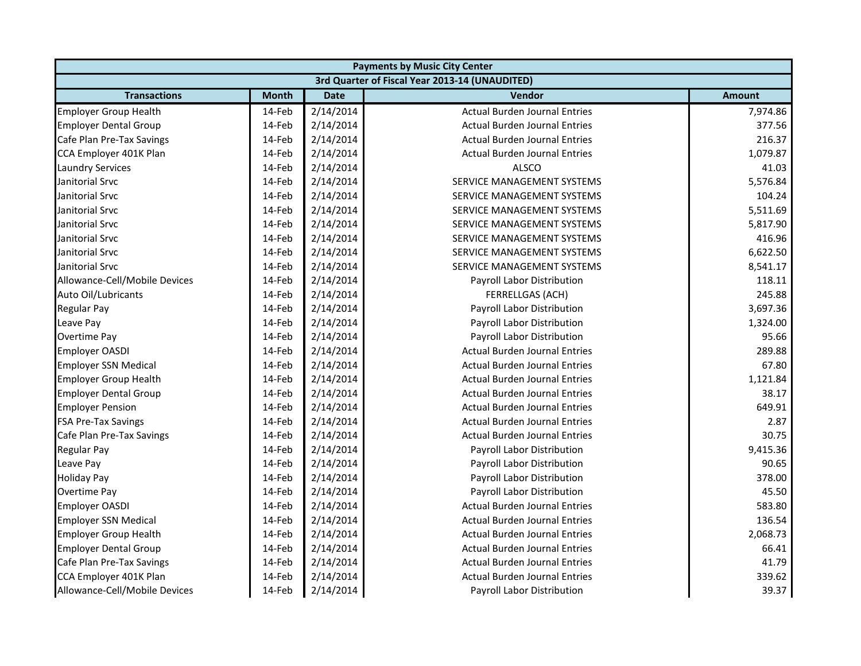|                               | <b>Payments by Music City Center</b> |             |                                                |               |  |
|-------------------------------|--------------------------------------|-------------|------------------------------------------------|---------------|--|
|                               |                                      |             | 3rd Quarter of Fiscal Year 2013-14 (UNAUDITED) |               |  |
| <b>Transactions</b>           | <b>Month</b>                         | <b>Date</b> | Vendor                                         | <b>Amount</b> |  |
| <b>Employer Group Health</b>  | 14-Feb                               | 2/14/2014   | <b>Actual Burden Journal Entries</b>           | 7,974.86      |  |
| <b>Employer Dental Group</b>  | 14-Feb                               | 2/14/2014   | <b>Actual Burden Journal Entries</b>           | 377.56        |  |
| Cafe Plan Pre-Tax Savings     | 14-Feb                               | 2/14/2014   | <b>Actual Burden Journal Entries</b>           | 216.37        |  |
| CCA Employer 401K Plan        | 14-Feb                               | 2/14/2014   | <b>Actual Burden Journal Entries</b>           | 1,079.87      |  |
| <b>Laundry Services</b>       | 14-Feb                               | 2/14/2014   | <b>ALSCO</b>                                   | 41.03         |  |
| Janitorial Srvc               | 14-Feb                               | 2/14/2014   | SERVICE MANAGEMENT SYSTEMS                     | 5,576.84      |  |
| Janitorial Srvc               | 14-Feb                               | 2/14/2014   | SERVICE MANAGEMENT SYSTEMS                     | 104.24        |  |
| Janitorial Srvc               | 14-Feb                               | 2/14/2014   | SERVICE MANAGEMENT SYSTEMS                     | 5,511.69      |  |
| Janitorial Srvc               | 14-Feb                               | 2/14/2014   | SERVICE MANAGEMENT SYSTEMS                     | 5,817.90      |  |
| Janitorial Srvc               | 14-Feb                               | 2/14/2014   | SERVICE MANAGEMENT SYSTEMS                     | 416.96        |  |
| Janitorial Srvc               | 14-Feb                               | 2/14/2014   | SERVICE MANAGEMENT SYSTEMS                     | 6,622.50      |  |
| Janitorial Srvc               | 14-Feb                               | 2/14/2014   | <b>SERVICE MANAGEMENT SYSTEMS</b>              | 8,541.17      |  |
| Allowance-Cell/Mobile Devices | 14-Feb                               | 2/14/2014   | Payroll Labor Distribution                     | 118.11        |  |
| Auto Oil/Lubricants           | 14-Feb                               | 2/14/2014   | FERRELLGAS (ACH)                               | 245.88        |  |
| Regular Pay                   | 14-Feb                               | 2/14/2014   | Payroll Labor Distribution                     | 3,697.36      |  |
| Leave Pay                     | 14-Feb                               | 2/14/2014   | Payroll Labor Distribution                     | 1,324.00      |  |
| <b>Overtime Pay</b>           | 14-Feb                               | 2/14/2014   | Payroll Labor Distribution                     | 95.66         |  |
| <b>Employer OASDI</b>         | 14-Feb                               | 2/14/2014   | <b>Actual Burden Journal Entries</b>           | 289.88        |  |
| <b>Employer SSN Medical</b>   | 14-Feb                               | 2/14/2014   | <b>Actual Burden Journal Entries</b>           | 67.80         |  |
| <b>Employer Group Health</b>  | 14-Feb                               | 2/14/2014   | <b>Actual Burden Journal Entries</b>           | 1,121.84      |  |
| <b>Employer Dental Group</b>  | 14-Feb                               | 2/14/2014   | <b>Actual Burden Journal Entries</b>           | 38.17         |  |
| <b>Employer Pension</b>       | 14-Feb                               | 2/14/2014   | <b>Actual Burden Journal Entries</b>           | 649.91        |  |
| <b>FSA Pre-Tax Savings</b>    | 14-Feb                               | 2/14/2014   | <b>Actual Burden Journal Entries</b>           | 2.87          |  |
| Cafe Plan Pre-Tax Savings     | 14-Feb                               | 2/14/2014   | <b>Actual Burden Journal Entries</b>           | 30.75         |  |
| <b>Regular Pay</b>            | 14-Feb                               | 2/14/2014   | Payroll Labor Distribution                     | 9,415.36      |  |
| Leave Pay                     | 14-Feb                               | 2/14/2014   | Payroll Labor Distribution                     | 90.65         |  |
| <b>Holiday Pay</b>            | 14-Feb                               | 2/14/2014   | Payroll Labor Distribution                     | 378.00        |  |
| Overtime Pay                  | 14-Feb                               | 2/14/2014   | Payroll Labor Distribution                     | 45.50         |  |
| <b>Employer OASDI</b>         | 14-Feb                               | 2/14/2014   | <b>Actual Burden Journal Entries</b>           | 583.80        |  |
| <b>Employer SSN Medical</b>   | 14-Feb                               | 2/14/2014   | <b>Actual Burden Journal Entries</b>           | 136.54        |  |
| <b>Employer Group Health</b>  | 14-Feb                               | 2/14/2014   | <b>Actual Burden Journal Entries</b>           | 2,068.73      |  |
| <b>Employer Dental Group</b>  | 14-Feb                               | 2/14/2014   | <b>Actual Burden Journal Entries</b>           | 66.41         |  |
| Cafe Plan Pre-Tax Savings     | 14-Feb                               | 2/14/2014   | <b>Actual Burden Journal Entries</b>           | 41.79         |  |
| CCA Employer 401K Plan        | 14-Feb                               | 2/14/2014   | <b>Actual Burden Journal Entries</b>           | 339.62        |  |
| Allowance-Cell/Mobile Devices | 14-Feb                               | 2/14/2014   | Payroll Labor Distribution                     | 39.37         |  |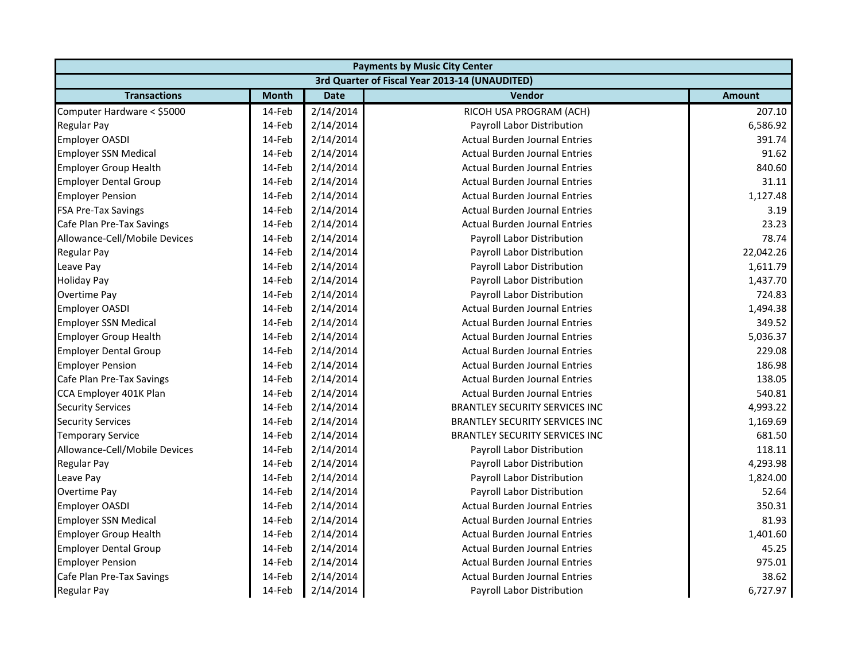|                               |              |             | <b>Payments by Music City Center</b>           |               |
|-------------------------------|--------------|-------------|------------------------------------------------|---------------|
|                               |              |             | 3rd Quarter of Fiscal Year 2013-14 (UNAUDITED) |               |
| <b>Transactions</b>           | <b>Month</b> | <b>Date</b> | Vendor                                         | <b>Amount</b> |
| Computer Hardware < \$5000    | 14-Feb       | 2/14/2014   | RICOH USA PROGRAM (ACH)                        | 207.10        |
| <b>Regular Pay</b>            | 14-Feb       | 2/14/2014   | Payroll Labor Distribution                     | 6,586.92      |
| <b>Employer OASDI</b>         | 14-Feb       | 2/14/2014   | <b>Actual Burden Journal Entries</b>           | 391.74        |
| <b>Employer SSN Medical</b>   | 14-Feb       | 2/14/2014   | <b>Actual Burden Journal Entries</b>           | 91.62         |
| <b>Employer Group Health</b>  | 14-Feb       | 2/14/2014   | <b>Actual Burden Journal Entries</b>           | 840.60        |
| <b>Employer Dental Group</b>  | 14-Feb       | 2/14/2014   | <b>Actual Burden Journal Entries</b>           | 31.11         |
| <b>Employer Pension</b>       | 14-Feb       | 2/14/2014   | <b>Actual Burden Journal Entries</b>           | 1,127.48      |
| <b>FSA Pre-Tax Savings</b>    | 14-Feb       | 2/14/2014   | <b>Actual Burden Journal Entries</b>           | 3.19          |
| Cafe Plan Pre-Tax Savings     | 14-Feb       | 2/14/2014   | <b>Actual Burden Journal Entries</b>           | 23.23         |
| Allowance-Cell/Mobile Devices | 14-Feb       | 2/14/2014   | Payroll Labor Distribution                     | 78.74         |
| <b>Regular Pay</b>            | 14-Feb       | 2/14/2014   | Payroll Labor Distribution                     | 22,042.26     |
| Leave Pay                     | 14-Feb       | 2/14/2014   | Payroll Labor Distribution                     | 1,611.79      |
| <b>Holiday Pay</b>            | 14-Feb       | 2/14/2014   | Payroll Labor Distribution                     | 1,437.70      |
| Overtime Pay                  | 14-Feb       | 2/14/2014   | Payroll Labor Distribution                     | 724.83        |
| <b>Employer OASDI</b>         | 14-Feb       | 2/14/2014   | <b>Actual Burden Journal Entries</b>           | 1,494.38      |
| <b>Employer SSN Medical</b>   | 14-Feb       | 2/14/2014   | <b>Actual Burden Journal Entries</b>           | 349.52        |
| <b>Employer Group Health</b>  | 14-Feb       | 2/14/2014   | <b>Actual Burden Journal Entries</b>           | 5,036.37      |
| <b>Employer Dental Group</b>  | 14-Feb       | 2/14/2014   | <b>Actual Burden Journal Entries</b>           | 229.08        |
| <b>Employer Pension</b>       | 14-Feb       | 2/14/2014   | <b>Actual Burden Journal Entries</b>           | 186.98        |
| Cafe Plan Pre-Tax Savings     | 14-Feb       | 2/14/2014   | <b>Actual Burden Journal Entries</b>           | 138.05        |
| CCA Employer 401K Plan        | 14-Feb       | 2/14/2014   | <b>Actual Burden Journal Entries</b>           | 540.81        |
| <b>Security Services</b>      | 14-Feb       | 2/14/2014   | <b>BRANTLEY SECURITY SERVICES INC</b>          | 4,993.22      |
| <b>Security Services</b>      | 14-Feb       | 2/14/2014   | <b>BRANTLEY SECURITY SERVICES INC</b>          | 1,169.69      |
| <b>Temporary Service</b>      | 14-Feb       | 2/14/2014   | <b>BRANTLEY SECURITY SERVICES INC</b>          | 681.50        |
| Allowance-Cell/Mobile Devices | 14-Feb       | 2/14/2014   | Payroll Labor Distribution                     | 118.11        |
| <b>Regular Pay</b>            | 14-Feb       | 2/14/2014   | Payroll Labor Distribution                     | 4,293.98      |
| Leave Pay                     | 14-Feb       | 2/14/2014   | Payroll Labor Distribution                     | 1,824.00      |
| Overtime Pay                  | 14-Feb       | 2/14/2014   | Payroll Labor Distribution                     | 52.64         |
| <b>Employer OASDI</b>         | 14-Feb       | 2/14/2014   | <b>Actual Burden Journal Entries</b>           | 350.31        |
| <b>Employer SSN Medical</b>   | 14-Feb       | 2/14/2014   | <b>Actual Burden Journal Entries</b>           | 81.93         |
| <b>Employer Group Health</b>  | 14-Feb       | 2/14/2014   | <b>Actual Burden Journal Entries</b>           | 1,401.60      |
| <b>Employer Dental Group</b>  | 14-Feb       | 2/14/2014   | <b>Actual Burden Journal Entries</b>           | 45.25         |
| <b>Employer Pension</b>       | 14-Feb       | 2/14/2014   | <b>Actual Burden Journal Entries</b>           | 975.01        |
| Cafe Plan Pre-Tax Savings     | 14-Feb       | 2/14/2014   | <b>Actual Burden Journal Entries</b>           | 38.62         |
| <b>Regular Pay</b>            | 14-Feb       | 2/14/2014   | Payroll Labor Distribution                     | 6,727.97      |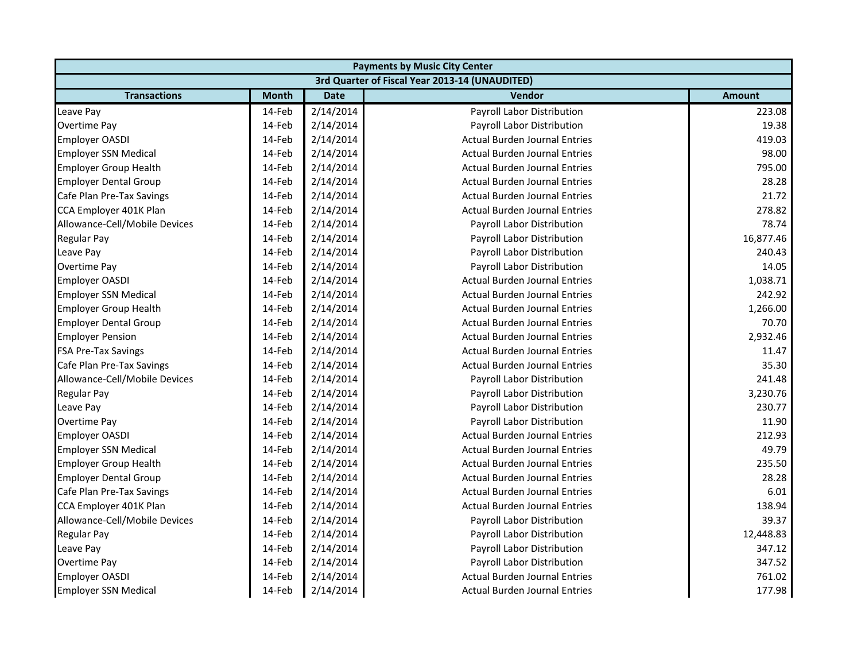| <b>Payments by Music City Center</b> |              |             |                                                |               |
|--------------------------------------|--------------|-------------|------------------------------------------------|---------------|
|                                      |              |             | 3rd Quarter of Fiscal Year 2013-14 (UNAUDITED) |               |
| <b>Transactions</b>                  | <b>Month</b> | <b>Date</b> | Vendor                                         | <b>Amount</b> |
| Leave Pay                            | 14-Feb       | 2/14/2014   | Payroll Labor Distribution                     | 223.08        |
| Overtime Pay                         | 14-Feb       | 2/14/2014   | Payroll Labor Distribution                     | 19.38         |
| Employer OASDI                       | 14-Feb       | 2/14/2014   | <b>Actual Burden Journal Entries</b>           | 419.03        |
| <b>Employer SSN Medical</b>          | 14-Feb       | 2/14/2014   | <b>Actual Burden Journal Entries</b>           | 98.00         |
| <b>Employer Group Health</b>         | 14-Feb       | 2/14/2014   | <b>Actual Burden Journal Entries</b>           | 795.00        |
| <b>Employer Dental Group</b>         | 14-Feb       | 2/14/2014   | <b>Actual Burden Journal Entries</b>           | 28.28         |
| Cafe Plan Pre-Tax Savings            | 14-Feb       | 2/14/2014   | <b>Actual Burden Journal Entries</b>           | 21.72         |
| CCA Employer 401K Plan               | 14-Feb       | 2/14/2014   | <b>Actual Burden Journal Entries</b>           | 278.82        |
| Allowance-Cell/Mobile Devices        | 14-Feb       | 2/14/2014   | Payroll Labor Distribution                     | 78.74         |
| <b>Regular Pay</b>                   | 14-Feb       | 2/14/2014   | Payroll Labor Distribution                     | 16,877.46     |
| Leave Pay                            | 14-Feb       | 2/14/2014   | Payroll Labor Distribution                     | 240.43        |
| Overtime Pay                         | 14-Feb       | 2/14/2014   | Payroll Labor Distribution                     | 14.05         |
| <b>Employer OASDI</b>                | 14-Feb       | 2/14/2014   | <b>Actual Burden Journal Entries</b>           | 1,038.71      |
| <b>Employer SSN Medical</b>          | 14-Feb       | 2/14/2014   | <b>Actual Burden Journal Entries</b>           | 242.92        |
| <b>Employer Group Health</b>         | 14-Feb       | 2/14/2014   | <b>Actual Burden Journal Entries</b>           | 1,266.00      |
| <b>Employer Dental Group</b>         | 14-Feb       | 2/14/2014   | <b>Actual Burden Journal Entries</b>           | 70.70         |
| <b>Employer Pension</b>              | 14-Feb       | 2/14/2014   | <b>Actual Burden Journal Entries</b>           | 2,932.46      |
| <b>FSA Pre-Tax Savings</b>           | 14-Feb       | 2/14/2014   | <b>Actual Burden Journal Entries</b>           | 11.47         |
| Cafe Plan Pre-Tax Savings            | 14-Feb       | 2/14/2014   | <b>Actual Burden Journal Entries</b>           | 35.30         |
| Allowance-Cell/Mobile Devices        | 14-Feb       | 2/14/2014   | Payroll Labor Distribution                     | 241.48        |
| <b>Regular Pay</b>                   | 14-Feb       | 2/14/2014   | Payroll Labor Distribution                     | 3,230.76      |
| Leave Pay                            | 14-Feb       | 2/14/2014   | Payroll Labor Distribution                     | 230.77        |
| Overtime Pay                         | 14-Feb       | 2/14/2014   | Payroll Labor Distribution                     | 11.90         |
| <b>Employer OASDI</b>                | 14-Feb       | 2/14/2014   | <b>Actual Burden Journal Entries</b>           | 212.93        |
| <b>Employer SSN Medical</b>          | 14-Feb       | 2/14/2014   | <b>Actual Burden Journal Entries</b>           | 49.79         |
| <b>Employer Group Health</b>         | 14-Feb       | 2/14/2014   | <b>Actual Burden Journal Entries</b>           | 235.50        |
| <b>Employer Dental Group</b>         | 14-Feb       | 2/14/2014   | <b>Actual Burden Journal Entries</b>           | 28.28         |
| Cafe Plan Pre-Tax Savings            | 14-Feb       | 2/14/2014   | <b>Actual Burden Journal Entries</b>           | 6.01          |
| CCA Employer 401K Plan               | 14-Feb       | 2/14/2014   | <b>Actual Burden Journal Entries</b>           | 138.94        |
| Allowance-Cell/Mobile Devices        | 14-Feb       | 2/14/2014   | Payroll Labor Distribution                     | 39.37         |
| Regular Pay                          | 14-Feb       | 2/14/2014   | Payroll Labor Distribution                     | 12,448.83     |
| Leave Pay                            | 14-Feb       | 2/14/2014   | Payroll Labor Distribution                     | 347.12        |
| Overtime Pay                         | 14-Feb       | 2/14/2014   | Payroll Labor Distribution                     | 347.52        |
| Employer OASDI                       | 14-Feb       | 2/14/2014   | <b>Actual Burden Journal Entries</b>           | 761.02        |
| <b>Employer SSN Medical</b>          | 14-Feb       | 2/14/2014   | <b>Actual Burden Journal Entries</b>           | 177.98        |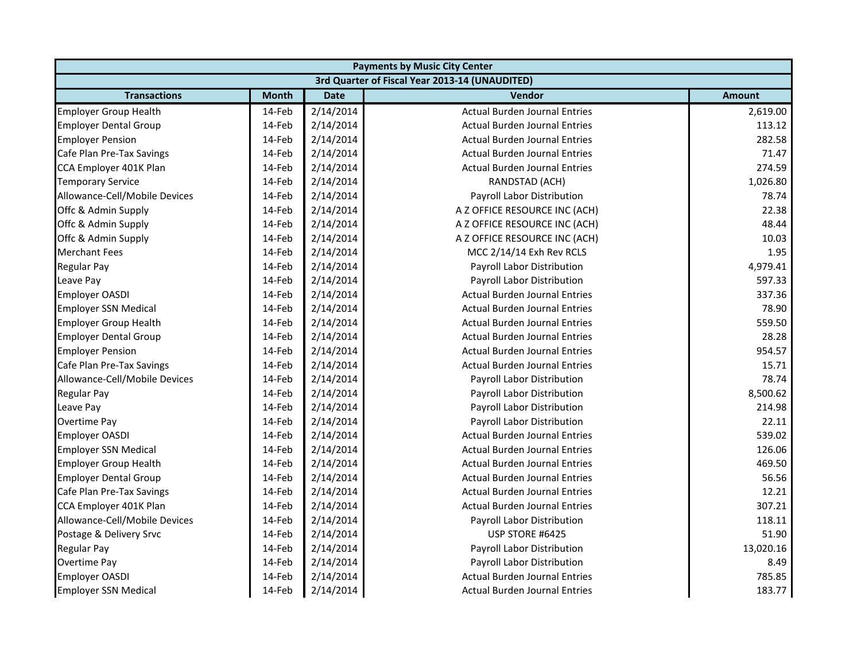| <b>Payments by Music City Center</b> |              |             |                                                |               |
|--------------------------------------|--------------|-------------|------------------------------------------------|---------------|
|                                      |              |             | 3rd Quarter of Fiscal Year 2013-14 (UNAUDITED) |               |
| <b>Transactions</b>                  | <b>Month</b> | <b>Date</b> | Vendor                                         | <b>Amount</b> |
| <b>Employer Group Health</b>         | 14-Feb       | 2/14/2014   | <b>Actual Burden Journal Entries</b>           | 2,619.00      |
| <b>Employer Dental Group</b>         | 14-Feb       | 2/14/2014   | <b>Actual Burden Journal Entries</b>           | 113.12        |
| <b>Employer Pension</b>              | 14-Feb       | 2/14/2014   | <b>Actual Burden Journal Entries</b>           | 282.58        |
| Cafe Plan Pre-Tax Savings            | 14-Feb       | 2/14/2014   | <b>Actual Burden Journal Entries</b>           | 71.47         |
| CCA Employer 401K Plan               | 14-Feb       | 2/14/2014   | <b>Actual Burden Journal Entries</b>           | 274.59        |
| <b>Temporary Service</b>             | 14-Feb       | 2/14/2014   | RANDSTAD (ACH)                                 | 1,026.80      |
| Allowance-Cell/Mobile Devices        | 14-Feb       | 2/14/2014   | Payroll Labor Distribution                     | 78.74         |
| Offc & Admin Supply                  | 14-Feb       | 2/14/2014   | A Z OFFICE RESOURCE INC (ACH)                  | 22.38         |
| Offc & Admin Supply                  | 14-Feb       | 2/14/2014   | A Z OFFICE RESOURCE INC (ACH)                  | 48.44         |
| Offc & Admin Supply                  | 14-Feb       | 2/14/2014   | A Z OFFICE RESOURCE INC (ACH)                  | 10.03         |
| <b>Merchant Fees</b>                 | 14-Feb       | 2/14/2014   | MCC 2/14/14 Exh Rev RCLS                       | 1.95          |
| <b>Regular Pay</b>                   | 14-Feb       | 2/14/2014   | Payroll Labor Distribution                     | 4,979.41      |
| Leave Pay                            | 14-Feb       | 2/14/2014   | Payroll Labor Distribution                     | 597.33        |
| <b>Employer OASDI</b>                | 14-Feb       | 2/14/2014   | <b>Actual Burden Journal Entries</b>           | 337.36        |
| <b>Employer SSN Medical</b>          | 14-Feb       | 2/14/2014   | <b>Actual Burden Journal Entries</b>           | 78.90         |
| <b>Employer Group Health</b>         | 14-Feb       | 2/14/2014   | <b>Actual Burden Journal Entries</b>           | 559.50        |
| <b>Employer Dental Group</b>         | 14-Feb       | 2/14/2014   | <b>Actual Burden Journal Entries</b>           | 28.28         |
| <b>Employer Pension</b>              | 14-Feb       | 2/14/2014   | <b>Actual Burden Journal Entries</b>           | 954.57        |
| Cafe Plan Pre-Tax Savings            | 14-Feb       | 2/14/2014   | <b>Actual Burden Journal Entries</b>           | 15.71         |
| Allowance-Cell/Mobile Devices        | 14-Feb       | 2/14/2014   | Payroll Labor Distribution                     | 78.74         |
| <b>Regular Pay</b>                   | 14-Feb       | 2/14/2014   | Payroll Labor Distribution                     | 8,500.62      |
| Leave Pay                            | 14-Feb       | 2/14/2014   | Payroll Labor Distribution                     | 214.98        |
| Overtime Pay                         | 14-Feb       | 2/14/2014   | Payroll Labor Distribution                     | 22.11         |
| <b>Employer OASDI</b>                | 14-Feb       | 2/14/2014   | <b>Actual Burden Journal Entries</b>           | 539.02        |
| <b>Employer SSN Medical</b>          | 14-Feb       | 2/14/2014   | <b>Actual Burden Journal Entries</b>           | 126.06        |
| <b>Employer Group Health</b>         | 14-Feb       | 2/14/2014   | <b>Actual Burden Journal Entries</b>           | 469.50        |
| <b>Employer Dental Group</b>         | 14-Feb       | 2/14/2014   | <b>Actual Burden Journal Entries</b>           | 56.56         |
| Cafe Plan Pre-Tax Savings            | 14-Feb       | 2/14/2014   | <b>Actual Burden Journal Entries</b>           | 12.21         |
| CCA Employer 401K Plan               | 14-Feb       | 2/14/2014   | <b>Actual Burden Journal Entries</b>           | 307.21        |
| Allowance-Cell/Mobile Devices        | 14-Feb       | 2/14/2014   | Payroll Labor Distribution                     | 118.11        |
| Postage & Delivery Srvc              | 14-Feb       | 2/14/2014   | USP STORE #6425                                | 51.90         |
| <b>Regular Pay</b>                   | 14-Feb       | 2/14/2014   | Payroll Labor Distribution                     | 13,020.16     |
| <b>Overtime Pay</b>                  | 14-Feb       | 2/14/2014   | Payroll Labor Distribution                     | 8.49          |
| <b>Employer OASDI</b>                | 14-Feb       | 2/14/2014   | <b>Actual Burden Journal Entries</b>           | 785.85        |
| <b>Employer SSN Medical</b>          | 14-Feb       | 2/14/2014   | Actual Burden Journal Entries                  | 183.77        |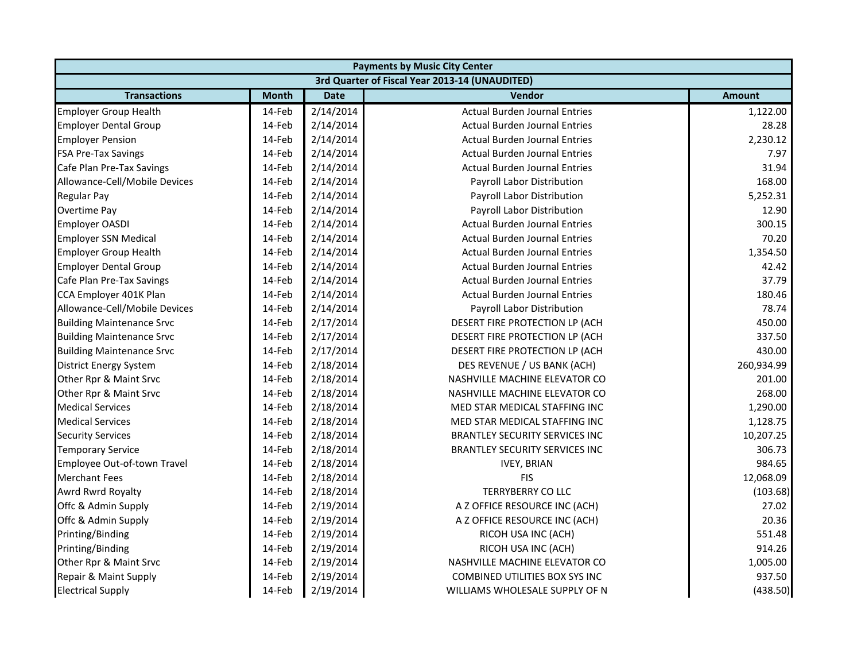|                                  | <b>Payments by Music City Center</b> |             |                                                |               |  |
|----------------------------------|--------------------------------------|-------------|------------------------------------------------|---------------|--|
|                                  |                                      |             | 3rd Quarter of Fiscal Year 2013-14 (UNAUDITED) |               |  |
| <b>Transactions</b>              | <b>Month</b>                         | <b>Date</b> | Vendor                                         | <b>Amount</b> |  |
| <b>Employer Group Health</b>     | 14-Feb                               | 2/14/2014   | <b>Actual Burden Journal Entries</b>           | 1,122.00      |  |
| <b>Employer Dental Group</b>     | 14-Feb                               | 2/14/2014   | <b>Actual Burden Journal Entries</b>           | 28.28         |  |
| <b>Employer Pension</b>          | 14-Feb                               | 2/14/2014   | <b>Actual Burden Journal Entries</b>           | 2,230.12      |  |
| <b>FSA Pre-Tax Savings</b>       | 14-Feb                               | 2/14/2014   | <b>Actual Burden Journal Entries</b>           | 7.97          |  |
| Cafe Plan Pre-Tax Savings        | 14-Feb                               | 2/14/2014   | <b>Actual Burden Journal Entries</b>           | 31.94         |  |
| Allowance-Cell/Mobile Devices    | 14-Feb                               | 2/14/2014   | Payroll Labor Distribution                     | 168.00        |  |
| Regular Pay                      | 14-Feb                               | 2/14/2014   | Payroll Labor Distribution                     | 5,252.31      |  |
| Overtime Pay                     | 14-Feb                               | 2/14/2014   | Payroll Labor Distribution                     | 12.90         |  |
| <b>Employer OASDI</b>            | 14-Feb                               | 2/14/2014   | <b>Actual Burden Journal Entries</b>           | 300.15        |  |
| <b>Employer SSN Medical</b>      | 14-Feb                               | 2/14/2014   | <b>Actual Burden Journal Entries</b>           | 70.20         |  |
| <b>Employer Group Health</b>     | 14-Feb                               | 2/14/2014   | <b>Actual Burden Journal Entries</b>           | 1,354.50      |  |
| <b>Employer Dental Group</b>     | 14-Feb                               | 2/14/2014   | <b>Actual Burden Journal Entries</b>           | 42.42         |  |
| Cafe Plan Pre-Tax Savings        | 14-Feb                               | 2/14/2014   | <b>Actual Burden Journal Entries</b>           | 37.79         |  |
| CCA Employer 401K Plan           | 14-Feb                               | 2/14/2014   | <b>Actual Burden Journal Entries</b>           | 180.46        |  |
| Allowance-Cell/Mobile Devices    | 14-Feb                               | 2/14/2014   | Payroll Labor Distribution                     | 78.74         |  |
| <b>Building Maintenance Srvc</b> | 14-Feb                               | 2/17/2014   | DESERT FIRE PROTECTION LP (ACH                 | 450.00        |  |
| <b>Building Maintenance Srvc</b> | 14-Feb                               | 2/17/2014   | DESERT FIRE PROTECTION LP (ACH                 | 337.50        |  |
| <b>Building Maintenance Srvc</b> | 14-Feb                               | 2/17/2014   | DESERT FIRE PROTECTION LP (ACH                 | 430.00        |  |
| <b>District Energy System</b>    | 14-Feb                               | 2/18/2014   | DES REVENUE / US BANK (ACH)                    | 260,934.99    |  |
| Other Rpr & Maint Srvc           | 14-Feb                               | 2/18/2014   | NASHVILLE MACHINE ELEVATOR CO                  | 201.00        |  |
| Other Rpr & Maint Srvc           | 14-Feb                               | 2/18/2014   | NASHVILLE MACHINE ELEVATOR CO                  | 268.00        |  |
| <b>Medical Services</b>          | 14-Feb                               | 2/18/2014   | MED STAR MEDICAL STAFFING INC                  | 1,290.00      |  |
| <b>Medical Services</b>          | 14-Feb                               | 2/18/2014   | MED STAR MEDICAL STAFFING INC                  | 1,128.75      |  |
| <b>Security Services</b>         | 14-Feb                               | 2/18/2014   | BRANTLEY SECURITY SERVICES INC                 | 10,207.25     |  |
| <b>Temporary Service</b>         | 14-Feb                               | 2/18/2014   | <b>BRANTLEY SECURITY SERVICES INC</b>          | 306.73        |  |
| Employee Out-of-town Travel      | 14-Feb                               | 2/18/2014   | <b>IVEY, BRIAN</b>                             | 984.65        |  |
| <b>Merchant Fees</b>             | 14-Feb                               | 2/18/2014   | <b>FIS</b>                                     | 12,068.09     |  |
| Awrd Rwrd Royalty                | 14-Feb                               | 2/18/2014   | <b>TERRYBERRY CO LLC</b>                       | (103.68)      |  |
| Offc & Admin Supply              | 14-Feb                               | 2/19/2014   | A Z OFFICE RESOURCE INC (ACH)                  | 27.02         |  |
| Offc & Admin Supply              | 14-Feb                               | 2/19/2014   | A Z OFFICE RESOURCE INC (ACH)                  | 20.36         |  |
| Printing/Binding                 | 14-Feb                               | 2/19/2014   | RICOH USA INC (ACH)                            | 551.48        |  |
| Printing/Binding                 | 14-Feb                               | 2/19/2014   | RICOH USA INC (ACH)                            | 914.26        |  |
| Other Rpr & Maint Srvc           | 14-Feb                               | 2/19/2014   | NASHVILLE MACHINE ELEVATOR CO                  | 1,005.00      |  |
| Repair & Maint Supply            | 14-Feb                               | 2/19/2014   | COMBINED UTILITIES BOX SYS INC                 | 937.50        |  |
| <b>Electrical Supply</b>         | 14-Feb                               | 2/19/2014   | WILLIAMS WHOLESALE SUPPLY OF N                 | (438.50)      |  |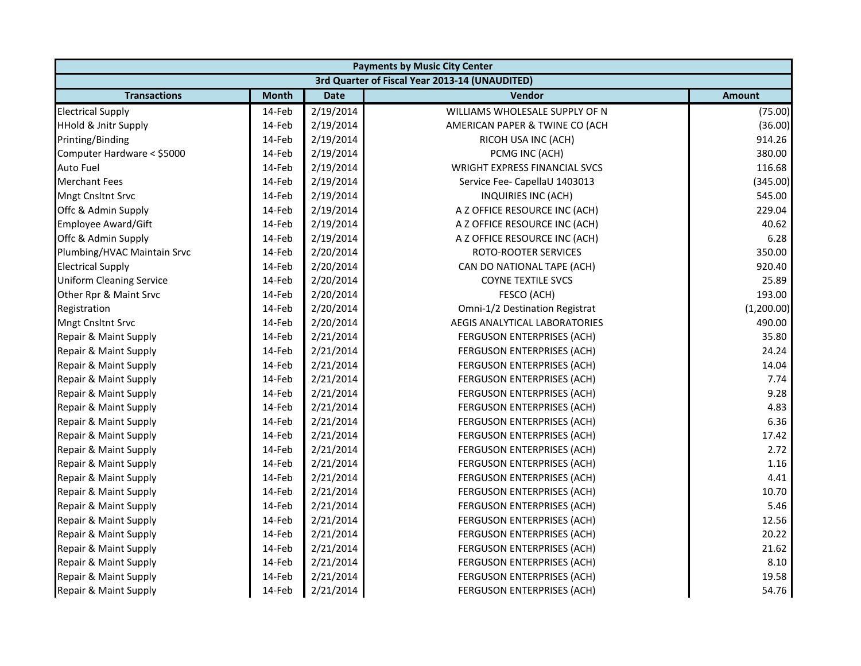|                                 | <b>Payments by Music City Center</b> |             |                                                |               |  |  |
|---------------------------------|--------------------------------------|-------------|------------------------------------------------|---------------|--|--|
|                                 |                                      |             | 3rd Quarter of Fiscal Year 2013-14 (UNAUDITED) |               |  |  |
| <b>Transactions</b>             | <b>Month</b>                         | <b>Date</b> | Vendor                                         | <b>Amount</b> |  |  |
| <b>Electrical Supply</b>        | 14-Feb                               | 2/19/2014   | WILLIAMS WHOLESALE SUPPLY OF N                 | (75.00)       |  |  |
| <b>HHold &amp; Jnitr Supply</b> | 14-Feb                               | 2/19/2014   | AMERICAN PAPER & TWINE CO (ACH                 | (36.00)       |  |  |
| Printing/Binding                | 14-Feb                               | 2/19/2014   | RICOH USA INC (ACH)                            | 914.26        |  |  |
| Computer Hardware < \$5000      | 14-Feb                               | 2/19/2014   | PCMG INC (ACH)                                 | 380.00        |  |  |
| <b>Auto Fuel</b>                | 14-Feb                               | 2/19/2014   | <b>WRIGHT EXPRESS FINANCIAL SVCS</b>           | 116.68        |  |  |
| <b>Merchant Fees</b>            | 14-Feb                               | 2/19/2014   | Service Fee- CapellaU 1403013                  | (345.00)      |  |  |
| <b>Mngt Cnsltnt Srvc</b>        | 14-Feb                               | 2/19/2014   | INQUIRIES INC (ACH)                            | 545.00        |  |  |
| Offc & Admin Supply             | 14-Feb                               | 2/19/2014   | A Z OFFICE RESOURCE INC (ACH)                  | 229.04        |  |  |
| Employee Award/Gift             | 14-Feb                               | 2/19/2014   | A Z OFFICE RESOURCE INC (ACH)                  | 40.62         |  |  |
| Offc & Admin Supply             | 14-Feb                               | 2/19/2014   | A Z OFFICE RESOURCE INC (ACH)                  | 6.28          |  |  |
| Plumbing/HVAC Maintain Srvc     | 14-Feb                               | 2/20/2014   | ROTO-ROOTER SERVICES                           | 350.00        |  |  |
| <b>Electrical Supply</b>        | 14-Feb                               | 2/20/2014   | CAN DO NATIONAL TAPE (ACH)                     | 920.40        |  |  |
| <b>Uniform Cleaning Service</b> | 14-Feb                               | 2/20/2014   | <b>COYNE TEXTILE SVCS</b>                      | 25.89         |  |  |
| Other Rpr & Maint Srvc          | 14-Feb                               | 2/20/2014   | FESCO (ACH)                                    | 193.00        |  |  |
| Registration                    | 14-Feb                               | 2/20/2014   | Omni-1/2 Destination Registrat                 | (1,200.00)    |  |  |
| <b>Mngt Cnsltnt Srvc</b>        | 14-Feb                               | 2/20/2014   | AEGIS ANALYTICAL LABORATORIES                  | 490.00        |  |  |
| Repair & Maint Supply           | 14-Feb                               | 2/21/2014   | FERGUSON ENTERPRISES (ACH)                     | 35.80         |  |  |
| Repair & Maint Supply           | 14-Feb                               | 2/21/2014   | FERGUSON ENTERPRISES (ACH)                     | 24.24         |  |  |
| Repair & Maint Supply           | 14-Feb                               | 2/21/2014   | FERGUSON ENTERPRISES (ACH)                     | 14.04         |  |  |
| Repair & Maint Supply           | 14-Feb                               | 2/21/2014   | FERGUSON ENTERPRISES (ACH)                     | 7.74          |  |  |
| Repair & Maint Supply           | 14-Feb                               | 2/21/2014   | FERGUSON ENTERPRISES (ACH)                     | 9.28          |  |  |
| Repair & Maint Supply           | 14-Feb                               | 2/21/2014   | FERGUSON ENTERPRISES (ACH)                     | 4.83          |  |  |
| Repair & Maint Supply           | 14-Feb                               | 2/21/2014   | FERGUSON ENTERPRISES (ACH)                     | 6.36          |  |  |
| Repair & Maint Supply           | 14-Feb                               | 2/21/2014   | FERGUSON ENTERPRISES (ACH)                     | 17.42         |  |  |
| Repair & Maint Supply           | 14-Feb                               | 2/21/2014   | FERGUSON ENTERPRISES (ACH)                     | 2.72          |  |  |
| Repair & Maint Supply           | 14-Feb                               | 2/21/2014   | FERGUSON ENTERPRISES (ACH)                     | 1.16          |  |  |
| Repair & Maint Supply           | 14-Feb                               | 2/21/2014   | FERGUSON ENTERPRISES (ACH)                     | 4.41          |  |  |
| Repair & Maint Supply           | 14-Feb                               | 2/21/2014   | FERGUSON ENTERPRISES (ACH)                     | 10.70         |  |  |
| Repair & Maint Supply           | 14-Feb                               | 2/21/2014   | FERGUSON ENTERPRISES (ACH)                     | 5.46          |  |  |
| Repair & Maint Supply           | 14-Feb                               | 2/21/2014   | FERGUSON ENTERPRISES (ACH)                     | 12.56         |  |  |
| Repair & Maint Supply           | 14-Feb                               | 2/21/2014   | FERGUSON ENTERPRISES (ACH)                     | 20.22         |  |  |
| Repair & Maint Supply           | 14-Feb                               | 2/21/2014   | FERGUSON ENTERPRISES (ACH)                     | 21.62         |  |  |
| Repair & Maint Supply           | 14-Feb                               | 2/21/2014   | FERGUSON ENTERPRISES (ACH)                     | 8.10          |  |  |
| Repair & Maint Supply           | 14-Feb                               | 2/21/2014   | FERGUSON ENTERPRISES (ACH)                     | 19.58         |  |  |
| Repair & Maint Supply           | 14-Feb                               | 2/21/2014   | FERGUSON ENTERPRISES (ACH)                     | 54.76         |  |  |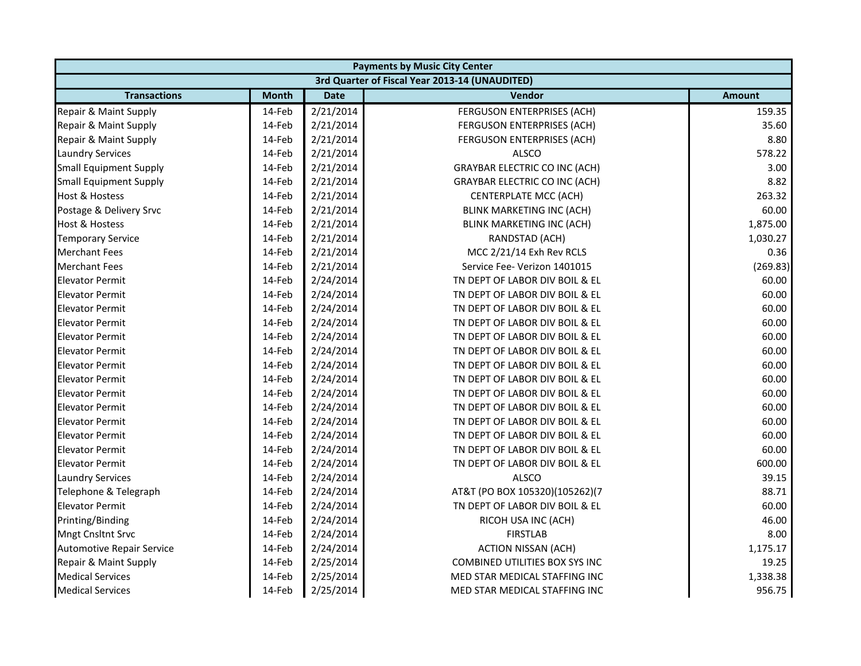|                                  | <b>Payments by Music City Center</b> |             |                                                |               |  |  |
|----------------------------------|--------------------------------------|-------------|------------------------------------------------|---------------|--|--|
|                                  |                                      |             | 3rd Quarter of Fiscal Year 2013-14 (UNAUDITED) |               |  |  |
| <b>Transactions</b>              | <b>Month</b>                         | <b>Date</b> | Vendor                                         | <b>Amount</b> |  |  |
| Repair & Maint Supply            | 14-Feb                               | 2/21/2014   | FERGUSON ENTERPRISES (ACH)                     | 159.35        |  |  |
| Repair & Maint Supply            | 14-Feb                               | 2/21/2014   | FERGUSON ENTERPRISES (ACH)                     | 35.60         |  |  |
| Repair & Maint Supply            | 14-Feb                               | 2/21/2014   | FERGUSON ENTERPRISES (ACH)                     | 8.80          |  |  |
| <b>Laundry Services</b>          | 14-Feb                               | 2/21/2014   | <b>ALSCO</b>                                   | 578.22        |  |  |
| <b>Small Equipment Supply</b>    | 14-Feb                               | 2/21/2014   | <b>GRAYBAR ELECTRIC CO INC (ACH)</b>           | 3.00          |  |  |
| <b>Small Equipment Supply</b>    | 14-Feb                               | 2/21/2014   | <b>GRAYBAR ELECTRIC CO INC (ACH)</b>           | 8.82          |  |  |
| <b>Host &amp; Hostess</b>        | 14-Feb                               | 2/21/2014   | <b>CENTERPLATE MCC (ACH)</b>                   | 263.32        |  |  |
| Postage & Delivery Srvc          | 14-Feb                               | 2/21/2014   | BLINK MARKETING INC (ACH)                      | 60.00         |  |  |
| <b>Host &amp; Hostess</b>        | 14-Feb                               | 2/21/2014   | BLINK MARKETING INC (ACH)                      | 1,875.00      |  |  |
| <b>Temporary Service</b>         | 14-Feb                               | 2/21/2014   | RANDSTAD (ACH)                                 | 1,030.27      |  |  |
| <b>Merchant Fees</b>             | 14-Feb                               | 2/21/2014   | MCC 2/21/14 Exh Rev RCLS                       | 0.36          |  |  |
| <b>Merchant Fees</b>             | 14-Feb                               | 2/21/2014   | Service Fee- Verizon 1401015                   | (269.83)      |  |  |
| <b>Elevator Permit</b>           | 14-Feb                               | 2/24/2014   | TN DEPT OF LABOR DIV BOIL & EL                 | 60.00         |  |  |
| <b>Elevator Permit</b>           | 14-Feb                               | 2/24/2014   | TN DEPT OF LABOR DIV BOIL & EL                 | 60.00         |  |  |
| <b>Elevator Permit</b>           | 14-Feb                               | 2/24/2014   | TN DEPT OF LABOR DIV BOIL & EL                 | 60.00         |  |  |
| <b>Elevator Permit</b>           | 14-Feb                               | 2/24/2014   | TN DEPT OF LABOR DIV BOIL & EL                 | 60.00         |  |  |
| <b>Elevator Permit</b>           | 14-Feb                               | 2/24/2014   | TN DEPT OF LABOR DIV BOIL & EL                 | 60.00         |  |  |
| <b>Elevator Permit</b>           | 14-Feb                               | 2/24/2014   | TN DEPT OF LABOR DIV BOIL & EL                 | 60.00         |  |  |
| <b>Elevator Permit</b>           | 14-Feb                               | 2/24/2014   | TN DEPT OF LABOR DIV BOIL & EL                 | 60.00         |  |  |
| <b>Elevator Permit</b>           | 14-Feb                               | 2/24/2014   | TN DEPT OF LABOR DIV BOIL & EL                 | 60.00         |  |  |
| <b>Elevator Permit</b>           | 14-Feb                               | 2/24/2014   | TN DEPT OF LABOR DIV BOIL & EL                 | 60.00         |  |  |
| <b>Elevator Permit</b>           | 14-Feb                               | 2/24/2014   | TN DEPT OF LABOR DIV BOIL & EL                 | 60.00         |  |  |
| <b>Elevator Permit</b>           | 14-Feb                               | 2/24/2014   | TN DEPT OF LABOR DIV BOIL & EL                 | 60.00         |  |  |
| <b>Elevator Permit</b>           | 14-Feb                               | 2/24/2014   | TN DEPT OF LABOR DIV BOIL & EL                 | 60.00         |  |  |
| <b>Elevator Permit</b>           | 14-Feb                               | 2/24/2014   | TN DEPT OF LABOR DIV BOIL & EL                 | 60.00         |  |  |
| <b>Elevator Permit</b>           | 14-Feb                               | 2/24/2014   | TN DEPT OF LABOR DIV BOIL & EL                 | 600.00        |  |  |
| <b>Laundry Services</b>          | 14-Feb                               | 2/24/2014   | <b>ALSCO</b>                                   | 39.15         |  |  |
| Telephone & Telegraph            | 14-Feb                               | 2/24/2014   | AT&T (PO BOX 105320)(105262)(7                 | 88.71         |  |  |
| <b>Elevator Permit</b>           | 14-Feb                               | 2/24/2014   | TN DEPT OF LABOR DIV BOIL & EL                 | 60.00         |  |  |
| Printing/Binding                 | 14-Feb                               | 2/24/2014   | RICOH USA INC (ACH)                            | 46.00         |  |  |
| Mngt Cnsltnt Srvc                | 14-Feb                               | 2/24/2014   | <b>FIRSTLAB</b>                                | 8.00          |  |  |
| <b>Automotive Repair Service</b> | 14-Feb                               | 2/24/2014   | <b>ACTION NISSAN (ACH)</b>                     | 1,175.17      |  |  |
| Repair & Maint Supply            | 14-Feb                               | 2/25/2014   | COMBINED UTILITIES BOX SYS INC                 | 19.25         |  |  |
| <b>Medical Services</b>          | 14-Feb                               | 2/25/2014   | MED STAR MEDICAL STAFFING INC                  | 1,338.38      |  |  |
| <b>Medical Services</b>          | 14-Feb                               | 2/25/2014   | MED STAR MEDICAL STAFFING INC                  | 956.75        |  |  |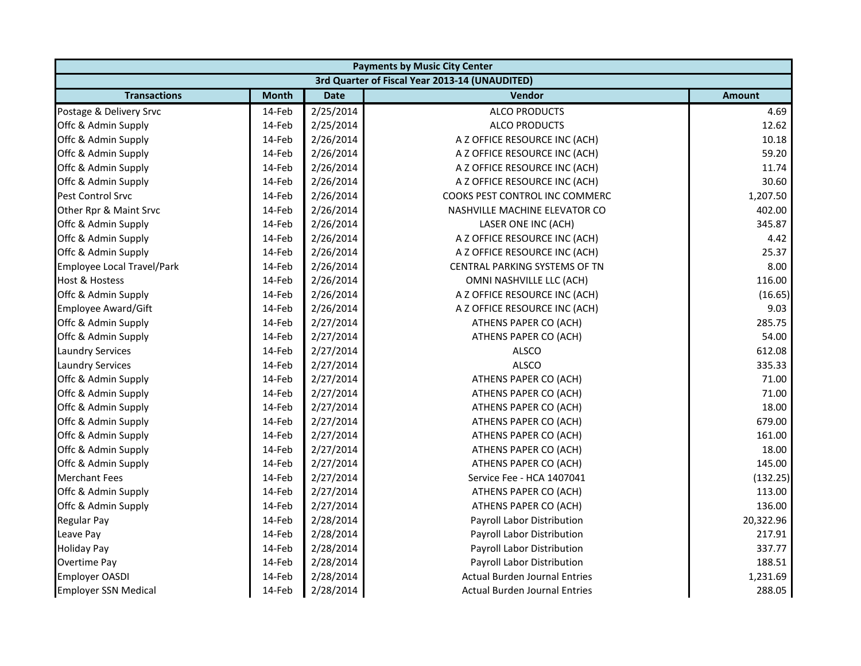|                             | <b>Payments by Music City Center</b> |             |                                                |               |  |  |
|-----------------------------|--------------------------------------|-------------|------------------------------------------------|---------------|--|--|
|                             |                                      |             | 3rd Quarter of Fiscal Year 2013-14 (UNAUDITED) |               |  |  |
| <b>Transactions</b>         | <b>Month</b>                         | <b>Date</b> | <b>Vendor</b>                                  | <b>Amount</b> |  |  |
| Postage & Delivery Srvc     | 14-Feb                               | 2/25/2014   | <b>ALCO PRODUCTS</b>                           | 4.69          |  |  |
| Offc & Admin Supply         | 14-Feb                               | 2/25/2014   | <b>ALCO PRODUCTS</b>                           | 12.62         |  |  |
| Offc & Admin Supply         | 14-Feb                               | 2/26/2014   | A Z OFFICE RESOURCE INC (ACH)                  | 10.18         |  |  |
| Offc & Admin Supply         | 14-Feb                               | 2/26/2014   | A Z OFFICE RESOURCE INC (ACH)                  | 59.20         |  |  |
| Offc & Admin Supply         | 14-Feb                               | 2/26/2014   | A Z OFFICE RESOURCE INC (ACH)                  | 11.74         |  |  |
| Offc & Admin Supply         | 14-Feb                               | 2/26/2014   | A Z OFFICE RESOURCE INC (ACH)                  | 30.60         |  |  |
| Pest Control Srvc           | 14-Feb                               | 2/26/2014   | COOKS PEST CONTROL INC COMMERC                 | 1,207.50      |  |  |
| Other Rpr & Maint Srvc      | 14-Feb                               | 2/26/2014   | NASHVILLE MACHINE ELEVATOR CO                  | 402.00        |  |  |
| Offc & Admin Supply         | 14-Feb                               | 2/26/2014   | LASER ONE INC (ACH)                            | 345.87        |  |  |
| Offc & Admin Supply         | 14-Feb                               | 2/26/2014   | A Z OFFICE RESOURCE INC (ACH)                  | 4.42          |  |  |
| Offc & Admin Supply         | 14-Feb                               | 2/26/2014   | A Z OFFICE RESOURCE INC (ACH)                  | 25.37         |  |  |
| Employee Local Travel/Park  | 14-Feb                               | 2/26/2014   | CENTRAL PARKING SYSTEMS OF TN                  | 8.00          |  |  |
| Host & Hostess              | 14-Feb                               | 2/26/2014   | OMNI NASHVILLE LLC (ACH)                       | 116.00        |  |  |
| Offc & Admin Supply         | 14-Feb                               | 2/26/2014   | A Z OFFICE RESOURCE INC (ACH)                  | (16.65)       |  |  |
| Employee Award/Gift         | 14-Feb                               | 2/26/2014   | A Z OFFICE RESOURCE INC (ACH)                  | 9.03          |  |  |
| Offc & Admin Supply         | 14-Feb                               | 2/27/2014   | ATHENS PAPER CO (ACH)                          | 285.75        |  |  |
| Offc & Admin Supply         | 14-Feb                               | 2/27/2014   | ATHENS PAPER CO (ACH)                          | 54.00         |  |  |
| <b>Laundry Services</b>     | 14-Feb                               | 2/27/2014   | <b>ALSCO</b>                                   | 612.08        |  |  |
| <b>Laundry Services</b>     | 14-Feb                               | 2/27/2014   | <b>ALSCO</b>                                   | 335.33        |  |  |
| Offc & Admin Supply         | 14-Feb                               | 2/27/2014   | ATHENS PAPER CO (ACH)                          | 71.00         |  |  |
| Offc & Admin Supply         | 14-Feb                               | 2/27/2014   | ATHENS PAPER CO (ACH)                          | 71.00         |  |  |
| Offc & Admin Supply         | 14-Feb                               | 2/27/2014   | ATHENS PAPER CO (ACH)                          | 18.00         |  |  |
| Offc & Admin Supply         | 14-Feb                               | 2/27/2014   | ATHENS PAPER CO (ACH)                          | 679.00        |  |  |
| Offc & Admin Supply         | 14-Feb                               | 2/27/2014   | ATHENS PAPER CO (ACH)                          | 161.00        |  |  |
| Offc & Admin Supply         | 14-Feb                               | 2/27/2014   | ATHENS PAPER CO (ACH)                          | 18.00         |  |  |
| Offc & Admin Supply         | 14-Feb                               | 2/27/2014   | ATHENS PAPER CO (ACH)                          | 145.00        |  |  |
| <b>Merchant Fees</b>        | 14-Feb                               | 2/27/2014   | Service Fee - HCA 1407041                      | (132.25)      |  |  |
| Offc & Admin Supply         | 14-Feb                               | 2/27/2014   | ATHENS PAPER CO (ACH)                          | 113.00        |  |  |
| Offc & Admin Supply         | 14-Feb                               | 2/27/2014   | ATHENS PAPER CO (ACH)                          | 136.00        |  |  |
| <b>Regular Pay</b>          | 14-Feb                               | 2/28/2014   | Payroll Labor Distribution                     | 20,322.96     |  |  |
| Leave Pay                   | 14-Feb                               | 2/28/2014   | Payroll Labor Distribution                     | 217.91        |  |  |
| <b>Holiday Pay</b>          | 14-Feb                               | 2/28/2014   | Payroll Labor Distribution                     | 337.77        |  |  |
| Overtime Pay                | 14-Feb                               | 2/28/2014   | Payroll Labor Distribution                     | 188.51        |  |  |
| <b>Employer OASDI</b>       | 14-Feb                               | 2/28/2014   | <b>Actual Burden Journal Entries</b>           | 1,231.69      |  |  |
| <b>Employer SSN Medical</b> | 14-Feb                               | 2/28/2014   | Actual Burden Journal Entries                  | 288.05        |  |  |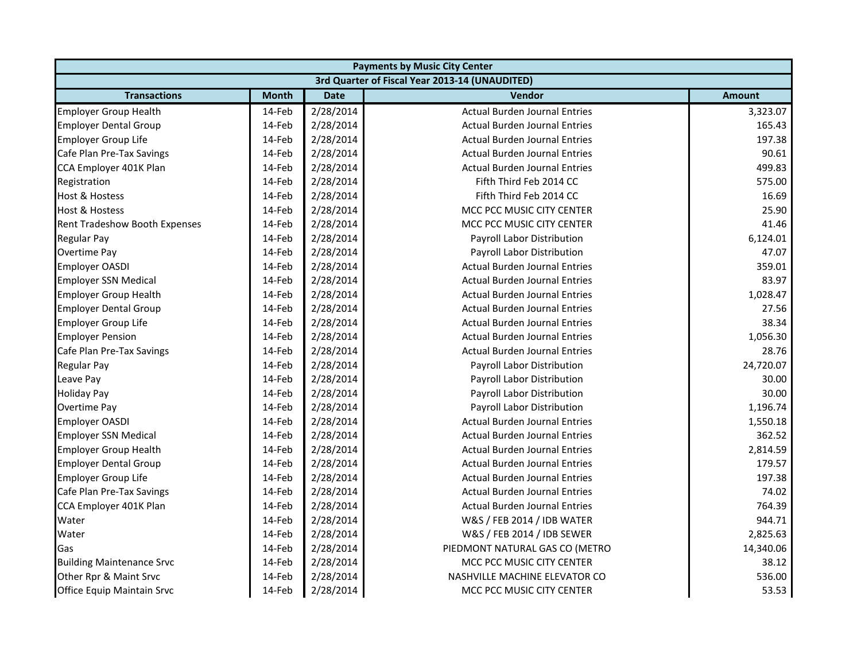| <b>Payments by Music City Center</b> |              |             |                                                |               |
|--------------------------------------|--------------|-------------|------------------------------------------------|---------------|
|                                      |              |             | 3rd Quarter of Fiscal Year 2013-14 (UNAUDITED) |               |
| <b>Transactions</b>                  | <b>Month</b> | <b>Date</b> | Vendor                                         | <b>Amount</b> |
| <b>Employer Group Health</b>         | 14-Feb       | 2/28/2014   | <b>Actual Burden Journal Entries</b>           | 3,323.07      |
| <b>Employer Dental Group</b>         | 14-Feb       | 2/28/2014   | <b>Actual Burden Journal Entries</b>           | 165.43        |
| <b>Employer Group Life</b>           | 14-Feb       | 2/28/2014   | <b>Actual Burden Journal Entries</b>           | 197.38        |
| Cafe Plan Pre-Tax Savings            | 14-Feb       | 2/28/2014   | <b>Actual Burden Journal Entries</b>           | 90.61         |
| CCA Employer 401K Plan               | 14-Feb       | 2/28/2014   | <b>Actual Burden Journal Entries</b>           | 499.83        |
| Registration                         | 14-Feb       | 2/28/2014   | Fifth Third Feb 2014 CC                        | 575.00        |
| <b>Host &amp; Hostess</b>            | 14-Feb       | 2/28/2014   | Fifth Third Feb 2014 CC                        | 16.69         |
| <b>Host &amp; Hostess</b>            | 14-Feb       | 2/28/2014   | MCC PCC MUSIC CITY CENTER                      | 25.90         |
| Rent Tradeshow Booth Expenses        | 14-Feb       | 2/28/2014   | MCC PCC MUSIC CITY CENTER                      | 41.46         |
| Regular Pay                          | 14-Feb       | 2/28/2014   | Payroll Labor Distribution                     | 6,124.01      |
| Overtime Pay                         | 14-Feb       | 2/28/2014   | Payroll Labor Distribution                     | 47.07         |
| <b>Employer OASDI</b>                | 14-Feb       | 2/28/2014   | <b>Actual Burden Journal Entries</b>           | 359.01        |
| <b>Employer SSN Medical</b>          | 14-Feb       | 2/28/2014   | <b>Actual Burden Journal Entries</b>           | 83.97         |
| <b>Employer Group Health</b>         | 14-Feb       | 2/28/2014   | <b>Actual Burden Journal Entries</b>           | 1,028.47      |
| <b>Employer Dental Group</b>         | 14-Feb       | 2/28/2014   | <b>Actual Burden Journal Entries</b>           | 27.56         |
| <b>Employer Group Life</b>           | 14-Feb       | 2/28/2014   | <b>Actual Burden Journal Entries</b>           | 38.34         |
| <b>Employer Pension</b>              | 14-Feb       | 2/28/2014   | <b>Actual Burden Journal Entries</b>           | 1,056.30      |
| Cafe Plan Pre-Tax Savings            | 14-Feb       | 2/28/2014   | <b>Actual Burden Journal Entries</b>           | 28.76         |
| <b>Regular Pay</b>                   | 14-Feb       | 2/28/2014   | Payroll Labor Distribution                     | 24,720.07     |
| Leave Pay                            | 14-Feb       | 2/28/2014   | Payroll Labor Distribution                     | 30.00         |
| <b>Holiday Pay</b>                   | 14-Feb       | 2/28/2014   | Payroll Labor Distribution                     | 30.00         |
| Overtime Pay                         | 14-Feb       | 2/28/2014   | Payroll Labor Distribution                     | 1,196.74      |
| <b>Employer OASDI</b>                | 14-Feb       | 2/28/2014   | <b>Actual Burden Journal Entries</b>           | 1,550.18      |
| <b>Employer SSN Medical</b>          | 14-Feb       | 2/28/2014   | <b>Actual Burden Journal Entries</b>           | 362.52        |
| <b>Employer Group Health</b>         | 14-Feb       | 2/28/2014   | <b>Actual Burden Journal Entries</b>           | 2,814.59      |
| <b>Employer Dental Group</b>         | 14-Feb       | 2/28/2014   | <b>Actual Burden Journal Entries</b>           | 179.57        |
| <b>Employer Group Life</b>           | 14-Feb       | 2/28/2014   | <b>Actual Burden Journal Entries</b>           | 197.38        |
| Cafe Plan Pre-Tax Savings            | 14-Feb       | 2/28/2014   | <b>Actual Burden Journal Entries</b>           | 74.02         |
| CCA Employer 401K Plan               | 14-Feb       | 2/28/2014   | <b>Actual Burden Journal Entries</b>           | 764.39        |
| Water                                | 14-Feb       | 2/28/2014   | W&S / FEB 2014 / IDB WATER                     | 944.71        |
| Water                                | 14-Feb       | 2/28/2014   | W&S / FEB 2014 / IDB SEWER                     | 2,825.63      |
| Gas                                  | 14-Feb       | 2/28/2014   | PIEDMONT NATURAL GAS CO (METRO                 | 14,340.06     |
| <b>Building Maintenance Srvc</b>     | 14-Feb       | 2/28/2014   | MCC PCC MUSIC CITY CENTER                      | 38.12         |
| Other Rpr & Maint Srvc               | 14-Feb       | 2/28/2014   | NASHVILLE MACHINE ELEVATOR CO                  | 536.00        |
| Office Equip Maintain Srvc           | 14-Feb       | 2/28/2014   | MCC PCC MUSIC CITY CENTER                      | 53.53         |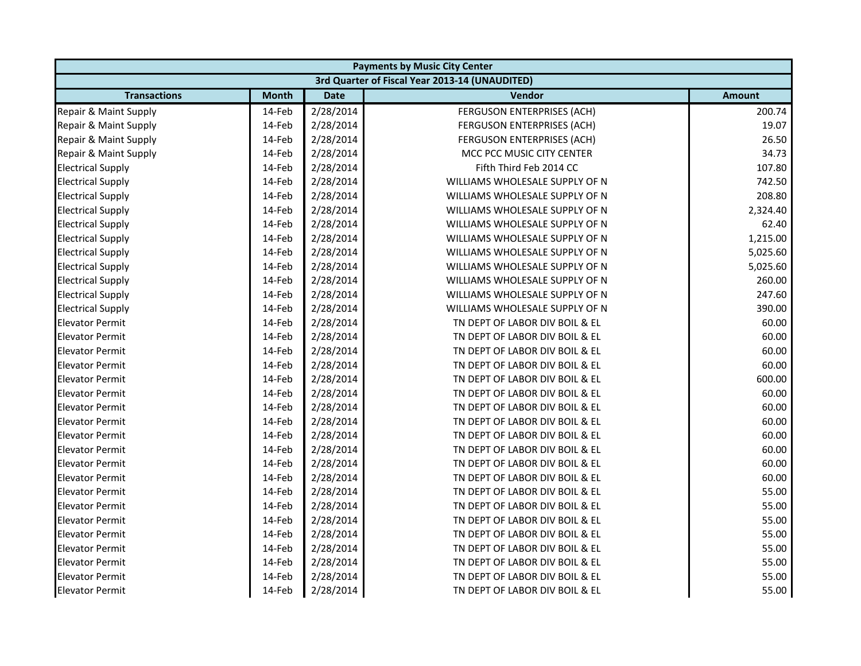|                          |              |             | <b>Payments by Music City Center</b>           |               |
|--------------------------|--------------|-------------|------------------------------------------------|---------------|
|                          |              |             | 3rd Quarter of Fiscal Year 2013-14 (UNAUDITED) |               |
| <b>Transactions</b>      | <b>Month</b> | <b>Date</b> | Vendor                                         | <b>Amount</b> |
| Repair & Maint Supply    | 14-Feb       | 2/28/2014   | FERGUSON ENTERPRISES (ACH)                     | 200.74        |
| Repair & Maint Supply    | 14-Feb       | 2/28/2014   | FERGUSON ENTERPRISES (ACH)                     | 19.07         |
| Repair & Maint Supply    | 14-Feb       | 2/28/2014   | <b>FERGUSON ENTERPRISES (ACH)</b>              | 26.50         |
| Repair & Maint Supply    | 14-Feb       | 2/28/2014   | MCC PCC MUSIC CITY CENTER                      | 34.73         |
| <b>Electrical Supply</b> | 14-Feb       | 2/28/2014   | Fifth Third Feb 2014 CC                        | 107.80        |
| <b>Electrical Supply</b> | 14-Feb       | 2/28/2014   | WILLIAMS WHOLESALE SUPPLY OF N                 | 742.50        |
| <b>Electrical Supply</b> | 14-Feb       | 2/28/2014   | WILLIAMS WHOLESALE SUPPLY OF N                 | 208.80        |
| <b>Electrical Supply</b> | 14-Feb       | 2/28/2014   | WILLIAMS WHOLESALE SUPPLY OF N                 | 2,324.40      |
| <b>Electrical Supply</b> | 14-Feb       | 2/28/2014   | WILLIAMS WHOLESALE SUPPLY OF N                 | 62.40         |
| <b>Electrical Supply</b> | 14-Feb       | 2/28/2014   | WILLIAMS WHOLESALE SUPPLY OF N                 | 1,215.00      |
| <b>Electrical Supply</b> | 14-Feb       | 2/28/2014   | WILLIAMS WHOLESALE SUPPLY OF N                 | 5,025.60      |
| <b>Electrical Supply</b> | 14-Feb       | 2/28/2014   | WILLIAMS WHOLESALE SUPPLY OF N                 | 5,025.60      |
| <b>Electrical Supply</b> | 14-Feb       | 2/28/2014   | WILLIAMS WHOLESALE SUPPLY OF N                 | 260.00        |
| <b>Electrical Supply</b> | 14-Feb       | 2/28/2014   | WILLIAMS WHOLESALE SUPPLY OF N                 | 247.60        |
| <b>Electrical Supply</b> | 14-Feb       | 2/28/2014   | WILLIAMS WHOLESALE SUPPLY OF N                 | 390.00        |
| <b>Elevator Permit</b>   | 14-Feb       | 2/28/2014   | TN DEPT OF LABOR DIV BOIL & EL                 | 60.00         |
| <b>Elevator Permit</b>   | 14-Feb       | 2/28/2014   | TN DEPT OF LABOR DIV BOIL & EL                 | 60.00         |
| <b>Elevator Permit</b>   | 14-Feb       | 2/28/2014   | TN DEPT OF LABOR DIV BOIL & EL                 | 60.00         |
| <b>Elevator Permit</b>   | 14-Feb       | 2/28/2014   | TN DEPT OF LABOR DIV BOIL & EL                 | 60.00         |
| <b>Elevator Permit</b>   | 14-Feb       | 2/28/2014   | TN DEPT OF LABOR DIV BOIL & EL                 | 600.00        |
| <b>Elevator Permit</b>   | 14-Feb       | 2/28/2014   | TN DEPT OF LABOR DIV BOIL & EL                 | 60.00         |
| <b>Elevator Permit</b>   | 14-Feb       | 2/28/2014   | TN DEPT OF LABOR DIV BOIL & EL                 | 60.00         |
| <b>Elevator Permit</b>   | 14-Feb       | 2/28/2014   | TN DEPT OF LABOR DIV BOIL & EL                 | 60.00         |
| <b>Elevator Permit</b>   | 14-Feb       | 2/28/2014   | TN DEPT OF LABOR DIV BOIL & EL                 | 60.00         |
| <b>Elevator Permit</b>   | 14-Feb       | 2/28/2014   | TN DEPT OF LABOR DIV BOIL & EL                 | 60.00         |
| <b>Elevator Permit</b>   | 14-Feb       | 2/28/2014   | TN DEPT OF LABOR DIV BOIL & EL                 | 60.00         |
| <b>Elevator Permit</b>   | 14-Feb       | 2/28/2014   | TN DEPT OF LABOR DIV BOIL & EL                 | 60.00         |
| <b>Elevator Permit</b>   | 14-Feb       | 2/28/2014   | TN DEPT OF LABOR DIV BOIL & EL                 | 55.00         |
| <b>Elevator Permit</b>   | 14-Feb       | 2/28/2014   | TN DEPT OF LABOR DIV BOIL & EL                 | 55.00         |
| <b>Elevator Permit</b>   | 14-Feb       | 2/28/2014   | TN DEPT OF LABOR DIV BOIL & EL                 | 55.00         |
| <b>Elevator Permit</b>   | 14-Feb       | 2/28/2014   | TN DEPT OF LABOR DIV BOIL & EL                 | 55.00         |
| <b>Elevator Permit</b>   | 14-Feb       | 2/28/2014   | TN DEPT OF LABOR DIV BOIL & EL                 | 55.00         |
| <b>Elevator Permit</b>   | 14-Feb       | 2/28/2014   | TN DEPT OF LABOR DIV BOIL & EL                 | 55.00         |
| <b>Elevator Permit</b>   | 14-Feb       | 2/28/2014   | TN DEPT OF LABOR DIV BOIL & EL                 | 55.00         |
| <b>Elevator Permit</b>   | 14-Feb       | 2/28/2014   | TN DEPT OF LABOR DIV BOIL & EL                 | 55.00         |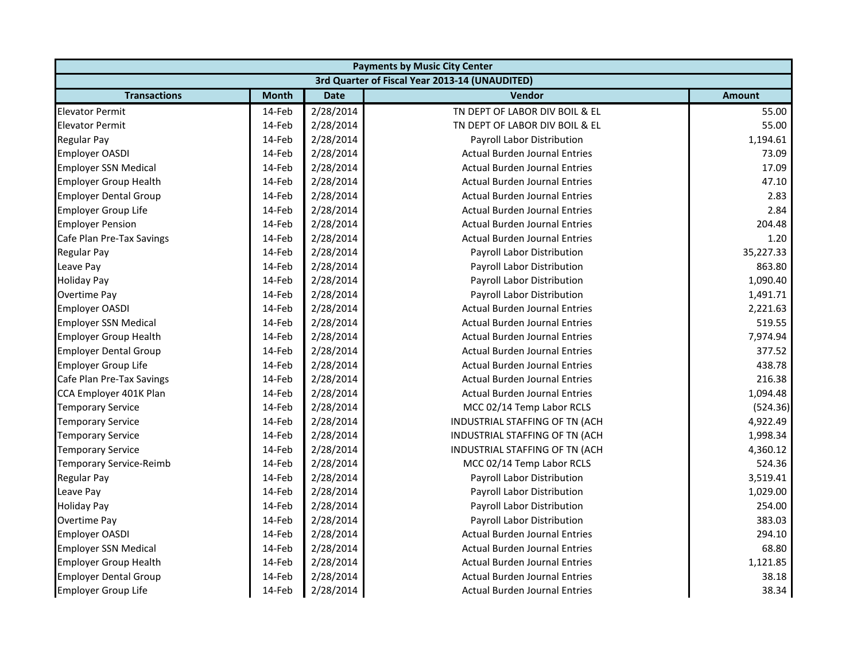|                                | <b>Payments by Music City Center</b> |             |                                                |               |  |  |
|--------------------------------|--------------------------------------|-------------|------------------------------------------------|---------------|--|--|
|                                |                                      |             | 3rd Quarter of Fiscal Year 2013-14 (UNAUDITED) |               |  |  |
| <b>Transactions</b>            | <b>Month</b>                         | <b>Date</b> | Vendor                                         | <b>Amount</b> |  |  |
| <b>Elevator Permit</b>         | 14-Feb                               | 2/28/2014   | TN DEPT OF LABOR DIV BOIL & EL                 | 55.00         |  |  |
| <b>Elevator Permit</b>         | 14-Feb                               | 2/28/2014   | TN DEPT OF LABOR DIV BOIL & EL                 | 55.00         |  |  |
| <b>Regular Pay</b>             | 14-Feb                               | 2/28/2014   | Payroll Labor Distribution                     | 1,194.61      |  |  |
| <b>Employer OASDI</b>          | 14-Feb                               | 2/28/2014   | <b>Actual Burden Journal Entries</b>           | 73.09         |  |  |
| <b>Employer SSN Medical</b>    | 14-Feb                               | 2/28/2014   | <b>Actual Burden Journal Entries</b>           | 17.09         |  |  |
| <b>Employer Group Health</b>   | 14-Feb                               | 2/28/2014   | <b>Actual Burden Journal Entries</b>           | 47.10         |  |  |
| <b>Employer Dental Group</b>   | 14-Feb                               | 2/28/2014   | <b>Actual Burden Journal Entries</b>           | 2.83          |  |  |
| <b>Employer Group Life</b>     | 14-Feb                               | 2/28/2014   | <b>Actual Burden Journal Entries</b>           | 2.84          |  |  |
| <b>Employer Pension</b>        | 14-Feb                               | 2/28/2014   | <b>Actual Burden Journal Entries</b>           | 204.48        |  |  |
| Cafe Plan Pre-Tax Savings      | 14-Feb                               | 2/28/2014   | <b>Actual Burden Journal Entries</b>           | 1.20          |  |  |
| <b>Regular Pay</b>             | 14-Feb                               | 2/28/2014   | Payroll Labor Distribution                     | 35,227.33     |  |  |
| Leave Pay                      | 14-Feb                               | 2/28/2014   | Payroll Labor Distribution                     | 863.80        |  |  |
| <b>Holiday Pay</b>             | 14-Feb                               | 2/28/2014   | Payroll Labor Distribution                     | 1,090.40      |  |  |
| Overtime Pay                   | 14-Feb                               | 2/28/2014   | Payroll Labor Distribution                     | 1,491.71      |  |  |
| <b>Employer OASDI</b>          | 14-Feb                               | 2/28/2014   | <b>Actual Burden Journal Entries</b>           | 2,221.63      |  |  |
| <b>Employer SSN Medical</b>    | 14-Feb                               | 2/28/2014   | <b>Actual Burden Journal Entries</b>           | 519.55        |  |  |
| <b>Employer Group Health</b>   | 14-Feb                               | 2/28/2014   | <b>Actual Burden Journal Entries</b>           | 7,974.94      |  |  |
| <b>Employer Dental Group</b>   | 14-Feb                               | 2/28/2014   | <b>Actual Burden Journal Entries</b>           | 377.52        |  |  |
| Employer Group Life            | 14-Feb                               | 2/28/2014   | <b>Actual Burden Journal Entries</b>           | 438.78        |  |  |
| Cafe Plan Pre-Tax Savings      | 14-Feb                               | 2/28/2014   | <b>Actual Burden Journal Entries</b>           | 216.38        |  |  |
| CCA Employer 401K Plan         | 14-Feb                               | 2/28/2014   | <b>Actual Burden Journal Entries</b>           | 1,094.48      |  |  |
| <b>Temporary Service</b>       | 14-Feb                               | 2/28/2014   | MCC 02/14 Temp Labor RCLS                      | (524.36)      |  |  |
| <b>Temporary Service</b>       | 14-Feb                               | 2/28/2014   | INDUSTRIAL STAFFING OF TN (ACH                 | 4,922.49      |  |  |
| <b>Temporary Service</b>       | 14-Feb                               | 2/28/2014   | INDUSTRIAL STAFFING OF TN (ACH                 | 1,998.34      |  |  |
| <b>Temporary Service</b>       | 14-Feb                               | 2/28/2014   | INDUSTRIAL STAFFING OF TN (ACH                 | 4,360.12      |  |  |
| <b>Temporary Service-Reimb</b> | 14-Feb                               | 2/28/2014   | MCC 02/14 Temp Labor RCLS                      | 524.36        |  |  |
| Regular Pay                    | 14-Feb                               | 2/28/2014   | Payroll Labor Distribution                     | 3,519.41      |  |  |
| Leave Pay                      | 14-Feb                               | 2/28/2014   | Payroll Labor Distribution                     | 1,029.00      |  |  |
| <b>Holiday Pay</b>             | 14-Feb                               | 2/28/2014   | Payroll Labor Distribution                     | 254.00        |  |  |
| Overtime Pay                   | 14-Feb                               | 2/28/2014   | Payroll Labor Distribution                     | 383.03        |  |  |
| <b>Employer OASDI</b>          | 14-Feb                               | 2/28/2014   | <b>Actual Burden Journal Entries</b>           | 294.10        |  |  |
| <b>Employer SSN Medical</b>    | 14-Feb                               | 2/28/2014   | <b>Actual Burden Journal Entries</b>           | 68.80         |  |  |
| <b>Employer Group Health</b>   | 14-Feb                               | 2/28/2014   | <b>Actual Burden Journal Entries</b>           | 1,121.85      |  |  |
| <b>Employer Dental Group</b>   | 14-Feb                               | 2/28/2014   | <b>Actual Burden Journal Entries</b>           | 38.18         |  |  |
| Employer Group Life            | 14-Feb                               | 2/28/2014   | Actual Burden Journal Entries                  | 38.34         |  |  |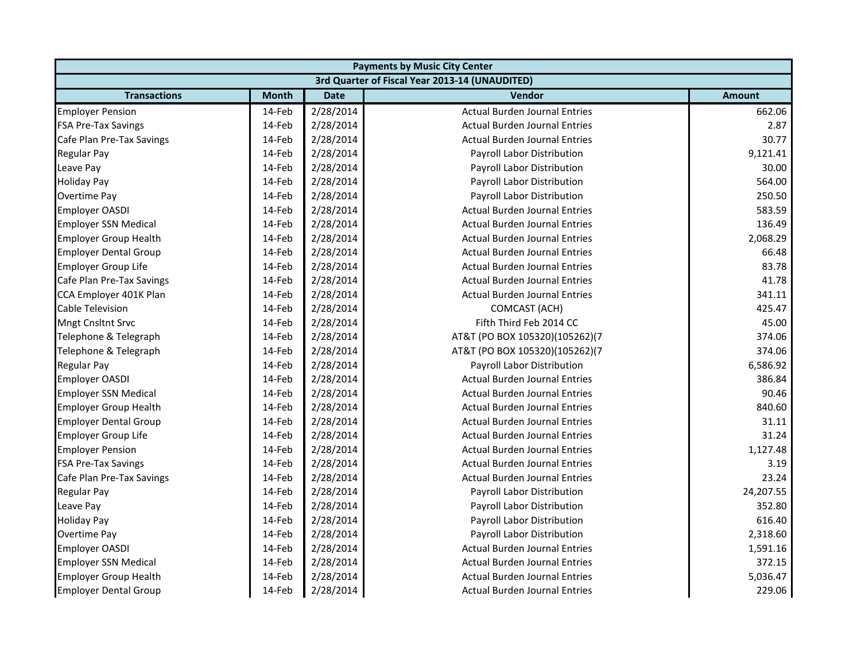| <b>Payments by Music City Center</b> |              |             |                                                |               |
|--------------------------------------|--------------|-------------|------------------------------------------------|---------------|
|                                      |              |             | 3rd Quarter of Fiscal Year 2013-14 (UNAUDITED) |               |
| <b>Transactions</b>                  | <b>Month</b> | <b>Date</b> | Vendor                                         | <b>Amount</b> |
| <b>Employer Pension</b>              | 14-Feb       | 2/28/2014   | <b>Actual Burden Journal Entries</b>           | 662.06        |
| <b>FSA Pre-Tax Savings</b>           | 14-Feb       | 2/28/2014   | <b>Actual Burden Journal Entries</b>           | 2.87          |
| Cafe Plan Pre-Tax Savings            | 14-Feb       | 2/28/2014   | <b>Actual Burden Journal Entries</b>           | 30.77         |
| <b>Regular Pay</b>                   | 14-Feb       | 2/28/2014   | Payroll Labor Distribution                     | 9,121.41      |
| Leave Pay                            | 14-Feb       | 2/28/2014   | Payroll Labor Distribution                     | 30.00         |
| <b>Holiday Pay</b>                   | 14-Feb       | 2/28/2014   | Payroll Labor Distribution                     | 564.00        |
| Overtime Pay                         | 14-Feb       | 2/28/2014   | Payroll Labor Distribution                     | 250.50        |
| <b>Employer OASDI</b>                | 14-Feb       | 2/28/2014   | <b>Actual Burden Journal Entries</b>           | 583.59        |
| <b>Employer SSN Medical</b>          | 14-Feb       | 2/28/2014   | <b>Actual Burden Journal Entries</b>           | 136.49        |
| <b>Employer Group Health</b>         | 14-Feb       | 2/28/2014   | <b>Actual Burden Journal Entries</b>           | 2,068.29      |
| <b>Employer Dental Group</b>         | 14-Feb       | 2/28/2014   | <b>Actual Burden Journal Entries</b>           | 66.48         |
| Employer Group Life                  | 14-Feb       | 2/28/2014   | <b>Actual Burden Journal Entries</b>           | 83.78         |
| Cafe Plan Pre-Tax Savings            | 14-Feb       | 2/28/2014   | <b>Actual Burden Journal Entries</b>           | 41.78         |
| CCA Employer 401K Plan               | 14-Feb       | 2/28/2014   | <b>Actual Burden Journal Entries</b>           | 341.11        |
| Cable Television                     | 14-Feb       | 2/28/2014   | <b>COMCAST (ACH)</b>                           | 425.47        |
| <b>Mngt Cnsltnt Srvc</b>             | 14-Feb       | 2/28/2014   | Fifth Third Feb 2014 CC                        | 45.00         |
| Telephone & Telegraph                | 14-Feb       | 2/28/2014   | AT&T (PO BOX 105320)(105262)(7                 | 374.06        |
| Telephone & Telegraph                | 14-Feb       | 2/28/2014   | AT&T (PO BOX 105320)(105262)(7                 | 374.06        |
| <b>Regular Pay</b>                   | 14-Feb       | 2/28/2014   | Payroll Labor Distribution                     | 6,586.92      |
| Employer OASDI                       | 14-Feb       | 2/28/2014   | <b>Actual Burden Journal Entries</b>           | 386.84        |
| <b>Employer SSN Medical</b>          | 14-Feb       | 2/28/2014   | <b>Actual Burden Journal Entries</b>           | 90.46         |
| <b>Employer Group Health</b>         | 14-Feb       | 2/28/2014   | <b>Actual Burden Journal Entries</b>           | 840.60        |
| <b>Employer Dental Group</b>         | 14-Feb       | 2/28/2014   | <b>Actual Burden Journal Entries</b>           | 31.11         |
| Employer Group Life                  | 14-Feb       | 2/28/2014   | <b>Actual Burden Journal Entries</b>           | 31.24         |
| <b>Employer Pension</b>              | 14-Feb       | 2/28/2014   | <b>Actual Burden Journal Entries</b>           | 1,127.48      |
| <b>FSA Pre-Tax Savings</b>           | 14-Feb       | 2/28/2014   | <b>Actual Burden Journal Entries</b>           | 3.19          |
| Cafe Plan Pre-Tax Savings            | 14-Feb       | 2/28/2014   | <b>Actual Burden Journal Entries</b>           | 23.24         |
| <b>Regular Pay</b>                   | 14-Feb       | 2/28/2014   | Payroll Labor Distribution                     | 24,207.55     |
| Leave Pay                            | 14-Feb       | 2/28/2014   | Payroll Labor Distribution                     | 352.80        |
| <b>Holiday Pay</b>                   | 14-Feb       | 2/28/2014   | Payroll Labor Distribution                     | 616.40        |
| Overtime Pay                         | 14-Feb       | 2/28/2014   | Payroll Labor Distribution                     | 2,318.60      |
| Employer OASDI                       | 14-Feb       | 2/28/2014   | <b>Actual Burden Journal Entries</b>           | 1,591.16      |
| <b>Employer SSN Medical</b>          | 14-Feb       | 2/28/2014   | <b>Actual Burden Journal Entries</b>           | 372.15        |
| <b>Employer Group Health</b>         | 14-Feb       | 2/28/2014   | <b>Actual Burden Journal Entries</b>           | 5,036.47      |
| <b>Employer Dental Group</b>         | 14-Feb       | 2/28/2014   | <b>Actual Burden Journal Entries</b>           | 229.06        |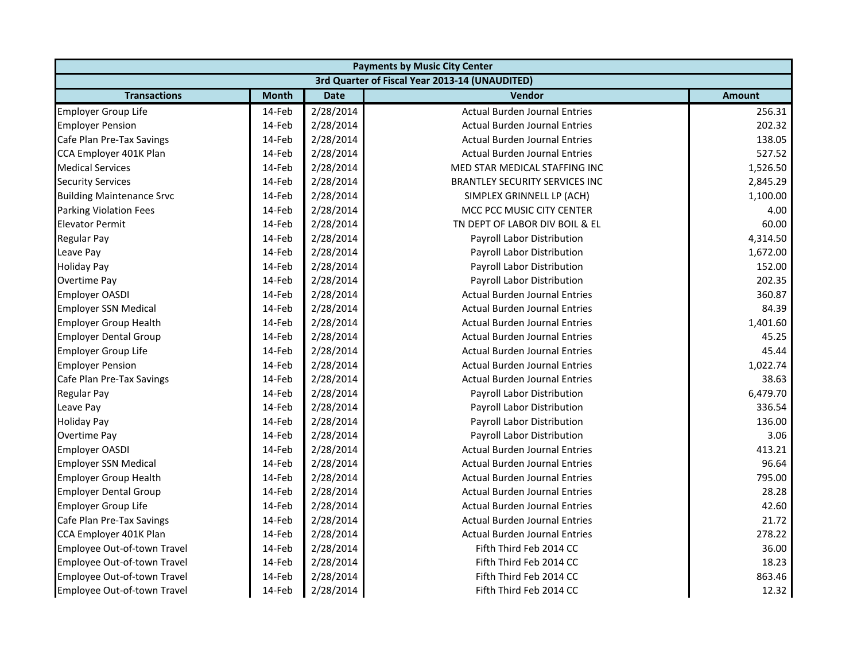|                                  | <b>Payments by Music City Center</b> |             |                                                |               |  |
|----------------------------------|--------------------------------------|-------------|------------------------------------------------|---------------|--|
|                                  |                                      |             | 3rd Quarter of Fiscal Year 2013-14 (UNAUDITED) |               |  |
| <b>Transactions</b>              | <b>Month</b>                         | <b>Date</b> | <b>Vendor</b>                                  | <b>Amount</b> |  |
| Employer Group Life              | 14-Feb                               | 2/28/2014   | <b>Actual Burden Journal Entries</b>           | 256.31        |  |
| <b>Employer Pension</b>          | 14-Feb                               | 2/28/2014   | <b>Actual Burden Journal Entries</b>           | 202.32        |  |
| Cafe Plan Pre-Tax Savings        | 14-Feb                               | 2/28/2014   | <b>Actual Burden Journal Entries</b>           | 138.05        |  |
| CCA Employer 401K Plan           | 14-Feb                               | 2/28/2014   | <b>Actual Burden Journal Entries</b>           | 527.52        |  |
| <b>Medical Services</b>          | 14-Feb                               | 2/28/2014   | MED STAR MEDICAL STAFFING INC                  | 1,526.50      |  |
| <b>Security Services</b>         | 14-Feb                               | 2/28/2014   | <b>BRANTLEY SECURITY SERVICES INC</b>          | 2,845.29      |  |
| <b>Building Maintenance Srvc</b> | 14-Feb                               | 2/28/2014   | SIMPLEX GRINNELL LP (ACH)                      | 1,100.00      |  |
| <b>Parking Violation Fees</b>    | 14-Feb                               | 2/28/2014   | MCC PCC MUSIC CITY CENTER                      | 4.00          |  |
| <b>Elevator Permit</b>           | 14-Feb                               | 2/28/2014   | TN DEPT OF LABOR DIV BOIL & EL                 | 60.00         |  |
| <b>Regular Pay</b>               | 14-Feb                               | 2/28/2014   | Payroll Labor Distribution                     | 4,314.50      |  |
| Leave Pay                        | 14-Feb                               | 2/28/2014   | Payroll Labor Distribution                     | 1,672.00      |  |
| <b>Holiday Pay</b>               | 14-Feb                               | 2/28/2014   | Payroll Labor Distribution                     | 152.00        |  |
| Overtime Pay                     | 14-Feb                               | 2/28/2014   | Payroll Labor Distribution                     | 202.35        |  |
| <b>Employer OASDI</b>            | 14-Feb                               | 2/28/2014   | <b>Actual Burden Journal Entries</b>           | 360.87        |  |
| <b>Employer SSN Medical</b>      | 14-Feb                               | 2/28/2014   | <b>Actual Burden Journal Entries</b>           | 84.39         |  |
| Employer Group Health            | 14-Feb                               | 2/28/2014   | <b>Actual Burden Journal Entries</b>           | 1,401.60      |  |
| <b>Employer Dental Group</b>     | 14-Feb                               | 2/28/2014   | <b>Actual Burden Journal Entries</b>           | 45.25         |  |
| <b>Employer Group Life</b>       | 14-Feb                               | 2/28/2014   | <b>Actual Burden Journal Entries</b>           | 45.44         |  |
| <b>Employer Pension</b>          | 14-Feb                               | 2/28/2014   | <b>Actual Burden Journal Entries</b>           | 1,022.74      |  |
| Cafe Plan Pre-Tax Savings        | 14-Feb                               | 2/28/2014   | <b>Actual Burden Journal Entries</b>           | 38.63         |  |
| <b>Regular Pay</b>               | 14-Feb                               | 2/28/2014   | Payroll Labor Distribution                     | 6,479.70      |  |
| Leave Pay                        | 14-Feb                               | 2/28/2014   | Payroll Labor Distribution                     | 336.54        |  |
| <b>Holiday Pay</b>               | 14-Feb                               | 2/28/2014   | Payroll Labor Distribution                     | 136.00        |  |
| Overtime Pay                     | 14-Feb                               | 2/28/2014   | Payroll Labor Distribution                     | 3.06          |  |
| <b>Employer OASDI</b>            | 14-Feb                               | 2/28/2014   | <b>Actual Burden Journal Entries</b>           | 413.21        |  |
| <b>Employer SSN Medical</b>      | 14-Feb                               | 2/28/2014   | <b>Actual Burden Journal Entries</b>           | 96.64         |  |
| <b>Employer Group Health</b>     | 14-Feb                               | 2/28/2014   | <b>Actual Burden Journal Entries</b>           | 795.00        |  |
| <b>Employer Dental Group</b>     | 14-Feb                               | 2/28/2014   | <b>Actual Burden Journal Entries</b>           | 28.28         |  |
| <b>Employer Group Life</b>       | 14-Feb                               | 2/28/2014   | <b>Actual Burden Journal Entries</b>           | 42.60         |  |
| Cafe Plan Pre-Tax Savings        | 14-Feb                               | 2/28/2014   | <b>Actual Burden Journal Entries</b>           | 21.72         |  |
| CCA Employer 401K Plan           | 14-Feb                               | 2/28/2014   | <b>Actual Burden Journal Entries</b>           | 278.22        |  |
| Employee Out-of-town Travel      | 14-Feb                               | 2/28/2014   | Fifth Third Feb 2014 CC                        | 36.00         |  |
| Employee Out-of-town Travel      | 14-Feb                               | 2/28/2014   | Fifth Third Feb 2014 CC                        | 18.23         |  |
| Employee Out-of-town Travel      | 14-Feb                               | 2/28/2014   | Fifth Third Feb 2014 CC                        | 863.46        |  |
| Employee Out-of-town Travel      | 14-Feb                               | 2/28/2014   | Fifth Third Feb 2014 CC                        | 12.32         |  |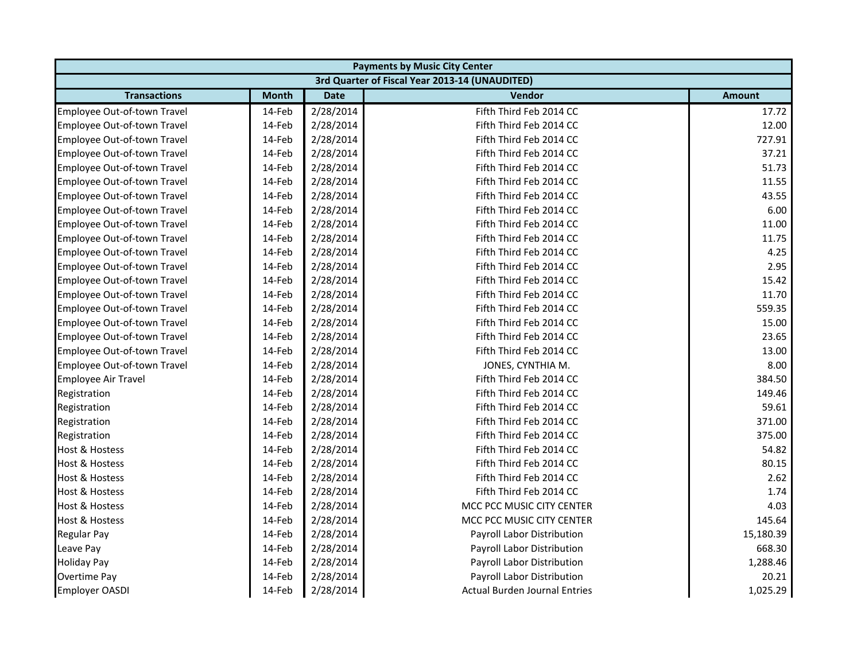| <b>Payments by Music City Center</b> |              |             |                                                |               |
|--------------------------------------|--------------|-------------|------------------------------------------------|---------------|
|                                      |              |             | 3rd Quarter of Fiscal Year 2013-14 (UNAUDITED) |               |
| <b>Transactions</b>                  | <b>Month</b> | <b>Date</b> | Vendor                                         | <b>Amount</b> |
| Employee Out-of-town Travel          | 14-Feb       | 2/28/2014   | Fifth Third Feb 2014 CC                        | 17.72         |
| Employee Out-of-town Travel          | 14-Feb       | 2/28/2014   | Fifth Third Feb 2014 CC                        | 12.00         |
| Employee Out-of-town Travel          | 14-Feb       | 2/28/2014   | Fifth Third Feb 2014 CC                        | 727.91        |
| Employee Out-of-town Travel          | 14-Feb       | 2/28/2014   | Fifth Third Feb 2014 CC                        | 37.21         |
| Employee Out-of-town Travel          | 14-Feb       | 2/28/2014   | Fifth Third Feb 2014 CC                        | 51.73         |
| Employee Out-of-town Travel          | 14-Feb       | 2/28/2014   | Fifth Third Feb 2014 CC                        | 11.55         |
| Employee Out-of-town Travel          | 14-Feb       | 2/28/2014   | Fifth Third Feb 2014 CC                        | 43.55         |
| Employee Out-of-town Travel          | 14-Feb       | 2/28/2014   | Fifth Third Feb 2014 CC                        | 6.00          |
| Employee Out-of-town Travel          | 14-Feb       | 2/28/2014   | Fifth Third Feb 2014 CC                        | 11.00         |
| Employee Out-of-town Travel          | 14-Feb       | 2/28/2014   | Fifth Third Feb 2014 CC                        | 11.75         |
| Employee Out-of-town Travel          | 14-Feb       | 2/28/2014   | Fifth Third Feb 2014 CC                        | 4.25          |
| Employee Out-of-town Travel          | 14-Feb       | 2/28/2014   | Fifth Third Feb 2014 CC                        | 2.95          |
| Employee Out-of-town Travel          | 14-Feb       | 2/28/2014   | Fifth Third Feb 2014 CC                        | 15.42         |
| Employee Out-of-town Travel          | 14-Feb       | 2/28/2014   | Fifth Third Feb 2014 CC                        | 11.70         |
| Employee Out-of-town Travel          | 14-Feb       | 2/28/2014   | Fifth Third Feb 2014 CC                        | 559.35        |
| Employee Out-of-town Travel          | 14-Feb       | 2/28/2014   | Fifth Third Feb 2014 CC                        | 15.00         |
| Employee Out-of-town Travel          | 14-Feb       | 2/28/2014   | Fifth Third Feb 2014 CC                        | 23.65         |
| Employee Out-of-town Travel          | 14-Feb       | 2/28/2014   | Fifth Third Feb 2014 CC                        | 13.00         |
| Employee Out-of-town Travel          | 14-Feb       | 2/28/2014   | JONES, CYNTHIA M.                              | 8.00          |
| Employee Air Travel                  | 14-Feb       | 2/28/2014   | Fifth Third Feb 2014 CC                        | 384.50        |
| Registration                         | 14-Feb       | 2/28/2014   | Fifth Third Feb 2014 CC                        | 149.46        |
| Registration                         | 14-Feb       | 2/28/2014   | Fifth Third Feb 2014 CC                        | 59.61         |
| Registration                         | 14-Feb       | 2/28/2014   | Fifth Third Feb 2014 CC                        | 371.00        |
| Registration                         | 14-Feb       | 2/28/2014   | Fifth Third Feb 2014 CC                        | 375.00        |
| Host & Hostess                       | 14-Feb       | 2/28/2014   | Fifth Third Feb 2014 CC                        | 54.82         |
| <b>Host &amp; Hostess</b>            | 14-Feb       | 2/28/2014   | Fifth Third Feb 2014 CC                        | 80.15         |
| <b>Host &amp; Hostess</b>            | 14-Feb       | 2/28/2014   | Fifth Third Feb 2014 CC                        | 2.62          |
| <b>Host &amp; Hostess</b>            | 14-Feb       | 2/28/2014   | Fifth Third Feb 2014 CC                        | 1.74          |
| <b>Host &amp; Hostess</b>            | 14-Feb       | 2/28/2014   | MCC PCC MUSIC CITY CENTER                      | 4.03          |
| Host & Hostess                       | 14-Feb       | 2/28/2014   | MCC PCC MUSIC CITY CENTER                      | 145.64        |
| <b>Regular Pay</b>                   | 14-Feb       | 2/28/2014   | Payroll Labor Distribution                     | 15,180.39     |
| Leave Pay                            | 14-Feb       | 2/28/2014   | Payroll Labor Distribution                     | 668.30        |
| <b>Holiday Pay</b>                   | 14-Feb       | 2/28/2014   | Payroll Labor Distribution                     | 1,288.46      |
| Overtime Pay                         | 14-Feb       | 2/28/2014   | Payroll Labor Distribution                     | 20.21         |
| <b>Employer OASDI</b>                | 14-Feb       | 2/28/2014   | <b>Actual Burden Journal Entries</b>           | 1,025.29      |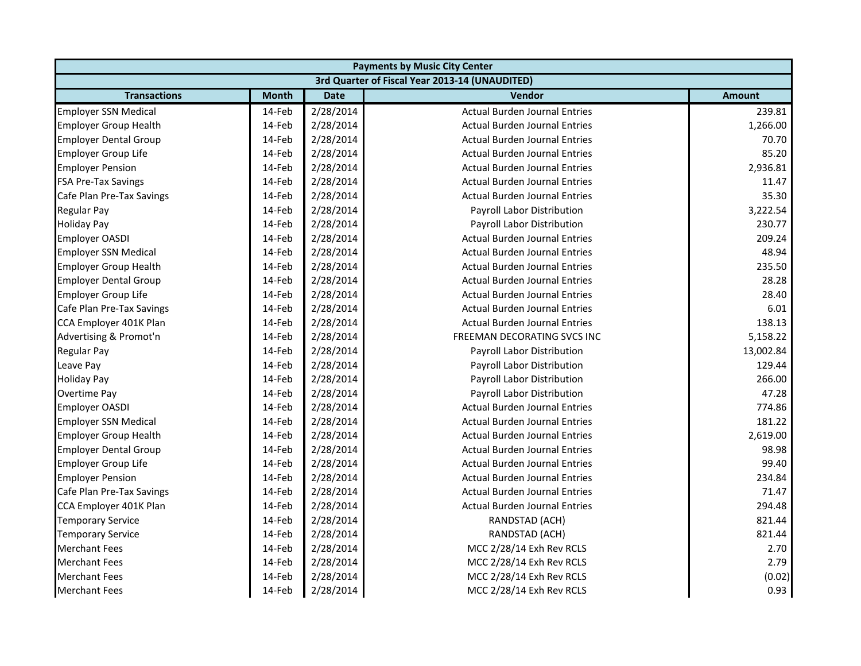| <b>Payments by Music City Center</b> |              |             |                                                |               |
|--------------------------------------|--------------|-------------|------------------------------------------------|---------------|
|                                      |              |             | 3rd Quarter of Fiscal Year 2013-14 (UNAUDITED) |               |
| <b>Transactions</b>                  | <b>Month</b> | <b>Date</b> | Vendor                                         | <b>Amount</b> |
| <b>Employer SSN Medical</b>          | 14-Feb       | 2/28/2014   | <b>Actual Burden Journal Entries</b>           | 239.81        |
| <b>Employer Group Health</b>         | 14-Feb       | 2/28/2014   | <b>Actual Burden Journal Entries</b>           | 1,266.00      |
| <b>Employer Dental Group</b>         | 14-Feb       | 2/28/2014   | <b>Actual Burden Journal Entries</b>           | 70.70         |
| <b>Employer Group Life</b>           | 14-Feb       | 2/28/2014   | <b>Actual Burden Journal Entries</b>           | 85.20         |
| <b>Employer Pension</b>              | 14-Feb       | 2/28/2014   | <b>Actual Burden Journal Entries</b>           | 2,936.81      |
| <b>FSA Pre-Tax Savings</b>           | 14-Feb       | 2/28/2014   | <b>Actual Burden Journal Entries</b>           | 11.47         |
| Cafe Plan Pre-Tax Savings            | 14-Feb       | 2/28/2014   | <b>Actual Burden Journal Entries</b>           | 35.30         |
| <b>Regular Pay</b>                   | 14-Feb       | 2/28/2014   | <b>Payroll Labor Distribution</b>              | 3,222.54      |
| <b>Holiday Pay</b>                   | 14-Feb       | 2/28/2014   | Payroll Labor Distribution                     | 230.77        |
| <b>Employer OASDI</b>                | 14-Feb       | 2/28/2014   | <b>Actual Burden Journal Entries</b>           | 209.24        |
| <b>Employer SSN Medical</b>          | 14-Feb       | 2/28/2014   | <b>Actual Burden Journal Entries</b>           | 48.94         |
| <b>Employer Group Health</b>         | 14-Feb       | 2/28/2014   | <b>Actual Burden Journal Entries</b>           | 235.50        |
| <b>Employer Dental Group</b>         | 14-Feb       | 2/28/2014   | <b>Actual Burden Journal Entries</b>           | 28.28         |
| <b>Employer Group Life</b>           | 14-Feb       | 2/28/2014   | <b>Actual Burden Journal Entries</b>           | 28.40         |
| Cafe Plan Pre-Tax Savings            | 14-Feb       | 2/28/2014   | <b>Actual Burden Journal Entries</b>           | 6.01          |
| CCA Employer 401K Plan               | 14-Feb       | 2/28/2014   | <b>Actual Burden Journal Entries</b>           | 138.13        |
| Advertising & Promot'n               | 14-Feb       | 2/28/2014   | FREEMAN DECORATING SVCS INC                    | 5,158.22      |
| Regular Pay                          | 14-Feb       | 2/28/2014   | Payroll Labor Distribution                     | 13,002.84     |
| Leave Pay                            | 14-Feb       | 2/28/2014   | Payroll Labor Distribution                     | 129.44        |
| <b>Holiday Pay</b>                   | 14-Feb       | 2/28/2014   | Payroll Labor Distribution                     | 266.00        |
| Overtime Pay                         | 14-Feb       | 2/28/2014   | Payroll Labor Distribution                     | 47.28         |
| <b>Employer OASDI</b>                | 14-Feb       | 2/28/2014   | <b>Actual Burden Journal Entries</b>           | 774.86        |
| <b>Employer SSN Medical</b>          | 14-Feb       | 2/28/2014   | <b>Actual Burden Journal Entries</b>           | 181.22        |
| <b>Employer Group Health</b>         | 14-Feb       | 2/28/2014   | <b>Actual Burden Journal Entries</b>           | 2,619.00      |
| <b>Employer Dental Group</b>         | 14-Feb       | 2/28/2014   | <b>Actual Burden Journal Entries</b>           | 98.98         |
| <b>Employer Group Life</b>           | 14-Feb       | 2/28/2014   | <b>Actual Burden Journal Entries</b>           | 99.40         |
| <b>Employer Pension</b>              | 14-Feb       | 2/28/2014   | <b>Actual Burden Journal Entries</b>           | 234.84        |
| Cafe Plan Pre-Tax Savings            | 14-Feb       | 2/28/2014   | <b>Actual Burden Journal Entries</b>           | 71.47         |
| CCA Employer 401K Plan               | 14-Feb       | 2/28/2014   | <b>Actual Burden Journal Entries</b>           | 294.48        |
| <b>Temporary Service</b>             | 14-Feb       | 2/28/2014   | RANDSTAD (ACH)                                 | 821.44        |
| <b>Temporary Service</b>             | 14-Feb       | 2/28/2014   | RANDSTAD (ACH)                                 | 821.44        |
| <b>Merchant Fees</b>                 | 14-Feb       | 2/28/2014   | MCC 2/28/14 Exh Rev RCLS                       | 2.70          |
| <b>Merchant Fees</b>                 | 14-Feb       | 2/28/2014   | MCC 2/28/14 Exh Rev RCLS                       | 2.79          |
| <b>Merchant Fees</b>                 | 14-Feb       | 2/28/2014   | MCC 2/28/14 Exh Rev RCLS                       | (0.02)        |
| <b>Merchant Fees</b>                 | 14-Feb       | 2/28/2014   | MCC 2/28/14 Exh Rev RCLS                       | 0.93          |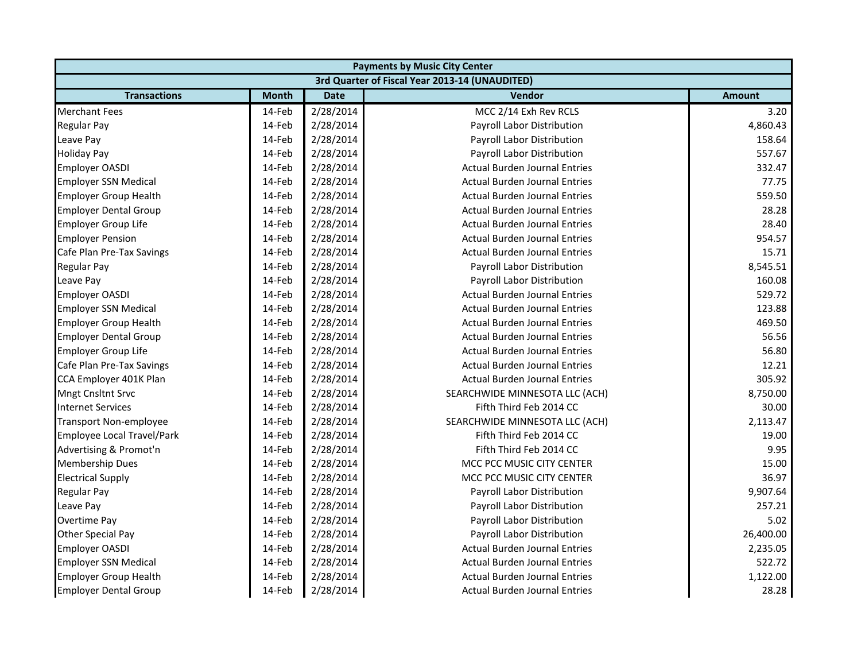| <b>Payments by Music City Center</b> |              |             |                                                |               |  |
|--------------------------------------|--------------|-------------|------------------------------------------------|---------------|--|
|                                      |              |             | 3rd Quarter of Fiscal Year 2013-14 (UNAUDITED) |               |  |
| <b>Transactions</b>                  | <b>Month</b> | <b>Date</b> | <b>Vendor</b>                                  | <b>Amount</b> |  |
| <b>Merchant Fees</b>                 | 14-Feb       | 2/28/2014   | MCC 2/14 Exh Rev RCLS                          | 3.20          |  |
| <b>Regular Pay</b>                   | 14-Feb       | 2/28/2014   | Payroll Labor Distribution                     | 4,860.43      |  |
| Leave Pay                            | 14-Feb       | 2/28/2014   | Payroll Labor Distribution                     | 158.64        |  |
| <b>Holiday Pay</b>                   | 14-Feb       | 2/28/2014   | Payroll Labor Distribution                     | 557.67        |  |
| <b>Employer OASDI</b>                | 14-Feb       | 2/28/2014   | <b>Actual Burden Journal Entries</b>           | 332.47        |  |
| <b>Employer SSN Medical</b>          | 14-Feb       | 2/28/2014   | <b>Actual Burden Journal Entries</b>           | 77.75         |  |
| <b>Employer Group Health</b>         | 14-Feb       | 2/28/2014   | <b>Actual Burden Journal Entries</b>           | 559.50        |  |
| <b>Employer Dental Group</b>         | 14-Feb       | 2/28/2014   | <b>Actual Burden Journal Entries</b>           | 28.28         |  |
| <b>Employer Group Life</b>           | 14-Feb       | 2/28/2014   | <b>Actual Burden Journal Entries</b>           | 28.40         |  |
| <b>Employer Pension</b>              | 14-Feb       | 2/28/2014   | <b>Actual Burden Journal Entries</b>           | 954.57        |  |
| Cafe Plan Pre-Tax Savings            | 14-Feb       | 2/28/2014   | <b>Actual Burden Journal Entries</b>           | 15.71         |  |
| <b>Regular Pay</b>                   | 14-Feb       | 2/28/2014   | Payroll Labor Distribution                     | 8,545.51      |  |
| Leave Pay                            | 14-Feb       | 2/28/2014   | Payroll Labor Distribution                     | 160.08        |  |
| <b>Employer OASDI</b>                | 14-Feb       | 2/28/2014   | <b>Actual Burden Journal Entries</b>           | 529.72        |  |
| <b>Employer SSN Medical</b>          | 14-Feb       | 2/28/2014   | <b>Actual Burden Journal Entries</b>           | 123.88        |  |
| Employer Group Health                | 14-Feb       | 2/28/2014   | <b>Actual Burden Journal Entries</b>           | 469.50        |  |
| <b>Employer Dental Group</b>         | 14-Feb       | 2/28/2014   | <b>Actual Burden Journal Entries</b>           | 56.56         |  |
| <b>Employer Group Life</b>           | 14-Feb       | 2/28/2014   | <b>Actual Burden Journal Entries</b>           | 56.80         |  |
| Cafe Plan Pre-Tax Savings            | 14-Feb       | 2/28/2014   | <b>Actual Burden Journal Entries</b>           | 12.21         |  |
| CCA Employer 401K Plan               | 14-Feb       | 2/28/2014   | <b>Actual Burden Journal Entries</b>           | 305.92        |  |
| <b>Mngt Cnsltnt Srvc</b>             | 14-Feb       | 2/28/2014   | SEARCHWIDE MINNESOTA LLC (ACH)                 | 8,750.00      |  |
| <b>Internet Services</b>             | 14-Feb       | 2/28/2014   | Fifth Third Feb 2014 CC                        | 30.00         |  |
| <b>Transport Non-employee</b>        | 14-Feb       | 2/28/2014   | SEARCHWIDE MINNESOTA LLC (ACH)                 | 2,113.47      |  |
| Employee Local Travel/Park           | 14-Feb       | 2/28/2014   | Fifth Third Feb 2014 CC                        | 19.00         |  |
| Advertising & Promot'n               | 14-Feb       | 2/28/2014   | Fifth Third Feb 2014 CC                        | 9.95          |  |
| <b>Membership Dues</b>               | 14-Feb       | 2/28/2014   | MCC PCC MUSIC CITY CENTER                      | 15.00         |  |
| <b>Electrical Supply</b>             | 14-Feb       | 2/28/2014   | MCC PCC MUSIC CITY CENTER                      | 36.97         |  |
| <b>Regular Pay</b>                   | 14-Feb       | 2/28/2014   | Payroll Labor Distribution                     | 9,907.64      |  |
| Leave Pay                            | 14-Feb       | 2/28/2014   | Payroll Labor Distribution                     | 257.21        |  |
| Overtime Pay                         | 14-Feb       | 2/28/2014   | Payroll Labor Distribution                     | 5.02          |  |
| Other Special Pay                    | 14-Feb       | 2/28/2014   | Payroll Labor Distribution                     | 26,400.00     |  |
| <b>Employer OASDI</b>                | 14-Feb       | 2/28/2014   | <b>Actual Burden Journal Entries</b>           | 2,235.05      |  |
| <b>Employer SSN Medical</b>          | 14-Feb       | 2/28/2014   | <b>Actual Burden Journal Entries</b>           | 522.72        |  |
| <b>Employer Group Health</b>         | 14-Feb       | 2/28/2014   | <b>Actual Burden Journal Entries</b>           | 1,122.00      |  |
| <b>Employer Dental Group</b>         | 14-Feb       | 2/28/2014   | <b>Actual Burden Journal Entries</b>           | 28.28         |  |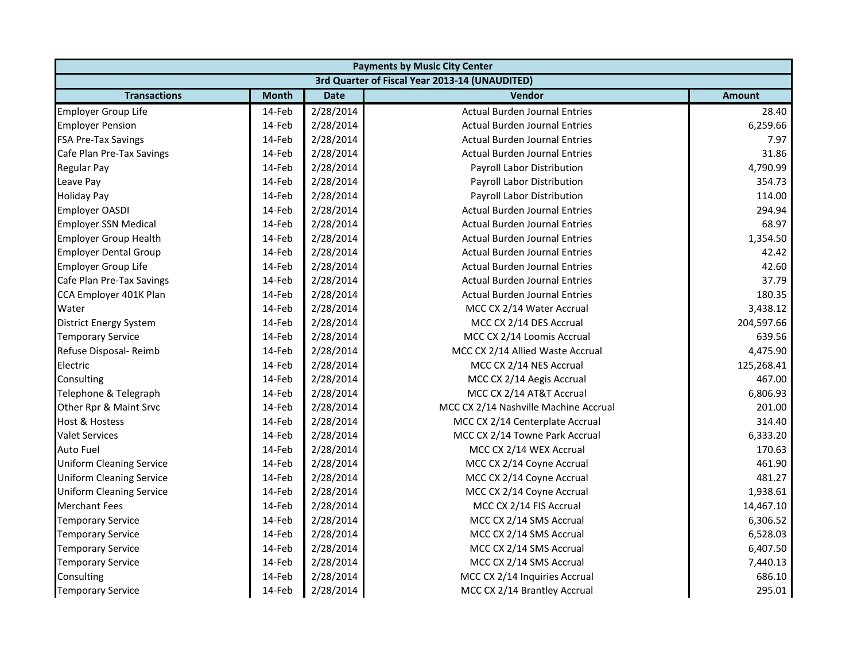| <b>Payments by Music City Center</b> |              |             |                                                |               |
|--------------------------------------|--------------|-------------|------------------------------------------------|---------------|
|                                      |              |             | 3rd Quarter of Fiscal Year 2013-14 (UNAUDITED) |               |
| <b>Transactions</b>                  | <b>Month</b> | <b>Date</b> | Vendor                                         | <b>Amount</b> |
| Employer Group Life                  | 14-Feb       | 2/28/2014   | <b>Actual Burden Journal Entries</b>           | 28.40         |
| <b>Employer Pension</b>              | 14-Feb       | 2/28/2014   | <b>Actual Burden Journal Entries</b>           | 6,259.66      |
| <b>FSA Pre-Tax Savings</b>           | 14-Feb       | 2/28/2014   | <b>Actual Burden Journal Entries</b>           | 7.97          |
| Cafe Plan Pre-Tax Savings            | 14-Feb       | 2/28/2014   | <b>Actual Burden Journal Entries</b>           | 31.86         |
| Regular Pay                          | 14-Feb       | 2/28/2014   | Payroll Labor Distribution                     | 4,790.99      |
| Leave Pay                            | 14-Feb       | 2/28/2014   | Payroll Labor Distribution                     | 354.73        |
| <b>Holiday Pay</b>                   | 14-Feb       | 2/28/2014   | Payroll Labor Distribution                     | 114.00        |
| <b>Employer OASDI</b>                | 14-Feb       | 2/28/2014   | <b>Actual Burden Journal Entries</b>           | 294.94        |
| <b>Employer SSN Medical</b>          | 14-Feb       | 2/28/2014   | <b>Actual Burden Journal Entries</b>           | 68.97         |
| <b>Employer Group Health</b>         | 14-Feb       | 2/28/2014   | <b>Actual Burden Journal Entries</b>           | 1,354.50      |
| <b>Employer Dental Group</b>         | 14-Feb       | 2/28/2014   | <b>Actual Burden Journal Entries</b>           | 42.42         |
| <b>Employer Group Life</b>           | 14-Feb       | 2/28/2014   | <b>Actual Burden Journal Entries</b>           | 42.60         |
| Cafe Plan Pre-Tax Savings            | 14-Feb       | 2/28/2014   | <b>Actual Burden Journal Entries</b>           | 37.79         |
| CCA Employer 401K Plan               | 14-Feb       | 2/28/2014   | <b>Actual Burden Journal Entries</b>           | 180.35        |
| Water                                | 14-Feb       | 2/28/2014   | MCC CX 2/14 Water Accrual                      | 3,438.12      |
| District Energy System               | 14-Feb       | 2/28/2014   | MCC CX 2/14 DES Accrual                        | 204,597.66    |
| <b>Temporary Service</b>             | 14-Feb       | 2/28/2014   | MCC CX 2/14 Loomis Accrual                     | 639.56        |
| Refuse Disposal- Reimb               | 14-Feb       | 2/28/2014   | MCC CX 2/14 Allied Waste Accrual               | 4,475.90      |
| Electric                             | 14-Feb       | 2/28/2014   | MCC CX 2/14 NES Accrual                        | 125,268.41    |
| Consulting                           | 14-Feb       | 2/28/2014   | MCC CX 2/14 Aegis Accrual                      | 467.00        |
| Telephone & Telegraph                | 14-Feb       | 2/28/2014   | MCC CX 2/14 AT&T Accrual                       | 6,806.93      |
| Other Rpr & Maint Srvc               | 14-Feb       | 2/28/2014   | MCC CX 2/14 Nashville Machine Accrual          | 201.00        |
| <b>Host &amp; Hostess</b>            | 14-Feb       | 2/28/2014   | MCC CX 2/14 Centerplate Accrual                | 314.40        |
| <b>Valet Services</b>                | 14-Feb       | 2/28/2014   | MCC CX 2/14 Towne Park Accrual                 | 6,333.20      |
| <b>Auto Fuel</b>                     | 14-Feb       | 2/28/2014   | MCC CX 2/14 WEX Accrual                        | 170.63        |
| <b>Uniform Cleaning Service</b>      | 14-Feb       | 2/28/2014   | MCC CX 2/14 Coyne Accrual                      | 461.90        |
| <b>Uniform Cleaning Service</b>      | 14-Feb       | 2/28/2014   | MCC CX 2/14 Coyne Accrual                      | 481.27        |
| <b>Uniform Cleaning Service</b>      | 14-Feb       | 2/28/2014   | MCC CX 2/14 Coyne Accrual                      | 1,938.61      |
| <b>Merchant Fees</b>                 | 14-Feb       | 2/28/2014   | MCC CX 2/14 FIS Accrual                        | 14,467.10     |
| <b>Temporary Service</b>             | 14-Feb       | 2/28/2014   | MCC CX 2/14 SMS Accrual                        | 6,306.52      |
| <b>Temporary Service</b>             | 14-Feb       | 2/28/2014   | MCC CX 2/14 SMS Accrual                        | 6,528.03      |
| <b>Temporary Service</b>             | 14-Feb       | 2/28/2014   | MCC CX 2/14 SMS Accrual                        | 6,407.50      |
| <b>Temporary Service</b>             | 14-Feb       | 2/28/2014   | MCC CX 2/14 SMS Accrual                        | 7,440.13      |
| Consulting                           | 14-Feb       | 2/28/2014   | MCC CX 2/14 Inquiries Accrual                  | 686.10        |
| <b>Temporary Service</b>             | 14-Feb       | 2/28/2014   | MCC CX 2/14 Brantley Accrual                   | 295.01        |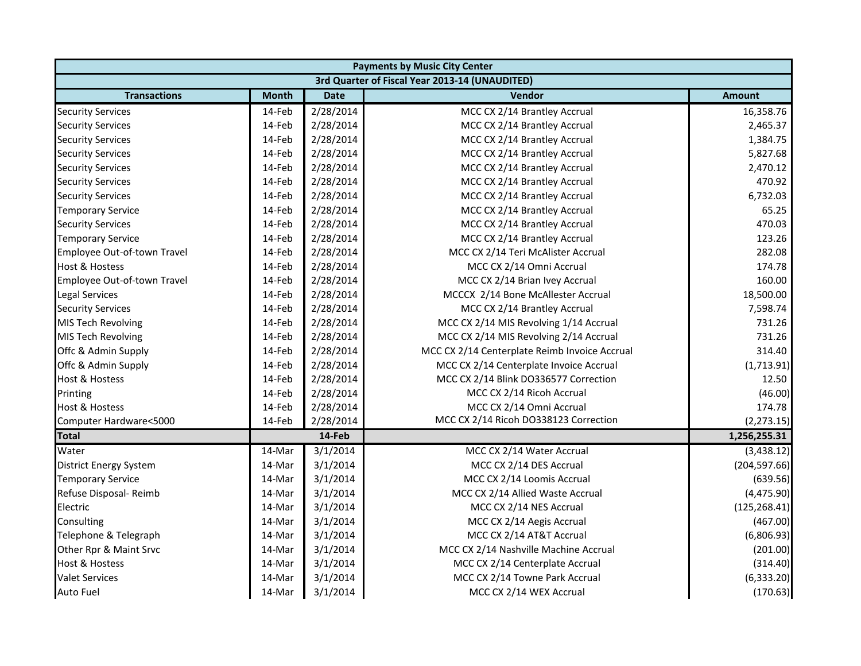| <b>Payments by Music City Center</b> |              |             |                                                |               |
|--------------------------------------|--------------|-------------|------------------------------------------------|---------------|
|                                      |              |             | 3rd Quarter of Fiscal Year 2013-14 (UNAUDITED) |               |
| <b>Transactions</b>                  | <b>Month</b> | <b>Date</b> | Vendor                                         | <b>Amount</b> |
| <b>Security Services</b>             | 14-Feb       | 2/28/2014   | MCC CX 2/14 Brantley Accrual                   | 16,358.76     |
| <b>Security Services</b>             | 14-Feb       | 2/28/2014   | MCC CX 2/14 Brantley Accrual                   | 2,465.37      |
| <b>Security Services</b>             | 14-Feb       | 2/28/2014   | MCC CX 2/14 Brantley Accrual                   | 1,384.75      |
| <b>Security Services</b>             | 14-Feb       | 2/28/2014   | MCC CX 2/14 Brantley Accrual                   | 5,827.68      |
| <b>Security Services</b>             | 14-Feb       | 2/28/2014   | MCC CX 2/14 Brantley Accrual                   | 2,470.12      |
| <b>Security Services</b>             | 14-Feb       | 2/28/2014   | MCC CX 2/14 Brantley Accrual                   | 470.92        |
| <b>Security Services</b>             | 14-Feb       | 2/28/2014   | MCC CX 2/14 Brantley Accrual                   | 6,732.03      |
| <b>Temporary Service</b>             | 14-Feb       | 2/28/2014   | MCC CX 2/14 Brantley Accrual                   | 65.25         |
| <b>Security Services</b>             | 14-Feb       | 2/28/2014   | MCC CX 2/14 Brantley Accrual                   | 470.03        |
| <b>Temporary Service</b>             | 14-Feb       | 2/28/2014   | MCC CX 2/14 Brantley Accrual                   | 123.26        |
| Employee Out-of-town Travel          | 14-Feb       | 2/28/2014   | MCC CX 2/14 Teri McAlister Accrual             | 282.08        |
| <b>Host &amp; Hostess</b>            | 14-Feb       | 2/28/2014   | MCC CX 2/14 Omni Accrual                       | 174.78        |
| Employee Out-of-town Travel          | 14-Feb       | 2/28/2014   | MCC CX 2/14 Brian Ivey Accrual                 | 160.00        |
| <b>Legal Services</b>                | 14-Feb       | 2/28/2014   | MCCCX 2/14 Bone McAllester Accrual             | 18,500.00     |
| <b>Security Services</b>             | 14-Feb       | 2/28/2014   | MCC CX 2/14 Brantley Accrual                   | 7,598.74      |
| MIS Tech Revolving                   | 14-Feb       | 2/28/2014   | MCC CX 2/14 MIS Revolving 1/14 Accrual         | 731.26        |
| <b>MIS Tech Revolving</b>            | 14-Feb       | 2/28/2014   | MCC CX 2/14 MIS Revolving 2/14 Accrual         | 731.26        |
| Offc & Admin Supply                  | 14-Feb       | 2/28/2014   | MCC CX 2/14 Centerplate Reimb Invoice Accrual  | 314.40        |
| Offc & Admin Supply                  | 14-Feb       | 2/28/2014   | MCC CX 2/14 Centerplate Invoice Accrual        | (1,713.91)    |
| Host & Hostess                       | 14-Feb       | 2/28/2014   | MCC CX 2/14 Blink DO336577 Correction          | 12.50         |
| Printing                             | 14-Feb       | 2/28/2014   | MCC CX 2/14 Ricoh Accrual                      | (46.00)       |
| Host & Hostess                       | 14-Feb       | 2/28/2014   | MCC CX 2/14 Omni Accrual                       | 174.78        |
| Computer Hardware<5000               | 14-Feb       | 2/28/2014   | MCC CX 2/14 Ricoh DO338123 Correction          | (2, 273.15)   |
| <b>Total</b>                         |              | 14-Feb      |                                                | 1,256,255.31  |
| Water                                | 14-Mar       | 3/1/2014    | MCC CX 2/14 Water Accrual                      | (3,438.12)    |
| <b>District Energy System</b>        | 14-Mar       | 3/1/2014    | MCC CX 2/14 DES Accrual                        | (204, 597.66) |
| <b>Temporary Service</b>             | 14-Mar       | 3/1/2014    | MCC CX 2/14 Loomis Accrual                     | (639.56)      |
| Refuse Disposal- Reimb               | 14-Mar       | 3/1/2014    | MCC CX 2/14 Allied Waste Accrual               | (4,475.90)    |
| Electric                             | 14-Mar       | 3/1/2014    | MCC CX 2/14 NES Accrual                        | (125, 268.41) |
| Consulting                           | 14-Mar       | 3/1/2014    | MCC CX 2/14 Aegis Accrual                      | (467.00)      |
| Telephone & Telegraph                | 14-Mar       | 3/1/2014    | MCC CX 2/14 AT&T Accrual                       | (6,806.93)    |
| Other Rpr & Maint Srvc               | 14-Mar       | 3/1/2014    | MCC CX 2/14 Nashville Machine Accrual          | (201.00)      |
| <b>Host &amp; Hostess</b>            | 14-Mar       | 3/1/2014    | MCC CX 2/14 Centerplate Accrual                | (314.40)      |
| <b>Valet Services</b>                | 14-Mar       | 3/1/2014    | MCC CX 2/14 Towne Park Accrual                 | (6, 333.20)   |
| Auto Fuel                            | 14-Mar       | 3/1/2014    | MCC CX 2/14 WEX Accrual                        | (170.63)      |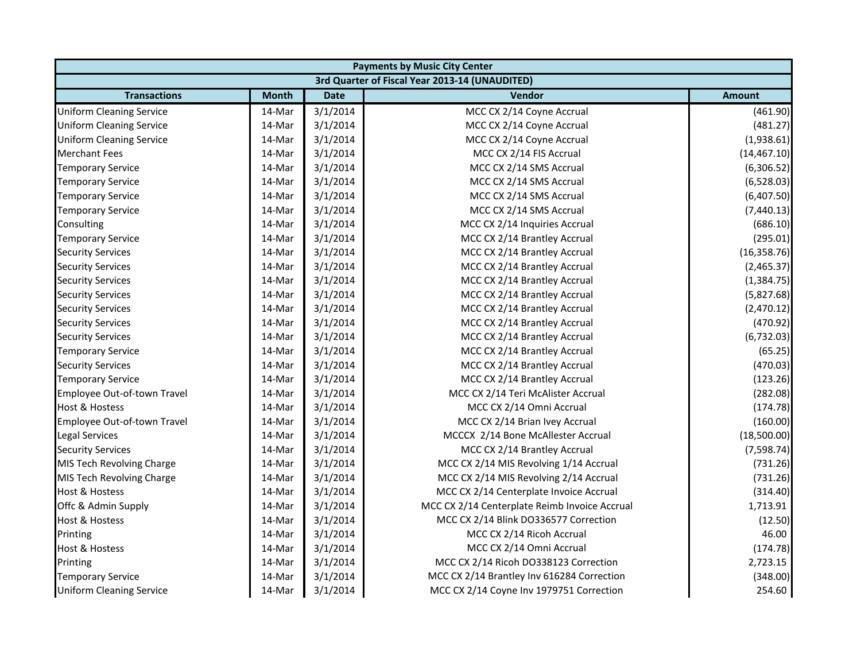|                                 | <b>Payments by Music City Center</b> |             |                                                |               |  |
|---------------------------------|--------------------------------------|-------------|------------------------------------------------|---------------|--|
|                                 |                                      |             | 3rd Quarter of Fiscal Year 2013-14 (UNAUDITED) |               |  |
| <b>Transactions</b>             | <b>Month</b>                         | <b>Date</b> | Vendor                                         | <b>Amount</b> |  |
| <b>Uniform Cleaning Service</b> | 14-Mar                               | 3/1/2014    | MCC CX 2/14 Coyne Accrual                      | (461.90)      |  |
| <b>Uniform Cleaning Service</b> | 14-Mar                               | 3/1/2014    | MCC CX 2/14 Coyne Accrual                      | (481.27)      |  |
| <b>Uniform Cleaning Service</b> | 14-Mar                               | 3/1/2014    | MCC CX 2/14 Coyne Accrual                      | (1,938.61)    |  |
| <b>Merchant Fees</b>            | 14-Mar                               | 3/1/2014    | MCC CX 2/14 FIS Accrual                        | (14, 467.10)  |  |
| <b>Temporary Service</b>        | 14-Mar                               | 3/1/2014    | MCC CX 2/14 SMS Accrual                        | (6,306.52)    |  |
| <b>Temporary Service</b>        | 14-Mar                               | 3/1/2014    | MCC CX 2/14 SMS Accrual                        | (6,528.03)    |  |
| <b>Temporary Service</b>        | 14-Mar                               | 3/1/2014    | MCC CX 2/14 SMS Accrual                        | (6,407.50)    |  |
| <b>Temporary Service</b>        | 14-Mar                               | 3/1/2014    | MCC CX 2/14 SMS Accrual                        | (7,440.13)    |  |
| Consulting                      | 14-Mar                               | 3/1/2014    | MCC CX 2/14 Inquiries Accrual                  | (686.10)      |  |
| <b>Temporary Service</b>        | 14-Mar                               | 3/1/2014    | MCC CX 2/14 Brantley Accrual                   | (295.01)      |  |
| <b>Security Services</b>        | 14-Mar                               | 3/1/2014    | MCC CX 2/14 Brantley Accrual                   | (16, 358.76)  |  |
| <b>Security Services</b>        | 14-Mar                               | 3/1/2014    | MCC CX 2/14 Brantley Accrual                   | (2,465.37)    |  |
| <b>Security Services</b>        | 14-Mar                               | 3/1/2014    | MCC CX 2/14 Brantley Accrual                   | (1, 384.75)   |  |
| <b>Security Services</b>        | 14-Mar                               | 3/1/2014    | MCC CX 2/14 Brantley Accrual                   | (5,827.68)    |  |
| <b>Security Services</b>        | 14-Mar                               | 3/1/2014    | MCC CX 2/14 Brantley Accrual                   | (2,470.12)    |  |
| <b>Security Services</b>        | 14-Mar                               | 3/1/2014    | MCC CX 2/14 Brantley Accrual                   | (470.92)      |  |
| <b>Security Services</b>        | 14-Mar                               | 3/1/2014    | MCC CX 2/14 Brantley Accrual                   | (6, 732.03)   |  |
| <b>Temporary Service</b>        | 14-Mar                               | 3/1/2014    | MCC CX 2/14 Brantley Accrual                   | (65.25)       |  |
| <b>Security Services</b>        | 14-Mar                               | 3/1/2014    | MCC CX 2/14 Brantley Accrual                   | (470.03)      |  |
| <b>Temporary Service</b>        | 14-Mar                               | 3/1/2014    | MCC CX 2/14 Brantley Accrual                   | (123.26)      |  |
| Employee Out-of-town Travel     | 14-Mar                               | 3/1/2014    | MCC CX 2/14 Teri McAlister Accrual             | (282.08)      |  |
| Host & Hostess                  | 14-Mar                               | 3/1/2014    | MCC CX 2/14 Omni Accrual                       | (174.78)      |  |
| Employee Out-of-town Travel     | 14-Mar                               | 3/1/2014    | MCC CX 2/14 Brian Ivey Accrual                 | (160.00)      |  |
| <b>Legal Services</b>           | 14-Mar                               | 3/1/2014    | MCCCX 2/14 Bone McAllester Accrual             | (18,500.00)   |  |
| <b>Security Services</b>        | 14-Mar                               | 3/1/2014    | MCC CX 2/14 Brantley Accrual                   | (7,598.74)    |  |
| MIS Tech Revolving Charge       | 14-Mar                               | 3/1/2014    | MCC CX 2/14 MIS Revolving 1/14 Accrual         | (731.26)      |  |
| MIS Tech Revolving Charge       | 14-Mar                               | 3/1/2014    | MCC CX 2/14 MIS Revolving 2/14 Accrual         | (731.26)      |  |
| <b>Host &amp; Hostess</b>       | 14-Mar                               | 3/1/2014    | MCC CX 2/14 Centerplate Invoice Accrual        | (314.40)      |  |
| Offc & Admin Supply             | 14-Mar                               | 3/1/2014    | MCC CX 2/14 Centerplate Reimb Invoice Accrual  | 1,713.91      |  |
| Host & Hostess                  | 14-Mar                               | 3/1/2014    | MCC CX 2/14 Blink DO336577 Correction          | (12.50)       |  |
| Printing                        | 14-Mar                               | 3/1/2014    | MCC CX 2/14 Ricoh Accrual                      | 46.00         |  |
| Host & Hostess                  | 14-Mar                               | 3/1/2014    | MCC CX 2/14 Omni Accrual                       | (174.78)      |  |
| Printing                        | 14-Mar                               | 3/1/2014    | MCC CX 2/14 Ricoh DO338123 Correction          | 2,723.15      |  |
| <b>Temporary Service</b>        | 14-Mar                               | 3/1/2014    | MCC CX 2/14 Brantley Inv 616284 Correction     | (348.00)      |  |
| <b>Uniform Cleaning Service</b> | 14-Mar                               | 3/1/2014    | MCC CX 2/14 Coyne Inv 1979751 Correction       | 254.60        |  |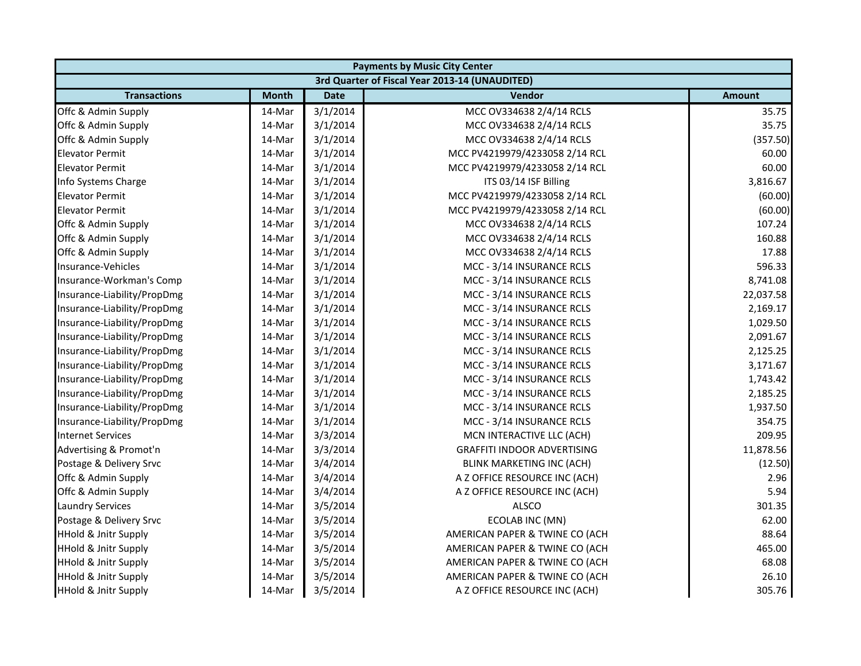| <b>Payments by Music City Center</b> |              |             |                                                |               |
|--------------------------------------|--------------|-------------|------------------------------------------------|---------------|
|                                      |              |             | 3rd Quarter of Fiscal Year 2013-14 (UNAUDITED) |               |
| <b>Transactions</b>                  | <b>Month</b> | <b>Date</b> | <b>Vendor</b>                                  | <b>Amount</b> |
| Offc & Admin Supply                  | 14-Mar       | 3/1/2014    | MCC OV334638 2/4/14 RCLS                       | 35.75         |
| Offc & Admin Supply                  | 14-Mar       | 3/1/2014    | MCC OV334638 2/4/14 RCLS                       | 35.75         |
| Offc & Admin Supply                  | 14-Mar       | 3/1/2014    | MCC OV334638 2/4/14 RCLS                       | (357.50)      |
| <b>Elevator Permit</b>               | 14-Mar       | 3/1/2014    | MCC PV4219979/4233058 2/14 RCL                 | 60.00         |
| <b>Elevator Permit</b>               | 14-Mar       | 3/1/2014    | MCC PV4219979/4233058 2/14 RCL                 | 60.00         |
| Info Systems Charge                  | 14-Mar       | 3/1/2014    | ITS 03/14 ISF Billing                          | 3,816.67      |
| <b>Elevator Permit</b>               | 14-Mar       | 3/1/2014    | MCC PV4219979/4233058 2/14 RCL                 | (60.00)       |
| <b>Elevator Permit</b>               | 14-Mar       | 3/1/2014    | MCC PV4219979/4233058 2/14 RCL                 | (60.00)       |
| Offc & Admin Supply                  | 14-Mar       | 3/1/2014    | MCC OV334638 2/4/14 RCLS                       | 107.24        |
| Offc & Admin Supply                  | 14-Mar       | 3/1/2014    | MCC OV334638 2/4/14 RCLS                       | 160.88        |
| Offc & Admin Supply                  | 14-Mar       | 3/1/2014    | MCC OV334638 2/4/14 RCLS                       | 17.88         |
| Insurance-Vehicles                   | 14-Mar       | 3/1/2014    | MCC - 3/14 INSURANCE RCLS                      | 596.33        |
| Insurance-Workman's Comp             | 14-Mar       | 3/1/2014    | MCC - 3/14 INSURANCE RCLS                      | 8,741.08      |
| Insurance-Liability/PropDmg          | 14-Mar       | 3/1/2014    | MCC - 3/14 INSURANCE RCLS                      | 22,037.58     |
| Insurance-Liability/PropDmg          | 14-Mar       | 3/1/2014    | MCC - 3/14 INSURANCE RCLS                      | 2,169.17      |
| Insurance-Liability/PropDmg          | 14-Mar       | 3/1/2014    | MCC - 3/14 INSURANCE RCLS                      | 1,029.50      |
| Insurance-Liability/PropDmg          | 14-Mar       | 3/1/2014    | MCC - 3/14 INSURANCE RCLS                      | 2,091.67      |
| Insurance-Liability/PropDmg          | 14-Mar       | 3/1/2014    | MCC - 3/14 INSURANCE RCLS                      | 2,125.25      |
| Insurance-Liability/PropDmg          | 14-Mar       | 3/1/2014    | MCC - 3/14 INSURANCE RCLS                      | 3,171.67      |
| Insurance-Liability/PropDmg          | 14-Mar       | 3/1/2014    | MCC - 3/14 INSURANCE RCLS                      | 1,743.42      |
| Insurance-Liability/PropDmg          | 14-Mar       | 3/1/2014    | MCC - 3/14 INSURANCE RCLS                      | 2,185.25      |
| Insurance-Liability/PropDmg          | 14-Mar       | 3/1/2014    | MCC - 3/14 INSURANCE RCLS                      | 1,937.50      |
| Insurance-Liability/PropDmg          | 14-Mar       | 3/1/2014    | MCC - 3/14 INSURANCE RCLS                      | 354.75        |
| <b>Internet Services</b>             | 14-Mar       | 3/3/2014    | MCN INTERACTIVE LLC (ACH)                      | 209.95        |
| Advertising & Promot'n               | 14-Mar       | 3/3/2014    | <b>GRAFFITI INDOOR ADVERTISING</b>             | 11,878.56     |
| Postage & Delivery Srvc              | 14-Mar       | 3/4/2014    | BLINK MARKETING INC (ACH)                      | (12.50)       |
| Offc & Admin Supply                  | 14-Mar       | 3/4/2014    | A Z OFFICE RESOURCE INC (ACH)                  | 2.96          |
| Offc & Admin Supply                  | 14-Mar       | 3/4/2014    | A Z OFFICE RESOURCE INC (ACH)                  | 5.94          |
| <b>Laundry Services</b>              | 14-Mar       | 3/5/2014    | ALSCO                                          | 301.35        |
| Postage & Delivery Srvc              | 14-Mar       | 3/5/2014    | ECOLAB INC (MN)                                | 62.00         |
| <b>HHold &amp; Jnitr Supply</b>      | 14-Mar       | 3/5/2014    | AMERICAN PAPER & TWINE CO (ACH                 | 88.64         |
| <b>HHold &amp; Jnitr Supply</b>      | 14-Mar       | 3/5/2014    | AMERICAN PAPER & TWINE CO (ACH                 | 465.00        |
| <b>HHold &amp; Jnitr Supply</b>      | 14-Mar       | 3/5/2014    | AMERICAN PAPER & TWINE CO (ACH                 | 68.08         |
| <b>HHold &amp; Jnitr Supply</b>      | 14-Mar       | 3/5/2014    | AMERICAN PAPER & TWINE CO (ACH                 | 26.10         |
| <b>HHold &amp; Jnitr Supply</b>      | 14-Mar       | 3/5/2014    | A Z OFFICE RESOURCE INC (ACH)                  | 305.76        |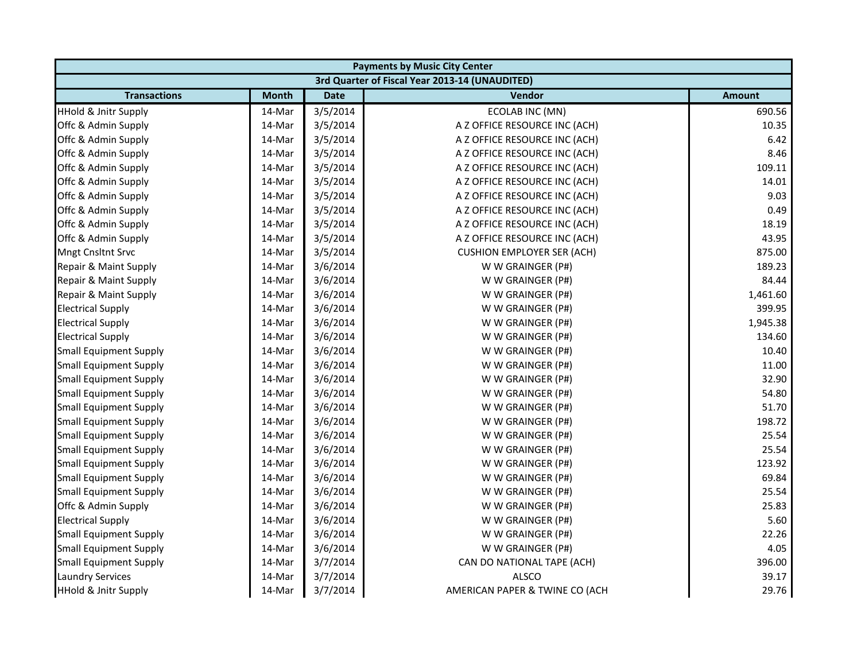|                                 | <b>Payments by Music City Center</b> |             |                                                |               |
|---------------------------------|--------------------------------------|-------------|------------------------------------------------|---------------|
|                                 |                                      |             | 3rd Quarter of Fiscal Year 2013-14 (UNAUDITED) |               |
| <b>Transactions</b>             | <b>Month</b>                         | <b>Date</b> | <b>Vendor</b>                                  | <b>Amount</b> |
| <b>HHold &amp; Jnitr Supply</b> | 14-Mar                               | 3/5/2014    | <b>ECOLAB INC (MN)</b>                         | 690.56        |
| Offc & Admin Supply             | 14-Mar                               | 3/5/2014    | A Z OFFICE RESOURCE INC (ACH)                  | 10.35         |
| Offc & Admin Supply             | 14-Mar                               | 3/5/2014    | A Z OFFICE RESOURCE INC (ACH)                  | 6.42          |
| Offc & Admin Supply             | 14-Mar                               | 3/5/2014    | A Z OFFICE RESOURCE INC (ACH)                  | 8.46          |
| Offc & Admin Supply             | 14-Mar                               | 3/5/2014    | A Z OFFICE RESOURCE INC (ACH)                  | 109.11        |
| Offc & Admin Supply             | 14-Mar                               | 3/5/2014    | A Z OFFICE RESOURCE INC (ACH)                  | 14.01         |
| Offc & Admin Supply             | 14-Mar                               | 3/5/2014    | A Z OFFICE RESOURCE INC (ACH)                  | 9.03          |
| Offc & Admin Supply             | 14-Mar                               | 3/5/2014    | A Z OFFICE RESOURCE INC (ACH)                  | 0.49          |
| Offc & Admin Supply             | 14-Mar                               | 3/5/2014    | A Z OFFICE RESOURCE INC (ACH)                  | 18.19         |
| Offc & Admin Supply             | 14-Mar                               | 3/5/2014    | A Z OFFICE RESOURCE INC (ACH)                  | 43.95         |
| <b>Mngt Cnsltnt Srvc</b>        | 14-Mar                               | 3/5/2014    | <b>CUSHION EMPLOYER SER (ACH)</b>              | 875.00        |
| Repair & Maint Supply           | 14-Mar                               | 3/6/2014    | W W GRAINGER (P#)                              | 189.23        |
| Repair & Maint Supply           | 14-Mar                               | 3/6/2014    | W W GRAINGER (P#)                              | 84.44         |
| Repair & Maint Supply           | 14-Mar                               | 3/6/2014    | W W GRAINGER (P#)                              | 1,461.60      |
| <b>Electrical Supply</b>        | 14-Mar                               | 3/6/2014    | W W GRAINGER (P#)                              | 399.95        |
| <b>Electrical Supply</b>        | 14-Mar                               | 3/6/2014    | W W GRAINGER (P#)                              | 1,945.38      |
| <b>Electrical Supply</b>        | 14-Mar                               | 3/6/2014    | W W GRAINGER (P#)                              | 134.60        |
| <b>Small Equipment Supply</b>   | 14-Mar                               | 3/6/2014    | W W GRAINGER (P#)                              | 10.40         |
| <b>Small Equipment Supply</b>   | 14-Mar                               | 3/6/2014    | W W GRAINGER (P#)                              | 11.00         |
| <b>Small Equipment Supply</b>   | 14-Mar                               | 3/6/2014    | W W GRAINGER (P#)                              | 32.90         |
| <b>Small Equipment Supply</b>   | 14-Mar                               | 3/6/2014    | W W GRAINGER (P#)                              | 54.80         |
| <b>Small Equipment Supply</b>   | 14-Mar                               | 3/6/2014    | W W GRAINGER (P#)                              | 51.70         |
| <b>Small Equipment Supply</b>   | 14-Mar                               | 3/6/2014    | W W GRAINGER (P#)                              | 198.72        |
| <b>Small Equipment Supply</b>   | 14-Mar                               | 3/6/2014    | W W GRAINGER (P#)                              | 25.54         |
| <b>Small Equipment Supply</b>   | 14-Mar                               | 3/6/2014    | W W GRAINGER (P#)                              | 25.54         |
| <b>Small Equipment Supply</b>   | 14-Mar                               | 3/6/2014    | W W GRAINGER (P#)                              | 123.92        |
| <b>Small Equipment Supply</b>   | 14-Mar                               | 3/6/2014    | W W GRAINGER (P#)                              | 69.84         |
| <b>Small Equipment Supply</b>   | 14-Mar                               | 3/6/2014    | W W GRAINGER (P#)                              | 25.54         |
| Offc & Admin Supply             | 14-Mar                               | 3/6/2014    | W W GRAINGER (P#)                              | 25.83         |
| <b>Electrical Supply</b>        | 14-Mar                               | 3/6/2014    | W W GRAINGER (P#)                              | 5.60          |
| <b>Small Equipment Supply</b>   | 14-Mar                               | 3/6/2014    | W W GRAINGER (P#)                              | 22.26         |
| <b>Small Equipment Supply</b>   | 14-Mar                               | 3/6/2014    | W W GRAINGER (P#)                              | 4.05          |
| <b>Small Equipment Supply</b>   | 14-Mar                               | 3/7/2014    | CAN DO NATIONAL TAPE (ACH)                     | 396.00        |
| <b>Laundry Services</b>         | 14-Mar                               | 3/7/2014    | <b>ALSCO</b>                                   | 39.17         |
| <b>HHold &amp; Jnitr Supply</b> | 14-Mar                               | 3/7/2014    | AMERICAN PAPER & TWINE CO (ACH                 | 29.76         |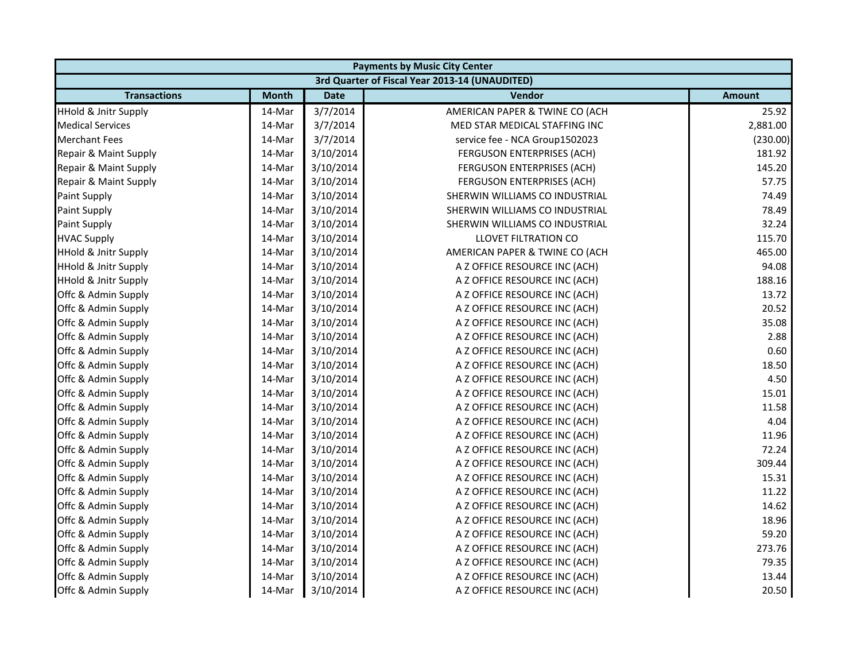| <b>Payments by Music City Center</b> |              |             |                                                |               |
|--------------------------------------|--------------|-------------|------------------------------------------------|---------------|
|                                      |              |             | 3rd Quarter of Fiscal Year 2013-14 (UNAUDITED) |               |
| <b>Transactions</b>                  | <b>Month</b> | <b>Date</b> | <b>Vendor</b>                                  | <b>Amount</b> |
| <b>HHold &amp; Jnitr Supply</b>      | 14-Mar       | 3/7/2014    | AMERICAN PAPER & TWINE CO (ACH                 | 25.92         |
| <b>Medical Services</b>              | 14-Mar       | 3/7/2014    | MED STAR MEDICAL STAFFING INC                  | 2,881.00      |
| <b>Merchant Fees</b>                 | 14-Mar       | 3/7/2014    | service fee - NCA Group1502023                 | (230.00)      |
| Repair & Maint Supply                | 14-Mar       | 3/10/2014   | FERGUSON ENTERPRISES (ACH)                     | 181.92        |
| Repair & Maint Supply                | 14-Mar       | 3/10/2014   | FERGUSON ENTERPRISES (ACH)                     | 145.20        |
| Repair & Maint Supply                | 14-Mar       | 3/10/2014   | <b>FERGUSON ENTERPRISES (ACH)</b>              | 57.75         |
| Paint Supply                         | 14-Mar       | 3/10/2014   | SHERWIN WILLIAMS CO INDUSTRIAL                 | 74.49         |
| Paint Supply                         | 14-Mar       | 3/10/2014   | SHERWIN WILLIAMS CO INDUSTRIAL                 | 78.49         |
| <b>Paint Supply</b>                  | 14-Mar       | 3/10/2014   | SHERWIN WILLIAMS CO INDUSTRIAL                 | 32.24         |
| <b>HVAC Supply</b>                   | 14-Mar       | 3/10/2014   | <b>LLOVET FILTRATION CO</b>                    | 115.70        |
| <b>HHold &amp; Jnitr Supply</b>      | 14-Mar       | 3/10/2014   | AMERICAN PAPER & TWINE CO (ACH                 | 465.00        |
| <b>HHold &amp; Jnitr Supply</b>      | 14-Mar       | 3/10/2014   | A Z OFFICE RESOURCE INC (ACH)                  | 94.08         |
| <b>HHold &amp; Jnitr Supply</b>      | 14-Mar       | 3/10/2014   | A Z OFFICE RESOURCE INC (ACH)                  | 188.16        |
| Offc & Admin Supply                  | 14-Mar       | 3/10/2014   | A Z OFFICE RESOURCE INC (ACH)                  | 13.72         |
| Offc & Admin Supply                  | 14-Mar       | 3/10/2014   | A Z OFFICE RESOURCE INC (ACH)                  | 20.52         |
| Offc & Admin Supply                  | 14-Mar       | 3/10/2014   | A Z OFFICE RESOURCE INC (ACH)                  | 35.08         |
| Offc & Admin Supply                  | 14-Mar       | 3/10/2014   | A Z OFFICE RESOURCE INC (ACH)                  | 2.88          |
| Offc & Admin Supply                  | 14-Mar       | 3/10/2014   | A Z OFFICE RESOURCE INC (ACH)                  | 0.60          |
| Offc & Admin Supply                  | 14-Mar       | 3/10/2014   | A Z OFFICE RESOURCE INC (ACH)                  | 18.50         |
| Offc & Admin Supply                  | 14-Mar       | 3/10/2014   | A Z OFFICE RESOURCE INC (ACH)                  | 4.50          |
| Offc & Admin Supply                  | 14-Mar       | 3/10/2014   | A Z OFFICE RESOURCE INC (ACH)                  | 15.01         |
| Offc & Admin Supply                  | 14-Mar       | 3/10/2014   | A Z OFFICE RESOURCE INC (ACH)                  | 11.58         |
| Offc & Admin Supply                  | 14-Mar       | 3/10/2014   | A Z OFFICE RESOURCE INC (ACH)                  | 4.04          |
| Offc & Admin Supply                  | 14-Mar       | 3/10/2014   | A Z OFFICE RESOURCE INC (ACH)                  | 11.96         |
| Offc & Admin Supply                  | 14-Mar       | 3/10/2014   | A Z OFFICE RESOURCE INC (ACH)                  | 72.24         |
| Offc & Admin Supply                  | 14-Mar       | 3/10/2014   | A Z OFFICE RESOURCE INC (ACH)                  | 309.44        |
| Offc & Admin Supply                  | 14-Mar       | 3/10/2014   | A Z OFFICE RESOURCE INC (ACH)                  | 15.31         |
| Offc & Admin Supply                  | 14-Mar       | 3/10/2014   | A Z OFFICE RESOURCE INC (ACH)                  | 11.22         |
| Offc & Admin Supply                  | 14-Mar       | 3/10/2014   | A Z OFFICE RESOURCE INC (ACH)                  | 14.62         |
| Offc & Admin Supply                  | 14-Mar       | 3/10/2014   | A Z OFFICE RESOURCE INC (ACH)                  | 18.96         |
| Offc & Admin Supply                  | 14-Mar       | 3/10/2014   | A Z OFFICE RESOURCE INC (ACH)                  | 59.20         |
| Offc & Admin Supply                  | 14-Mar       | 3/10/2014   | A Z OFFICE RESOURCE INC (ACH)                  | 273.76        |
| Offc & Admin Supply                  | 14-Mar       | 3/10/2014   | A Z OFFICE RESOURCE INC (ACH)                  | 79.35         |
| Offc & Admin Supply                  | 14-Mar       | 3/10/2014   | A Z OFFICE RESOURCE INC (ACH)                  | 13.44         |
| Offc & Admin Supply                  | 14-Mar       | 3/10/2014   | A Z OFFICE RESOURCE INC (ACH)                  | 20.50         |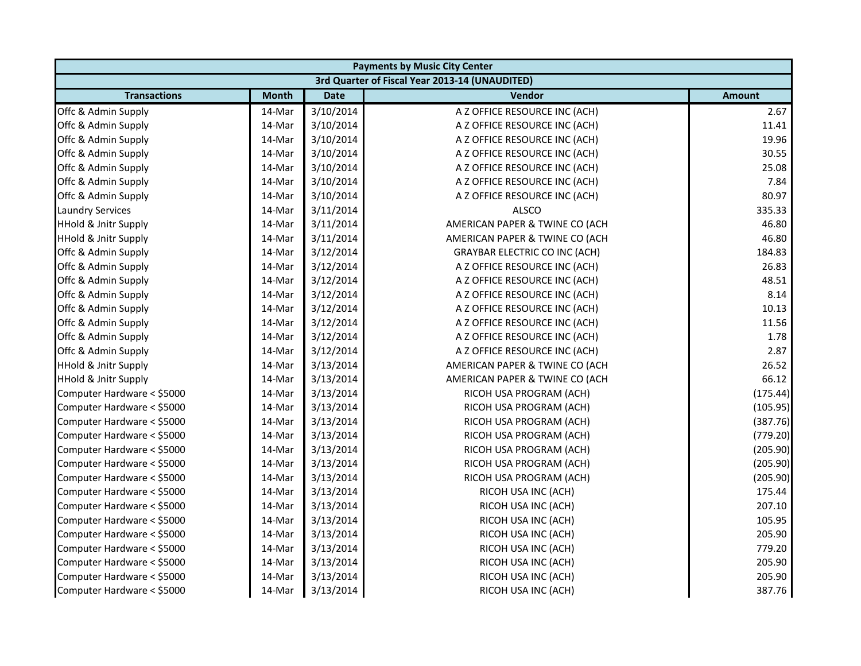| <b>Payments by Music City Center</b> |              |             |                                                |               |
|--------------------------------------|--------------|-------------|------------------------------------------------|---------------|
|                                      |              |             | 3rd Quarter of Fiscal Year 2013-14 (UNAUDITED) |               |
| <b>Transactions</b>                  | <b>Month</b> | <b>Date</b> | Vendor                                         | <b>Amount</b> |
| Offc & Admin Supply                  | 14-Mar       | 3/10/2014   | A Z OFFICE RESOURCE INC (ACH)                  | 2.67          |
| Offc & Admin Supply                  | 14-Mar       | 3/10/2014   | A Z OFFICE RESOURCE INC (ACH)                  | 11.41         |
| Offc & Admin Supply                  | 14-Mar       | 3/10/2014   | A Z OFFICE RESOURCE INC (ACH)                  | 19.96         |
| Offc & Admin Supply                  | 14-Mar       | 3/10/2014   | A Z OFFICE RESOURCE INC (ACH)                  | 30.55         |
| Offc & Admin Supply                  | 14-Mar       | 3/10/2014   | A Z OFFICE RESOURCE INC (ACH)                  | 25.08         |
| Offc & Admin Supply                  | 14-Mar       | 3/10/2014   | A Z OFFICE RESOURCE INC (ACH)                  | 7.84          |
| Offc & Admin Supply                  | 14-Mar       | 3/10/2014   | A Z OFFICE RESOURCE INC (ACH)                  | 80.97         |
| <b>Laundry Services</b>              | 14-Mar       | 3/11/2014   | <b>ALSCO</b>                                   | 335.33        |
| <b>HHold &amp; Jnitr Supply</b>      | 14-Mar       | 3/11/2014   | AMERICAN PAPER & TWINE CO (ACH                 | 46.80         |
| <b>HHold &amp; Jnitr Supply</b>      | 14-Mar       | 3/11/2014   | AMERICAN PAPER & TWINE CO (ACH                 | 46.80         |
| Offc & Admin Supply                  | 14-Mar       | 3/12/2014   | <b>GRAYBAR ELECTRIC CO INC (ACH)</b>           | 184.83        |
| Offc & Admin Supply                  | 14-Mar       | 3/12/2014   | A Z OFFICE RESOURCE INC (ACH)                  | 26.83         |
| Offc & Admin Supply                  | 14-Mar       | 3/12/2014   | A Z OFFICE RESOURCE INC (ACH)                  | 48.51         |
| Offc & Admin Supply                  | 14-Mar       | 3/12/2014   | A Z OFFICE RESOURCE INC (ACH)                  | 8.14          |
| Offc & Admin Supply                  | 14-Mar       | 3/12/2014   | A Z OFFICE RESOURCE INC (ACH)                  | 10.13         |
| Offc & Admin Supply                  | 14-Mar       | 3/12/2014   | A Z OFFICE RESOURCE INC (ACH)                  | 11.56         |
| Offc & Admin Supply                  | 14-Mar       | 3/12/2014   | A Z OFFICE RESOURCE INC (ACH)                  | 1.78          |
| Offc & Admin Supply                  | 14-Mar       | 3/12/2014   | A Z OFFICE RESOURCE INC (ACH)                  | 2.87          |
| <b>HHold &amp; Jnitr Supply</b>      | 14-Mar       | 3/13/2014   | AMERICAN PAPER & TWINE CO (ACH                 | 26.52         |
| <b>HHold &amp; Jnitr Supply</b>      | 14-Mar       | 3/13/2014   | AMERICAN PAPER & TWINE CO (ACH                 | 66.12         |
| Computer Hardware < \$5000           | 14-Mar       | 3/13/2014   | RICOH USA PROGRAM (ACH)                        | (175.44)      |
| Computer Hardware < \$5000           | 14-Mar       | 3/13/2014   | RICOH USA PROGRAM (ACH)                        | (105.95)      |
| Computer Hardware < \$5000           | 14-Mar       | 3/13/2014   | RICOH USA PROGRAM (ACH)                        | (387.76)      |
| Computer Hardware < \$5000           | 14-Mar       | 3/13/2014   | RICOH USA PROGRAM (ACH)                        | (779.20)      |
| Computer Hardware < \$5000           | 14-Mar       | 3/13/2014   | RICOH USA PROGRAM (ACH)                        | (205.90)      |
| Computer Hardware < \$5000           | 14-Mar       | 3/13/2014   | RICOH USA PROGRAM (ACH)                        | (205.90)      |
| Computer Hardware < \$5000           | 14-Mar       | 3/13/2014   | RICOH USA PROGRAM (ACH)                        | (205.90)      |
| Computer Hardware < \$5000           | 14-Mar       | 3/13/2014   | RICOH USA INC (ACH)                            | 175.44        |
| Computer Hardware < \$5000           | 14-Mar       | 3/13/2014   | RICOH USA INC (ACH)                            | 207.10        |
| Computer Hardware < \$5000           | 14-Mar       | 3/13/2014   | RICOH USA INC (ACH)                            | 105.95        |
| Computer Hardware < \$5000           | 14-Mar       | 3/13/2014   | RICOH USA INC (ACH)                            | 205.90        |
| Computer Hardware < \$5000           | 14-Mar       | 3/13/2014   | RICOH USA INC (ACH)                            | 779.20        |
| Computer Hardware < \$5000           | 14-Mar       | 3/13/2014   | RICOH USA INC (ACH)                            | 205.90        |
| Computer Hardware < \$5000           | 14-Mar       | 3/13/2014   | RICOH USA INC (ACH)                            | 205.90        |
| Computer Hardware < \$5000           | 14-Mar       | 3/13/2014   | RICOH USA INC (ACH)                            | 387.76        |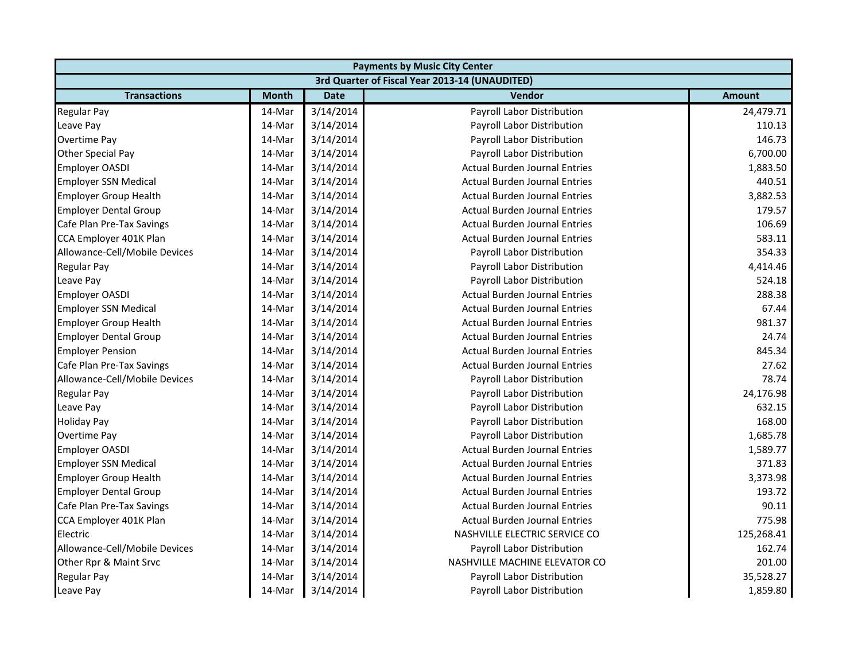|                               | <b>Payments by Music City Center</b> |             |                                                |               |
|-------------------------------|--------------------------------------|-------------|------------------------------------------------|---------------|
|                               |                                      |             | 3rd Quarter of Fiscal Year 2013-14 (UNAUDITED) |               |
| <b>Transactions</b>           | <b>Month</b>                         | <b>Date</b> | Vendor                                         | <b>Amount</b> |
| <b>Regular Pay</b>            | 14-Mar                               | 3/14/2014   | Payroll Labor Distribution                     | 24,479.71     |
| Leave Pay                     | 14-Mar                               | 3/14/2014   | Payroll Labor Distribution                     | 110.13        |
| Overtime Pay                  | 14-Mar                               | 3/14/2014   | Payroll Labor Distribution                     | 146.73        |
| <b>Other Special Pay</b>      | 14-Mar                               | 3/14/2014   | Payroll Labor Distribution                     | 6,700.00      |
| <b>Employer OASDI</b>         | 14-Mar                               | 3/14/2014   | <b>Actual Burden Journal Entries</b>           | 1,883.50      |
| <b>Employer SSN Medical</b>   | 14-Mar                               | 3/14/2014   | <b>Actual Burden Journal Entries</b>           | 440.51        |
| <b>Employer Group Health</b>  | 14-Mar                               | 3/14/2014   | <b>Actual Burden Journal Entries</b>           | 3,882.53      |
| <b>Employer Dental Group</b>  | 14-Mar                               | 3/14/2014   | <b>Actual Burden Journal Entries</b>           | 179.57        |
| Cafe Plan Pre-Tax Savings     | 14-Mar                               | 3/14/2014   | <b>Actual Burden Journal Entries</b>           | 106.69        |
| CCA Employer 401K Plan        | 14-Mar                               | 3/14/2014   | <b>Actual Burden Journal Entries</b>           | 583.11        |
| Allowance-Cell/Mobile Devices | 14-Mar                               | 3/14/2014   | Payroll Labor Distribution                     | 354.33        |
| <b>Regular Pay</b>            | 14-Mar                               | 3/14/2014   | Payroll Labor Distribution                     | 4,414.46      |
| Leave Pay                     | 14-Mar                               | 3/14/2014   | Payroll Labor Distribution                     | 524.18        |
| <b>Employer OASDI</b>         | 14-Mar                               | 3/14/2014   | <b>Actual Burden Journal Entries</b>           | 288.38        |
| <b>Employer SSN Medical</b>   | 14-Mar                               | 3/14/2014   | <b>Actual Burden Journal Entries</b>           | 67.44         |
| <b>Employer Group Health</b>  | 14-Mar                               | 3/14/2014   | <b>Actual Burden Journal Entries</b>           | 981.37        |
| <b>Employer Dental Group</b>  | 14-Mar                               | 3/14/2014   | <b>Actual Burden Journal Entries</b>           | 24.74         |
| <b>Employer Pension</b>       | 14-Mar                               | 3/14/2014   | <b>Actual Burden Journal Entries</b>           | 845.34        |
| Cafe Plan Pre-Tax Savings     | 14-Mar                               | 3/14/2014   | <b>Actual Burden Journal Entries</b>           | 27.62         |
| Allowance-Cell/Mobile Devices | 14-Mar                               | 3/14/2014   | Payroll Labor Distribution                     | 78.74         |
| <b>Regular Pay</b>            | 14-Mar                               | 3/14/2014   | Payroll Labor Distribution                     | 24,176.98     |
| Leave Pay                     | 14-Mar                               | 3/14/2014   | Payroll Labor Distribution                     | 632.15        |
| <b>Holiday Pay</b>            | 14-Mar                               | 3/14/2014   | Payroll Labor Distribution                     | 168.00        |
| Overtime Pay                  | 14-Mar                               | 3/14/2014   | Payroll Labor Distribution                     | 1,685.78      |
| <b>Employer OASDI</b>         | 14-Mar                               | 3/14/2014   | <b>Actual Burden Journal Entries</b>           | 1,589.77      |
| <b>Employer SSN Medical</b>   | 14-Mar                               | 3/14/2014   | <b>Actual Burden Journal Entries</b>           | 371.83        |
| <b>Employer Group Health</b>  | 14-Mar                               | 3/14/2014   | <b>Actual Burden Journal Entries</b>           | 3,373.98      |
| <b>Employer Dental Group</b>  | 14-Mar                               | 3/14/2014   | <b>Actual Burden Journal Entries</b>           | 193.72        |
| Cafe Plan Pre-Tax Savings     | 14-Mar                               | 3/14/2014   | <b>Actual Burden Journal Entries</b>           | 90.11         |
| CCA Employer 401K Plan        | 14-Mar                               | 3/14/2014   | <b>Actual Burden Journal Entries</b>           | 775.98        |
| Electric                      | 14-Mar                               | 3/14/2014   | NASHVILLE ELECTRIC SERVICE CO                  | 125,268.41    |
| Allowance-Cell/Mobile Devices | 14-Mar                               | 3/14/2014   | Payroll Labor Distribution                     | 162.74        |
| Other Rpr & Maint Srvc        | 14-Mar                               | 3/14/2014   | NASHVILLE MACHINE ELEVATOR CO                  | 201.00        |
| <b>Regular Pay</b>            | 14-Mar                               | 3/14/2014   | Payroll Labor Distribution                     | 35,528.27     |
| Leave Pay                     | 14-Mar                               | 3/14/2014   | Payroll Labor Distribution                     | 1,859.80      |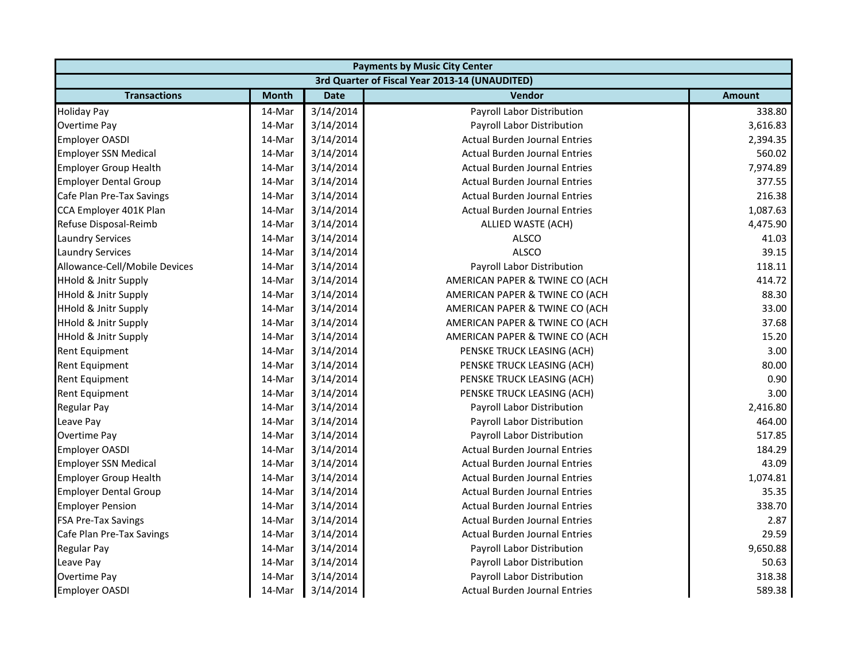|                                 | <b>Payments by Music City Center</b> |             |                                                |               |
|---------------------------------|--------------------------------------|-------------|------------------------------------------------|---------------|
|                                 |                                      |             | 3rd Quarter of Fiscal Year 2013-14 (UNAUDITED) |               |
| <b>Transactions</b>             | <b>Month</b>                         | <b>Date</b> | <b>Vendor</b>                                  | <b>Amount</b> |
| <b>Holiday Pay</b>              | 14-Mar                               | 3/14/2014   | Payroll Labor Distribution                     | 338.80        |
| Overtime Pay                    | 14-Mar                               | 3/14/2014   | Payroll Labor Distribution                     | 3,616.83      |
| <b>Employer OASDI</b>           | 14-Mar                               | 3/14/2014   | <b>Actual Burden Journal Entries</b>           | 2,394.35      |
| <b>Employer SSN Medical</b>     | 14-Mar                               | 3/14/2014   | <b>Actual Burden Journal Entries</b>           | 560.02        |
| <b>Employer Group Health</b>    | 14-Mar                               | 3/14/2014   | <b>Actual Burden Journal Entries</b>           | 7,974.89      |
| <b>Employer Dental Group</b>    | 14-Mar                               | 3/14/2014   | <b>Actual Burden Journal Entries</b>           | 377.55        |
| Cafe Plan Pre-Tax Savings       | 14-Mar                               | 3/14/2014   | <b>Actual Burden Journal Entries</b>           | 216.38        |
| CCA Employer 401K Plan          | 14-Mar                               | 3/14/2014   | <b>Actual Burden Journal Entries</b>           | 1,087.63      |
| Refuse Disposal-Reimb           | 14-Mar                               | 3/14/2014   | ALLIED WASTE (ACH)                             | 4,475.90      |
| <b>Laundry Services</b>         | 14-Mar                               | 3/14/2014   | ALSCO                                          | 41.03         |
| <b>Laundry Services</b>         | 14-Mar                               | 3/14/2014   | <b>ALSCO</b>                                   | 39.15         |
| Allowance-Cell/Mobile Devices   | 14-Mar                               | 3/14/2014   | Payroll Labor Distribution                     | 118.11        |
| <b>HHold &amp; Jnitr Supply</b> | 14-Mar                               | 3/14/2014   | AMERICAN PAPER & TWINE CO (ACH                 | 414.72        |
| <b>HHold &amp; Jnitr Supply</b> | 14-Mar                               | 3/14/2014   | AMERICAN PAPER & TWINE CO (ACH                 | 88.30         |
| <b>HHold &amp; Jnitr Supply</b> | 14-Mar                               | 3/14/2014   | AMERICAN PAPER & TWINE CO (ACH                 | 33.00         |
| <b>HHold &amp; Jnitr Supply</b> | 14-Mar                               | 3/14/2014   | AMERICAN PAPER & TWINE CO (ACH                 | 37.68         |
| <b>HHold &amp; Jnitr Supply</b> | 14-Mar                               | 3/14/2014   | AMERICAN PAPER & TWINE CO (ACH                 | 15.20         |
| Rent Equipment                  | 14-Mar                               | 3/14/2014   | PENSKE TRUCK LEASING (ACH)                     | 3.00          |
| Rent Equipment                  | 14-Mar                               | 3/14/2014   | PENSKE TRUCK LEASING (ACH)                     | 80.00         |
| <b>Rent Equipment</b>           | 14-Mar                               | 3/14/2014   | PENSKE TRUCK LEASING (ACH)                     | 0.90          |
| Rent Equipment                  | 14-Mar                               | 3/14/2014   | PENSKE TRUCK LEASING (ACH)                     | 3.00          |
| <b>Regular Pay</b>              | 14-Mar                               | 3/14/2014   | Payroll Labor Distribution                     | 2,416.80      |
| Leave Pay                       | 14-Mar                               | 3/14/2014   | Payroll Labor Distribution                     | 464.00        |
| Overtime Pay                    | 14-Mar                               | 3/14/2014   | Payroll Labor Distribution                     | 517.85        |
| <b>Employer OASDI</b>           | 14-Mar                               | 3/14/2014   | <b>Actual Burden Journal Entries</b>           | 184.29        |
| <b>Employer SSN Medical</b>     | 14-Mar                               | 3/14/2014   | <b>Actual Burden Journal Entries</b>           | 43.09         |
| <b>Employer Group Health</b>    | 14-Mar                               | 3/14/2014   | <b>Actual Burden Journal Entries</b>           | 1,074.81      |
| <b>Employer Dental Group</b>    | 14-Mar                               | 3/14/2014   | <b>Actual Burden Journal Entries</b>           | 35.35         |
| <b>Employer Pension</b>         | 14-Mar                               | 3/14/2014   | <b>Actual Burden Journal Entries</b>           | 338.70        |
| <b>FSA Pre-Tax Savings</b>      | 14-Mar                               | 3/14/2014   | <b>Actual Burden Journal Entries</b>           | 2.87          |
| Cafe Plan Pre-Tax Savings       | 14-Mar                               | 3/14/2014   | <b>Actual Burden Journal Entries</b>           | 29.59         |
| <b>Regular Pay</b>              | 14-Mar                               | 3/14/2014   | Payroll Labor Distribution                     | 9,650.88      |
| Leave Pay                       | 14-Mar                               | 3/14/2014   | Payroll Labor Distribution                     | 50.63         |
| Overtime Pay                    | 14-Mar                               | 3/14/2014   | Payroll Labor Distribution                     | 318.38        |
| <b>Employer OASDI</b>           | 14-Mar                               | 3/14/2014   | Actual Burden Journal Entries                  | 589.38        |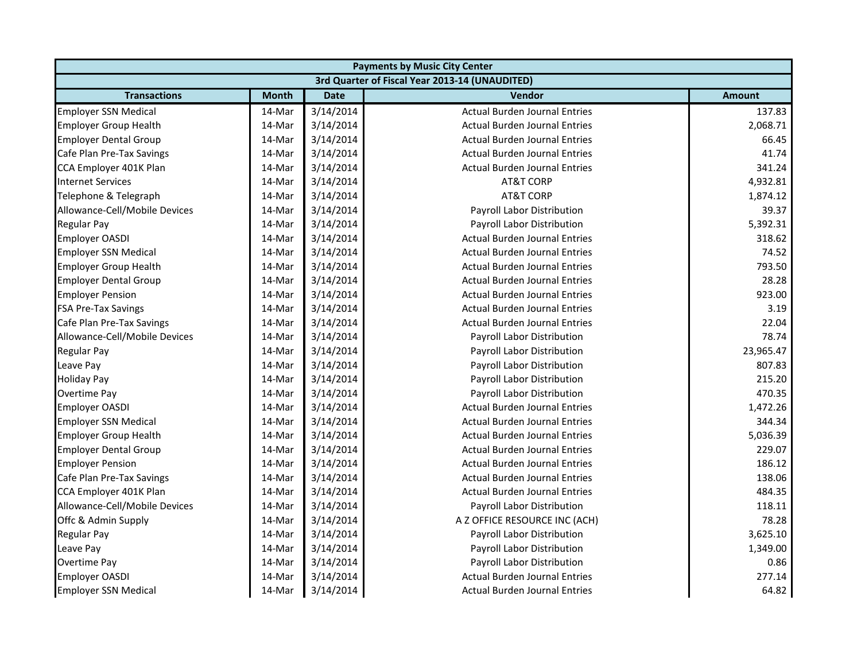| <b>Payments by Music City Center</b> |              |             |                                                |               |  |  |
|--------------------------------------|--------------|-------------|------------------------------------------------|---------------|--|--|
|                                      |              |             | 3rd Quarter of Fiscal Year 2013-14 (UNAUDITED) |               |  |  |
| <b>Transactions</b>                  | <b>Month</b> | <b>Date</b> | <b>Vendor</b>                                  | <b>Amount</b> |  |  |
| <b>Employer SSN Medical</b>          | 14-Mar       | 3/14/2014   | <b>Actual Burden Journal Entries</b>           | 137.83        |  |  |
| <b>Employer Group Health</b>         | 14-Mar       | 3/14/2014   | <b>Actual Burden Journal Entries</b>           | 2,068.71      |  |  |
| <b>Employer Dental Group</b>         | 14-Mar       | 3/14/2014   | <b>Actual Burden Journal Entries</b>           | 66.45         |  |  |
| Cafe Plan Pre-Tax Savings            | 14-Mar       | 3/14/2014   | <b>Actual Burden Journal Entries</b>           | 41.74         |  |  |
| CCA Employer 401K Plan               | 14-Mar       | 3/14/2014   | <b>Actual Burden Journal Entries</b>           | 341.24        |  |  |
| <b>Internet Services</b>             | 14-Mar       | 3/14/2014   | <b>AT&amp;T CORP</b>                           | 4,932.81      |  |  |
| Telephone & Telegraph                | 14-Mar       | 3/14/2014   | <b>AT&amp;T CORP</b>                           | 1,874.12      |  |  |
| Allowance-Cell/Mobile Devices        | 14-Mar       | 3/14/2014   | Payroll Labor Distribution                     | 39.37         |  |  |
| <b>Regular Pay</b>                   | 14-Mar       | 3/14/2014   | Payroll Labor Distribution                     | 5,392.31      |  |  |
| <b>Employer OASDI</b>                | 14-Mar       | 3/14/2014   | <b>Actual Burden Journal Entries</b>           | 318.62        |  |  |
| <b>Employer SSN Medical</b>          | 14-Mar       | 3/14/2014   | <b>Actual Burden Journal Entries</b>           | 74.52         |  |  |
| <b>Employer Group Health</b>         | 14-Mar       | 3/14/2014   | <b>Actual Burden Journal Entries</b>           | 793.50        |  |  |
| <b>Employer Dental Group</b>         | 14-Mar       | 3/14/2014   | <b>Actual Burden Journal Entries</b>           | 28.28         |  |  |
| <b>Employer Pension</b>              | 14-Mar       | 3/14/2014   | <b>Actual Burden Journal Entries</b>           | 923.00        |  |  |
| <b>FSA Pre-Tax Savings</b>           | 14-Mar       | 3/14/2014   | <b>Actual Burden Journal Entries</b>           | 3.19          |  |  |
| Cafe Plan Pre-Tax Savings            | 14-Mar       | 3/14/2014   | <b>Actual Burden Journal Entries</b>           | 22.04         |  |  |
| Allowance-Cell/Mobile Devices        | 14-Mar       | 3/14/2014   | Payroll Labor Distribution                     | 78.74         |  |  |
| <b>Regular Pay</b>                   | 14-Mar       | 3/14/2014   | Payroll Labor Distribution                     | 23,965.47     |  |  |
| Leave Pay                            | 14-Mar       | 3/14/2014   | Payroll Labor Distribution                     | 807.83        |  |  |
| <b>Holiday Pay</b>                   | 14-Mar       | 3/14/2014   | Payroll Labor Distribution                     | 215.20        |  |  |
| Overtime Pay                         | 14-Mar       | 3/14/2014   | Payroll Labor Distribution                     | 470.35        |  |  |
| <b>Employer OASDI</b>                | 14-Mar       | 3/14/2014   | <b>Actual Burden Journal Entries</b>           | 1,472.26      |  |  |
| <b>Employer SSN Medical</b>          | 14-Mar       | 3/14/2014   | <b>Actual Burden Journal Entries</b>           | 344.34        |  |  |
| <b>Employer Group Health</b>         | 14-Mar       | 3/14/2014   | <b>Actual Burden Journal Entries</b>           | 5,036.39      |  |  |
| <b>Employer Dental Group</b>         | 14-Mar       | 3/14/2014   | <b>Actual Burden Journal Entries</b>           | 229.07        |  |  |
| <b>Employer Pension</b>              | 14-Mar       | 3/14/2014   | <b>Actual Burden Journal Entries</b>           | 186.12        |  |  |
| Cafe Plan Pre-Tax Savings            | 14-Mar       | 3/14/2014   | <b>Actual Burden Journal Entries</b>           | 138.06        |  |  |
| CCA Employer 401K Plan               | 14-Mar       | 3/14/2014   | <b>Actual Burden Journal Entries</b>           | 484.35        |  |  |
| Allowance-Cell/Mobile Devices        | 14-Mar       | 3/14/2014   | Payroll Labor Distribution                     | 118.11        |  |  |
| Offc & Admin Supply                  | 14-Mar       | 3/14/2014   | A Z OFFICE RESOURCE INC (ACH)                  | 78.28         |  |  |
| <b>Regular Pay</b>                   | 14-Mar       | 3/14/2014   | Payroll Labor Distribution                     | 3,625.10      |  |  |
| Leave Pay                            | 14-Mar       | 3/14/2014   | Payroll Labor Distribution                     | 1,349.00      |  |  |
| Overtime Pay                         | 14-Mar       | 3/14/2014   | Payroll Labor Distribution                     | 0.86          |  |  |
| <b>Employer OASDI</b>                | 14-Mar       | 3/14/2014   | <b>Actual Burden Journal Entries</b>           | 277.14        |  |  |
| <b>Employer SSN Medical</b>          | 14-Mar       | 3/14/2014   | <b>Actual Burden Journal Entries</b>           | 64.82         |  |  |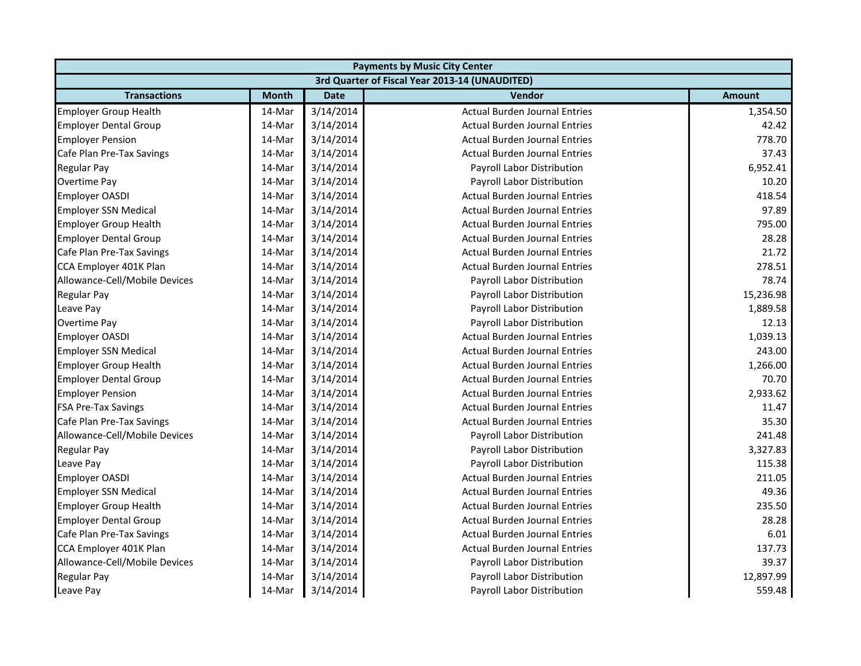| <b>Payments by Music City Center</b> |              |             |                                                |               |
|--------------------------------------|--------------|-------------|------------------------------------------------|---------------|
|                                      |              |             | 3rd Quarter of Fiscal Year 2013-14 (UNAUDITED) |               |
| <b>Transactions</b>                  | <b>Month</b> | <b>Date</b> | Vendor                                         | <b>Amount</b> |
| <b>Employer Group Health</b>         | 14-Mar       | 3/14/2014   | <b>Actual Burden Journal Entries</b>           | 1,354.50      |
| <b>Employer Dental Group</b>         | 14-Mar       | 3/14/2014   | <b>Actual Burden Journal Entries</b>           | 42.42         |
| <b>Employer Pension</b>              | 14-Mar       | 3/14/2014   | <b>Actual Burden Journal Entries</b>           | 778.70        |
| Cafe Plan Pre-Tax Savings            | 14-Mar       | 3/14/2014   | <b>Actual Burden Journal Entries</b>           | 37.43         |
| Regular Pay                          | 14-Mar       | 3/14/2014   | Payroll Labor Distribution                     | 6,952.41      |
| Overtime Pay                         | 14-Mar       | 3/14/2014   | Payroll Labor Distribution                     | 10.20         |
| <b>Employer OASDI</b>                | 14-Mar       | 3/14/2014   | <b>Actual Burden Journal Entries</b>           | 418.54        |
| <b>Employer SSN Medical</b>          | 14-Mar       | 3/14/2014   | <b>Actual Burden Journal Entries</b>           | 97.89         |
| <b>Employer Group Health</b>         | 14-Mar       | 3/14/2014   | <b>Actual Burden Journal Entries</b>           | 795.00        |
| <b>Employer Dental Group</b>         | 14-Mar       | 3/14/2014   | <b>Actual Burden Journal Entries</b>           | 28.28         |
| Cafe Plan Pre-Tax Savings            | 14-Mar       | 3/14/2014   | <b>Actual Burden Journal Entries</b>           | 21.72         |
| CCA Employer 401K Plan               | 14-Mar       | 3/14/2014   | <b>Actual Burden Journal Entries</b>           | 278.51        |
| Allowance-Cell/Mobile Devices        | 14-Mar       | 3/14/2014   | Payroll Labor Distribution                     | 78.74         |
| <b>Regular Pay</b>                   | 14-Mar       | 3/14/2014   | Payroll Labor Distribution                     | 15,236.98     |
| Leave Pay                            | 14-Mar       | 3/14/2014   | Payroll Labor Distribution                     | 1,889.58      |
| Overtime Pay                         | 14-Mar       | 3/14/2014   | Payroll Labor Distribution                     | 12.13         |
| <b>Employer OASDI</b>                | 14-Mar       | 3/14/2014   | <b>Actual Burden Journal Entries</b>           | 1,039.13      |
| <b>Employer SSN Medical</b>          | 14-Mar       | 3/14/2014   | <b>Actual Burden Journal Entries</b>           | 243.00        |
| <b>Employer Group Health</b>         | 14-Mar       | 3/14/2014   | <b>Actual Burden Journal Entries</b>           | 1,266.00      |
| <b>Employer Dental Group</b>         | 14-Mar       | 3/14/2014   | <b>Actual Burden Journal Entries</b>           | 70.70         |
| <b>Employer Pension</b>              | 14-Mar       | 3/14/2014   | <b>Actual Burden Journal Entries</b>           | 2,933.62      |
| <b>FSA Pre-Tax Savings</b>           | 14-Mar       | 3/14/2014   | <b>Actual Burden Journal Entries</b>           | 11.47         |
| Cafe Plan Pre-Tax Savings            | 14-Mar       | 3/14/2014   | <b>Actual Burden Journal Entries</b>           | 35.30         |
| Allowance-Cell/Mobile Devices        | 14-Mar       | 3/14/2014   | Payroll Labor Distribution                     | 241.48        |
| <b>Regular Pay</b>                   | 14-Mar       | 3/14/2014   | Payroll Labor Distribution                     | 3,327.83      |
| Leave Pay                            | 14-Mar       | 3/14/2014   | Payroll Labor Distribution                     | 115.38        |
| <b>Employer OASDI</b>                | 14-Mar       | 3/14/2014   | <b>Actual Burden Journal Entries</b>           | 211.05        |
| <b>Employer SSN Medical</b>          | 14-Mar       | 3/14/2014   | <b>Actual Burden Journal Entries</b>           | 49.36         |
| <b>Employer Group Health</b>         | 14-Mar       | 3/14/2014   | <b>Actual Burden Journal Entries</b>           | 235.50        |
| <b>Employer Dental Group</b>         | 14-Mar       | 3/14/2014   | <b>Actual Burden Journal Entries</b>           | 28.28         |
| Cafe Plan Pre-Tax Savings            | 14-Mar       | 3/14/2014   | <b>Actual Burden Journal Entries</b>           | 6.01          |
| CCA Employer 401K Plan               | 14-Mar       | 3/14/2014   | <b>Actual Burden Journal Entries</b>           | 137.73        |
| Allowance-Cell/Mobile Devices        | 14-Mar       | 3/14/2014   | Payroll Labor Distribution                     | 39.37         |
| <b>Regular Pay</b>                   | 14-Mar       | 3/14/2014   | Payroll Labor Distribution                     | 12,897.99     |
| Leave Pay                            | 14-Mar       | 3/14/2014   | Payroll Labor Distribution                     | 559.48        |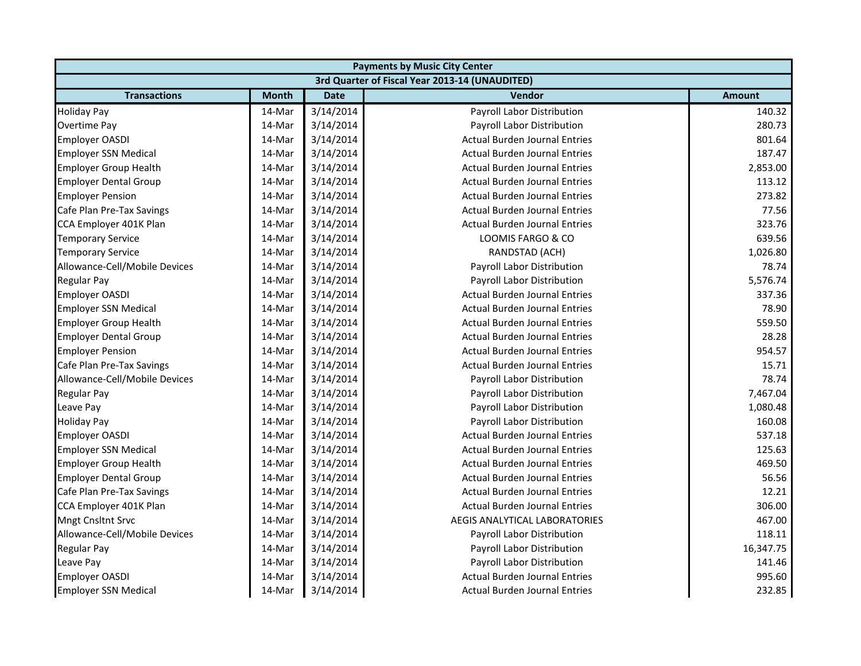| <b>Payments by Music City Center</b> |              |             |                                                |               |  |
|--------------------------------------|--------------|-------------|------------------------------------------------|---------------|--|
|                                      |              |             | 3rd Quarter of Fiscal Year 2013-14 (UNAUDITED) |               |  |
| <b>Transactions</b>                  | <b>Month</b> | <b>Date</b> | <b>Vendor</b>                                  | <b>Amount</b> |  |
| <b>Holiday Pay</b>                   | 14-Mar       | 3/14/2014   | Payroll Labor Distribution                     | 140.32        |  |
| Overtime Pay                         | 14-Mar       | 3/14/2014   | Payroll Labor Distribution                     | 280.73        |  |
| <b>Employer OASDI</b>                | 14-Mar       | 3/14/2014   | <b>Actual Burden Journal Entries</b>           | 801.64        |  |
| <b>Employer SSN Medical</b>          | 14-Mar       | 3/14/2014   | <b>Actual Burden Journal Entries</b>           | 187.47        |  |
| <b>Employer Group Health</b>         | 14-Mar       | 3/14/2014   | <b>Actual Burden Journal Entries</b>           | 2,853.00      |  |
| <b>Employer Dental Group</b>         | 14-Mar       | 3/14/2014   | <b>Actual Burden Journal Entries</b>           | 113.12        |  |
| <b>Employer Pension</b>              | 14-Mar       | 3/14/2014   | <b>Actual Burden Journal Entries</b>           | 273.82        |  |
| Cafe Plan Pre-Tax Savings            | 14-Mar       | 3/14/2014   | <b>Actual Burden Journal Entries</b>           | 77.56         |  |
| CCA Employer 401K Plan               | 14-Mar       | 3/14/2014   | <b>Actual Burden Journal Entries</b>           | 323.76        |  |
| <b>Temporary Service</b>             | 14-Mar       | 3/14/2014   | LOOMIS FARGO & CO                              | 639.56        |  |
| <b>Temporary Service</b>             | 14-Mar       | 3/14/2014   | RANDSTAD (ACH)                                 | 1,026.80      |  |
| Allowance-Cell/Mobile Devices        | 14-Mar       | 3/14/2014   | Payroll Labor Distribution                     | 78.74         |  |
| <b>Regular Pay</b>                   | 14-Mar       | 3/14/2014   | Payroll Labor Distribution                     | 5,576.74      |  |
| Employer OASDI                       | 14-Mar       | 3/14/2014   | <b>Actual Burden Journal Entries</b>           | 337.36        |  |
| <b>Employer SSN Medical</b>          | 14-Mar       | 3/14/2014   | <b>Actual Burden Journal Entries</b>           | 78.90         |  |
| <b>Employer Group Health</b>         | 14-Mar       | 3/14/2014   | <b>Actual Burden Journal Entries</b>           | 559.50        |  |
| <b>Employer Dental Group</b>         | 14-Mar       | 3/14/2014   | <b>Actual Burden Journal Entries</b>           | 28.28         |  |
| <b>Employer Pension</b>              | 14-Mar       | 3/14/2014   | <b>Actual Burden Journal Entries</b>           | 954.57        |  |
| Cafe Plan Pre-Tax Savings            | 14-Mar       | 3/14/2014   | <b>Actual Burden Journal Entries</b>           | 15.71         |  |
| Allowance-Cell/Mobile Devices        | 14-Mar       | 3/14/2014   | Payroll Labor Distribution                     | 78.74         |  |
| <b>Regular Pay</b>                   | 14-Mar       | 3/14/2014   | Payroll Labor Distribution                     | 7,467.04      |  |
| Leave Pay                            | 14-Mar       | 3/14/2014   | Payroll Labor Distribution                     | 1,080.48      |  |
| <b>Holiday Pay</b>                   | 14-Mar       | 3/14/2014   | Payroll Labor Distribution                     | 160.08        |  |
| <b>Employer OASDI</b>                | 14-Mar       | 3/14/2014   | <b>Actual Burden Journal Entries</b>           | 537.18        |  |
| <b>Employer SSN Medical</b>          | 14-Mar       | 3/14/2014   | <b>Actual Burden Journal Entries</b>           | 125.63        |  |
| <b>Employer Group Health</b>         | 14-Mar       | 3/14/2014   | <b>Actual Burden Journal Entries</b>           | 469.50        |  |
| <b>Employer Dental Group</b>         | 14-Mar       | 3/14/2014   | <b>Actual Burden Journal Entries</b>           | 56.56         |  |
| Cafe Plan Pre-Tax Savings            | 14-Mar       | 3/14/2014   | <b>Actual Burden Journal Entries</b>           | 12.21         |  |
| CCA Employer 401K Plan               | 14-Mar       | 3/14/2014   | <b>Actual Burden Journal Entries</b>           | 306.00        |  |
| <b>Mngt Cnsltnt Srvc</b>             | 14-Mar       | 3/14/2014   | AEGIS ANALYTICAL LABORATORIES                  | 467.00        |  |
| Allowance-Cell/Mobile Devices        | 14-Mar       | 3/14/2014   | Payroll Labor Distribution                     | 118.11        |  |
| <b>Regular Pay</b>                   | 14-Mar       | 3/14/2014   | Payroll Labor Distribution                     | 16,347.75     |  |
| Leave Pay                            | 14-Mar       | 3/14/2014   | Payroll Labor Distribution                     | 141.46        |  |
| <b>Employer OASDI</b>                | 14-Mar       | 3/14/2014   | <b>Actual Burden Journal Entries</b>           | 995.60        |  |
| <b>Employer SSN Medical</b>          | 14-Mar       | 3/14/2014   | <b>Actual Burden Journal Entries</b>           | 232.85        |  |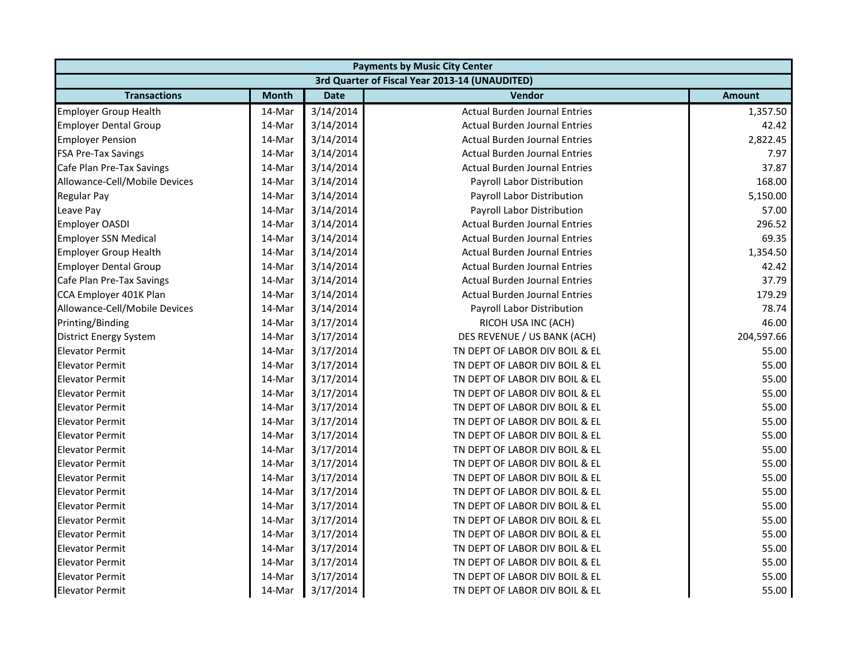|                               | <b>Payments by Music City Center</b> |             |                                                |               |  |
|-------------------------------|--------------------------------------|-------------|------------------------------------------------|---------------|--|
|                               |                                      |             | 3rd Quarter of Fiscal Year 2013-14 (UNAUDITED) |               |  |
| <b>Transactions</b>           | <b>Month</b>                         | <b>Date</b> | <b>Vendor</b>                                  | <b>Amount</b> |  |
| <b>Employer Group Health</b>  | 14-Mar                               | 3/14/2014   | <b>Actual Burden Journal Entries</b>           | 1,357.50      |  |
| <b>Employer Dental Group</b>  | 14-Mar                               | 3/14/2014   | <b>Actual Burden Journal Entries</b>           | 42.42         |  |
| <b>Employer Pension</b>       | 14-Mar                               | 3/14/2014   | <b>Actual Burden Journal Entries</b>           | 2,822.45      |  |
| <b>FSA Pre-Tax Savings</b>    | 14-Mar                               | 3/14/2014   | <b>Actual Burden Journal Entries</b>           | 7.97          |  |
| Cafe Plan Pre-Tax Savings     | 14-Mar                               | 3/14/2014   | <b>Actual Burden Journal Entries</b>           | 37.87         |  |
| Allowance-Cell/Mobile Devices | 14-Mar                               | 3/14/2014   | Payroll Labor Distribution                     | 168.00        |  |
| <b>Regular Pay</b>            | 14-Mar                               | 3/14/2014   | Payroll Labor Distribution                     | 5,150.00      |  |
| Leave Pay                     | 14-Mar                               | 3/14/2014   | Payroll Labor Distribution                     | 57.00         |  |
| <b>Employer OASDI</b>         | 14-Mar                               | 3/14/2014   | <b>Actual Burden Journal Entries</b>           | 296.52        |  |
| <b>Employer SSN Medical</b>   | 14-Mar                               | 3/14/2014   | <b>Actual Burden Journal Entries</b>           | 69.35         |  |
| <b>Employer Group Health</b>  | 14-Mar                               | 3/14/2014   | <b>Actual Burden Journal Entries</b>           | 1,354.50      |  |
| <b>Employer Dental Group</b>  | 14-Mar                               | 3/14/2014   | <b>Actual Burden Journal Entries</b>           | 42.42         |  |
| Cafe Plan Pre-Tax Savings     | 14-Mar                               | 3/14/2014   | <b>Actual Burden Journal Entries</b>           | 37.79         |  |
| CCA Employer 401K Plan        | 14-Mar                               | 3/14/2014   | <b>Actual Burden Journal Entries</b>           | 179.29        |  |
| Allowance-Cell/Mobile Devices | 14-Mar                               | 3/14/2014   | Payroll Labor Distribution                     | 78.74         |  |
| Printing/Binding              | 14-Mar                               | 3/17/2014   | RICOH USA INC (ACH)                            | 46.00         |  |
| <b>District Energy System</b> | 14-Mar                               | 3/17/2014   | DES REVENUE / US BANK (ACH)                    | 204,597.66    |  |
| <b>Elevator Permit</b>        | 14-Mar                               | 3/17/2014   | TN DEPT OF LABOR DIV BOIL & EL                 | 55.00         |  |
| <b>Elevator Permit</b>        | 14-Mar                               | 3/17/2014   | TN DEPT OF LABOR DIV BOIL & EL                 | 55.00         |  |
| <b>Elevator Permit</b>        | 14-Mar                               | 3/17/2014   | TN DEPT OF LABOR DIV BOIL & EL                 | 55.00         |  |
| <b>Elevator Permit</b>        | 14-Mar                               | 3/17/2014   | TN DEPT OF LABOR DIV BOIL & EL                 | 55.00         |  |
| <b>Elevator Permit</b>        | 14-Mar                               | 3/17/2014   | TN DEPT OF LABOR DIV BOIL & EL                 | 55.00         |  |
| <b>Elevator Permit</b>        | 14-Mar                               | 3/17/2014   | TN DEPT OF LABOR DIV BOIL & EL                 | 55.00         |  |
| <b>Elevator Permit</b>        | 14-Mar                               | 3/17/2014   | TN DEPT OF LABOR DIV BOIL & EL                 | 55.00         |  |
| <b>Elevator Permit</b>        | 14-Mar                               | 3/17/2014   | TN DEPT OF LABOR DIV BOIL & EL                 | 55.00         |  |
| <b>Elevator Permit</b>        | 14-Mar                               | 3/17/2014   | TN DEPT OF LABOR DIV BOIL & EL                 | 55.00         |  |
| <b>Elevator Permit</b>        | 14-Mar                               | 3/17/2014   | TN DEPT OF LABOR DIV BOIL & EL                 | 55.00         |  |
| <b>Elevator Permit</b>        | 14-Mar                               | 3/17/2014   | TN DEPT OF LABOR DIV BOIL & EL                 | 55.00         |  |
| <b>Elevator Permit</b>        | 14-Mar                               | 3/17/2014   | TN DEPT OF LABOR DIV BOIL & EL                 | 55.00         |  |
| <b>Elevator Permit</b>        | 14-Mar                               | 3/17/2014   | TN DEPT OF LABOR DIV BOIL & EL                 | 55.00         |  |
| <b>Elevator Permit</b>        | 14-Mar                               | 3/17/2014   | TN DEPT OF LABOR DIV BOIL & EL                 | 55.00         |  |
| <b>Elevator Permit</b>        | 14-Mar                               | 3/17/2014   | TN DEPT OF LABOR DIV BOIL & EL                 | 55.00         |  |
| <b>Elevator Permit</b>        | 14-Mar                               | 3/17/2014   | TN DEPT OF LABOR DIV BOIL & EL                 | 55.00         |  |
| <b>Elevator Permit</b>        | 14-Mar                               | 3/17/2014   | TN DEPT OF LABOR DIV BOIL & EL                 | 55.00         |  |
| <b>Elevator Permit</b>        | 14-Mar                               | 3/17/2014   | TN DEPT OF LABOR DIV BOIL & EL                 | 55.00         |  |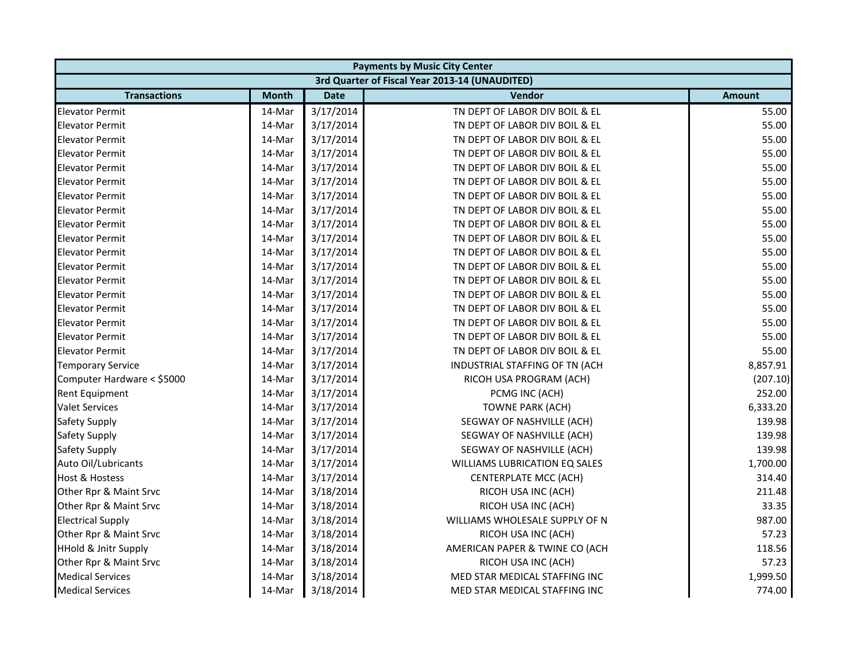| <b>Payments by Music City Center</b> |              |             |                                                |               |
|--------------------------------------|--------------|-------------|------------------------------------------------|---------------|
|                                      |              |             | 3rd Quarter of Fiscal Year 2013-14 (UNAUDITED) |               |
| <b>Transactions</b>                  | <b>Month</b> | <b>Date</b> | <b>Vendor</b>                                  | <b>Amount</b> |
| <b>Elevator Permit</b>               | 14-Mar       | 3/17/2014   | TN DEPT OF LABOR DIV BOIL & EL                 | 55.00         |
| <b>Elevator Permit</b>               | 14-Mar       | 3/17/2014   | TN DEPT OF LABOR DIV BOIL & EL                 | 55.00         |
| <b>Elevator Permit</b>               | 14-Mar       | 3/17/2014   | TN DEPT OF LABOR DIV BOIL & EL                 | 55.00         |
| <b>Elevator Permit</b>               | 14-Mar       | 3/17/2014   | TN DEPT OF LABOR DIV BOIL & EL                 | 55.00         |
| <b>Elevator Permit</b>               | 14-Mar       | 3/17/2014   | TN DEPT OF LABOR DIV BOIL & EL                 | 55.00         |
| <b>Elevator Permit</b>               | 14-Mar       | 3/17/2014   | TN DEPT OF LABOR DIV BOIL & EL                 | 55.00         |
| <b>Elevator Permit</b>               | 14-Mar       | 3/17/2014   | TN DEPT OF LABOR DIV BOIL & EL                 | 55.00         |
| <b>Elevator Permit</b>               | 14-Mar       | 3/17/2014   | TN DEPT OF LABOR DIV BOIL & EL                 | 55.00         |
| <b>Elevator Permit</b>               | 14-Mar       | 3/17/2014   | TN DEPT OF LABOR DIV BOIL & EL                 | 55.00         |
| <b>Elevator Permit</b>               | 14-Mar       | 3/17/2014   | TN DEPT OF LABOR DIV BOIL & EL                 | 55.00         |
| <b>Elevator Permit</b>               | 14-Mar       | 3/17/2014   | TN DEPT OF LABOR DIV BOIL & EL                 | 55.00         |
| <b>Elevator Permit</b>               | 14-Mar       | 3/17/2014   | TN DEPT OF LABOR DIV BOIL & EL                 | 55.00         |
| <b>Elevator Permit</b>               | 14-Mar       | 3/17/2014   | TN DEPT OF LABOR DIV BOIL & EL                 | 55.00         |
| <b>Elevator Permit</b>               | 14-Mar       | 3/17/2014   | TN DEPT OF LABOR DIV BOIL & EL                 | 55.00         |
| <b>Elevator Permit</b>               | 14-Mar       | 3/17/2014   | TN DEPT OF LABOR DIV BOIL & EL                 | 55.00         |
| <b>Elevator Permit</b>               | 14-Mar       | 3/17/2014   | TN DEPT OF LABOR DIV BOIL & EL                 | 55.00         |
| <b>Elevator Permit</b>               | 14-Mar       | 3/17/2014   | TN DEPT OF LABOR DIV BOIL & EL                 | 55.00         |
| <b>Elevator Permit</b>               | 14-Mar       | 3/17/2014   | TN DEPT OF LABOR DIV BOIL & EL                 | 55.00         |
| <b>Temporary Service</b>             | 14-Mar       | 3/17/2014   | INDUSTRIAL STAFFING OF TN (ACH                 | 8,857.91      |
| Computer Hardware < \$5000           | 14-Mar       | 3/17/2014   | RICOH USA PROGRAM (ACH)                        | (207.10)      |
| <b>Rent Equipment</b>                | 14-Mar       | 3/17/2014   | PCMG INC (ACH)                                 | 252.00        |
| <b>Valet Services</b>                | 14-Mar       | 3/17/2014   | <b>TOWNE PARK (ACH)</b>                        | 6,333.20      |
| Safety Supply                        | 14-Mar       | 3/17/2014   | SEGWAY OF NASHVILLE (ACH)                      | 139.98        |
| Safety Supply                        | 14-Mar       | 3/17/2014   | SEGWAY OF NASHVILLE (ACH)                      | 139.98        |
| Safety Supply                        | 14-Mar       | 3/17/2014   | SEGWAY OF NASHVILLE (ACH)                      | 139.98        |
| Auto Oil/Lubricants                  | 14-Mar       | 3/17/2014   | WILLIAMS LUBRICATION EQ SALES                  | 1,700.00      |
| <b>Host &amp; Hostess</b>            | 14-Mar       | 3/17/2014   | <b>CENTERPLATE MCC (ACH)</b>                   | 314.40        |
| Other Rpr & Maint Srvc               | 14-Mar       | 3/18/2014   | RICOH USA INC (ACH)                            | 211.48        |
| Other Rpr & Maint Srvc               | 14-Mar       | 3/18/2014   | RICOH USA INC (ACH)                            | 33.35         |
| <b>Electrical Supply</b>             | 14-Mar       | 3/18/2014   | WILLIAMS WHOLESALE SUPPLY OF N                 | 987.00        |
| Other Rpr & Maint Srvc               | 14-Mar       | 3/18/2014   | RICOH USA INC (ACH)                            | 57.23         |
| <b>HHold &amp; Jnitr Supply</b>      | 14-Mar       | 3/18/2014   | AMERICAN PAPER & TWINE CO (ACH                 | 118.56        |
| Other Rpr & Maint Srvc               | 14-Mar       | 3/18/2014   | RICOH USA INC (ACH)                            | 57.23         |
| <b>Medical Services</b>              | 14-Mar       | 3/18/2014   | MED STAR MEDICAL STAFFING INC                  | 1,999.50      |
| <b>Medical Services</b>              | 14-Mar       | 3/18/2014   | MED STAR MEDICAL STAFFING INC                  | 774.00        |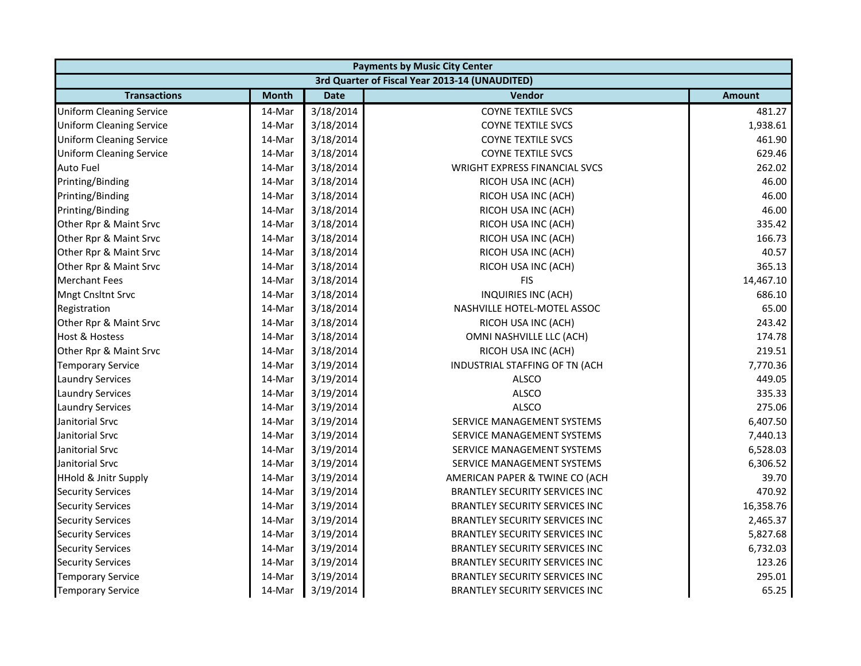| <b>Payments by Music City Center</b> |              |             |                                                |               |  |
|--------------------------------------|--------------|-------------|------------------------------------------------|---------------|--|
|                                      |              |             | 3rd Quarter of Fiscal Year 2013-14 (UNAUDITED) |               |  |
| <b>Transactions</b>                  | <b>Month</b> | <b>Date</b> | <b>Vendor</b>                                  | <b>Amount</b> |  |
| <b>Uniform Cleaning Service</b>      | 14-Mar       | 3/18/2014   | <b>COYNE TEXTILE SVCS</b>                      | 481.27        |  |
| <b>Uniform Cleaning Service</b>      | 14-Mar       | 3/18/2014   | <b>COYNE TEXTILE SVCS</b>                      | 1,938.61      |  |
| <b>Uniform Cleaning Service</b>      | 14-Mar       | 3/18/2014   | <b>COYNE TEXTILE SVCS</b>                      | 461.90        |  |
| <b>Uniform Cleaning Service</b>      | 14-Mar       | 3/18/2014   | <b>COYNE TEXTILE SVCS</b>                      | 629.46        |  |
| <b>Auto Fuel</b>                     | 14-Mar       | 3/18/2014   | WRIGHT EXPRESS FINANCIAL SVCS                  | 262.02        |  |
| Printing/Binding                     | 14-Mar       | 3/18/2014   | RICOH USA INC (ACH)                            | 46.00         |  |
| Printing/Binding                     | 14-Mar       | 3/18/2014   | RICOH USA INC (ACH)                            | 46.00         |  |
| Printing/Binding                     | 14-Mar       | 3/18/2014   | RICOH USA INC (ACH)                            | 46.00         |  |
| Other Rpr & Maint Srvc               | 14-Mar       | 3/18/2014   | RICOH USA INC (ACH)                            | 335.42        |  |
| Other Rpr & Maint Srvc               | 14-Mar       | 3/18/2014   | RICOH USA INC (ACH)                            | 166.73        |  |
| Other Rpr & Maint Srvc               | 14-Mar       | 3/18/2014   | RICOH USA INC (ACH)                            | 40.57         |  |
| Other Rpr & Maint Srvc               | 14-Mar       | 3/18/2014   | RICOH USA INC (ACH)                            | 365.13        |  |
| <b>Merchant Fees</b>                 | 14-Mar       | 3/18/2014   | <b>FIS</b>                                     | 14,467.10     |  |
| <b>Mngt Cnsltnt Srvc</b>             | 14-Mar       | 3/18/2014   | INQUIRIES INC (ACH)                            | 686.10        |  |
| Registration                         | 14-Mar       | 3/18/2014   | NASHVILLE HOTEL-MOTEL ASSOC                    | 65.00         |  |
| Other Rpr & Maint Srvc               | 14-Mar       | 3/18/2014   | RICOH USA INC (ACH)                            | 243.42        |  |
| <b>Host &amp; Hostess</b>            | 14-Mar       | 3/18/2014   | OMNI NASHVILLE LLC (ACH)                       | 174.78        |  |
| Other Rpr & Maint Srvc               | 14-Mar       | 3/18/2014   | RICOH USA INC (ACH)                            | 219.51        |  |
| <b>Temporary Service</b>             | 14-Mar       | 3/19/2014   | INDUSTRIAL STAFFING OF TN (ACH                 | 7,770.36      |  |
| <b>Laundry Services</b>              | 14-Mar       | 3/19/2014   | <b>ALSCO</b>                                   | 449.05        |  |
| <b>Laundry Services</b>              | 14-Mar       | 3/19/2014   | ALSCO                                          | 335.33        |  |
| <b>Laundry Services</b>              | 14-Mar       | 3/19/2014   | <b>ALSCO</b>                                   | 275.06        |  |
| Janitorial Srvc                      | 14-Mar       | 3/19/2014   | SERVICE MANAGEMENT SYSTEMS                     | 6,407.50      |  |
| Janitorial Srvc                      | 14-Mar       | 3/19/2014   | SERVICE MANAGEMENT SYSTEMS                     | 7,440.13      |  |
| Janitorial Srvc                      | 14-Mar       | 3/19/2014   | SERVICE MANAGEMENT SYSTEMS                     | 6,528.03      |  |
| Janitorial Srvc                      | 14-Mar       | 3/19/2014   | SERVICE MANAGEMENT SYSTEMS                     | 6,306.52      |  |
| <b>HHold &amp; Jnitr Supply</b>      | 14-Mar       | 3/19/2014   | AMERICAN PAPER & TWINE CO (ACH                 | 39.70         |  |
| <b>Security Services</b>             | 14-Mar       | 3/19/2014   | BRANTLEY SECURITY SERVICES INC                 | 470.92        |  |
| <b>Security Services</b>             | 14-Mar       | 3/19/2014   | BRANTLEY SECURITY SERVICES INC                 | 16,358.76     |  |
| <b>Security Services</b>             | 14-Mar       | 3/19/2014   | BRANTLEY SECURITY SERVICES INC                 | 2,465.37      |  |
| <b>Security Services</b>             | 14-Mar       | 3/19/2014   | <b>BRANTLEY SECURITY SERVICES INC</b>          | 5,827.68      |  |
| <b>Security Services</b>             | 14-Mar       | 3/19/2014   | BRANTLEY SECURITY SERVICES INC                 | 6,732.03      |  |
| <b>Security Services</b>             | 14-Mar       | 3/19/2014   | BRANTLEY SECURITY SERVICES INC                 | 123.26        |  |
| <b>Temporary Service</b>             | 14-Mar       | 3/19/2014   | BRANTLEY SECURITY SERVICES INC                 | 295.01        |  |
| <b>Temporary Service</b>             | 14-Mar       | 3/19/2014   | <b>BRANTLEY SECURITY SERVICES INC</b>          | 65.25         |  |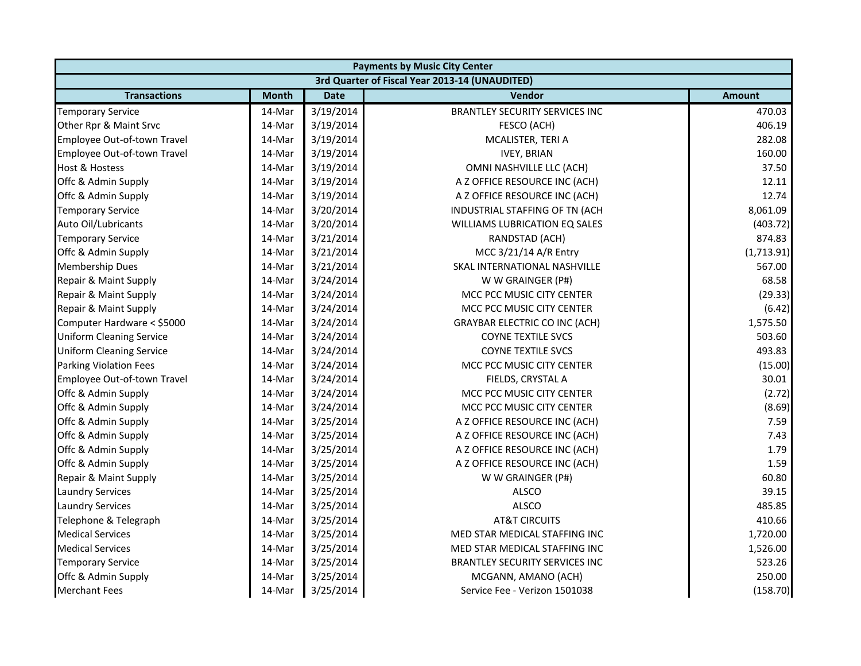| <b>Payments by Music City Center</b> |              |             |                                                |               |  |
|--------------------------------------|--------------|-------------|------------------------------------------------|---------------|--|
|                                      |              |             | 3rd Quarter of Fiscal Year 2013-14 (UNAUDITED) |               |  |
| <b>Transactions</b>                  | <b>Month</b> | <b>Date</b> | <b>Vendor</b>                                  | <b>Amount</b> |  |
| <b>Temporary Service</b>             | 14-Mar       | 3/19/2014   | <b>BRANTLEY SECURITY SERVICES INC</b>          | 470.03        |  |
| Other Rpr & Maint Srvc               | 14-Mar       | 3/19/2014   | FESCO (ACH)                                    | 406.19        |  |
| Employee Out-of-town Travel          | 14-Mar       | 3/19/2014   | MCALISTER, TERI A                              | 282.08        |  |
| Employee Out-of-town Travel          | 14-Mar       | 3/19/2014   | <b>IVEY, BRIAN</b>                             | 160.00        |  |
| <b>Host &amp; Hostess</b>            | 14-Mar       | 3/19/2014   | OMNI NASHVILLE LLC (ACH)                       | 37.50         |  |
| Offc & Admin Supply                  | 14-Mar       | 3/19/2014   | A Z OFFICE RESOURCE INC (ACH)                  | 12.11         |  |
| Offc & Admin Supply                  | 14-Mar       | 3/19/2014   | A Z OFFICE RESOURCE INC (ACH)                  | 12.74         |  |
| <b>Temporary Service</b>             | 14-Mar       | 3/20/2014   | INDUSTRIAL STAFFING OF TN (ACH                 | 8,061.09      |  |
| Auto Oil/Lubricants                  | 14-Mar       | 3/20/2014   | <b>WILLIAMS LUBRICATION EQ SALES</b>           | (403.72)      |  |
| <b>Temporary Service</b>             | 14-Mar       | 3/21/2014   | RANDSTAD (ACH)                                 | 874.83        |  |
| Offc & Admin Supply                  | 14-Mar       | 3/21/2014   | MCC 3/21/14 A/R Entry                          | (1,713.91)    |  |
| <b>Membership Dues</b>               | 14-Mar       | 3/21/2014   | <b>SKAL INTERNATIONAL NASHVILLE</b>            | 567.00        |  |
| Repair & Maint Supply                | 14-Mar       | 3/24/2014   | W W GRAINGER (P#)                              | 68.58         |  |
| Repair & Maint Supply                | 14-Mar       | 3/24/2014   | MCC PCC MUSIC CITY CENTER                      | (29.33)       |  |
| Repair & Maint Supply                | 14-Mar       | 3/24/2014   | MCC PCC MUSIC CITY CENTER                      | (6.42)        |  |
| Computer Hardware < \$5000           | 14-Mar       | 3/24/2014   | <b>GRAYBAR ELECTRIC CO INC (ACH)</b>           | 1,575.50      |  |
| <b>Uniform Cleaning Service</b>      | 14-Mar       | 3/24/2014   | <b>COYNE TEXTILE SVCS</b>                      | 503.60        |  |
| <b>Uniform Cleaning Service</b>      | 14-Mar       | 3/24/2014   | <b>COYNE TEXTILE SVCS</b>                      | 493.83        |  |
| <b>Parking Violation Fees</b>        | 14-Mar       | 3/24/2014   | MCC PCC MUSIC CITY CENTER                      | (15.00)       |  |
| Employee Out-of-town Travel          | 14-Mar       | 3/24/2014   | FIELDS, CRYSTAL A                              | 30.01         |  |
| Offc & Admin Supply                  | 14-Mar       | 3/24/2014   | MCC PCC MUSIC CITY CENTER                      | (2.72)        |  |
| Offc & Admin Supply                  | 14-Mar       | 3/24/2014   | MCC PCC MUSIC CITY CENTER                      | (8.69)        |  |
| Offc & Admin Supply                  | 14-Mar       | 3/25/2014   | A Z OFFICE RESOURCE INC (ACH)                  | 7.59          |  |
| Offc & Admin Supply                  | 14-Mar       | 3/25/2014   | A Z OFFICE RESOURCE INC (ACH)                  | 7.43          |  |
| Offc & Admin Supply                  | 14-Mar       | 3/25/2014   | A Z OFFICE RESOURCE INC (ACH)                  | 1.79          |  |
| Offc & Admin Supply                  | 14-Mar       | 3/25/2014   | A Z OFFICE RESOURCE INC (ACH)                  | 1.59          |  |
| Repair & Maint Supply                | 14-Mar       | 3/25/2014   | W W GRAINGER (P#)                              | 60.80         |  |
| <b>Laundry Services</b>              | 14-Mar       | 3/25/2014   | <b>ALSCO</b>                                   | 39.15         |  |
| <b>Laundry Services</b>              | 14-Mar       | 3/25/2014   | <b>ALSCO</b>                                   | 485.85        |  |
| Telephone & Telegraph                | 14-Mar       | 3/25/2014   | <b>AT&amp;T CIRCUITS</b>                       | 410.66        |  |
| <b>Medical Services</b>              | 14-Mar       | 3/25/2014   | MED STAR MEDICAL STAFFING INC                  | 1,720.00      |  |
| <b>Medical Services</b>              | 14-Mar       | 3/25/2014   | MED STAR MEDICAL STAFFING INC                  | 1,526.00      |  |
| <b>Temporary Service</b>             | 14-Mar       | 3/25/2014   | <b>BRANTLEY SECURITY SERVICES INC</b>          | 523.26        |  |
| Offc & Admin Supply                  | 14-Mar       | 3/25/2014   | MCGANN, AMANO (ACH)                            | 250.00        |  |
| <b>Merchant Fees</b>                 | 14-Mar       | 3/25/2014   | Service Fee - Verizon 1501038                  | (158.70)      |  |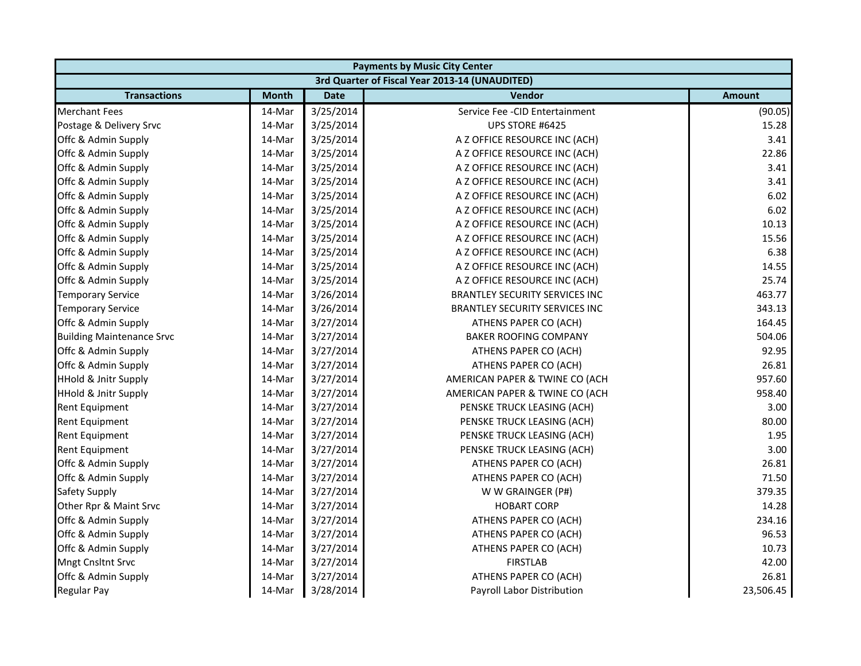| <b>Payments by Music City Center</b> |              |             |                                                |               |
|--------------------------------------|--------------|-------------|------------------------------------------------|---------------|
|                                      |              |             | 3rd Quarter of Fiscal Year 2013-14 (UNAUDITED) |               |
| <b>Transactions</b>                  | <b>Month</b> | <b>Date</b> | <b>Vendor</b>                                  | <b>Amount</b> |
| <b>Merchant Fees</b>                 | 14-Mar       | 3/25/2014   | Service Fee - CID Entertainment                | (90.05)       |
| Postage & Delivery Srvc              | 14-Mar       | 3/25/2014   | UPS STORE #6425                                | 15.28         |
| Offc & Admin Supply                  | 14-Mar       | 3/25/2014   | A Z OFFICE RESOURCE INC (ACH)                  | 3.41          |
| Offc & Admin Supply                  | 14-Mar       | 3/25/2014   | A Z OFFICE RESOURCE INC (ACH)                  | 22.86         |
| Offc & Admin Supply                  | 14-Mar       | 3/25/2014   | A Z OFFICE RESOURCE INC (ACH)                  | 3.41          |
| Offc & Admin Supply                  | 14-Mar       | 3/25/2014   | A Z OFFICE RESOURCE INC (ACH)                  | 3.41          |
| Offc & Admin Supply                  | 14-Mar       | 3/25/2014   | A Z OFFICE RESOURCE INC (ACH)                  | 6.02          |
| Offc & Admin Supply                  | 14-Mar       | 3/25/2014   | A Z OFFICE RESOURCE INC (ACH)                  | 6.02          |
| Offc & Admin Supply                  | 14-Mar       | 3/25/2014   | A Z OFFICE RESOURCE INC (ACH)                  | 10.13         |
| Offc & Admin Supply                  | 14-Mar       | 3/25/2014   | A Z OFFICE RESOURCE INC (ACH)                  | 15.56         |
| Offc & Admin Supply                  | 14-Mar       | 3/25/2014   | A Z OFFICE RESOURCE INC (ACH)                  | 6.38          |
| Offc & Admin Supply                  | 14-Mar       | 3/25/2014   | A Z OFFICE RESOURCE INC (ACH)                  | 14.55         |
| Offc & Admin Supply                  | 14-Mar       | 3/25/2014   | A Z OFFICE RESOURCE INC (ACH)                  | 25.74         |
| <b>Temporary Service</b>             | 14-Mar       | 3/26/2014   | <b>BRANTLEY SECURITY SERVICES INC</b>          | 463.77        |
| <b>Temporary Service</b>             | 14-Mar       | 3/26/2014   | <b>BRANTLEY SECURITY SERVICES INC</b>          | 343.13        |
| Offc & Admin Supply                  | 14-Mar       | 3/27/2014   | ATHENS PAPER CO (ACH)                          | 164.45        |
| <b>Building Maintenance Srvc</b>     | 14-Mar       | 3/27/2014   | <b>BAKER ROOFING COMPANY</b>                   | 504.06        |
| Offc & Admin Supply                  | 14-Mar       | 3/27/2014   | ATHENS PAPER CO (ACH)                          | 92.95         |
| Offc & Admin Supply                  | 14-Mar       | 3/27/2014   | ATHENS PAPER CO (ACH)                          | 26.81         |
| <b>HHold &amp; Jnitr Supply</b>      | 14-Mar       | 3/27/2014   | AMERICAN PAPER & TWINE CO (ACH                 | 957.60        |
| <b>HHold &amp; Jnitr Supply</b>      | 14-Mar       | 3/27/2014   | AMERICAN PAPER & TWINE CO (ACH                 | 958.40        |
| <b>Rent Equipment</b>                | 14-Mar       | 3/27/2014   | PENSKE TRUCK LEASING (ACH)                     | 3.00          |
| <b>Rent Equipment</b>                | 14-Mar       | 3/27/2014   | PENSKE TRUCK LEASING (ACH)                     | 80.00         |
| <b>Rent Equipment</b>                | 14-Mar       | 3/27/2014   | PENSKE TRUCK LEASING (ACH)                     | 1.95          |
| <b>Rent Equipment</b>                | 14-Mar       | 3/27/2014   | PENSKE TRUCK LEASING (ACH)                     | 3.00          |
| Offc & Admin Supply                  | 14-Mar       | 3/27/2014   | ATHENS PAPER CO (ACH)                          | 26.81         |
| Offc & Admin Supply                  | 14-Mar       | 3/27/2014   | ATHENS PAPER CO (ACH)                          | 71.50         |
| <b>Safety Supply</b>                 | 14-Mar       | 3/27/2014   | W W GRAINGER (P#)                              | 379.35        |
| Other Rpr & Maint Srvc               | 14-Mar       | 3/27/2014   | <b>HOBART CORP</b>                             | 14.28         |
| Offc & Admin Supply                  | 14-Mar       | 3/27/2014   | ATHENS PAPER CO (ACH)                          | 234.16        |
| Offc & Admin Supply                  | 14-Mar       | 3/27/2014   | ATHENS PAPER CO (ACH)                          | 96.53         |
| Offc & Admin Supply                  | 14-Mar       | 3/27/2014   | ATHENS PAPER CO (ACH)                          | 10.73         |
| <b>Mngt Cnsltnt Srvc</b>             | 14-Mar       | 3/27/2014   | <b>FIRSTLAB</b>                                | 42.00         |
| Offc & Admin Supply                  | 14-Mar       | 3/27/2014   | ATHENS PAPER CO (ACH)                          | 26.81         |
| <b>Regular Pay</b>                   | 14-Mar       | 3/28/2014   | Payroll Labor Distribution                     | 23,506.45     |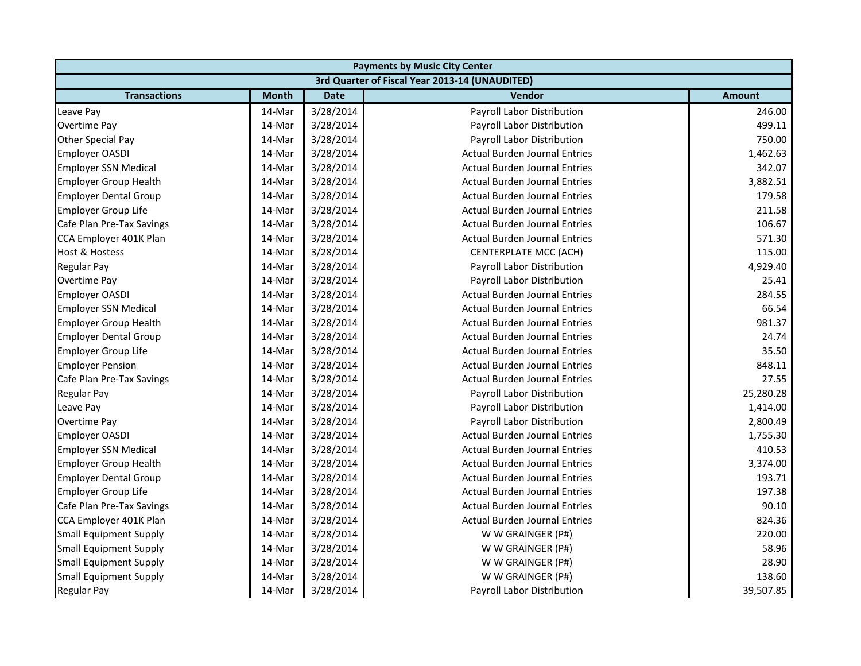| <b>Payments by Music City Center</b> |              |             |                                                |               |  |
|--------------------------------------|--------------|-------------|------------------------------------------------|---------------|--|
|                                      |              |             | 3rd Quarter of Fiscal Year 2013-14 (UNAUDITED) |               |  |
| <b>Transactions</b>                  | <b>Month</b> | <b>Date</b> | <b>Vendor</b>                                  | <b>Amount</b> |  |
| Leave Pay                            | 14-Mar       | 3/28/2014   | Payroll Labor Distribution                     | 246.00        |  |
| Overtime Pay                         | 14-Mar       | 3/28/2014   | Payroll Labor Distribution                     | 499.11        |  |
| Other Special Pay                    | 14-Mar       | 3/28/2014   | Payroll Labor Distribution                     | 750.00        |  |
| <b>Employer OASDI</b>                | 14-Mar       | 3/28/2014   | <b>Actual Burden Journal Entries</b>           | 1,462.63      |  |
| <b>Employer SSN Medical</b>          | 14-Mar       | 3/28/2014   | <b>Actual Burden Journal Entries</b>           | 342.07        |  |
| <b>Employer Group Health</b>         | 14-Mar       | 3/28/2014   | <b>Actual Burden Journal Entries</b>           | 3,882.51      |  |
| <b>Employer Dental Group</b>         | 14-Mar       | 3/28/2014   | <b>Actual Burden Journal Entries</b>           | 179.58        |  |
| <b>Employer Group Life</b>           | 14-Mar       | 3/28/2014   | <b>Actual Burden Journal Entries</b>           | 211.58        |  |
| Cafe Plan Pre-Tax Savings            | 14-Mar       | 3/28/2014   | <b>Actual Burden Journal Entries</b>           | 106.67        |  |
| CCA Employer 401K Plan               | 14-Mar       | 3/28/2014   | <b>Actual Burden Journal Entries</b>           | 571.30        |  |
| <b>Host &amp; Hostess</b>            | 14-Mar       | 3/28/2014   | <b>CENTERPLATE MCC (ACH)</b>                   | 115.00        |  |
| <b>Regular Pay</b>                   | 14-Mar       | 3/28/2014   | Payroll Labor Distribution                     | 4,929.40      |  |
| <b>Overtime Pay</b>                  | 14-Mar       | 3/28/2014   | Payroll Labor Distribution                     | 25.41         |  |
| <b>Employer OASDI</b>                | 14-Mar       | 3/28/2014   | <b>Actual Burden Journal Entries</b>           | 284.55        |  |
| <b>Employer SSN Medical</b>          | 14-Mar       | 3/28/2014   | <b>Actual Burden Journal Entries</b>           | 66.54         |  |
| <b>Employer Group Health</b>         | 14-Mar       | 3/28/2014   | <b>Actual Burden Journal Entries</b>           | 981.37        |  |
| <b>Employer Dental Group</b>         | 14-Mar       | 3/28/2014   | <b>Actual Burden Journal Entries</b>           | 24.74         |  |
| <b>Employer Group Life</b>           | 14-Mar       | 3/28/2014   | <b>Actual Burden Journal Entries</b>           | 35.50         |  |
| <b>Employer Pension</b>              | 14-Mar       | 3/28/2014   | <b>Actual Burden Journal Entries</b>           | 848.11        |  |
| Cafe Plan Pre-Tax Savings            | 14-Mar       | 3/28/2014   | <b>Actual Burden Journal Entries</b>           | 27.55         |  |
| <b>Regular Pay</b>                   | 14-Mar       | 3/28/2014   | Payroll Labor Distribution                     | 25,280.28     |  |
| Leave Pay                            | 14-Mar       | 3/28/2014   | Payroll Labor Distribution                     | 1,414.00      |  |
| <b>Overtime Pay</b>                  | 14-Mar       | 3/28/2014   | Payroll Labor Distribution                     | 2,800.49      |  |
| <b>Employer OASDI</b>                | 14-Mar       | 3/28/2014   | <b>Actual Burden Journal Entries</b>           | 1,755.30      |  |
| <b>Employer SSN Medical</b>          | 14-Mar       | 3/28/2014   | <b>Actual Burden Journal Entries</b>           | 410.53        |  |
| <b>Employer Group Health</b>         | 14-Mar       | 3/28/2014   | <b>Actual Burden Journal Entries</b>           | 3,374.00      |  |
| <b>Employer Dental Group</b>         | 14-Mar       | 3/28/2014   | <b>Actual Burden Journal Entries</b>           | 193.71        |  |
| <b>Employer Group Life</b>           | 14-Mar       | 3/28/2014   | <b>Actual Burden Journal Entries</b>           | 197.38        |  |
| Cafe Plan Pre-Tax Savings            | 14-Mar       | 3/28/2014   | <b>Actual Burden Journal Entries</b>           | 90.10         |  |
| CCA Employer 401K Plan               | 14-Mar       | 3/28/2014   | <b>Actual Burden Journal Entries</b>           | 824.36        |  |
| <b>Small Equipment Supply</b>        | 14-Mar       | 3/28/2014   | W W GRAINGER (P#)                              | 220.00        |  |
| <b>Small Equipment Supply</b>        | 14-Mar       | 3/28/2014   | W W GRAINGER (P#)                              | 58.96         |  |
| <b>Small Equipment Supply</b>        | 14-Mar       | 3/28/2014   | W W GRAINGER (P#)                              | 28.90         |  |
| Small Equipment Supply               | 14-Mar       | 3/28/2014   | W W GRAINGER (P#)                              | 138.60        |  |
| <b>Regular Pay</b>                   | 14-Mar       | 3/28/2014   | Payroll Labor Distribution                     | 39,507.85     |  |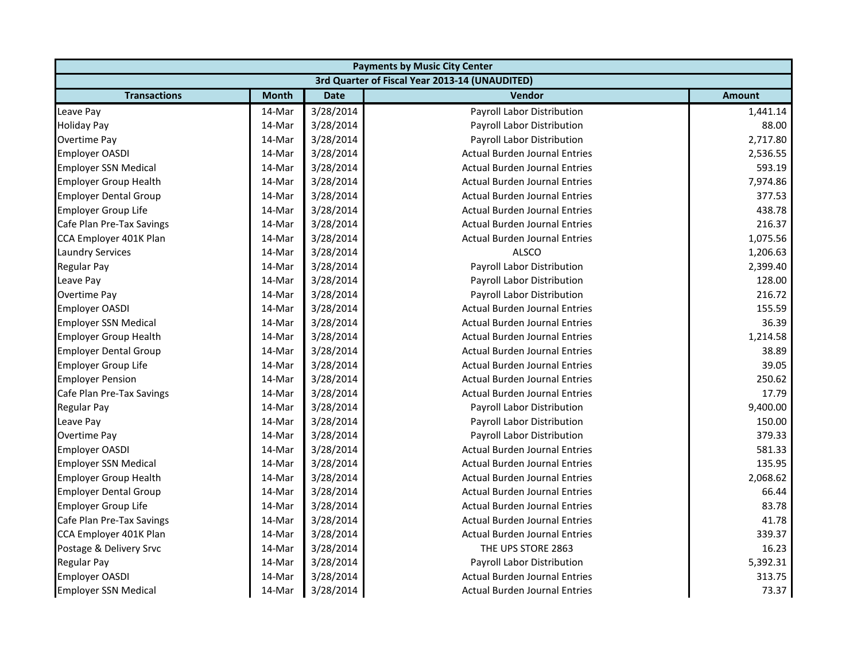| <b>Payments by Music City Center</b> |              |             |                                                |               |  |
|--------------------------------------|--------------|-------------|------------------------------------------------|---------------|--|
|                                      |              |             | 3rd Quarter of Fiscal Year 2013-14 (UNAUDITED) |               |  |
| <b>Transactions</b>                  | <b>Month</b> | <b>Date</b> | <b>Vendor</b>                                  | <b>Amount</b> |  |
| Leave Pay                            | 14-Mar       | 3/28/2014   | Payroll Labor Distribution                     | 1,441.14      |  |
| Holiday Pay                          | 14-Mar       | 3/28/2014   | Payroll Labor Distribution                     | 88.00         |  |
| Overtime Pay                         | 14-Mar       | 3/28/2014   | Payroll Labor Distribution                     | 2,717.80      |  |
| <b>Employer OASDI</b>                | 14-Mar       | 3/28/2014   | <b>Actual Burden Journal Entries</b>           | 2,536.55      |  |
| <b>Employer SSN Medical</b>          | 14-Mar       | 3/28/2014   | <b>Actual Burden Journal Entries</b>           | 593.19        |  |
| <b>Employer Group Health</b>         | 14-Mar       | 3/28/2014   | <b>Actual Burden Journal Entries</b>           | 7,974.86      |  |
| <b>Employer Dental Group</b>         | 14-Mar       | 3/28/2014   | <b>Actual Burden Journal Entries</b>           | 377.53        |  |
| <b>Employer Group Life</b>           | 14-Mar       | 3/28/2014   | <b>Actual Burden Journal Entries</b>           | 438.78        |  |
| Cafe Plan Pre-Tax Savings            | 14-Mar       | 3/28/2014   | <b>Actual Burden Journal Entries</b>           | 216.37        |  |
| CCA Employer 401K Plan               | 14-Mar       | 3/28/2014   | <b>Actual Burden Journal Entries</b>           | 1,075.56      |  |
| <b>Laundry Services</b>              | 14-Mar       | 3/28/2014   | <b>ALSCO</b>                                   | 1,206.63      |  |
| <b>Regular Pay</b>                   | 14-Mar       | 3/28/2014   | Payroll Labor Distribution                     | 2,399.40      |  |
| Leave Pay                            | 14-Mar       | 3/28/2014   | Payroll Labor Distribution                     | 128.00        |  |
| Overtime Pay                         | 14-Mar       | 3/28/2014   | Payroll Labor Distribution                     | 216.72        |  |
| <b>Employer OASDI</b>                | 14-Mar       | 3/28/2014   | <b>Actual Burden Journal Entries</b>           | 155.59        |  |
| <b>Employer SSN Medical</b>          | 14-Mar       | 3/28/2014   | <b>Actual Burden Journal Entries</b>           | 36.39         |  |
| <b>Employer Group Health</b>         | 14-Mar       | 3/28/2014   | <b>Actual Burden Journal Entries</b>           | 1,214.58      |  |
| <b>Employer Dental Group</b>         | 14-Mar       | 3/28/2014   | <b>Actual Burden Journal Entries</b>           | 38.89         |  |
| <b>Employer Group Life</b>           | 14-Mar       | 3/28/2014   | <b>Actual Burden Journal Entries</b>           | 39.05         |  |
| <b>Employer Pension</b>              | 14-Mar       | 3/28/2014   | <b>Actual Burden Journal Entries</b>           | 250.62        |  |
| Cafe Plan Pre-Tax Savings            | 14-Mar       | 3/28/2014   | <b>Actual Burden Journal Entries</b>           | 17.79         |  |
| <b>Regular Pay</b>                   | 14-Mar       | 3/28/2014   | Payroll Labor Distribution                     | 9,400.00      |  |
| Leave Pay                            | 14-Mar       | 3/28/2014   | Payroll Labor Distribution                     | 150.00        |  |
| Overtime Pay                         | 14-Mar       | 3/28/2014   | Payroll Labor Distribution                     | 379.33        |  |
| <b>Employer OASDI</b>                | 14-Mar       | 3/28/2014   | <b>Actual Burden Journal Entries</b>           | 581.33        |  |
| <b>Employer SSN Medical</b>          | 14-Mar       | 3/28/2014   | <b>Actual Burden Journal Entries</b>           | 135.95        |  |
| <b>Employer Group Health</b>         | 14-Mar       | 3/28/2014   | <b>Actual Burden Journal Entries</b>           | 2,068.62      |  |
| <b>Employer Dental Group</b>         | 14-Mar       | 3/28/2014   | <b>Actual Burden Journal Entries</b>           | 66.44         |  |
| <b>Employer Group Life</b>           | 14-Mar       | 3/28/2014   | <b>Actual Burden Journal Entries</b>           | 83.78         |  |
| Cafe Plan Pre-Tax Savings            | 14-Mar       | 3/28/2014   | <b>Actual Burden Journal Entries</b>           | 41.78         |  |
| CCA Employer 401K Plan               | 14-Mar       | 3/28/2014   | <b>Actual Burden Journal Entries</b>           | 339.37        |  |
| Postage & Delivery Srvc              | 14-Mar       | 3/28/2014   | THE UPS STORE 2863                             | 16.23         |  |
| <b>Regular Pay</b>                   | 14-Mar       | 3/28/2014   | Payroll Labor Distribution                     | 5,392.31      |  |
| <b>Employer OASDI</b>                | 14-Mar       | 3/28/2014   | <b>Actual Burden Journal Entries</b>           | 313.75        |  |
| <b>Employer SSN Medical</b>          | 14-Mar       | 3/28/2014   | <b>Actual Burden Journal Entries</b>           | 73.37         |  |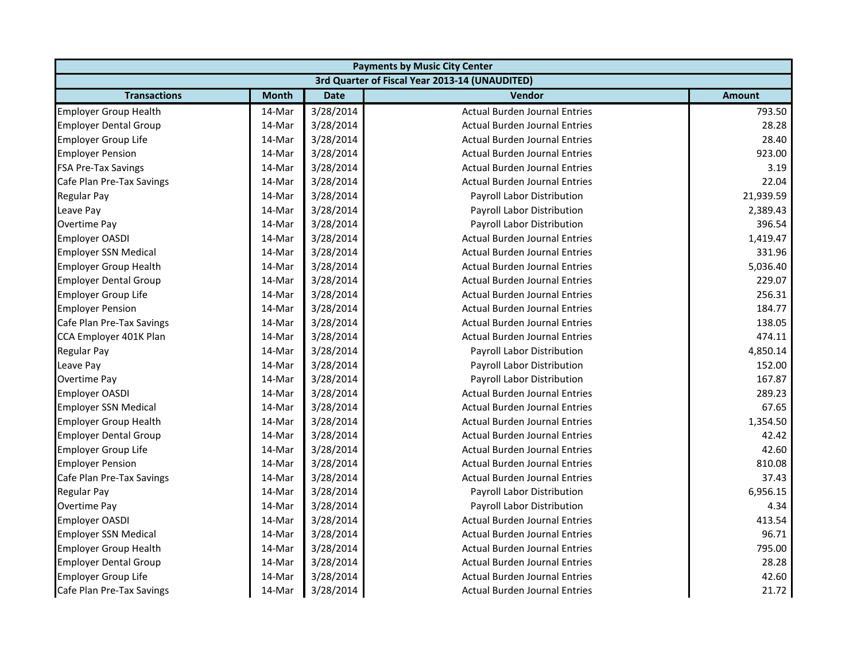| <b>Payments by Music City Center</b> |              |             |                                                |               |  |
|--------------------------------------|--------------|-------------|------------------------------------------------|---------------|--|
|                                      |              |             | 3rd Quarter of Fiscal Year 2013-14 (UNAUDITED) |               |  |
| <b>Transactions</b>                  | <b>Month</b> | <b>Date</b> | <b>Vendor</b>                                  | <b>Amount</b> |  |
| Employer Group Health                | 14-Mar       | 3/28/2014   | <b>Actual Burden Journal Entries</b>           | 793.50        |  |
| <b>Employer Dental Group</b>         | 14-Mar       | 3/28/2014   | <b>Actual Burden Journal Entries</b>           | 28.28         |  |
| Employer Group Life                  | 14-Mar       | 3/28/2014   | <b>Actual Burden Journal Entries</b>           | 28.40         |  |
| <b>Employer Pension</b>              | 14-Mar       | 3/28/2014   | <b>Actual Burden Journal Entries</b>           | 923.00        |  |
| <b>FSA Pre-Tax Savings</b>           | 14-Mar       | 3/28/2014   | <b>Actual Burden Journal Entries</b>           | 3.19          |  |
| Cafe Plan Pre-Tax Savings            | 14-Mar       | 3/28/2014   | <b>Actual Burden Journal Entries</b>           | 22.04         |  |
| <b>Regular Pay</b>                   | 14-Mar       | 3/28/2014   | Payroll Labor Distribution                     | 21,939.59     |  |
| Leave Pay                            | 14-Mar       | 3/28/2014   | Payroll Labor Distribution                     | 2,389.43      |  |
| Overtime Pay                         | 14-Mar       | 3/28/2014   | Payroll Labor Distribution                     | 396.54        |  |
| <b>Employer OASDI</b>                | 14-Mar       | 3/28/2014   | <b>Actual Burden Journal Entries</b>           | 1,419.47      |  |
| <b>Employer SSN Medical</b>          | 14-Mar       | 3/28/2014   | <b>Actual Burden Journal Entries</b>           | 331.96        |  |
| <b>Employer Group Health</b>         | 14-Mar       | 3/28/2014   | <b>Actual Burden Journal Entries</b>           | 5,036.40      |  |
| <b>Employer Dental Group</b>         | 14-Mar       | 3/28/2014   | <b>Actual Burden Journal Entries</b>           | 229.07        |  |
| <b>Employer Group Life</b>           | 14-Mar       | 3/28/2014   | <b>Actual Burden Journal Entries</b>           | 256.31        |  |
| <b>Employer Pension</b>              | 14-Mar       | 3/28/2014   | <b>Actual Burden Journal Entries</b>           | 184.77        |  |
| Cafe Plan Pre-Tax Savings            | 14-Mar       | 3/28/2014   | <b>Actual Burden Journal Entries</b>           | 138.05        |  |
| CCA Employer 401K Plan               | 14-Mar       | 3/28/2014   | <b>Actual Burden Journal Entries</b>           | 474.11        |  |
| <b>Regular Pay</b>                   | 14-Mar       | 3/28/2014   | Payroll Labor Distribution                     | 4,850.14      |  |
| Leave Pay                            | 14-Mar       | 3/28/2014   | Payroll Labor Distribution                     | 152.00        |  |
| Overtime Pay                         | 14-Mar       | 3/28/2014   | Payroll Labor Distribution                     | 167.87        |  |
| <b>Employer OASDI</b>                | 14-Mar       | 3/28/2014   | <b>Actual Burden Journal Entries</b>           | 289.23        |  |
| <b>Employer SSN Medical</b>          | 14-Mar       | 3/28/2014   | <b>Actual Burden Journal Entries</b>           | 67.65         |  |
| <b>Employer Group Health</b>         | 14-Mar       | 3/28/2014   | <b>Actual Burden Journal Entries</b>           | 1,354.50      |  |
| <b>Employer Dental Group</b>         | 14-Mar       | 3/28/2014   | <b>Actual Burden Journal Entries</b>           | 42.42         |  |
| <b>Employer Group Life</b>           | 14-Mar       | 3/28/2014   | <b>Actual Burden Journal Entries</b>           | 42.60         |  |
| <b>Employer Pension</b>              | 14-Mar       | 3/28/2014   | <b>Actual Burden Journal Entries</b>           | 810.08        |  |
| Cafe Plan Pre-Tax Savings            | 14-Mar       | 3/28/2014   | <b>Actual Burden Journal Entries</b>           | 37.43         |  |
| <b>Regular Pay</b>                   | 14-Mar       | 3/28/2014   | Payroll Labor Distribution                     | 6,956.15      |  |
| Overtime Pay                         | 14-Mar       | 3/28/2014   | Payroll Labor Distribution                     | 4.34          |  |
| <b>Employer OASDI</b>                | 14-Mar       | 3/28/2014   | <b>Actual Burden Journal Entries</b>           | 413.54        |  |
| <b>Employer SSN Medical</b>          | 14-Mar       | 3/28/2014   | <b>Actual Burden Journal Entries</b>           | 96.71         |  |
| <b>Employer Group Health</b>         | 14-Mar       | 3/28/2014   | <b>Actual Burden Journal Entries</b>           | 795.00        |  |
| <b>Employer Dental Group</b>         | 14-Mar       | 3/28/2014   | <b>Actual Burden Journal Entries</b>           | 28.28         |  |
| Employer Group Life                  | 14-Mar       | 3/28/2014   | <b>Actual Burden Journal Entries</b>           | 42.60         |  |
| Cafe Plan Pre-Tax Savings            | 14-Mar       | 3/28/2014   | <b>Actual Burden Journal Entries</b>           | 21.72         |  |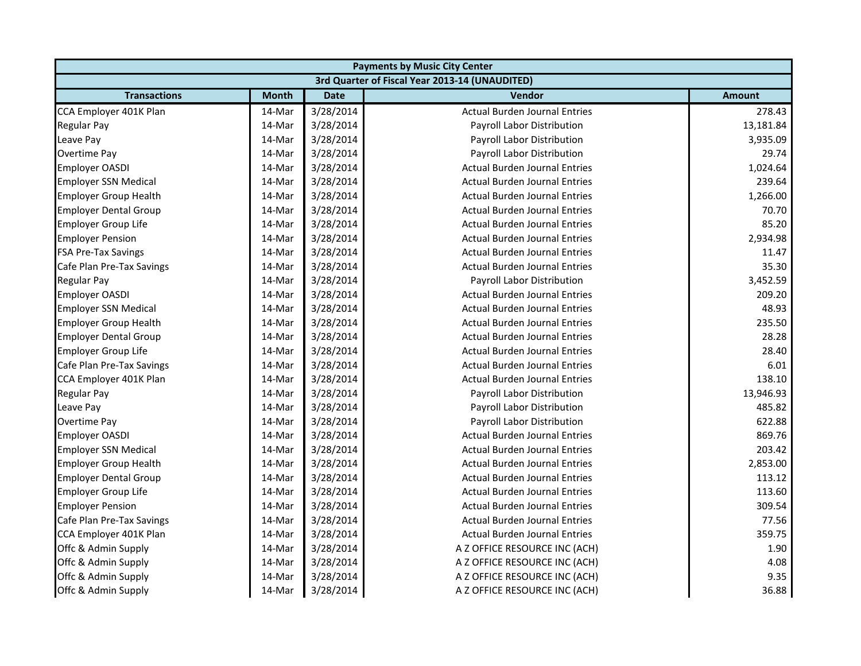| <b>Payments by Music City Center</b> |              |             |                                                |               |  |
|--------------------------------------|--------------|-------------|------------------------------------------------|---------------|--|
|                                      |              |             | 3rd Quarter of Fiscal Year 2013-14 (UNAUDITED) |               |  |
| <b>Transactions</b>                  | <b>Month</b> | <b>Date</b> | <b>Vendor</b>                                  | <b>Amount</b> |  |
| CCA Employer 401K Plan               | 14-Mar       | 3/28/2014   | <b>Actual Burden Journal Entries</b>           | 278.43        |  |
| <b>Regular Pay</b>                   | 14-Mar       | 3/28/2014   | Payroll Labor Distribution                     | 13,181.84     |  |
| Leave Pay                            | 14-Mar       | 3/28/2014   | Payroll Labor Distribution                     | 3,935.09      |  |
| Overtime Pay                         | 14-Mar       | 3/28/2014   | Payroll Labor Distribution                     | 29.74         |  |
| <b>Employer OASDI</b>                | 14-Mar       | 3/28/2014   | <b>Actual Burden Journal Entries</b>           | 1,024.64      |  |
| <b>Employer SSN Medical</b>          | 14-Mar       | 3/28/2014   | <b>Actual Burden Journal Entries</b>           | 239.64        |  |
| <b>Employer Group Health</b>         | 14-Mar       | 3/28/2014   | <b>Actual Burden Journal Entries</b>           | 1,266.00      |  |
| <b>Employer Dental Group</b>         | 14-Mar       | 3/28/2014   | <b>Actual Burden Journal Entries</b>           | 70.70         |  |
| <b>Employer Group Life</b>           | 14-Mar       | 3/28/2014   | <b>Actual Burden Journal Entries</b>           | 85.20         |  |
| <b>Employer Pension</b>              | 14-Mar       | 3/28/2014   | <b>Actual Burden Journal Entries</b>           | 2,934.98      |  |
| <b>FSA Pre-Tax Savings</b>           | 14-Mar       | 3/28/2014   | <b>Actual Burden Journal Entries</b>           | 11.47         |  |
| Cafe Plan Pre-Tax Savings            | 14-Mar       | 3/28/2014   | <b>Actual Burden Journal Entries</b>           | 35.30         |  |
| <b>Regular Pay</b>                   | 14-Mar       | 3/28/2014   | Payroll Labor Distribution                     | 3,452.59      |  |
| <b>Employer OASDI</b>                | 14-Mar       | 3/28/2014   | <b>Actual Burden Journal Entries</b>           | 209.20        |  |
| <b>Employer SSN Medical</b>          | 14-Mar       | 3/28/2014   | <b>Actual Burden Journal Entries</b>           | 48.93         |  |
| <b>Employer Group Health</b>         | 14-Mar       | 3/28/2014   | <b>Actual Burden Journal Entries</b>           | 235.50        |  |
| <b>Employer Dental Group</b>         | 14-Mar       | 3/28/2014   | <b>Actual Burden Journal Entries</b>           | 28.28         |  |
| <b>Employer Group Life</b>           | 14-Mar       | 3/28/2014   | <b>Actual Burden Journal Entries</b>           | 28.40         |  |
| Cafe Plan Pre-Tax Savings            | 14-Mar       | 3/28/2014   | <b>Actual Burden Journal Entries</b>           | 6.01          |  |
| CCA Employer 401K Plan               | 14-Mar       | 3/28/2014   | <b>Actual Burden Journal Entries</b>           | 138.10        |  |
| <b>Regular Pay</b>                   | 14-Mar       | 3/28/2014   | Payroll Labor Distribution                     | 13,946.93     |  |
| Leave Pay                            | 14-Mar       | 3/28/2014   | Payroll Labor Distribution                     | 485.82        |  |
| <b>Overtime Pay</b>                  | 14-Mar       | 3/28/2014   | Payroll Labor Distribution                     | 622.88        |  |
| <b>Employer OASDI</b>                | 14-Mar       | 3/28/2014   | <b>Actual Burden Journal Entries</b>           | 869.76        |  |
| <b>Employer SSN Medical</b>          | 14-Mar       | 3/28/2014   | <b>Actual Burden Journal Entries</b>           | 203.42        |  |
| <b>Employer Group Health</b>         | 14-Mar       | 3/28/2014   | <b>Actual Burden Journal Entries</b>           | 2,853.00      |  |
| <b>Employer Dental Group</b>         | 14-Mar       | 3/28/2014   | <b>Actual Burden Journal Entries</b>           | 113.12        |  |
| <b>Employer Group Life</b>           | 14-Mar       | 3/28/2014   | <b>Actual Burden Journal Entries</b>           | 113.60        |  |
| <b>Employer Pension</b>              | 14-Mar       | 3/28/2014   | <b>Actual Burden Journal Entries</b>           | 309.54        |  |
| Cafe Plan Pre-Tax Savings            | 14-Mar       | 3/28/2014   | <b>Actual Burden Journal Entries</b>           | 77.56         |  |
| CCA Employer 401K Plan               | 14-Mar       | 3/28/2014   | <b>Actual Burden Journal Entries</b>           | 359.75        |  |
| Offc & Admin Supply                  | 14-Mar       | 3/28/2014   | A Z OFFICE RESOURCE INC (ACH)                  | 1.90          |  |
| Offc & Admin Supply                  | 14-Mar       | 3/28/2014   | A Z OFFICE RESOURCE INC (ACH)                  | 4.08          |  |
| Offc & Admin Supply                  | 14-Mar       | 3/28/2014   | A Z OFFICE RESOURCE INC (ACH)                  | 9.35          |  |
| Offc & Admin Supply                  | 14-Mar       | 3/28/2014   | A Z OFFICE RESOURCE INC (ACH)                  | 36.88         |  |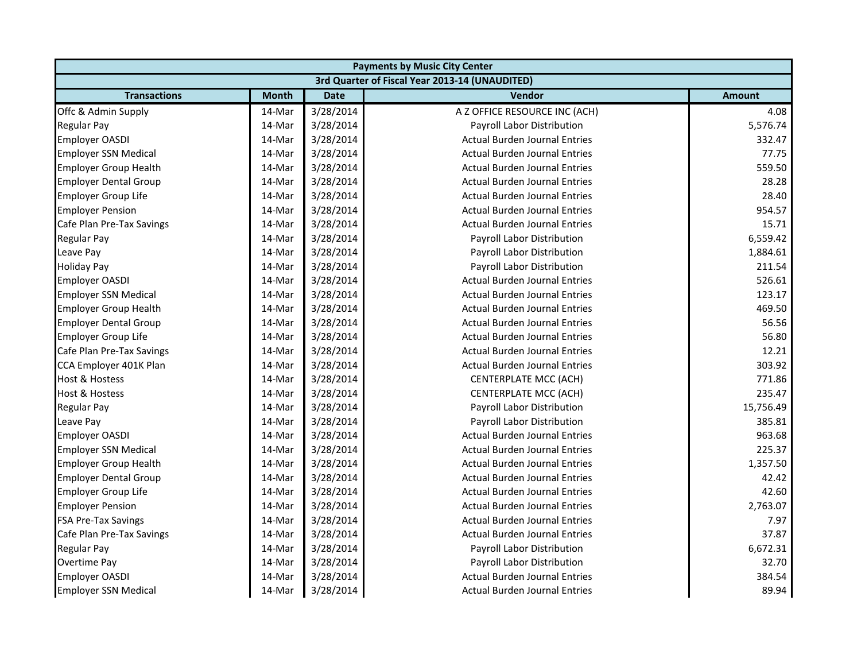| <b>Payments by Music City Center</b> |              |             |                                                |               |  |
|--------------------------------------|--------------|-------------|------------------------------------------------|---------------|--|
|                                      |              |             | 3rd Quarter of Fiscal Year 2013-14 (UNAUDITED) |               |  |
| <b>Transactions</b>                  | <b>Month</b> | <b>Date</b> | <b>Vendor</b>                                  | <b>Amount</b> |  |
| Offc & Admin Supply                  | 14-Mar       | 3/28/2014   | A Z OFFICE RESOURCE INC (ACH)                  | 4.08          |  |
| <b>Regular Pay</b>                   | 14-Mar       | 3/28/2014   | Payroll Labor Distribution                     | 5,576.74      |  |
| Employer OASDI                       | 14-Mar       | 3/28/2014   | <b>Actual Burden Journal Entries</b>           | 332.47        |  |
| <b>Employer SSN Medical</b>          | 14-Mar       | 3/28/2014   | <b>Actual Burden Journal Entries</b>           | 77.75         |  |
| <b>Employer Group Health</b>         | 14-Mar       | 3/28/2014   | <b>Actual Burden Journal Entries</b>           | 559.50        |  |
| <b>Employer Dental Group</b>         | 14-Mar       | 3/28/2014   | <b>Actual Burden Journal Entries</b>           | 28.28         |  |
| <b>Employer Group Life</b>           | 14-Mar       | 3/28/2014   | <b>Actual Burden Journal Entries</b>           | 28.40         |  |
| <b>Employer Pension</b>              | 14-Mar       | 3/28/2014   | <b>Actual Burden Journal Entries</b>           | 954.57        |  |
| Cafe Plan Pre-Tax Savings            | 14-Mar       | 3/28/2014   | <b>Actual Burden Journal Entries</b>           | 15.71         |  |
| <b>Regular Pay</b>                   | 14-Mar       | 3/28/2014   | Payroll Labor Distribution                     | 6,559.42      |  |
| Leave Pay                            | 14-Mar       | 3/28/2014   | Payroll Labor Distribution                     | 1,884.61      |  |
| <b>Holiday Pay</b>                   | 14-Mar       | 3/28/2014   | Payroll Labor Distribution                     | 211.54        |  |
| Employer OASDI                       | 14-Mar       | 3/28/2014   | <b>Actual Burden Journal Entries</b>           | 526.61        |  |
| <b>Employer SSN Medical</b>          | 14-Mar       | 3/28/2014   | <b>Actual Burden Journal Entries</b>           | 123.17        |  |
| <b>Employer Group Health</b>         | 14-Mar       | 3/28/2014   | <b>Actual Burden Journal Entries</b>           | 469.50        |  |
| <b>Employer Dental Group</b>         | 14-Mar       | 3/28/2014   | <b>Actual Burden Journal Entries</b>           | 56.56         |  |
| <b>Employer Group Life</b>           | 14-Mar       | 3/28/2014   | <b>Actual Burden Journal Entries</b>           | 56.80         |  |
| Cafe Plan Pre-Tax Savings            | 14-Mar       | 3/28/2014   | <b>Actual Burden Journal Entries</b>           | 12.21         |  |
| CCA Employer 401K Plan               | 14-Mar       | 3/28/2014   | <b>Actual Burden Journal Entries</b>           | 303.92        |  |
| <b>Host &amp; Hostess</b>            | 14-Mar       | 3/28/2014   | CENTERPLATE MCC (ACH)                          | 771.86        |  |
| <b>Host &amp; Hostess</b>            | 14-Mar       | 3/28/2014   | <b>CENTERPLATE MCC (ACH)</b>                   | 235.47        |  |
| <b>Regular Pay</b>                   | 14-Mar       | 3/28/2014   | Payroll Labor Distribution                     | 15,756.49     |  |
| Leave Pay                            | 14-Mar       | 3/28/2014   | Payroll Labor Distribution                     | 385.81        |  |
| <b>Employer OASDI</b>                | 14-Mar       | 3/28/2014   | <b>Actual Burden Journal Entries</b>           | 963.68        |  |
| <b>Employer SSN Medical</b>          | 14-Mar       | 3/28/2014   | <b>Actual Burden Journal Entries</b>           | 225.37        |  |
| <b>Employer Group Health</b>         | 14-Mar       | 3/28/2014   | <b>Actual Burden Journal Entries</b>           | 1,357.50      |  |
| <b>Employer Dental Group</b>         | 14-Mar       | 3/28/2014   | <b>Actual Burden Journal Entries</b>           | 42.42         |  |
| <b>Employer Group Life</b>           | 14-Mar       | 3/28/2014   | <b>Actual Burden Journal Entries</b>           | 42.60         |  |
| <b>Employer Pension</b>              | 14-Mar       | 3/28/2014   | <b>Actual Burden Journal Entries</b>           | 2,763.07      |  |
| <b>FSA Pre-Tax Savings</b>           | 14-Mar       | 3/28/2014   | <b>Actual Burden Journal Entries</b>           | 7.97          |  |
| Cafe Plan Pre-Tax Savings            | 14-Mar       | 3/28/2014   | <b>Actual Burden Journal Entries</b>           | 37.87         |  |
| <b>Regular Pay</b>                   | 14-Mar       | 3/28/2014   | Payroll Labor Distribution                     | 6,672.31      |  |
| Overtime Pay                         | 14-Mar       | 3/28/2014   | Payroll Labor Distribution                     | 32.70         |  |
| <b>Employer OASDI</b>                | 14-Mar       | 3/28/2014   | <b>Actual Burden Journal Entries</b>           | 384.54        |  |
| <b>Employer SSN Medical</b>          | 14-Mar       | 3/28/2014   | <b>Actual Burden Journal Entries</b>           | 89.94         |  |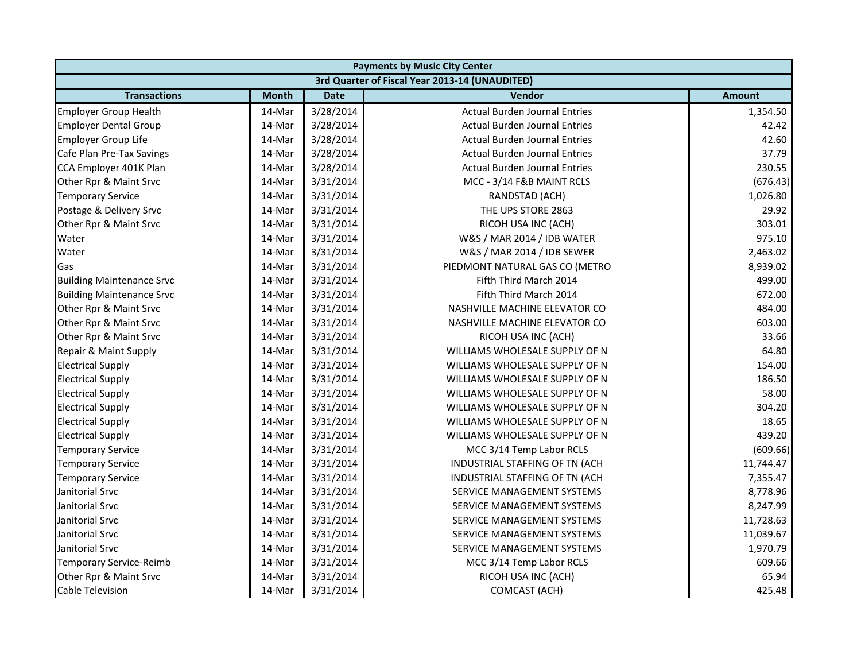| <b>Payments by Music City Center</b> |              |             |                                                |               |
|--------------------------------------|--------------|-------------|------------------------------------------------|---------------|
|                                      |              |             | 3rd Quarter of Fiscal Year 2013-14 (UNAUDITED) |               |
| <b>Transactions</b>                  | <b>Month</b> | <b>Date</b> | Vendor                                         | <b>Amount</b> |
| <b>Employer Group Health</b>         | 14-Mar       | 3/28/2014   | <b>Actual Burden Journal Entries</b>           | 1,354.50      |
| <b>Employer Dental Group</b>         | 14-Mar       | 3/28/2014   | <b>Actual Burden Journal Entries</b>           | 42.42         |
| <b>Employer Group Life</b>           | 14-Mar       | 3/28/2014   | <b>Actual Burden Journal Entries</b>           | 42.60         |
| Cafe Plan Pre-Tax Savings            | 14-Mar       | 3/28/2014   | <b>Actual Burden Journal Entries</b>           | 37.79         |
| CCA Employer 401K Plan               | 14-Mar       | 3/28/2014   | <b>Actual Burden Journal Entries</b>           | 230.55        |
| Other Rpr & Maint Srvc               | 14-Mar       | 3/31/2014   | MCC - 3/14 F&B MAINT RCLS                      | (676.43)      |
| <b>Temporary Service</b>             | 14-Mar       | 3/31/2014   | RANDSTAD (ACH)                                 | 1,026.80      |
| Postage & Delivery Srvc              | 14-Mar       | 3/31/2014   | THE UPS STORE 2863                             | 29.92         |
| Other Rpr & Maint Srvc               | 14-Mar       | 3/31/2014   | RICOH USA INC (ACH)                            | 303.01        |
| Water                                | 14-Mar       | 3/31/2014   | W&S / MAR 2014 / IDB WATER                     | 975.10        |
| Water                                | 14-Mar       | 3/31/2014   | W&S / MAR 2014 / IDB SEWER                     | 2,463.02      |
| Gas                                  | 14-Mar       | 3/31/2014   | PIEDMONT NATURAL GAS CO (METRO                 | 8,939.02      |
| <b>Building Maintenance Srvc</b>     | 14-Mar       | 3/31/2014   | Fifth Third March 2014                         | 499.00        |
| <b>Building Maintenance Srvc</b>     | 14-Mar       | 3/31/2014   | Fifth Third March 2014                         | 672.00        |
| Other Rpr & Maint Srvc               | 14-Mar       | 3/31/2014   | NASHVILLE MACHINE ELEVATOR CO                  | 484.00        |
| Other Rpr & Maint Srvc               | 14-Mar       | 3/31/2014   | NASHVILLE MACHINE ELEVATOR CO                  | 603.00        |
| Other Rpr & Maint Srvc               | 14-Mar       | 3/31/2014   | RICOH USA INC (ACH)                            | 33.66         |
| Repair & Maint Supply                | 14-Mar       | 3/31/2014   | WILLIAMS WHOLESALE SUPPLY OF N                 | 64.80         |
| <b>Electrical Supply</b>             | 14-Mar       | 3/31/2014   | WILLIAMS WHOLESALE SUPPLY OF N                 | 154.00        |
| <b>Electrical Supply</b>             | 14-Mar       | 3/31/2014   | WILLIAMS WHOLESALE SUPPLY OF N                 | 186.50        |
| <b>Electrical Supply</b>             | 14-Mar       | 3/31/2014   | WILLIAMS WHOLESALE SUPPLY OF N                 | 58.00         |
| <b>Electrical Supply</b>             | 14-Mar       | 3/31/2014   | WILLIAMS WHOLESALE SUPPLY OF N                 | 304.20        |
| <b>Electrical Supply</b>             | 14-Mar       | 3/31/2014   | WILLIAMS WHOLESALE SUPPLY OF N                 | 18.65         |
| <b>Electrical Supply</b>             | 14-Mar       | 3/31/2014   | WILLIAMS WHOLESALE SUPPLY OF N                 | 439.20        |
| <b>Temporary Service</b>             | 14-Mar       | 3/31/2014   | MCC 3/14 Temp Labor RCLS                       | (609.66)      |
| <b>Temporary Service</b>             | 14-Mar       | 3/31/2014   | INDUSTRIAL STAFFING OF TN (ACH                 | 11,744.47     |
| <b>Temporary Service</b>             | 14-Mar       | 3/31/2014   | INDUSTRIAL STAFFING OF TN (ACH                 | 7,355.47      |
| Janitorial Srvc                      | 14-Mar       | 3/31/2014   | SERVICE MANAGEMENT SYSTEMS                     | 8,778.96      |
| Janitorial Srvc                      | 14-Mar       | 3/31/2014   | SERVICE MANAGEMENT SYSTEMS                     | 8,247.99      |
| Janitorial Srvc                      | 14-Mar       | 3/31/2014   | SERVICE MANAGEMENT SYSTEMS                     | 11,728.63     |
| Janitorial Srvc                      | 14-Mar       | 3/31/2014   | SERVICE MANAGEMENT SYSTEMS                     | 11,039.67     |
| Janitorial Srvc                      | 14-Mar       | 3/31/2014   | SERVICE MANAGEMENT SYSTEMS                     | 1,970.79      |
| <b>Temporary Service-Reimb</b>       | 14-Mar       | 3/31/2014   | MCC 3/14 Temp Labor RCLS                       | 609.66        |
| Other Rpr & Maint Srvc               | 14-Mar       | 3/31/2014   | RICOH USA INC (ACH)                            | 65.94         |
| Cable Television                     | 14-Mar       | 3/31/2014   | COMCAST (ACH)                                  | 425.48        |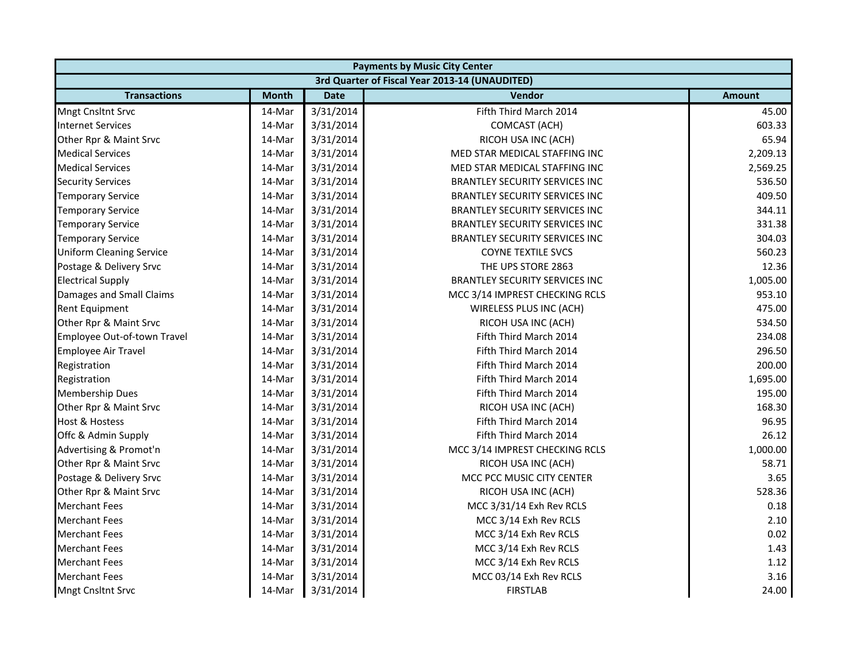| <b>Payments by Music City Center</b> |              |             |                                                |               |  |
|--------------------------------------|--------------|-------------|------------------------------------------------|---------------|--|
|                                      |              |             | 3rd Quarter of Fiscal Year 2013-14 (UNAUDITED) |               |  |
| <b>Transactions</b>                  | <b>Month</b> | <b>Date</b> | <b>Vendor</b>                                  | <b>Amount</b> |  |
| <b>Mngt Cnsltnt Srvc</b>             | 14-Mar       | 3/31/2014   | Fifth Third March 2014                         | 45.00         |  |
| <b>Internet Services</b>             | 14-Mar       | 3/31/2014   | <b>COMCAST (ACH)</b>                           | 603.33        |  |
| Other Rpr & Maint Srvc               | 14-Mar       | 3/31/2014   | RICOH USA INC (ACH)                            | 65.94         |  |
| <b>Medical Services</b>              | 14-Mar       | 3/31/2014   | MED STAR MEDICAL STAFFING INC                  | 2,209.13      |  |
| <b>Medical Services</b>              | 14-Mar       | 3/31/2014   | MED STAR MEDICAL STAFFING INC                  | 2,569.25      |  |
| <b>Security Services</b>             | 14-Mar       | 3/31/2014   | BRANTLEY SECURITY SERVICES INC                 | 536.50        |  |
| <b>Temporary Service</b>             | 14-Mar       | 3/31/2014   | <b>BRANTLEY SECURITY SERVICES INC</b>          | 409.50        |  |
| <b>Temporary Service</b>             | 14-Mar       | 3/31/2014   | <b>BRANTLEY SECURITY SERVICES INC</b>          | 344.11        |  |
| <b>Temporary Service</b>             | 14-Mar       | 3/31/2014   | <b>BRANTLEY SECURITY SERVICES INC</b>          | 331.38        |  |
| <b>Temporary Service</b>             | 14-Mar       | 3/31/2014   | BRANTLEY SECURITY SERVICES INC                 | 304.03        |  |
| <b>Uniform Cleaning Service</b>      | 14-Mar       | 3/31/2014   | <b>COYNE TEXTILE SVCS</b>                      | 560.23        |  |
| Postage & Delivery Srvc              | 14-Mar       | 3/31/2014   | THE UPS STORE 2863                             | 12.36         |  |
| <b>Electrical Supply</b>             | 14-Mar       | 3/31/2014   | <b>BRANTLEY SECURITY SERVICES INC</b>          | 1,005.00      |  |
| Damages and Small Claims             | 14-Mar       | 3/31/2014   | MCC 3/14 IMPREST CHECKING RCLS                 | 953.10        |  |
| <b>Rent Equipment</b>                | 14-Mar       | 3/31/2014   | WIRELESS PLUS INC (ACH)                        | 475.00        |  |
| Other Rpr & Maint Srvc               | 14-Mar       | 3/31/2014   | RICOH USA INC (ACH)                            | 534.50        |  |
| Employee Out-of-town Travel          | 14-Mar       | 3/31/2014   | Fifth Third March 2014                         | 234.08        |  |
| <b>Employee Air Travel</b>           | 14-Mar       | 3/31/2014   | Fifth Third March 2014                         | 296.50        |  |
| Registration                         | 14-Mar       | 3/31/2014   | Fifth Third March 2014                         | 200.00        |  |
| Registration                         | 14-Mar       | 3/31/2014   | Fifth Third March 2014                         | 1,695.00      |  |
| <b>Membership Dues</b>               | 14-Mar       | 3/31/2014   | Fifth Third March 2014                         | 195.00        |  |
| Other Rpr & Maint Srvc               | 14-Mar       | 3/31/2014   | RICOH USA INC (ACH)                            | 168.30        |  |
| <b>Host &amp; Hostess</b>            | 14-Mar       | 3/31/2014   | Fifth Third March 2014                         | 96.95         |  |
| Offc & Admin Supply                  | 14-Mar       | 3/31/2014   | Fifth Third March 2014                         | 26.12         |  |
| Advertising & Promot'n               | 14-Mar       | 3/31/2014   | MCC 3/14 IMPREST CHECKING RCLS                 | 1,000.00      |  |
| Other Rpr & Maint Srvc               | 14-Mar       | 3/31/2014   | RICOH USA INC (ACH)                            | 58.71         |  |
| Postage & Delivery Srvc              | 14-Mar       | 3/31/2014   | MCC PCC MUSIC CITY CENTER                      | 3.65          |  |
| Other Rpr & Maint Srvc               | 14-Mar       | 3/31/2014   | RICOH USA INC (ACH)                            | 528.36        |  |
| <b>Merchant Fees</b>                 | 14-Mar       | 3/31/2014   | MCC 3/31/14 Exh Rev RCLS                       | 0.18          |  |
| <b>Merchant Fees</b>                 | 14-Mar       | 3/31/2014   | MCC 3/14 Exh Rev RCLS                          | 2.10          |  |
| <b>Merchant Fees</b>                 | 14-Mar       | 3/31/2014   | MCC 3/14 Exh Rev RCLS                          | 0.02          |  |
| <b>Merchant Fees</b>                 | 14-Mar       | 3/31/2014   | MCC 3/14 Exh Rev RCLS                          | 1.43          |  |
| <b>Merchant Fees</b>                 | 14-Mar       | 3/31/2014   | MCC 3/14 Exh Rev RCLS                          | 1.12          |  |
| <b>Merchant Fees</b>                 | 14-Mar       | 3/31/2014   | MCC 03/14 Exh Rev RCLS                         | 3.16          |  |
| <b>Mngt Cnsltnt Srvc</b>             | 14-Mar       | 3/31/2014   | <b>FIRSTLAB</b>                                | 24.00         |  |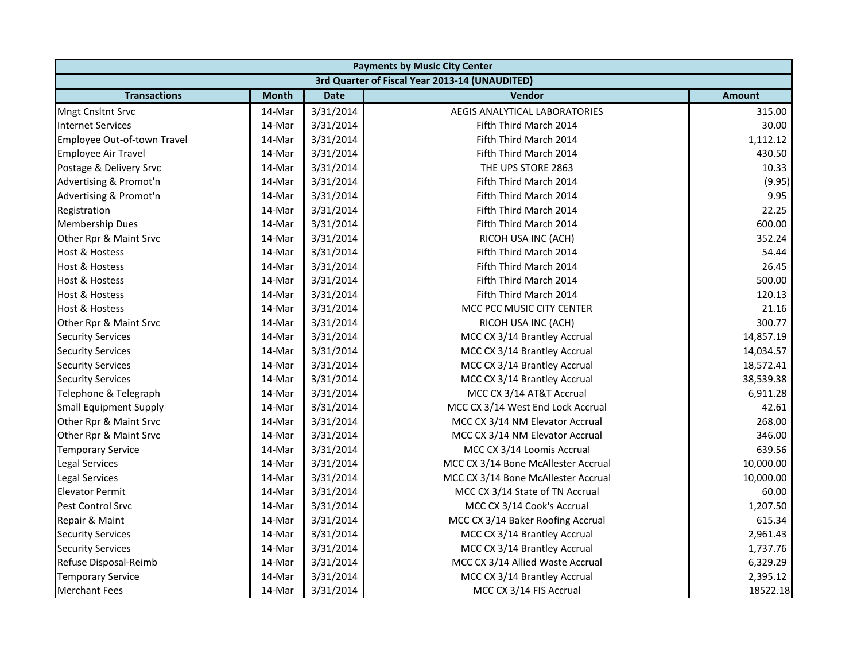| <b>Payments by Music City Center</b>           |              |             |                                      |               |  |  |  |
|------------------------------------------------|--------------|-------------|--------------------------------------|---------------|--|--|--|
| 3rd Quarter of Fiscal Year 2013-14 (UNAUDITED) |              |             |                                      |               |  |  |  |
| <b>Transactions</b>                            | <b>Month</b> | <b>Date</b> | <b>Vendor</b>                        | <b>Amount</b> |  |  |  |
| Mngt Cnsltnt Srvc                              | 14-Mar       | 3/31/2014   | <b>AEGIS ANALYTICAL LABORATORIES</b> | 315.00        |  |  |  |
| <b>Internet Services</b>                       | 14-Mar       | 3/31/2014   | Fifth Third March 2014               | 30.00         |  |  |  |
| Employee Out-of-town Travel                    | 14-Mar       | 3/31/2014   | Fifth Third March 2014               | 1,112.12      |  |  |  |
| Employee Air Travel                            | 14-Mar       | 3/31/2014   | Fifth Third March 2014               | 430.50        |  |  |  |
| Postage & Delivery Srvc                        | 14-Mar       | 3/31/2014   | THE UPS STORE 2863                   | 10.33         |  |  |  |
| Advertising & Promot'n                         | 14-Mar       | 3/31/2014   | Fifth Third March 2014               | (9.95)        |  |  |  |
| Advertising & Promot'n                         | 14-Mar       | 3/31/2014   | Fifth Third March 2014               | 9.95          |  |  |  |
| Registration                                   | 14-Mar       | 3/31/2014   | Fifth Third March 2014               | 22.25         |  |  |  |
| <b>Membership Dues</b>                         | 14-Mar       | 3/31/2014   | Fifth Third March 2014               | 600.00        |  |  |  |
| Other Rpr & Maint Srvc                         | 14-Mar       | 3/31/2014   | RICOH USA INC (ACH)                  | 352.24        |  |  |  |
| <b>Host &amp; Hostess</b>                      | 14-Mar       | 3/31/2014   | Fifth Third March 2014               | 54.44         |  |  |  |
| <b>Host &amp; Hostess</b>                      | 14-Mar       | 3/31/2014   | Fifth Third March 2014               | 26.45         |  |  |  |
| Host & Hostess                                 | 14-Mar       | 3/31/2014   | Fifth Third March 2014               | 500.00        |  |  |  |
| <b>Host &amp; Hostess</b>                      | 14-Mar       | 3/31/2014   | Fifth Third March 2014               | 120.13        |  |  |  |
| <b>Host &amp; Hostess</b>                      | 14-Mar       | 3/31/2014   | MCC PCC MUSIC CITY CENTER            | 21.16         |  |  |  |
| Other Rpr & Maint Srvc                         | 14-Mar       | 3/31/2014   | RICOH USA INC (ACH)                  | 300.77        |  |  |  |
| <b>Security Services</b>                       | 14-Mar       | 3/31/2014   | MCC CX 3/14 Brantley Accrual         | 14,857.19     |  |  |  |
| <b>Security Services</b>                       | 14-Mar       | 3/31/2014   | MCC CX 3/14 Brantley Accrual         | 14,034.57     |  |  |  |
| <b>Security Services</b>                       | 14-Mar       | 3/31/2014   | MCC CX 3/14 Brantley Accrual         | 18,572.41     |  |  |  |
| <b>Security Services</b>                       | 14-Mar       | 3/31/2014   | MCC CX 3/14 Brantley Accrual         | 38,539.38     |  |  |  |
| Telephone & Telegraph                          | 14-Mar       | 3/31/2014   | MCC CX 3/14 AT&T Accrual             | 6,911.28      |  |  |  |
| <b>Small Equipment Supply</b>                  | 14-Mar       | 3/31/2014   | MCC CX 3/14 West End Lock Accrual    | 42.61         |  |  |  |
| Other Rpr & Maint Srvc                         | 14-Mar       | 3/31/2014   | MCC CX 3/14 NM Elevator Accrual      | 268.00        |  |  |  |
| Other Rpr & Maint Srvc                         | 14-Mar       | 3/31/2014   | MCC CX 3/14 NM Elevator Accrual      | 346.00        |  |  |  |
| <b>Temporary Service</b>                       | 14-Mar       | 3/31/2014   | MCC CX 3/14 Loomis Accrual           | 639.56        |  |  |  |
| Legal Services                                 | 14-Mar       | 3/31/2014   | MCC CX 3/14 Bone McAllester Accrual  | 10,000.00     |  |  |  |
| <b>Legal Services</b>                          | 14-Mar       | 3/31/2014   | MCC CX 3/14 Bone McAllester Accrual  | 10,000.00     |  |  |  |
| <b>Elevator Permit</b>                         | 14-Mar       | 3/31/2014   | MCC CX 3/14 State of TN Accrual      | 60.00         |  |  |  |
| Pest Control Srvc                              | 14-Mar       | 3/31/2014   | MCC CX 3/14 Cook's Accrual           | 1,207.50      |  |  |  |
| Repair & Maint                                 | 14-Mar       | 3/31/2014   | MCC CX 3/14 Baker Roofing Accrual    | 615.34        |  |  |  |
| <b>Security Services</b>                       | 14-Mar       | 3/31/2014   | MCC CX 3/14 Brantley Accrual         | 2,961.43      |  |  |  |
| <b>Security Services</b>                       | 14-Mar       | 3/31/2014   | MCC CX 3/14 Brantley Accrual         | 1,737.76      |  |  |  |
| Refuse Disposal-Reimb                          | 14-Mar       | 3/31/2014   | MCC CX 3/14 Allied Waste Accrual     | 6,329.29      |  |  |  |
| <b>Temporary Service</b>                       | 14-Mar       | 3/31/2014   | MCC CX 3/14 Brantley Accrual         | 2,395.12      |  |  |  |
| <b>Merchant Fees</b>                           | 14-Mar       | 3/31/2014   | MCC CX 3/14 FIS Accrual              | 18522.18      |  |  |  |